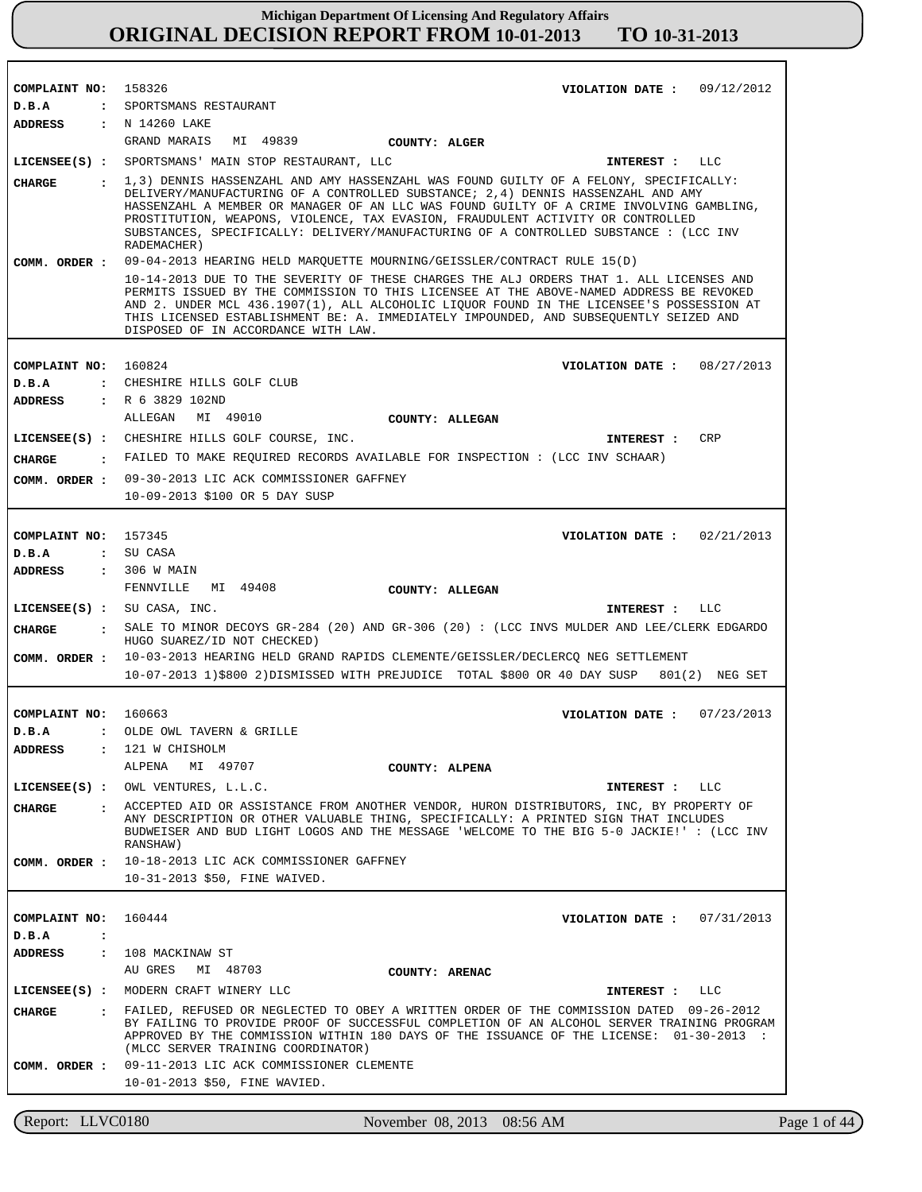| COMPLAINT NO: 158326          | VIOLATION DATE: $09/12/2012$                                                                                                                                                                                                                                                                                                                                                                                   |
|-------------------------------|----------------------------------------------------------------------------------------------------------------------------------------------------------------------------------------------------------------------------------------------------------------------------------------------------------------------------------------------------------------------------------------------------------------|
| D.B.A                         | : SPORTSMANS RESTAURANT<br>ADDRESS : N 14260 LAKE                                                                                                                                                                                                                                                                                                                                                              |
|                               | GRAND MARAIS<br>MI 49839<br>COUNTY: ALGER                                                                                                                                                                                                                                                                                                                                                                      |
|                               | LICENSEE(S) : SPORTSMANS' MAIN STOP RESTAURANT, LLC<br>INTEREST : LLC                                                                                                                                                                                                                                                                                                                                          |
| CIIARGE                       | : 1,3) DENNIS HASSENZAHL AND AMY HASSENZAHL WAS FOUND GUILTY OF A FELONY, SPECIFICALLY:                                                                                                                                                                                                                                                                                                                        |
|                               | DELIVERY/MANUFACTURING OF A CONTROLLED SUBSTANCE; 2,4) DENNIS HASSENZAHL AND AMY<br>HASSENZAHL A MEMBER OR MANAGER OF AN LLC WAS FOUND GUILTY OF A CRIME INVOLVING GAMBLING,<br>PROSTITUTION, WEAPONS, VIOLENCE, TAX EVASION, FRAUDULENT ACTIVITY OR CONTROLLED<br>SUBSTANCES, SPECIFICALLY: DELIVERY/MANUFACTURING OF A CONTROLLED SUBSTANCE : (LCC INV                                                       |
|                               | RADEMACHER)                                                                                                                                                                                                                                                                                                                                                                                                    |
| COMM. ORDER :                 | 09-04-2013 HEARING HELD MARQUETTE MOURNING/GEISSLER/CONTRACT RULE 15(D)                                                                                                                                                                                                                                                                                                                                        |
|                               | 10-14-2013 DUE TO THE SEVERITY OF THESE CHARGES THE ALJ ORDERS THAT 1. ALL LICENSES AND<br>PERMITS ISSUED BY THE COMMISSION TO THIS LICENSEE AT THE ABOVE-NAMED ADDRESS BE REVOKED<br>AND 2. UNDER MCL 436.1907(1), ALL ALCOHOLIC LIQUOR FOUND IN THE LICENSEE'S POSSESSION AT<br>THIS LICENSED ESTABLISHMENT BE: A. IMMEDIATELY IMPOUNDED, AND SUBSEOUENTLY SEIZED AND<br>DISPOSED OF IN ACCORDANCE WITH LAW. |
|                               |                                                                                                                                                                                                                                                                                                                                                                                                                |
| COMPLAINT NO: 160824          | VIOLATION DATE: $08/27/2013$                                                                                                                                                                                                                                                                                                                                                                                   |
| D.B.A                         | : CHESHIRE HILLS GOLF CLUB                                                                                                                                                                                                                                                                                                                                                                                     |
| ADDRESS                       | : R 6 3829 102ND<br>ALLEGAN MI 49010                                                                                                                                                                                                                                                                                                                                                                           |
|                               | <b>COUNTY: ALLEGAN</b>                                                                                                                                                                                                                                                                                                                                                                                         |
|                               | LICENSEE(S) : CHESHIRE HILLS GOLF COURSE, INC.<br><b>CRP</b><br>INTEREST :                                                                                                                                                                                                                                                                                                                                     |
| CHARGE                        | : FAILED TO MAKE REQUIRED RECORDS AVAILABLE FOR INSPECTION : (LCC INV SCHAAR)                                                                                                                                                                                                                                                                                                                                  |
|                               | COMM. ORDER : 09-30-2013 LIC ACK COMMISSIONER GAFFNEY                                                                                                                                                                                                                                                                                                                                                          |
|                               | 10-09-2013 \$100 OR 5 DAY SUSP                                                                                                                                                                                                                                                                                                                                                                                 |
|                               |                                                                                                                                                                                                                                                                                                                                                                                                                |
| COMPLAINT NO: 157345<br>D.B.A | VIOLATION DATE: $02/21/2013$<br>: SU CASA                                                                                                                                                                                                                                                                                                                                                                      |
| <b>ADDRESS</b>                | $: 306$ W MAIN                                                                                                                                                                                                                                                                                                                                                                                                 |
|                               | FENNVILLE MI 49408<br>COUNTY: ALLEGAN                                                                                                                                                                                                                                                                                                                                                                          |
|                               | $LICENSEE(S)$ : SU CASA, INC.<br>INTEREST : LLC                                                                                                                                                                                                                                                                                                                                                                |
| CHARGE                        | SALE TO MINOR DECOYS GR-284 (20) AND GR-306 (20): (LCC INVS MULDER AND LEE/CLERK EDGARDO<br>$\mathbf{r}$<br>HUGO SUAREZ/ID NOT CHECKED)                                                                                                                                                                                                                                                                        |
| COMM. ORDER :                 | 10-03-2013 HEARING HELD GRAND RAPIDS CLEMENTE/GEISSLER/DECLERCQ NEG SETTLEMENT                                                                                                                                                                                                                                                                                                                                 |
|                               | 10-07-2013 1)\$800 2)DISMISSED WITH PREJUDICE TOTAL \$800 OR 40 DAY SUSP 801(2) NEG SET                                                                                                                                                                                                                                                                                                                        |
|                               |                                                                                                                                                                                                                                                                                                                                                                                                                |
| COMPLAINT NO: 160663          | VIOLATION DATE: $07/23/2013$                                                                                                                                                                                                                                                                                                                                                                                   |
| D.B.A                         | : OLDE OWL TAVERN & GRILLE                                                                                                                                                                                                                                                                                                                                                                                     |
| <b>ADDRESS</b>                | 121 W CHISHOLM<br>$\mathbf{z}$<br>MI 49707<br>ALPENA                                                                                                                                                                                                                                                                                                                                                           |
|                               | COUNTY: ALPENA                                                                                                                                                                                                                                                                                                                                                                                                 |
|                               |                                                                                                                                                                                                                                                                                                                                                                                                                |
|                               | LICENSEE(S) : OWL VENTURES, L.L.C.<br>INTEREST : LLC                                                                                                                                                                                                                                                                                                                                                           |
| CIIARGE                       | . ACCEPTED AID OR ASSISTANCE FROM ANOTHER VENDOR, HURON DISTRIBUTORS, INC, BY PROPERTY OF<br>ANY DESCRIPTION OR OTHER VALUABLE THING, SPECIFICALLY: A PRINTED SIGN THAT INCLUDES<br>BUDWEISER AND BUD LIGHT LOGOS AND THE MESSAGE 'WELCOME TO THE BIG 5-0 JACKIE!' : (LCC INV<br>RANSHAW)                                                                                                                      |
|                               | COMM. ORDER : 10-18-2013 LIC ACK COMMISSIONER GAFFNEY                                                                                                                                                                                                                                                                                                                                                          |
|                               | 10-31-2013 \$50, FINE WAIVED.                                                                                                                                                                                                                                                                                                                                                                                  |
|                               |                                                                                                                                                                                                                                                                                                                                                                                                                |
| COMPLAINT NO: 160444          | VIOLATION DATE: $07/31/2013$                                                                                                                                                                                                                                                                                                                                                                                   |
| D.B.A<br>$\ddot{\cdot}$       |                                                                                                                                                                                                                                                                                                                                                                                                                |
| ADDRESS                       | : 108 MACKINAW ST                                                                                                                                                                                                                                                                                                                                                                                              |
|                               | AU GRES MI 48703<br>COUNTY: ARENAC                                                                                                                                                                                                                                                                                                                                                                             |
|                               | LICENSEE(S) : MODERN CRAFT WINERY LLC<br>INTEREST : LLC                                                                                                                                                                                                                                                                                                                                                        |
| CIIARGE                       | : FAILED, REFUSED OR NEGLECTED TO OBEY A WRITTEN ORDER OF THE COMMISSION DATED 09-26-2012<br>BY FAILING TO PROVIDE PROOF OF SUCCESSFUL COMPLETION OF AN ALCOHOL SERVER TRAINING PROGRAM<br>APPROVED BY THE COMMISSION WITHIN 180 DAYS OF THE ISSUANCE OF THE LICENSE: 01-30-2013 :<br>(MLCC SERVER TRAINING COORDINATOR)                                                                                       |
| COMM. ORDER :                 | 09-11-2013 LIC ACK COMMISSIONER CLEMENTE                                                                                                                                                                                                                                                                                                                                                                       |
|                               | 10-01-2013 \$50, FINE WAVIED.                                                                                                                                                                                                                                                                                                                                                                                  |

Report: LLVC0180 November 08, 2013 08:56 AM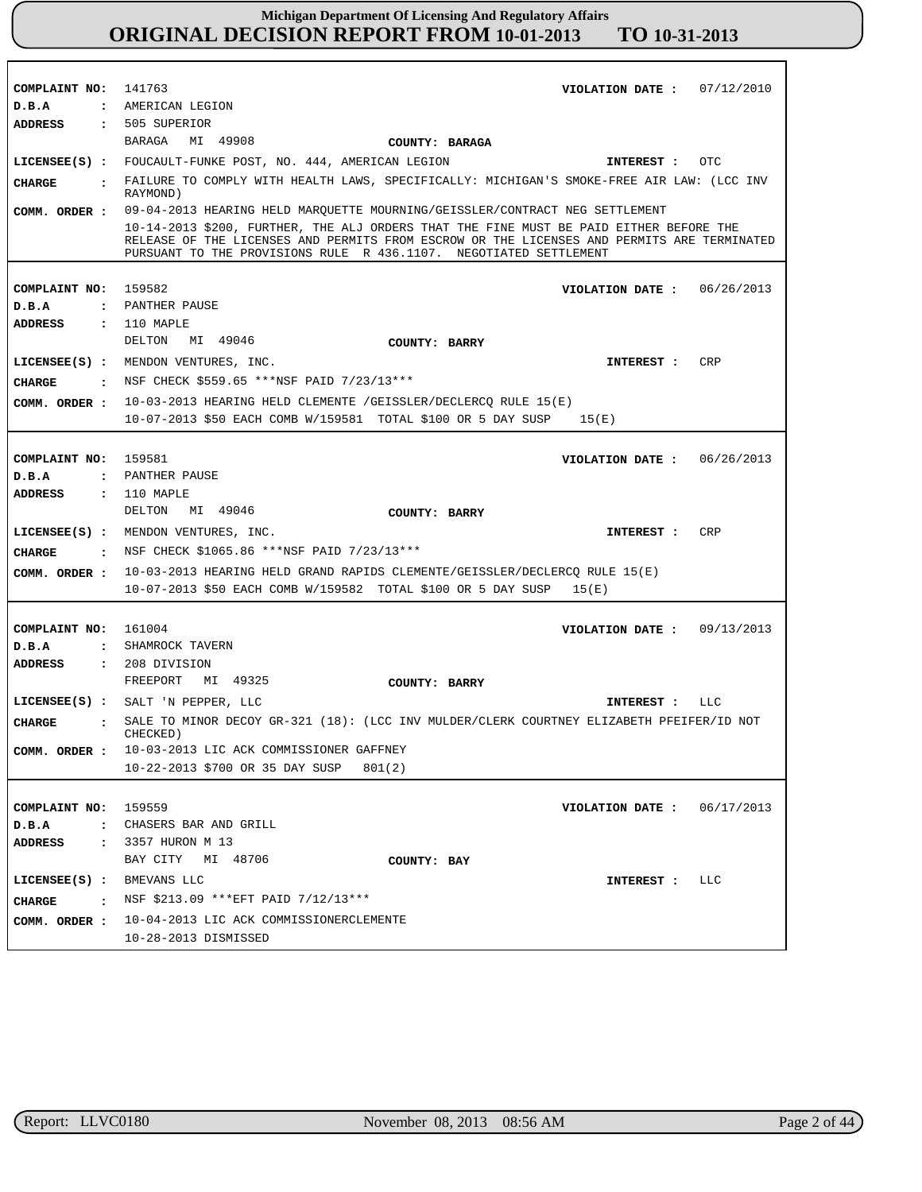| COMPLAINT NO: 141763          | VIOLATION DATE : $07/12/2010$                                                                                                                                   |
|-------------------------------|-----------------------------------------------------------------------------------------------------------------------------------------------------------------|
| D.B.A                         | : AMERICAN LEGION                                                                                                                                               |
| <b>ADDRESS</b>                | : 505 SUPERIOR                                                                                                                                                  |
|                               | BARAGA<br>MI 49908                                                                                                                                              |
|                               | <b>COUNTY: BARAGA</b>                                                                                                                                           |
|                               | LICENSEE(S) : FOUCAULT-FUNKE POST, NO. 444, AMERICAN LEGION<br>OTC<br>INTEREST :                                                                                |
| <b>CHARGE</b>                 | . FAILURE TO COMPLY WITH HEALTH LAWS, SPECIFICALLY: MICHIGAN'S SMOKE-FREE AIR LAW: (LCC INV<br>RAYMOND)                                                         |
| COMM. ORDER :                 | 09-04-2013 HEARING HELD MAROUETTE MOURNING/GEISSLER/CONTRACT NEG SETTLEMENT                                                                                     |
|                               | 10-14-2013 \$200, FURTHER, THE ALJ ORDERS THAT THE FINE MUST BE PAID EITHER BEFORE THE                                                                          |
|                               | RELEASE OF THE LICENSES AND PERMITS FROM ESCROW OR THE LICENSES AND PERMITS ARE TERMINATED<br>PURSUANT TO THE PROVISIONS RULE R 436.1107. NEGOTIATED SETTLEMENT |
|                               |                                                                                                                                                                 |
|                               |                                                                                                                                                                 |
| COMPLAINT NO: 159582          | VIOLATION DATE: 06/26/2013                                                                                                                                      |
| D.B.A                         | : PANTHER PAUSE                                                                                                                                                 |
| ADDRESS                       | $: 110$ MAPLE                                                                                                                                                   |
|                               | DELTON<br>MI 49046<br>COUNTY: BARRY                                                                                                                             |
|                               | LICENSEE(S) : MENDON VENTURES, INC.<br>CRP<br><b>INTEREST :</b>                                                                                                 |
|                               |                                                                                                                                                                 |
| CHARGE                        | : NSF CHECK \$559.65 ***NSF PAID 7/23/13***                                                                                                                     |
|                               | <b>COMM. ORDER:</b> $10-03-2013$ HEARING HELD CLEMENTE /GEISSLER/DECLERCQ RULE $15(E)$                                                                          |
|                               | 10-07-2013 \$50 EACH COMB W/159581 TOTAL \$100 OR 5 DAY SUSP<br>15(E)                                                                                           |
|                               |                                                                                                                                                                 |
|                               | 159581                                                                                                                                                          |
| COMPLAINT NO:                 | VIOLATION DATE: 06/26/2013                                                                                                                                      |
| D.B.A                         | : PANTHER PAUSE                                                                                                                                                 |
| ADDRESS                       | : 110 MAPLE                                                                                                                                                     |
|                               |                                                                                                                                                                 |
|                               | DELTON MI 49046<br>COUNTY: BARRY                                                                                                                                |
|                               | CRP                                                                                                                                                             |
|                               | LICENSEE(S) : MENDON VENTURES, INC.<br>INTEREST :                                                                                                               |
| CHARGE                        | : NSF CHECK \$1065.86 *** NSF PAID 7/23/13***                                                                                                                   |
|                               | COMM. ORDER : 10-03-2013 HEARING HELD GRAND RAPIDS CLEMENTE/GEISSLER/DECLERCQ RULE 15(E)                                                                        |
|                               | 10-07-2013 \$50 EACH COMB W/159582 TOTAL \$100 OR 5 DAY SUSP 15(E)                                                                                              |
|                               |                                                                                                                                                                 |
|                               |                                                                                                                                                                 |
| COMPLAINT NO: 161004          | VIOLATION DATE : $09/13/2013$                                                                                                                                   |
| D.B.A                         | : SHAMROCK TAVERN                                                                                                                                               |
| ADDRESS                       | $: 208$ DIVISION                                                                                                                                                |
|                               | FREEPORT<br>MI 49325<br>COUNTY: BARRY                                                                                                                           |
|                               | LICENSEE(S) : SALT 'N PEPPER, LLC<br>INTEREST :<br>LLC                                                                                                          |
| <b>CHARGE</b><br>$\mathbf{r}$ | SALE TO MINOR DECOY GR-321 (18): (LCC INV MULDER/CLERK COURTNEY ELIZABETH PFEIFER/ID NOT<br>CHECKED)                                                            |
|                               |                                                                                                                                                                 |
|                               | COMM. ORDER : 10-03-2013 LIC ACK COMMISSIONER GAFFNEY                                                                                                           |
|                               | 10-22-2013 \$700 OR 35 DAY SUSP<br>801(2)                                                                                                                       |
|                               |                                                                                                                                                                 |
| COMPLAINT NO: 159559          | 06/17/2013<br>VIOLATION DATE :                                                                                                                                  |
| D.B.A                         | : CHASERS BAR AND GRILL                                                                                                                                         |
| ADDRESS                       | : 3357 HURON M 13                                                                                                                                               |
|                               |                                                                                                                                                                 |
|                               | BAY CITY MI 48706<br>COUNTY: BAY                                                                                                                                |
| LICENSEE(S) : BMEVANS LLC     | INTEREST : LLC                                                                                                                                                  |
| <b>CHARGE</b>                 | : NSF \$213.09 *** EFT PAID 7/12/13***                                                                                                                          |
|                               | COMM. ORDER : 10-04-2013 LIC ACK COMMISSIONERCLEMENTE                                                                                                           |
|                               | 10-28-2013 DISMISSED                                                                                                                                            |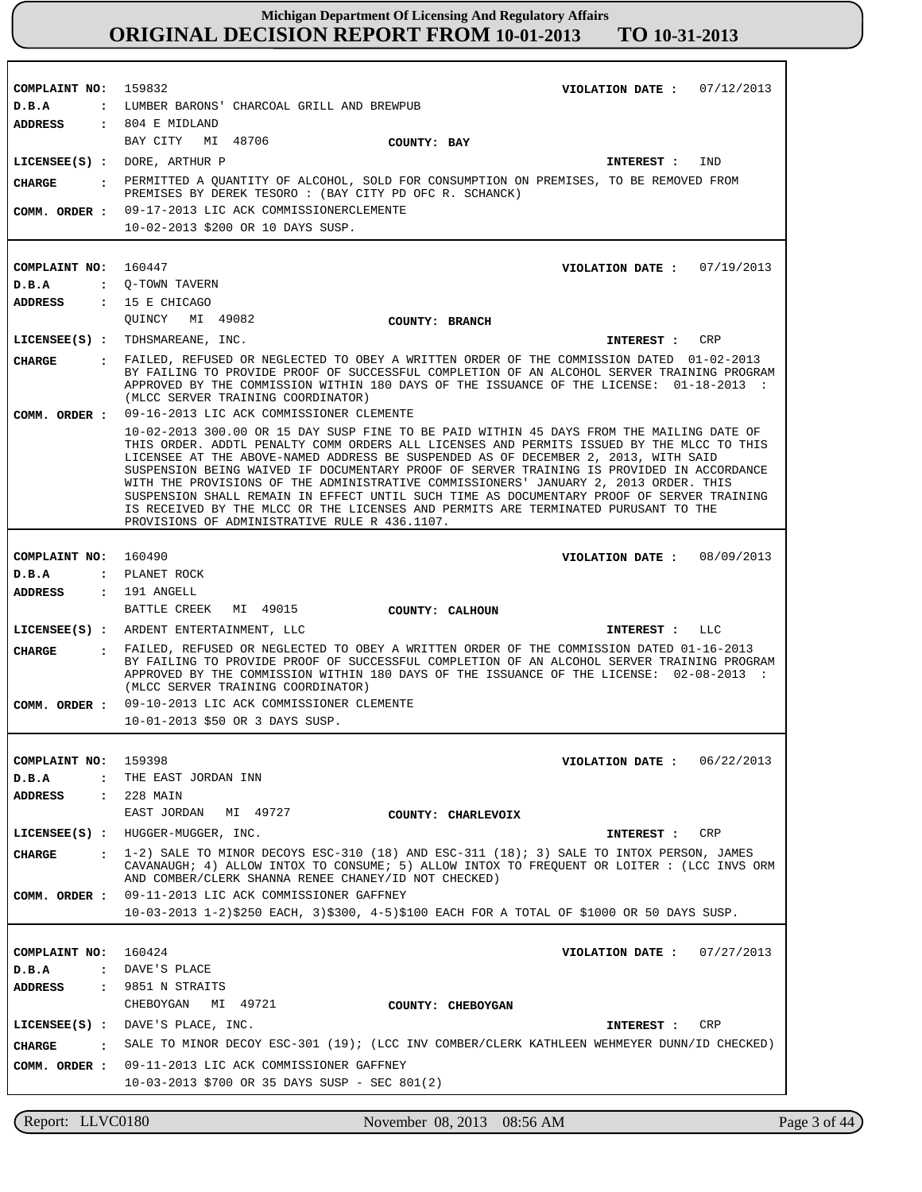| COMPLAINT NO: 159832            | VIOLATION DATE: $07/12/2013$                                                                                                                                                                                                                                                                                                                                                                                                                                                                                                                                                                                                                                                                         |
|---------------------------------|------------------------------------------------------------------------------------------------------------------------------------------------------------------------------------------------------------------------------------------------------------------------------------------------------------------------------------------------------------------------------------------------------------------------------------------------------------------------------------------------------------------------------------------------------------------------------------------------------------------------------------------------------------------------------------------------------|
| D.B.A                           | : LUMBER BARONS' CHARCOAL GRILL AND BREWPUB                                                                                                                                                                                                                                                                                                                                                                                                                                                                                                                                                                                                                                                          |
| <b>ADDRESS</b>                  | $: 804$ E MIDLAND                                                                                                                                                                                                                                                                                                                                                                                                                                                                                                                                                                                                                                                                                    |
|                                 | BAY CITY<br>MI 48706<br>COUNTY: BAY                                                                                                                                                                                                                                                                                                                                                                                                                                                                                                                                                                                                                                                                  |
|                                 | $LICENSEE(S)$ : DORE, ARTHUR P<br>IND<br>INTEREST :                                                                                                                                                                                                                                                                                                                                                                                                                                                                                                                                                                                                                                                  |
| CHARGE                          | . PERMITTED A QUANTITY OF ALCOHOL, SOLD FOR CONSUMPTION ON PREMISES, TO BE REMOVED FROM                                                                                                                                                                                                                                                                                                                                                                                                                                                                                                                                                                                                              |
|                                 | PREMISES BY DEREK TESORO : (BAY CITY PD OFC R. SCHANCK)                                                                                                                                                                                                                                                                                                                                                                                                                                                                                                                                                                                                                                              |
|                                 | COMM. ORDER : 09-17-2013 LIC ACK COMMISSIONERCLEMENTE                                                                                                                                                                                                                                                                                                                                                                                                                                                                                                                                                                                                                                                |
|                                 | 10-02-2013 \$200 OR 10 DAYS SUSP.                                                                                                                                                                                                                                                                                                                                                                                                                                                                                                                                                                                                                                                                    |
|                                 |                                                                                                                                                                                                                                                                                                                                                                                                                                                                                                                                                                                                                                                                                                      |
| COMPLAINT NO: 160447            | VIOLATION DATE: $07/19/2013$                                                                                                                                                                                                                                                                                                                                                                                                                                                                                                                                                                                                                                                                         |
| D.B.A<br>ADDRESS : 15 E CHICAGO | : Q-TOWN TAVERN                                                                                                                                                                                                                                                                                                                                                                                                                                                                                                                                                                                                                                                                                      |
|                                 | OUINCY MI 49082<br>COUNTY: BRANCH                                                                                                                                                                                                                                                                                                                                                                                                                                                                                                                                                                                                                                                                    |
|                                 | LICENSEE(S) : TDHSMAREANE, INC.<br>INTEREST :<br>CRP                                                                                                                                                                                                                                                                                                                                                                                                                                                                                                                                                                                                                                                 |
|                                 | : FAILED, REFUSED OR NEGLECTED TO OBEY A WRITTEN ORDER OF THE COMMISSION DATED 01-02-2013                                                                                                                                                                                                                                                                                                                                                                                                                                                                                                                                                                                                            |
| <b>CHARGE</b>                   | BY FAILING TO PROVIDE PROOF OF SUCCESSFUL COMPLETION OF AN ALCOHOL SERVER TRAINING PROGRAM<br>APPROVED BY THE COMMISSION WITHIN 180 DAYS OF THE ISSUANCE OF THE LICENSE: 01-18-2013 :<br>(MLCC SERVER TRAINING COORDINATOR)                                                                                                                                                                                                                                                                                                                                                                                                                                                                          |
| COMM. ORDER :                   | 09-16-2013 LIC ACK COMMISSIONER CLEMENTE                                                                                                                                                                                                                                                                                                                                                                                                                                                                                                                                                                                                                                                             |
|                                 | 10-02-2013 300.00 OR 15 DAY SUSP FINE TO BE PAID WITHIN 45 DAYS FROM THE MAILING DATE OF<br>THIS ORDER. ADDTL PENALTY COMM ORDERS ALL LICENSES AND PERMITS ISSUED BY THE MLCC TO THIS<br>LICENSEE AT THE ABOVE-NAMED ADDRESS BE SUSPENDED AS OF DECEMBER 2, 2013, WITH SAID<br>SUSPENSION BEING WAIVED IF DOCUMENTARY PROOF OF SERVER TRAINING IS PROVIDED IN ACCORDANCE<br>WITH THE PROVISIONS OF THE ADMINISTRATIVE COMMISSIONERS' JANUARY 2, 2013 ORDER. THIS<br>SUSPENSION SHALL REMAIN IN EFFECT UNTIL SUCH TIME AS DOCUMENTARY PROOF OF SERVER TRAINING<br>IS RECEIVED BY THE MLCC OR THE LICENSES AND PERMITS ARE TERMINATED PURUSANT TO THE<br>PROVISIONS OF ADMINISTRATIVE RULE R 436.1107. |
|                                 |                                                                                                                                                                                                                                                                                                                                                                                                                                                                                                                                                                                                                                                                                                      |
| COMPLAINT NO: 160490            | VIOLATION DATE: 08/09/2013                                                                                                                                                                                                                                                                                                                                                                                                                                                                                                                                                                                                                                                                           |
| D.B.A                           | : PLANET ROCK                                                                                                                                                                                                                                                                                                                                                                                                                                                                                                                                                                                                                                                                                        |
| ADDRESS : 191 ANGELL            | BATTLE CREEK MI 49015                                                                                                                                                                                                                                                                                                                                                                                                                                                                                                                                                                                                                                                                                |
|                                 | COUNTY: CALHOUN                                                                                                                                                                                                                                                                                                                                                                                                                                                                                                                                                                                                                                                                                      |
|                                 | LICENSEE(S) : ARDENT ENTERTAINMENT, LLC<br>LLC<br><b>INTEREST :</b>                                                                                                                                                                                                                                                                                                                                                                                                                                                                                                                                                                                                                                  |
| <b>CHARGE</b>                   | : FAILED, REFUSED OR NEGLECTED TO OBEY A WRITTEN ORDER OF THE COMMISSION DATED 01-16-2013<br>BY FAILING TO PROVIDE PROOF OF SUCCESSFUL COMPLETION OF AN ALCOHOL SERVER TRAINING PROGRAM<br>APPROVED BY THE COMMISSION WITHIN 180 DAYS OF THE ISSUANCE OF THE LICENSE: 02-08-2013 :<br>(MLCC SERVER TRAINING COORDINATOR)                                                                                                                                                                                                                                                                                                                                                                             |
|                                 | COMM. ORDER : 09-10-2013 LIC ACK COMMISSIONER CLEMENTE                                                                                                                                                                                                                                                                                                                                                                                                                                                                                                                                                                                                                                               |
|                                 | 10-01-2013 \$50 OR 3 DAYS SUSP.                                                                                                                                                                                                                                                                                                                                                                                                                                                                                                                                                                                                                                                                      |
|                                 |                                                                                                                                                                                                                                                                                                                                                                                                                                                                                                                                                                                                                                                                                                      |
| COMPLAINT NO: 159398            | VIOLATION DATE: $06/22/2013$                                                                                                                                                                                                                                                                                                                                                                                                                                                                                                                                                                                                                                                                         |
| D.B.A                           | : THE EAST JORDAN INN                                                                                                                                                                                                                                                                                                                                                                                                                                                                                                                                                                                                                                                                                |
| <b>ADDRESS</b>                  | : 228 MAIN<br>EAST JORDAN<br>MI 49727                                                                                                                                                                                                                                                                                                                                                                                                                                                                                                                                                                                                                                                                |
|                                 | COUNTY: CHARLEVOIX                                                                                                                                                                                                                                                                                                                                                                                                                                                                                                                                                                                                                                                                                   |
|                                 | LICENSEE(S) : HUGGER-MUGGER, INC.<br><b>INTEREST :</b><br>CRP<br>$\pm$ 1-2) SALE TO MINOR DECOYS ESC-310 (18) AND ESC-311 (18); 3) SALE TO INTOX PERSON, JAMES                                                                                                                                                                                                                                                                                                                                                                                                                                                                                                                                       |
| CHARGE                          | CAVANAUGH; 4) ALLOW INTOX TO CONSUME; 5) ALLOW INTOX TO FREQUENT OR LOITER: (LCC INVS ORM<br>AND COMBER/CLERK SHANNA RENEE CHANEY/ID NOT CHECKED)                                                                                                                                                                                                                                                                                                                                                                                                                                                                                                                                                    |
| COMM. ORDER :                   | 09-11-2013 LIC ACK COMMISSIONER GAFFNEY<br>10-03-2013 1-2)\$250 EACH, 3)\$300, 4-5)\$100 EACH FOR A TOTAL OF \$1000 OR 50 DAYS SUSP.                                                                                                                                                                                                                                                                                                                                                                                                                                                                                                                                                                 |
|                                 |                                                                                                                                                                                                                                                                                                                                                                                                                                                                                                                                                                                                                                                                                                      |
|                                 |                                                                                                                                                                                                                                                                                                                                                                                                                                                                                                                                                                                                                                                                                                      |
| COMPLAINT NO: 160424<br>D.B.A   | VIOLATION DATE: $07/27/2013$<br>: DAVE'S PLACE                                                                                                                                                                                                                                                                                                                                                                                                                                                                                                                                                                                                                                                       |
| <b>ADDRESS</b>                  | $: 9851$ N STRAITS                                                                                                                                                                                                                                                                                                                                                                                                                                                                                                                                                                                                                                                                                   |
|                                 | CHEBOYGAN<br>MI 49721<br>COUNTY: CHEBOYGAN                                                                                                                                                                                                                                                                                                                                                                                                                                                                                                                                                                                                                                                           |
|                                 | LICENSEE(S) : DAVE'S PLACE, INC.<br>CRP<br>INTEREST :                                                                                                                                                                                                                                                                                                                                                                                                                                                                                                                                                                                                                                                |
| CHARGE                          | : SALE TO MINOR DECOY ESC-301 (19); (LCC INV COMBER/CLERK KATHLEEN WEHMEYER DUNN/ID CHECKED)                                                                                                                                                                                                                                                                                                                                                                                                                                                                                                                                                                                                         |
|                                 | COMM. ORDER : 09-11-2013 LIC ACK COMMISSIONER GAFFNEY                                                                                                                                                                                                                                                                                                                                                                                                                                                                                                                                                                                                                                                |
|                                 | 10-03-2013 \$700 OR 35 DAYS SUSP - SEC 801(2)                                                                                                                                                                                                                                                                                                                                                                                                                                                                                                                                                                                                                                                        |
|                                 |                                                                                                                                                                                                                                                                                                                                                                                                                                                                                                                                                                                                                                                                                                      |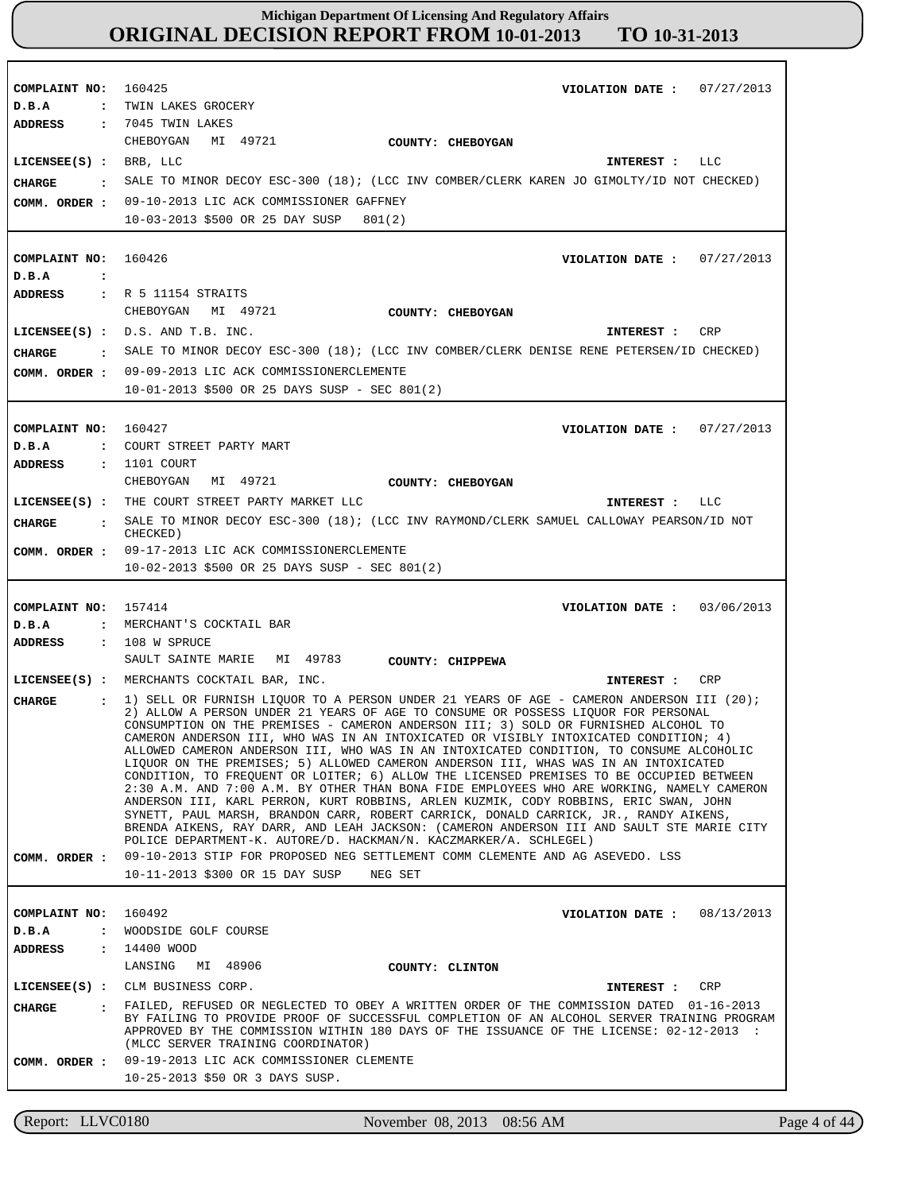**COMPLAINT NO: COMPLAINT NO: COMPLAINT NO:** 160427 **COMPLAINT NO:** 157414 **COMPLAINT NO:** 160425 160426 160492 **VIOLATION DATE : VIOLATION DATE :** 07/27/2013 **VIOLATION DATE : VIOLATION DATE :** 03/06/2013 **VIOLATION DATE :** 07/27/2013 07/27/2013 08/13/2013 **D.B.A : D.B.A : D.B.A : D.B.A : D.B.A :** : TWIN LAKES GROCERY COURT STREET PARTY MART MERCHANT'S COCKTAIL BAR WOODSIDE GOLF COURSE **ADDRESS : ADDRESS : ADDRESS : ADDRESS : ADDRESS :** 7045 TWIN LAKES R 5 11154 STRAITS 1101 COURT : 108 W SPRUCE 14400 WOOD CHEBOYGAN MI 49721 CHEBOYGAN MI 49721 CHEBOYGAN MI 49721 SAULT SAINTE MARIE MI 49783 LANSING MI 48906 09-10-2013 LIC ACK COMMISSIONER GAFFNEY 10-03-2013 \$500 OR 25 DAY SUSP 801(2) 09-09-2013 LIC ACK COMMISSIONERCLEMENTE **COMM. ORDER :** 10-01-2013 \$500 OR 25 DAYS SUSP - SEC 801(2) 09-17-2013 LIC ACK COMMISSIONERCLEMENTE 10-02-2013 \$500 OR 25 DAYS SUSP - SEC 801(2) 09-10-2013 STIP FOR PROPOSED NEG SETTLEMENT COMM CLEMENTE AND AG ASEVEDO. LSS 10-11-2013 \$300 OR 15 DAY SUSP NEG SET 09-19-2013 LIC ACK COMMISSIONER CLEMENTE **COMM. ORDER :** 10-25-2013 \$50 OR 3 DAYS SUSP. **LICENSEE(S) : LICENSEE(S) :** D.S. AND T.B. INC. **LICENSEE(S) :** THE COURT STREET PARTY MARKET LLC **LICENSEE(S) :** MERCHANTS COCKTAIL BAR, INC. **LICENSEE(S) :** CLM BUSINESS CORP. BRB, LLC LLC CR<sub>P</sub> LLC CRP CRP **CHARGE : CHARGE : CHARGE : CHARGE : CHARGE :** SALE TO MINOR DECOY ESC-300 (18); (LCC INV COMBER/CLERK KAREN JO GIMOLTY/ID NOT CHECKED) SALE TO MINOR DECOY ESC-300 (18); (LCC INV COMBER/CLERK DENISE RENE PETERSEN/ID CHECKED) SALE TO MINOR DECOY ESC-300 (18); (LCC INV RAYMOND/CLERK SAMUEL CALLOWAY PEARSON/ID NOT CHECKED) 1) SELL OR FURNISH LIQUOR TO A PERSON UNDER 21 YEARS OF AGE - CAMERON ANDERSON III (20); 2) ALLOW A PERSON UNDER 21 YEARS OF AGE TO CONSUME OR POSSESS LIQUOR FOR PERSONAL CONSUMPTION ON THE PREMISES - CAMERON ANDERSON III; 3) SOLD OR FURNISHED ALCOHOL TO CAMERON ANDERSON III, WHO WAS IN AN INTOXICATED OR VISIBLY INTOXICATED CONDITION; 4) ALLOWED CAMERON ANDERSON III, WHO WAS IN AN INTOXICATED CONDITION, TO CONSUME ALCOHOLIC LIQUOR ON THE PREMISES; 5) ALLOWED CAMERON ANDERSON III, WHAS WAS IN AN INTOXICATED CONDITION, TO FREQUENT OR LOITER; 6) ALLOW THE LICENSED PREMISES TO BE OCCUPIED BETWEEN 2:30 A.M. AND 7:00 A.M. BY OTHER THAN BONA FIDE EMPLOYEES WHO ARE WORKING, NAMELY CAMERON ANDERSON III, KARL PERRON, KURT ROBBINS, ARLEN KUZMIK, CODY ROBBINS, ERIC SWAN, JOHN SYNETT, PAUL MARSH, BRANDON CARR, ROBERT CARRICK, DONALD CARRICK, JR., RANDY AIKENS, BRENDA AIKENS, RAY DARR, AND LEAH JACKSON: (CAMERON ANDERSON III AND SAULT STE MARIE CITY POLICE DEPARTMENT-K. AUTORE/D. HACKMAN/N. KACZMARKER/A. SCHLEGEL) FAILED, REFUSED OR NEGLECTED TO OBEY A WRITTEN ORDER OF THE COMMISSION DATED 01-16-2013 BY FAILING TO PROVIDE PROOF OF SUCCESSFUL COMPLETION OF AN ALCOHOL SERVER TRAINING PROGRAM APPROVED BY THE COMMISSION WITHIN 180 DAYS OF THE ISSUANCE OF THE LICENSE: 02-12-2013 : (MLCC SERVER TRAINING COORDINATOR) **INTEREST : INTEREST : INTEREST : INTEREST : INTEREST : COMM. ORDER : COMM. ORDER : COMM. ORDER : COUNTY: CHEBOYGAN COUNTY: CHEBOYGAN COUNTY: CHEBOYGAN COUNTY: CHIPPEWA COUNTY: CLINTON**

Report: LLVC0180 November 08, 2013 08:56 AM

Page 4 of 44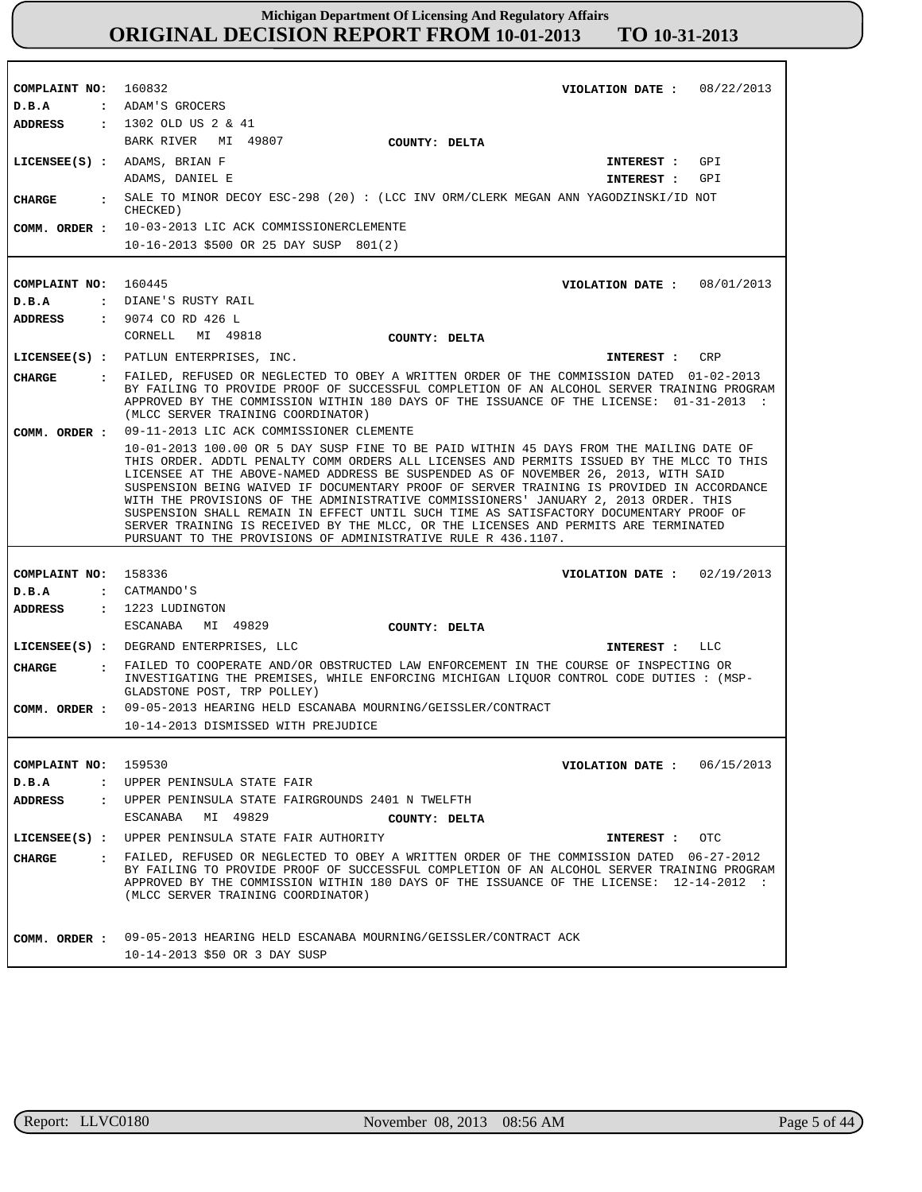| COMPLAINT NO: 160832 | VIOLATION DATE: 08/22/2013                                                                                                                                                                                                                                                                                                                                                                                                                                                                                                                                                                                                                                                                                         |
|----------------------|--------------------------------------------------------------------------------------------------------------------------------------------------------------------------------------------------------------------------------------------------------------------------------------------------------------------------------------------------------------------------------------------------------------------------------------------------------------------------------------------------------------------------------------------------------------------------------------------------------------------------------------------------------------------------------------------------------------------|
| D.B.A                | : ADAM'S GROCERS                                                                                                                                                                                                                                                                                                                                                                                                                                                                                                                                                                                                                                                                                                   |
|                      | ADDRESS : 1302 OLD US 2 & 41                                                                                                                                                                                                                                                                                                                                                                                                                                                                                                                                                                                                                                                                                       |
|                      | BARK RIVER MI 49807<br>COUNTY: DELTA                                                                                                                                                                                                                                                                                                                                                                                                                                                                                                                                                                                                                                                                               |
|                      | LICENSEE(S) : ADAMS, BRIAN F<br>INTEREST : GPI                                                                                                                                                                                                                                                                                                                                                                                                                                                                                                                                                                                                                                                                     |
|                      | ADAMS, DANIEL E<br>GPI<br>INTEREST :                                                                                                                                                                                                                                                                                                                                                                                                                                                                                                                                                                                                                                                                               |
| CIIARGE              | : SALE TO MINOR DECOY ESC-298 (20) : (LCC INV ORM/CLERK MEGAN ANN YAGODZINSKI/ID NOT<br>CHECKED)                                                                                                                                                                                                                                                                                                                                                                                                                                                                                                                                                                                                                   |
|                      | COMM. ORDER : 10-03-2013 LIC ACK COMMISSIONERCLEMENTE                                                                                                                                                                                                                                                                                                                                                                                                                                                                                                                                                                                                                                                              |
|                      | 10-16-2013 \$500 OR 25 DAY SUSP 801(2)                                                                                                                                                                                                                                                                                                                                                                                                                                                                                                                                                                                                                                                                             |
|                      |                                                                                                                                                                                                                                                                                                                                                                                                                                                                                                                                                                                                                                                                                                                    |
| COMPLAINT NO:        | 160445<br>VIOLATION DATE: $08/01/2013$                                                                                                                                                                                                                                                                                                                                                                                                                                                                                                                                                                                                                                                                             |
| D.B.A                | : DIANE'S RUSTY RAIL                                                                                                                                                                                                                                                                                                                                                                                                                                                                                                                                                                                                                                                                                               |
| ADDRESS              | : 9074 CO RD 426 L                                                                                                                                                                                                                                                                                                                                                                                                                                                                                                                                                                                                                                                                                                 |
|                      | CORNELL MI 49818<br>COUNTY: DELTA                                                                                                                                                                                                                                                                                                                                                                                                                                                                                                                                                                                                                                                                                  |
|                      | LICENSEE(S) : PATLUN ENTERPRISES, INC.<br>INTEREST :<br>CRP                                                                                                                                                                                                                                                                                                                                                                                                                                                                                                                                                                                                                                                        |
|                      |                                                                                                                                                                                                                                                                                                                                                                                                                                                                                                                                                                                                                                                                                                                    |
| CHARGE               | : FAILED, REFUSED OR NEGLECTED TO OBEY A WRITTEN ORDER OF THE COMMISSION DATED 01-02-2013<br>BY FAILING TO PROVIDE PROOF OF SUCCESSFUL COMPLETION OF AN ALCOHOL SERVER TRAINING PROGRAM<br>APPROVED BY THE COMMISSION WITHIN 180 DAYS OF THE ISSUANCE OF THE LICENSE: 01-31-2013 :<br>(MLCC SERVER TRAINING COORDINATOR)                                                                                                                                                                                                                                                                                                                                                                                           |
| COMM. ORDER :        | 09-11-2013 LIC ACK COMMISSIONER CLEMENTE                                                                                                                                                                                                                                                                                                                                                                                                                                                                                                                                                                                                                                                                           |
|                      | 10-01-2013 100.00 OR 5 DAY SUSP FINE TO BE PAID WITHIN 45 DAYS FROM THE MAILING DATE OF<br>THIS ORDER. ADDTL PENALTY COMM ORDERS ALL LICENSES AND PERMITS ISSUED BY THE MLCC TO THIS<br>LICENSEE AT THE ABOVE-NAMED ADDRESS BE SUSPENDED AS OF NOVEMBER 26, 2013, WITH SAID<br>SUSPENSION BEING WAIVED IF DOCUMENTARY PROOF OF SERVER TRAINING IS PROVIDED IN ACCORDANCE<br>WITH THE PROVISIONS OF THE ADMINISTRATIVE COMMISSIONERS' JANUARY 2, 2013 ORDER. THIS<br>SUSPENSION SHALL REMAIN IN EFFECT UNTIL SUCH TIME AS SATISFACTORY DOCUMENTARY PROOF OF<br>SERVER TRAINING IS RECEIVED BY THE MLCC, OR THE LICENSES AND PERMITS ARE TERMINATED<br>PURSUANT TO THE PROVISIONS OF ADMINISTRATIVE RULE R 436.1107. |
|                      |                                                                                                                                                                                                                                                                                                                                                                                                                                                                                                                                                                                                                                                                                                                    |
| COMPLAINT NO: 158336 | VIOLATION DATE: $02/19/2013$                                                                                                                                                                                                                                                                                                                                                                                                                                                                                                                                                                                                                                                                                       |
| D.B.A                | : CATMANDO'S                                                                                                                                                                                                                                                                                                                                                                                                                                                                                                                                                                                                                                                                                                       |
| ADDRESS              | $: 1223$ LUDINGTON                                                                                                                                                                                                                                                                                                                                                                                                                                                                                                                                                                                                                                                                                                 |
|                      | ESCANABA MI 49829<br>COUNTY: DELTA                                                                                                                                                                                                                                                                                                                                                                                                                                                                                                                                                                                                                                                                                 |
|                      | LICENSEE(S) : DEGRAND ENTERPRISES, LLC<br>INTEREST : LLC                                                                                                                                                                                                                                                                                                                                                                                                                                                                                                                                                                                                                                                           |
| <b>CHARGE</b>        | : FAILED TO COOPERATE AND/OR OBSTRUCTED LAW ENFORCEMENT IN THE COURSE OF INSPECTING OR<br>INVESTIGATING THE PREMISES, WHILE ENFORCING MICHIGAN LIQUOR CONTROL CODE DUTIES : (MSP-<br>GLADSTONE POST, TRP POLLEY)                                                                                                                                                                                                                                                                                                                                                                                                                                                                                                   |
| COMM. ORDER :        | 09-05-2013 HEARING HELD ESCANABA MOURNING/GEISSLER/CONTRACT                                                                                                                                                                                                                                                                                                                                                                                                                                                                                                                                                                                                                                                        |
|                      | 10-14-2013 DISMISSED WITH PREJUDICE                                                                                                                                                                                                                                                                                                                                                                                                                                                                                                                                                                                                                                                                                |
|                      |                                                                                                                                                                                                                                                                                                                                                                                                                                                                                                                                                                                                                                                                                                                    |
| COMPLAINT NO: 159530 | VIOLATION DATE: $06/15/2013$                                                                                                                                                                                                                                                                                                                                                                                                                                                                                                                                                                                                                                                                                       |
| D.B.A                | : UPPER PENINSULA STATE FAIR                                                                                                                                                                                                                                                                                                                                                                                                                                                                                                                                                                                                                                                                                       |
| ADDRESS              | : UPPER PENINSULA STATE FAIRGROUNDS 2401 N TWELFTH                                                                                                                                                                                                                                                                                                                                                                                                                                                                                                                                                                                                                                                                 |
|                      | MI 49829<br>ESCANABA<br>COUNTY: DELTA                                                                                                                                                                                                                                                                                                                                                                                                                                                                                                                                                                                                                                                                              |
|                      | LICENSEE(S) : UPPER PENINSULA STATE FAIR AUTHORITY<br>INTEREST : OTC                                                                                                                                                                                                                                                                                                                                                                                                                                                                                                                                                                                                                                               |
| CIIARGE              | . FAILED, REFUSED OR NEGLECTED TO OBEY A WRITTEN ORDER OF THE COMMISSION DATED 06-27-2012                                                                                                                                                                                                                                                                                                                                                                                                                                                                                                                                                                                                                          |
|                      | BY FAILING TO PROVIDE PROOF OF SUCCESSFUL COMPLETION OF AN ALCOHOL SERVER TRAINING PROGRAM<br>APPROVED BY THE COMMISSION WITHIN 180 DAYS OF THE ISSUANCE OF THE LICENSE: 12-14-2012 :<br>(MLCC SERVER TRAINING COORDINATOR)                                                                                                                                                                                                                                                                                                                                                                                                                                                                                        |
| COMM. ORDER :        | 09-05-2013 HEARING HELD ESCANABA MOURNING/GEISSLER/CONTRACT ACK<br>10-14-2013 \$50 OR 3 DAY SUSP                                                                                                                                                                                                                                                                                                                                                                                                                                                                                                                                                                                                                   |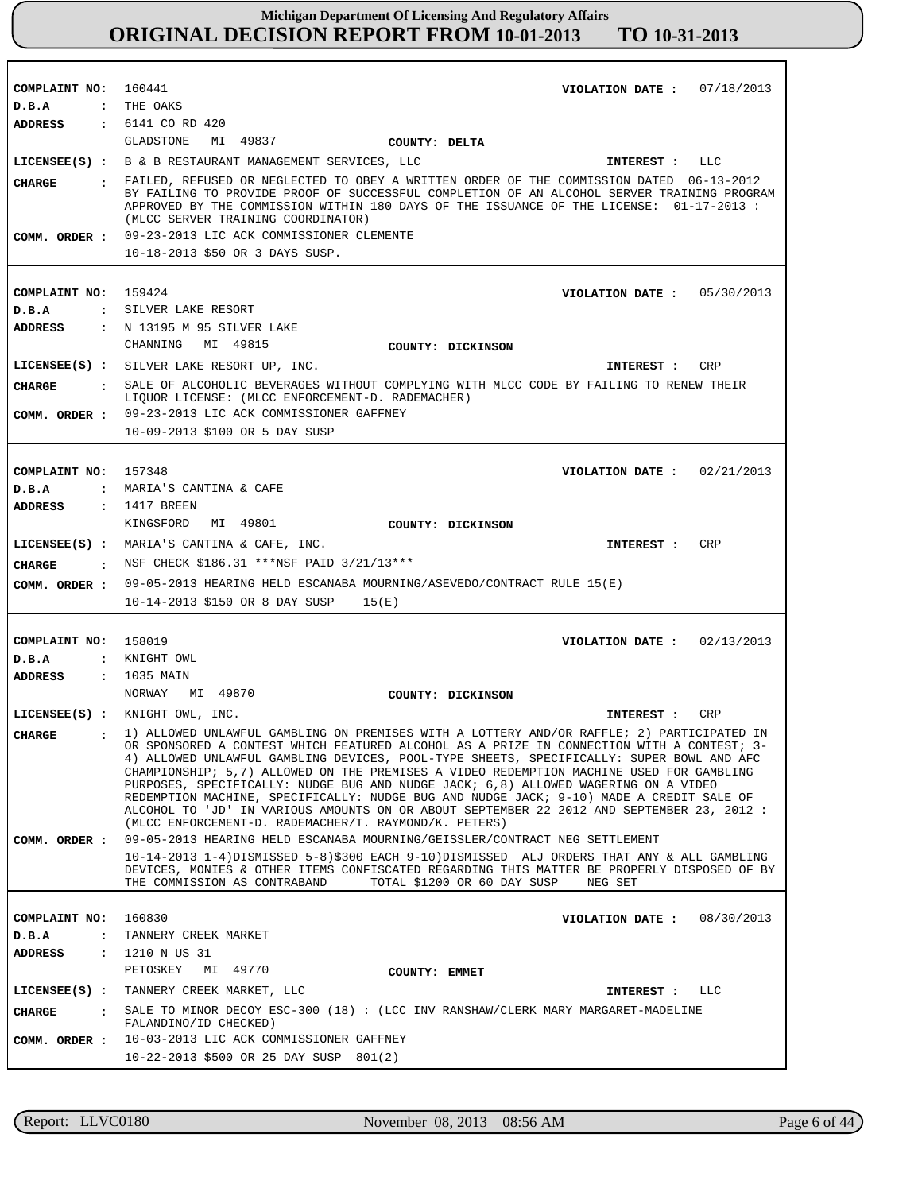| COMPLAINT NO:                  | 160441<br>VIOLATION DATE: $07/18/2013$                                                                                                                                                                                                                                                                                                                                                                                                                                                                                                                                                                                                                                                                               |
|--------------------------------|----------------------------------------------------------------------------------------------------------------------------------------------------------------------------------------------------------------------------------------------------------------------------------------------------------------------------------------------------------------------------------------------------------------------------------------------------------------------------------------------------------------------------------------------------------------------------------------------------------------------------------------------------------------------------------------------------------------------|
| D.B.A                          | : THE OAKS                                                                                                                                                                                                                                                                                                                                                                                                                                                                                                                                                                                                                                                                                                           |
| ADDRESS                        | : 6141 CO RD 420<br>GLADSTONE<br>MI 49837<br>COUNTY: DELTA                                                                                                                                                                                                                                                                                                                                                                                                                                                                                                                                                                                                                                                           |
|                                | LICENSEE(S) : B & B RESTAURANT MANAGEMENT SERVICES, LLC<br>INTEREST : LLC                                                                                                                                                                                                                                                                                                                                                                                                                                                                                                                                                                                                                                            |
| CIIARGE                        | : FAILED, REFUSED OR NEGLECTED TO OBEY A WRITTEN ORDER OF THE COMMISSION DATED 06-13-2012                                                                                                                                                                                                                                                                                                                                                                                                                                                                                                                                                                                                                            |
|                                | BY FAILING TO PROVIDE PROOF OF SUCCESSFUL COMPLETION OF AN ALCOHOL SERVER TRAINING PROGRAM<br>APPROVED BY THE COMMISSION WITHIN 180 DAYS OF THE ISSUANCE OF THE LICENSE: 01-17-2013 :<br>(MLCC SERVER TRAINING COORDINATOR)<br>COMM. ORDER : 09-23-2013 LIC ACK COMMISSIONER CLEMENTE                                                                                                                                                                                                                                                                                                                                                                                                                                |
|                                | 10-18-2013 \$50 OR 3 DAYS SUSP.                                                                                                                                                                                                                                                                                                                                                                                                                                                                                                                                                                                                                                                                                      |
|                                |                                                                                                                                                                                                                                                                                                                                                                                                                                                                                                                                                                                                                                                                                                                      |
| COMPLAINT NO: 159424           | VIOLATION DATE: $05/30/2013$                                                                                                                                                                                                                                                                                                                                                                                                                                                                                                                                                                                                                                                                                         |
| D.B.A                          | : SILVER LAKE RESORT                                                                                                                                                                                                                                                                                                                                                                                                                                                                                                                                                                                                                                                                                                 |
| <b>ADDRESS</b>                 | : N 13195 M 95 SILVER LAKE                                                                                                                                                                                                                                                                                                                                                                                                                                                                                                                                                                                                                                                                                           |
|                                | MI 49815<br>CHANNING<br>COUNTY: DICKINSON                                                                                                                                                                                                                                                                                                                                                                                                                                                                                                                                                                                                                                                                            |
|                                | LICENSEE(S) : SILVER LAKE RESORT UP, INC.<br>CRP                                                                                                                                                                                                                                                                                                                                                                                                                                                                                                                                                                                                                                                                     |
|                                | INTEREST :                                                                                                                                                                                                                                                                                                                                                                                                                                                                                                                                                                                                                                                                                                           |
| CHARGE                         | : SALE OF ALCOHOLIC BEVERAGES WITHOUT COMPLYING WITH MLCC CODE BY FAILING TO RENEW THEIR<br>LIQUOR LICENSE: (MLCC ENFORCEMENT-D. RADEMACHER)                                                                                                                                                                                                                                                                                                                                                                                                                                                                                                                                                                         |
|                                | COMM. ORDER : 09-23-2013 LIC ACK COMMISSIONER GAFFNEY                                                                                                                                                                                                                                                                                                                                                                                                                                                                                                                                                                                                                                                                |
|                                | 10-09-2013 \$100 OR 5 DAY SUSP                                                                                                                                                                                                                                                                                                                                                                                                                                                                                                                                                                                                                                                                                       |
|                                |                                                                                                                                                                                                                                                                                                                                                                                                                                                                                                                                                                                                                                                                                                                      |
| COMPLAINT NO: 157348           | 02/21/2013<br>VIOLATION DATE :                                                                                                                                                                                                                                                                                                                                                                                                                                                                                                                                                                                                                                                                                       |
| $D$ . B. A                     | : MARIA'S CANTINA & CAFE                                                                                                                                                                                                                                                                                                                                                                                                                                                                                                                                                                                                                                                                                             |
| ADDRESS                        | $: 1417$ BREEN                                                                                                                                                                                                                                                                                                                                                                                                                                                                                                                                                                                                                                                                                                       |
|                                | KINGSFORD<br>MI 49801<br>COUNTY: DICKINSON                                                                                                                                                                                                                                                                                                                                                                                                                                                                                                                                                                                                                                                                           |
|                                | LICENSEE(S) : MARIA'S CANTINA & CAFE, INC.<br><b>CRP</b><br>INTEREST :                                                                                                                                                                                                                                                                                                                                                                                                                                                                                                                                                                                                                                               |
|                                | NSF CHECK \$186.31 ***NSF PAID 3/21/13***                                                                                                                                                                                                                                                                                                                                                                                                                                                                                                                                                                                                                                                                            |
| CIIARGE                        |                                                                                                                                                                                                                                                                                                                                                                                                                                                                                                                                                                                                                                                                                                                      |
| COMM. ORDER :                  | 09-05-2013 HEARING HELD ESCANABA MOURNING/ASEVEDO/CONTRACT RULE 15(E)                                                                                                                                                                                                                                                                                                                                                                                                                                                                                                                                                                                                                                                |
|                                | 10-14-2013 \$150 OR 8 DAY SUSP<br>15(E)                                                                                                                                                                                                                                                                                                                                                                                                                                                                                                                                                                                                                                                                              |
|                                |                                                                                                                                                                                                                                                                                                                                                                                                                                                                                                                                                                                                                                                                                                                      |
| COMPLAINT NO: 158019           | 02/13/2013<br>VIOLATION DATE :                                                                                                                                                                                                                                                                                                                                                                                                                                                                                                                                                                                                                                                                                       |
| D.B.A                          | : KNIGHT OWL                                                                                                                                                                                                                                                                                                                                                                                                                                                                                                                                                                                                                                                                                                         |
| ADDRESS                        | : 1035 MAIN                                                                                                                                                                                                                                                                                                                                                                                                                                                                                                                                                                                                                                                                                                          |
|                                | NORWAY<br>MI 49870<br>COUNTY: DICKINSON                                                                                                                                                                                                                                                                                                                                                                                                                                                                                                                                                                                                                                                                              |
|                                | $LICENSEE(S)$ : KNIGHT OWL, INC.<br>CRP<br>INTEREST:                                                                                                                                                                                                                                                                                                                                                                                                                                                                                                                                                                                                                                                                 |
| $\mathbf{r}$<br><b>CIIARGE</b> | 1) ALLOWED UNLAWFUL GAMBLING ON PREMISES WITH A LOTTERY AND/OR RAFFLE; 2) PARTICIPATED IN<br>OR SPONSORED A CONTEST WHICH FEATURED ALCOHOL AS A PRIZE IN CONNECTION WITH A CONTEST; 3-<br>4) ALLOWED UNLAWFUL GAMBLING DEVICES, POOL-TYPE SHEETS, SPECIFICALLY: SUPER BOWL AND AFC<br>CHAMPIONSHIP; 5,7) ALLOWED ON THE PREMISES A VIDEO REDEMPTION MACHINE USED FOR GAMBLING<br>PURPOSES, SPECIFICALLY: NUDGE BUG AND NUDGE JACK; 6,8) ALLOWED WAGERING ON A VIDEO<br>REDEMPTION MACHINE, SPECIFICALLY: NUDGE BUG AND NUDGE JACK; 9-10) MADE A CREDIT SALE OF<br>ALCOHOL TO 'JD' IN VARIOUS AMOUNTS ON OR ABOUT SEPTEMBER 22 2012 AND SEPTEMBER 23, 2012 :<br>(MLCC ENFORCEMENT-D. RADEMACHER/T. RAYMOND/K. PETERS) |
| COMM. ORDER :                  | 09-05-2013 HEARING HELD ESCANABA MOURNING/GEISSLER/CONTRACT NEG SETTLEMENT                                                                                                                                                                                                                                                                                                                                                                                                                                                                                                                                                                                                                                           |
|                                | 10-14-2013 1-4)DISMISSED 5-8)\$300 EACH 9-10)DISMISSED ALJ ORDERS THAT ANY & ALL GAMBLING<br>DEVICES, MONIES & OTHER ITEMS CONFISCATED REGARDING THIS MATTER BE PROPERLY DISPOSED OF BY<br>THE COMMISSION AS CONTRABAND<br>TOTAL \$1200 OR 60 DAY SUSP<br>NEG SET                                                                                                                                                                                                                                                                                                                                                                                                                                                    |
|                                |                                                                                                                                                                                                                                                                                                                                                                                                                                                                                                                                                                                                                                                                                                                      |
| COMPLAINT NO:                  | 160830<br>VIOLATION DATE: $08/30/2013$                                                                                                                                                                                                                                                                                                                                                                                                                                                                                                                                                                                                                                                                               |
| $D$ . B. A<br>$\ddot{\cdot}$   | TANNERY CREEK MARKET                                                                                                                                                                                                                                                                                                                                                                                                                                                                                                                                                                                                                                                                                                 |
| <b>ADDRESS</b>                 | : 1210 N US 31<br>PETOSKEY<br>MI 49770                                                                                                                                                                                                                                                                                                                                                                                                                                                                                                                                                                                                                                                                               |
|                                | COUNTY: EMMET                                                                                                                                                                                                                                                                                                                                                                                                                                                                                                                                                                                                                                                                                                        |
|                                | LICENSEE(S) : TANNERY CREEK MARKET, LLC<br>INTEREST : LLC                                                                                                                                                                                                                                                                                                                                                                                                                                                                                                                                                                                                                                                            |
| CHARGE                         | : SALE TO MINOR DECOY ESC-300 (18) : (LCC INV RANSHAW/CLERK MARY MARGARET-MADELINE<br>FALANDINO/ID CHECKED)                                                                                                                                                                                                                                                                                                                                                                                                                                                                                                                                                                                                          |
| COMM. ORDER :                  | 10-03-2013 LIC ACK COMMISSIONER GAFFNEY<br>10-22-2013 \$500 OR 25 DAY SUSP 801(2)                                                                                                                                                                                                                                                                                                                                                                                                                                                                                                                                                                                                                                    |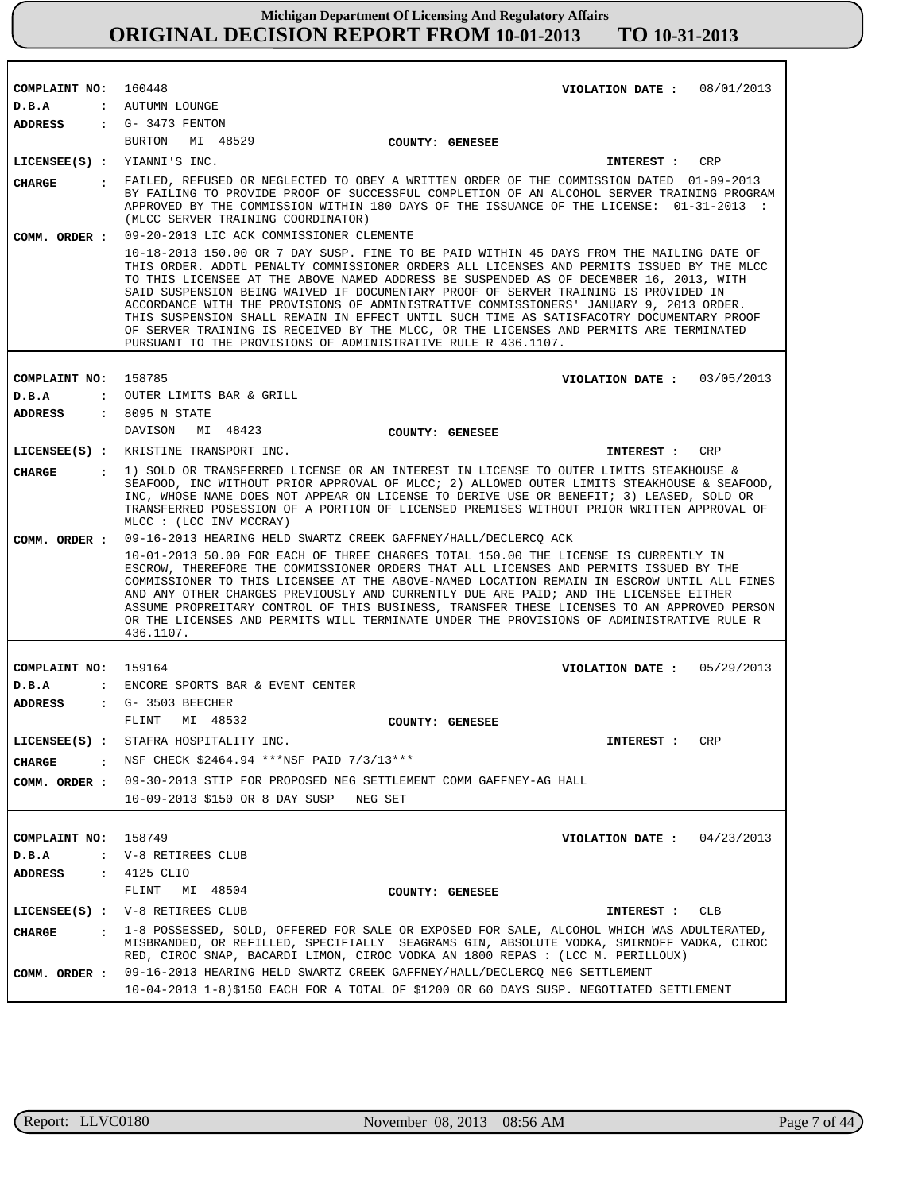| COMPLAINT NO: 160448    | VIOLATION DATE: $08/01/2013$                                                                                                                                                                                                                                                                                                                                                                                                                                                                                                                                                                                                                                                                                            |  |
|-------------------------|-------------------------------------------------------------------------------------------------------------------------------------------------------------------------------------------------------------------------------------------------------------------------------------------------------------------------------------------------------------------------------------------------------------------------------------------------------------------------------------------------------------------------------------------------------------------------------------------------------------------------------------------------------------------------------------------------------------------------|--|
| D.B.A                   | : AUTUMN LOUNGE                                                                                                                                                                                                                                                                                                                                                                                                                                                                                                                                                                                                                                                                                                         |  |
| ADDRESS                 | $\cdot$ G- 3473 FENTON                                                                                                                                                                                                                                                                                                                                                                                                                                                                                                                                                                                                                                                                                                  |  |
|                         | BURTON MI 48529<br>COUNTY: GENESEE                                                                                                                                                                                                                                                                                                                                                                                                                                                                                                                                                                                                                                                                                      |  |
|                         | LICENSEE(S) : YIANNI'S INC.<br>CRP<br>INTEREST :                                                                                                                                                                                                                                                                                                                                                                                                                                                                                                                                                                                                                                                                        |  |
| CHARGE                  | . FAILED, REFUSED OR NEGLECTED TO OBEY A WRITTEN ORDER OF THE COMMISSION DATED 01-09-2013<br>BY FAILING TO PROVIDE PROOF OF SUCCESSFUL COMPLETION OF AN ALCOHOL SERVER TRAINING PROGRAM<br>APPROVED BY THE COMMISSION WITHIN 180 DAYS OF THE ISSUANCE OF THE LICENSE: 01-31-2013 :<br>(MLCC SERVER TRAINING COORDINATOR)                                                                                                                                                                                                                                                                                                                                                                                                |  |
| COMM. ORDER :           | 09-20-2013 LIC ACK COMMISSIONER CLEMENTE                                                                                                                                                                                                                                                                                                                                                                                                                                                                                                                                                                                                                                                                                |  |
|                         | 10-18-2013 150.00 OR 7 DAY SUSP. FINE TO BE PAID WITHIN 45 DAYS FROM THE MAILING DATE OF<br>THIS ORDER. ADDTL PENALTY COMMISSIONER ORDERS ALL LICENSES AND PERMITS ISSUED BY THE MLCC<br>TO THIS LICENSEE AT THE ABOVE NAMED ADDRESS BE SUSPENDED AS OF DECEMBER 16, 2013, WITH<br>SAID SUSPENSION BEING WAIVED IF DOCUMENTARY PROOF OF SERVER TRAINING IS PROVIDED IN<br>ACCORDANCE WITH THE PROVISIONS OF ADMINISTRATIVE COMMISSIONERS' JANUARY 9, 2013 ORDER.<br>THIS SUSPENSION SHALL REMAIN IN EFFECT UNTIL SUCH TIME AS SATISFACOTRY DOCUMENTARY PROOF<br>OF SERVER TRAINING IS RECEIVED BY THE MLCC, OR THE LICENSES AND PERMITS ARE TERMINATED<br>PURSUANT TO THE PROVISIONS OF ADMINISTRATIVE RULE R 436.1107. |  |
|                         |                                                                                                                                                                                                                                                                                                                                                                                                                                                                                                                                                                                                                                                                                                                         |  |
| COMPLAINT NO:           | 158785<br>VIOLATION DATE: 03/05/2013                                                                                                                                                                                                                                                                                                                                                                                                                                                                                                                                                                                                                                                                                    |  |
| D.B.A<br><b>ADDRESS</b> | : OUTER LIMITS BAR & GRILL<br>: 8095 N STATE                                                                                                                                                                                                                                                                                                                                                                                                                                                                                                                                                                                                                                                                            |  |
|                         | DAVISON MI 48423<br>COUNTY: GENESEE                                                                                                                                                                                                                                                                                                                                                                                                                                                                                                                                                                                                                                                                                     |  |
|                         | LICENSEE(S) : KRISTINE TRANSPORT INC.<br>INTEREST :<br><b>CRP</b>                                                                                                                                                                                                                                                                                                                                                                                                                                                                                                                                                                                                                                                       |  |
|                         | : 1) SOLD OR TRANSFERRED LICENSE OR AN INTEREST IN LICENSE TO OUTER LIMITS STEAKHOUSE &                                                                                                                                                                                                                                                                                                                                                                                                                                                                                                                                                                                                                                 |  |
| <b>CHARGE</b>           | SEAFOOD, INC WITHOUT PRIOR APPROVAL OF MLCC; 2) ALLOWED OUTER LIMITS STEAKHOUSE & SEAFOOD,<br>INC, WHOSE NAME DOES NOT APPEAR ON LICENSE TO DERIVE USE OR BENEFIT; 3) LEASED, SOLD OR<br>TRANSFERRED POSESSION OF A PORTION OF LICENSED PREMISES WITHOUT PRIOR WRITTEN APPROVAL OF<br>MLCC : (LCC INV MCCRAY)                                                                                                                                                                                                                                                                                                                                                                                                           |  |
| COMM. ORDER :           | 09-16-2013 HEARING HELD SWARTZ CREEK GAFFNEY/HALL/DECLERCQ ACK                                                                                                                                                                                                                                                                                                                                                                                                                                                                                                                                                                                                                                                          |  |
|                         | 10-01-2013 50.00 FOR EACH OF THREE CHARGES TOTAL 150.00 THE LICENSE IS CURRENTLY IN<br>ESCROW, THEREFORE THE COMMISSIONER ORDERS THAT ALL LICENSES AND PERMITS ISSUED BY THE<br>COMMISSIONER TO THIS LICENSEE AT THE ABOVE-NAMED LOCATION REMAIN IN ESCROW UNTIL ALL FINES<br>AND ANY OTHER CHARGES PREVIOUSLY AND CURRENTLY DUE ARE PAID; AND THE LICENSEE EITHER<br>ASSUME PROPREITARY CONTROL OF THIS BUSINESS, TRANSFER THESE LICENSES TO AN APPROVED PERSON<br>OR THE LICENSES AND PERMITS WILL TERMINATE UNDER THE PROVISIONS OF ADMINISTRATIVE RULE R<br>436.1107.                                                                                                                                               |  |
|                         |                                                                                                                                                                                                                                                                                                                                                                                                                                                                                                                                                                                                                                                                                                                         |  |
| COMPLAINT NO: 159164    | 05/29/2013<br>VIOLATION DATE :                                                                                                                                                                                                                                                                                                                                                                                                                                                                                                                                                                                                                                                                                          |  |
| D.B.A                   | : ENCORE SPORTS BAR & EVENT CENTER<br>: G- 3503 BEECHER                                                                                                                                                                                                                                                                                                                                                                                                                                                                                                                                                                                                                                                                 |  |
| ADDRESS                 | FLINT<br>MI 48532<br>COUNTY: GENESEE                                                                                                                                                                                                                                                                                                                                                                                                                                                                                                                                                                                                                                                                                    |  |
|                         | LICENSEE(S) : STAFRA HOSPITALITY INC.<br><b>CRP</b><br>INTEREST :                                                                                                                                                                                                                                                                                                                                                                                                                                                                                                                                                                                                                                                       |  |
|                         | . NSF CHECK \$2464.94 ***NSF PAID 7/3/13***                                                                                                                                                                                                                                                                                                                                                                                                                                                                                                                                                                                                                                                                             |  |
| CHARGE                  |                                                                                                                                                                                                                                                                                                                                                                                                                                                                                                                                                                                                                                                                                                                         |  |
| COMM. ORDER :           | 09-30-2013 STIP FOR PROPOSED NEG SETTLEMENT COMM GAFFNEY-AG HALL                                                                                                                                                                                                                                                                                                                                                                                                                                                                                                                                                                                                                                                        |  |
|                         | 10-09-2013 \$150 OR 8 DAY SUSP NEG SET                                                                                                                                                                                                                                                                                                                                                                                                                                                                                                                                                                                                                                                                                  |  |
|                         |                                                                                                                                                                                                                                                                                                                                                                                                                                                                                                                                                                                                                                                                                                                         |  |
| COMPLAINT NO:<br>D.B.A  | 158749<br>VIOLATION DATE: $04/23/2013$<br>: V-8 RETIREES CLUB                                                                                                                                                                                                                                                                                                                                                                                                                                                                                                                                                                                                                                                           |  |
| ADDRESS                 | : 4125 CLIO                                                                                                                                                                                                                                                                                                                                                                                                                                                                                                                                                                                                                                                                                                             |  |
|                         | FLINT<br>MI 48504<br>COUNTY: GENESEE                                                                                                                                                                                                                                                                                                                                                                                                                                                                                                                                                                                                                                                                                    |  |
|                         | LICENSEE(S) : V-8 RETIREES CLUB<br>CLB<br>INTEREST :                                                                                                                                                                                                                                                                                                                                                                                                                                                                                                                                                                                                                                                                    |  |
|                         | . 1-8 POSSESSED, SOLD, OFFERED FOR SALE OR EXPOSED FOR SALE, ALCOHOL WHICH WAS ADULTERATED,                                                                                                                                                                                                                                                                                                                                                                                                                                                                                                                                                                                                                             |  |
| <b>CHARGE</b>           | MISBRANDED, OR REFILLED, SPECIFIALLY SEAGRAMS GIN, ABSOLUTE VODKA, SMIRNOFF VADKA, CIROC<br>RED, CIROC SNAP, BACARDI LIMON, CIROC VODKA AN 1800 REPAS : (LCC M. PERILLOUX)                                                                                                                                                                                                                                                                                                                                                                                                                                                                                                                                              |  |
| COMM. ORDER :           | 09-16-2013 HEARING HELD SWARTZ CREEK GAFFNEY/HALL/DECLERCQ NEG SETTLEMENT<br>10-04-2013 1-8)\$150 EACH FOR A TOTAL OF \$1200 OR 60 DAYS SUSP. NEGOTIATED SETTLEMENT                                                                                                                                                                                                                                                                                                                                                                                                                                                                                                                                                     |  |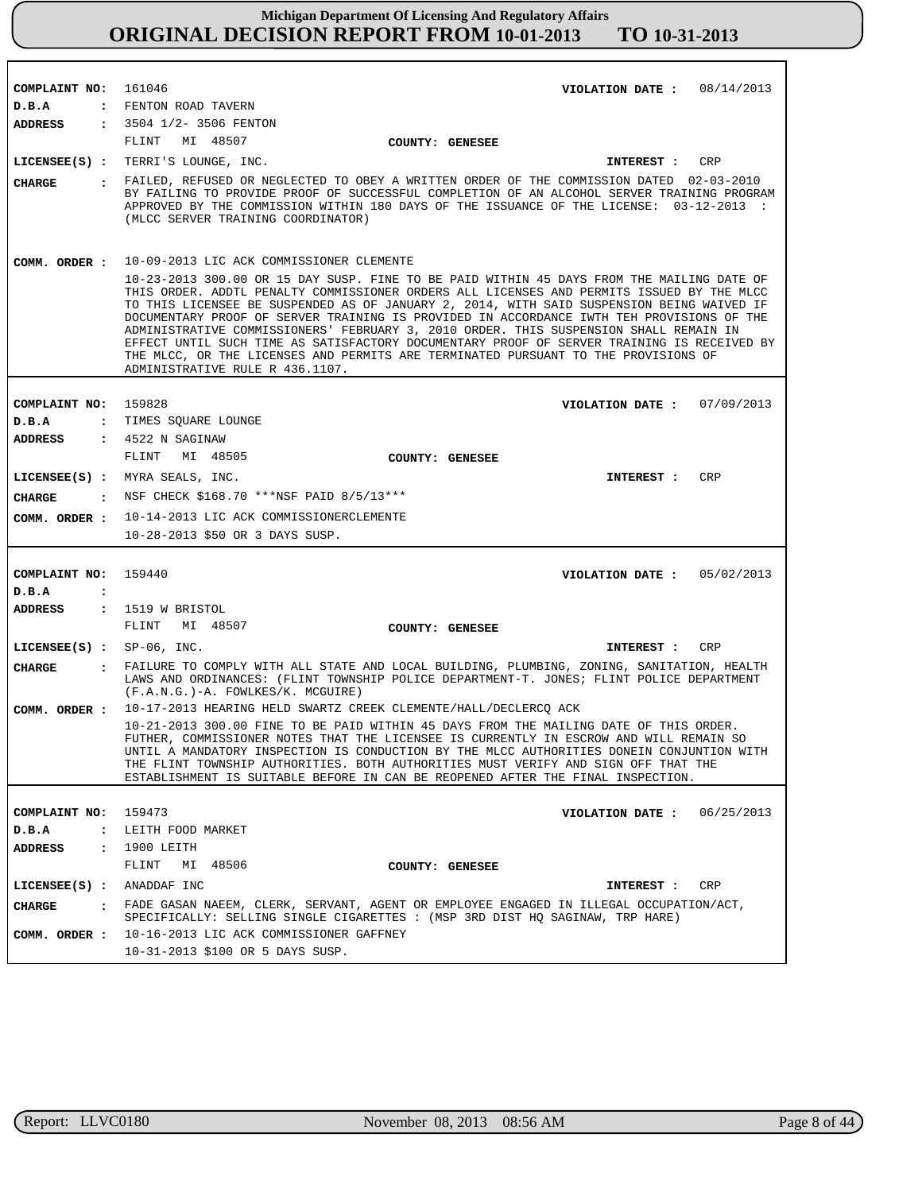| COMPLAINT NO:                          | 161046                                                                                                                                                                  | VIOLATION DATE: $08/14/2013$                                                                                                                                                                                                                                                                                                                                                                                                                                                                                                                                            |
|----------------------------------------|-------------------------------------------------------------------------------------------------------------------------------------------------------------------------|-------------------------------------------------------------------------------------------------------------------------------------------------------------------------------------------------------------------------------------------------------------------------------------------------------------------------------------------------------------------------------------------------------------------------------------------------------------------------------------------------------------------------------------------------------------------------|
| D.B.A                                  | : FENTON ROAD TAVERN                                                                                                                                                    |                                                                                                                                                                                                                                                                                                                                                                                                                                                                                                                                                                         |
| <b>ADDRESS</b>                         | $: 3504$ $1/2 - 3506$ FENTON                                                                                                                                            |                                                                                                                                                                                                                                                                                                                                                                                                                                                                                                                                                                         |
|                                        | MI 48507<br>FLINT                                                                                                                                                       | COUNTY: GENESEE                                                                                                                                                                                                                                                                                                                                                                                                                                                                                                                                                         |
|                                        | LICENSEE(S) : TERRI'S LOUNGE, INC.                                                                                                                                      | CRP<br>INTEREST :                                                                                                                                                                                                                                                                                                                                                                                                                                                                                                                                                       |
| CHARGE                                 | (MLCC SERVER TRAINING COORDINATOR)                                                                                                                                      | . FAILED, REFUSED OR NEGLECTED TO OBEY A WRITTEN ORDER OF THE COMMISSION DATED 02-03-2010<br>BY FAILING TO PROVIDE PROOF OF SUCCESSFUL COMPLETION OF AN ALCOHOL SERVER TRAINING PROGRAM<br>APPROVED BY THE COMMISSION WITHIN 180 DAYS OF THE ISSUANCE OF THE LICENSE: 03-12-2013 :                                                                                                                                                                                                                                                                                      |
| COMM. ORDER :                          | 10-09-2013 LIC ACK COMMISSIONER CLEMENTE                                                                                                                                |                                                                                                                                                                                                                                                                                                                                                                                                                                                                                                                                                                         |
|                                        | THE MLCC, OR THE LICENSES AND PERMITS ARE TERMINATED PURSUANT TO THE PROVISIONS OF<br>ADMINISTRATIVE RULE R 436.1107.                                                   | 10-23-2013 300.00 OR 15 DAY SUSP. FINE TO BE PAID WITHIN 45 DAYS FROM THE MAILING DATE OF<br>THIS ORDER. ADDTL PENALTY COMMISSIONER ORDERS ALL LICENSES AND PERMITS ISSUED BY THE MLCC<br>TO THIS LICENSEE BE SUSPENDED AS OF JANUARY 2, 2014, WITH SAID SUSPENSION BEING WAIVED IF<br>DOCUMENTARY PROOF OF SERVER TRAINING IS PROVIDED IN ACCORDANCE IWTH TEH PROVISIONS OF THE<br>ADMINISTRATIVE COMMISSIONERS' FEBRUARY 3, 2010 ORDER. THIS SUSPENSION SHALL REMAIN IN<br>EFFECT UNTIL SUCH TIME AS SATISFACTORY DOCUMENTARY PROOF OF SERVER TRAINING IS RECEIVED BY |
|                                        |                                                                                                                                                                         |                                                                                                                                                                                                                                                                                                                                                                                                                                                                                                                                                                         |
| COMPLAINT NO: 159828                   |                                                                                                                                                                         | VIOLATION DATE: $07/09/2013$                                                                                                                                                                                                                                                                                                                                                                                                                                                                                                                                            |
| D.B.A                                  | : TIMES SQUARE LOUNGE                                                                                                                                                   |                                                                                                                                                                                                                                                                                                                                                                                                                                                                                                                                                                         |
| <b>ADDRESS</b>                         | : 4522 N SAGINAW                                                                                                                                                        |                                                                                                                                                                                                                                                                                                                                                                                                                                                                                                                                                                         |
|                                        | FLINT<br>MI 48505                                                                                                                                                       | COUNTY: GENESEE                                                                                                                                                                                                                                                                                                                                                                                                                                                                                                                                                         |
|                                        | LICENSEE(S) : MYRA SEALS, INC.                                                                                                                                          | CRP<br><b>INTEREST :</b>                                                                                                                                                                                                                                                                                                                                                                                                                                                                                                                                                |
| CHARGE                                 | : NSF CHECK \$168.70 ***NSF PAID 8/5/13***                                                                                                                              |                                                                                                                                                                                                                                                                                                                                                                                                                                                                                                                                                                         |
|                                        |                                                                                                                                                                         |                                                                                                                                                                                                                                                                                                                                                                                                                                                                                                                                                                         |
| COMM. ORDER :                          | 10-14-2013 LIC ACK COMMISSIONERCLEMENTE                                                                                                                                 |                                                                                                                                                                                                                                                                                                                                                                                                                                                                                                                                                                         |
|                                        | 10-28-2013 \$50 OR 3 DAYS SUSP.                                                                                                                                         |                                                                                                                                                                                                                                                                                                                                                                                                                                                                                                                                                                         |
|                                        |                                                                                                                                                                         |                                                                                                                                                                                                                                                                                                                                                                                                                                                                                                                                                                         |
| COMPLAINT NO:                          | 159440                                                                                                                                                                  | VIOLATION DATE: $05/02/2013$                                                                                                                                                                                                                                                                                                                                                                                                                                                                                                                                            |
| D.B.A<br>$\ddot{\cdot}$                |                                                                                                                                                                         |                                                                                                                                                                                                                                                                                                                                                                                                                                                                                                                                                                         |
| <b>ADDRESS</b>                         | $: 1519$ W BRISTOL                                                                                                                                                      |                                                                                                                                                                                                                                                                                                                                                                                                                                                                                                                                                                         |
|                                        | FLINT<br>MI 48507                                                                                                                                                       | COUNTY: GENESEE                                                                                                                                                                                                                                                                                                                                                                                                                                                                                                                                                         |
| LICENSEE $(S)$ : SP-06, INC.           |                                                                                                                                                                         | CRP<br>INTEREST :                                                                                                                                                                                                                                                                                                                                                                                                                                                                                                                                                       |
| <b>CHARGE</b>                          | (F.A.N.G.)-A. FOWLKES/K. MCGUIRE)                                                                                                                                       | : FAILURE TO COMPLY WITH ALL STATE AND LOCAL BUILDING, PLUMBING, ZONING, SANITATION, HEALTH<br>LAWS AND ORDINANCES: (FLINT TOWNSHIP POLICE DEPARTMENT-T. JONES; FLINT POLICE DEPARTMENT                                                                                                                                                                                                                                                                                                                                                                                 |
| COMM. ORDER :                          | 10-17-2013 HEARING HELD SWARTZ CREEK CLEMENTE/HALL/DECLERCQ ACK                                                                                                         |                                                                                                                                                                                                                                                                                                                                                                                                                                                                                                                                                                         |
|                                        | THE FLINT TOWNSHIP AUTHORITIES. BOTH AUTHORITIES MUST VERIFY AND SIGN OFF THAT THE<br>ESTABLISHMENT IS SUITABLE BEFORE IN CAN BE REOPENED AFTER THE FINAL INSPECTION.   | 10-21-2013 300.00 FINE TO BE PAID WITHIN 45 DAYS FROM THE MAILING DATE OF THIS ORDER.<br>FUTHER, COMMISSIONER NOTES THAT THE LICENSEE IS CURRENTLY IN ESCROW AND WILL REMAIN SO<br>UNTIL A MANDATORY INSPECTION IS CONDUCTION BY THE MLCC AUTHORITIES DONEIN CONJUNTION WITH                                                                                                                                                                                                                                                                                            |
|                                        |                                                                                                                                                                         |                                                                                                                                                                                                                                                                                                                                                                                                                                                                                                                                                                         |
| COMPLAINT NO:                          | 159473                                                                                                                                                                  | 06/25/2013<br>VIOLATION DATE :                                                                                                                                                                                                                                                                                                                                                                                                                                                                                                                                          |
| D.B.A<br>$\ddot{\phantom{a}}$          | LEITH FOOD MARKET                                                                                                                                                       |                                                                                                                                                                                                                                                                                                                                                                                                                                                                                                                                                                         |
| <b>ADDRESS</b><br>$\ddot{\phantom{a}}$ | 1900 LEITH                                                                                                                                                              |                                                                                                                                                                                                                                                                                                                                                                                                                                                                                                                                                                         |
|                                        | FLINT<br>MI 48506                                                                                                                                                       | COUNTY: GENESEE                                                                                                                                                                                                                                                                                                                                                                                                                                                                                                                                                         |
| $LICENSEE(S)$ :                        | ANADDAF INC                                                                                                                                                             | CRP<br>INTEREST :                                                                                                                                                                                                                                                                                                                                                                                                                                                                                                                                                       |
| <b>CHARGE</b><br>$\mathbf{r}$          | FADE GASAN NAEEM, CLERK, SERVANT, AGENT OR EMPLOYEE ENGAGED IN ILLEGAL OCCUPATION/ACT,<br>SPECIFICALLY: SELLING SINGLE CIGARETTES : (MSP 3RD DIST HQ SAGINAW, TRP HARE) |                                                                                                                                                                                                                                                                                                                                                                                                                                                                                                                                                                         |
| COMM. ORDER :                          | 10-16-2013 LIC ACK COMMISSIONER GAFFNEY                                                                                                                                 |                                                                                                                                                                                                                                                                                                                                                                                                                                                                                                                                                                         |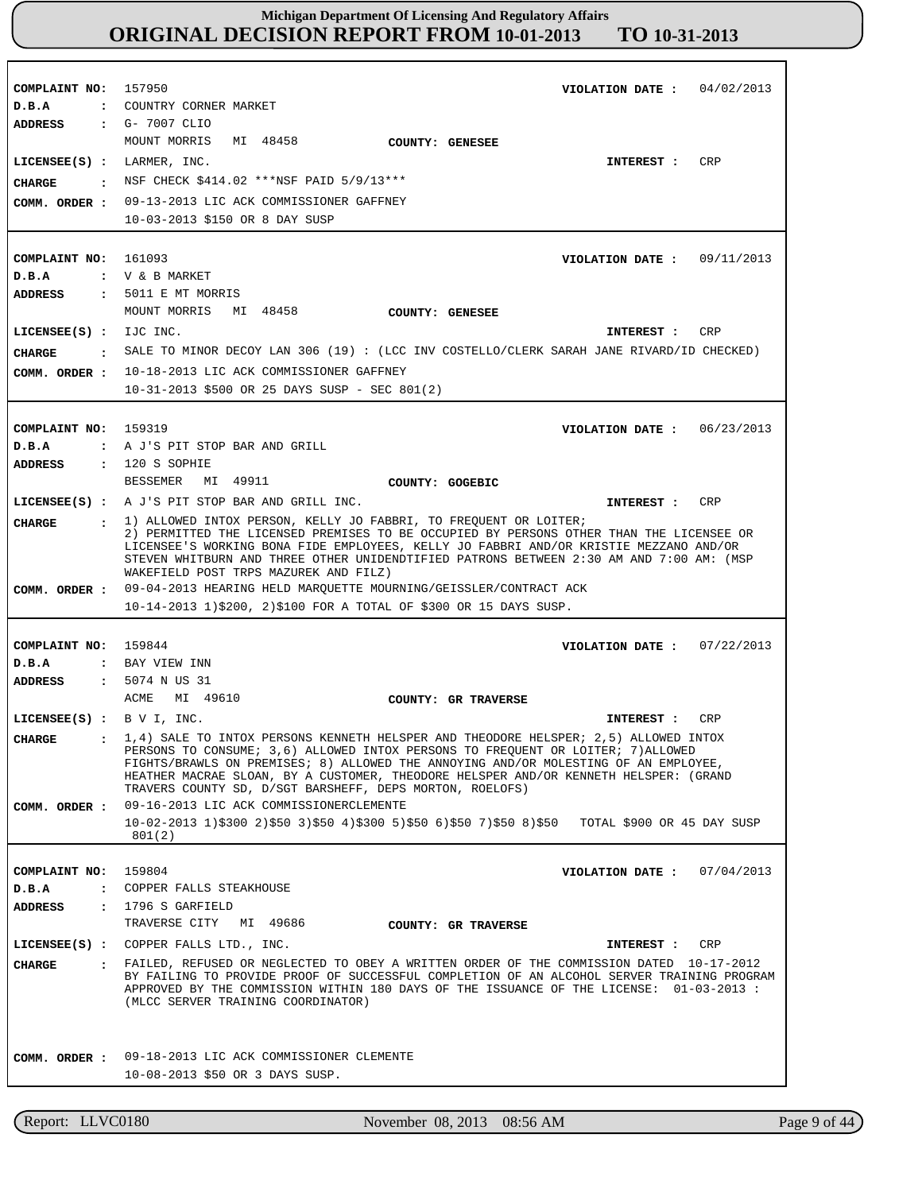| COMPLAINT NO: 157950            | 04/02/2013<br>VIOLATION DATE :                                                                                                                                                          |
|---------------------------------|-----------------------------------------------------------------------------------------------------------------------------------------------------------------------------------------|
| D.B.A<br>ADDRESS : G- 7007 CLIO | : COUNTRY CORNER MARKET                                                                                                                                                                 |
|                                 | MOUNT MORRIS MI 48458<br><b>COUNTY: GENESEE</b>                                                                                                                                         |
| $LICENSEE(S)$ : LARMER, INC.    | CRP<br>INTEREST :                                                                                                                                                                       |
|                                 | NSF CHECK \$414.02 ***NSF PAID 5/9/13***                                                                                                                                                |
| CHARGE                          |                                                                                                                                                                                         |
|                                 | COMM. ORDER : 09-13-2013 LIC ACK COMMISSIONER GAFFNEY<br>10-03-2013 \$150 OR 8 DAY SUSP                                                                                                 |
|                                 |                                                                                                                                                                                         |
|                                 |                                                                                                                                                                                         |
| COMPLAINT NO: 161093<br>D.B.A   | VIOLATION DATE : $09/11/2013$<br>: V & B MARKET                                                                                                                                         |
| ADDRESS                         | $\,$ : 5011 E MT MORRIS                                                                                                                                                                 |
|                                 | MOUNT MORRIS<br>MI 48458<br>COUNTY: GENESEE                                                                                                                                             |
| LICENSEE(S) : IJC INC.          | CRP<br>INTEREST :                                                                                                                                                                       |
| CHARGE                          | SALE TO MINOR DECOY LAN 306 (19) : (LCC INV COSTELLO/CLERK SARAH JANE RIVARD/ID CHECKED)                                                                                                |
|                                 | COMM. ORDER : 10-18-2013 LIC ACK COMMISSIONER GAFFNEY                                                                                                                                   |
|                                 | $10-31-2013$ \$500 OR 25 DAYS SUSP - SEC 801(2)                                                                                                                                         |
|                                 |                                                                                                                                                                                         |
| COMPLAINT NO: 159319            | VIOLATION DATE: $06/23/2013$                                                                                                                                                            |
| D.B.A                           | : A J'S PIT STOP BAR AND GRILL                                                                                                                                                          |
| ADDRESS                         | $: 120 S$ SOPHIE                                                                                                                                                                        |
|                                 | BESSEMER MI 49911<br>COUNTY: GOGEBIC                                                                                                                                                    |
|                                 | LICENSEE(S) : A J'S PIT STOP BAR AND GRILL INC.<br>CRP<br>INTEREST :                                                                                                                    |
| CHARGE                          | $\pm$ 1) ALLOWED INTOX PERSON, KELLY JO FABBRI, TO FREQUENT OR LOITER;                                                                                                                  |
|                                 | 2) PERMITTED THE LICENSED PREMISES TO BE OCCUPIED BY PERSONS OTHER THAN THE LICENSEE OR                                                                                                 |
|                                 | LICENSEE'S WORKING BONA FIDE EMPLOYEES, KELLY JO FABBRI AND/OR KRISTIE MEZZANO AND/OR<br>STEVEN WHITBURN AND THREE OTHER UNIDENDTIFIED PATRONS BETWEEN 2:30 AM AND 7:00 AM: (MSP        |
|                                 | WAKEFIELD POST TRPS MAZUREK AND FILZ)                                                                                                                                                   |
|                                 | COMM. ORDER: 09-04-2013 HEARING HELD MARQUETTE MOURNING/GEISSLER/CONTRACT ACK                                                                                                           |
|                                 | 10-14-2013 1)\$200, 2)\$100 FOR A TOTAL OF \$300 OR 15 DAYS SUSP.                                                                                                                       |
|                                 |                                                                                                                                                                                         |
| COMPLAINT NO: 159844            | VIOLATION DATE: $07/22/2013$                                                                                                                                                            |
| D.B.A                           | : BAY VIEW INN                                                                                                                                                                          |
| ADDRESS                         | : 5074 N US 31                                                                                                                                                                          |
|                                 | ACME MI 49610<br>COUNTY: GR TRAVERSE                                                                                                                                                    |
| LICENSEE $(S)$ : B V I, INC.    | INTEREST :<br>CRP                                                                                                                                                                       |
|                                 | CHARGE : 1,4) SALE TO INTOX PERSONS KENNETH HELSPER AND THEODORE HELSPER; 2,5) ALLOWED INTOX<br>PERSONS TO CONSUME; 3,6) ALLOWED INTOX PERSONS TO FREQUENT OR LOITER; 7) ALLOWED        |
|                                 | FIGHTS/BRAWLS ON PREMISES; 8) ALLOWED THE ANNOYING AND/OR MOLESTING OF AN EMPLOYEE,                                                                                                     |
|                                 |                                                                                                                                                                                         |
|                                 | HEATHER MACRAE SLOAN, BY A CUSTOMER, THEODORE HELSPER AND/OR KENNETH HELSPER: (GRAND                                                                                                    |
|                                 | TRAVERS COUNTY SD, D/SGT BARSHEFF, DEPS MORTON, ROELOFS)<br>09-16-2013 LIC ACK COMMISSIONERCLEMENTE                                                                                     |
| COMM. ORDER :                   | $10-02-2013$ 1)\$300 2)\$50 3)\$50 4)\$300 5)\$50 6)\$50 7)\$50 8)\$50 TOTAL \$900 OR 45 DAY SUSP                                                                                       |
|                                 | 801(2)                                                                                                                                                                                  |
|                                 |                                                                                                                                                                                         |
| COMPLAINT NO:                   | 159804<br>VIOLATION DATE: $07/04/2013$                                                                                                                                                  |
| D.B.A                           | : COPPER FALLS STEAKHOUSE                                                                                                                                                               |
| <b>ADDRESS</b>                  | : 1796 S GARTIELD                                                                                                                                                                       |
|                                 | TRAVERSE CITY MI 49686<br>COUNTY: GR TRAVERSE                                                                                                                                           |
|                                 | LICENSEE(S) : COPPER FALLS LTD., INC.<br>CRP<br>INTEREST :                                                                                                                              |
| <b>CHARGE</b>                   | . FAILED, REFUSED OR NEGLECTED TO OBEY A WRITTEN ORDER OF THE COMMISSION DATED 10-17-2012<br>BY FAILING TO PROVIDE PROOF OF SUCCESSFUL COMPLETION OF AN ALCOHOL SERVER TRAINING PROGRAM |
|                                 | APPROVED BY THE COMMISSION WITHIN 180 DAYS OF THE ISSUANCE OF THE LICENSE: 01-03-2013 :                                                                                                 |
|                                 | (MLCC SERVER TRAINING COORDINATOR)                                                                                                                                                      |
|                                 |                                                                                                                                                                                         |
|                                 |                                                                                                                                                                                         |
| COMM. ORDER :                   | 09-18-2013 LIC ACK COMMISSIONER CLEMENTE<br>10-08-2013 \$50 OR 3 DAYS SUSP.                                                                                                             |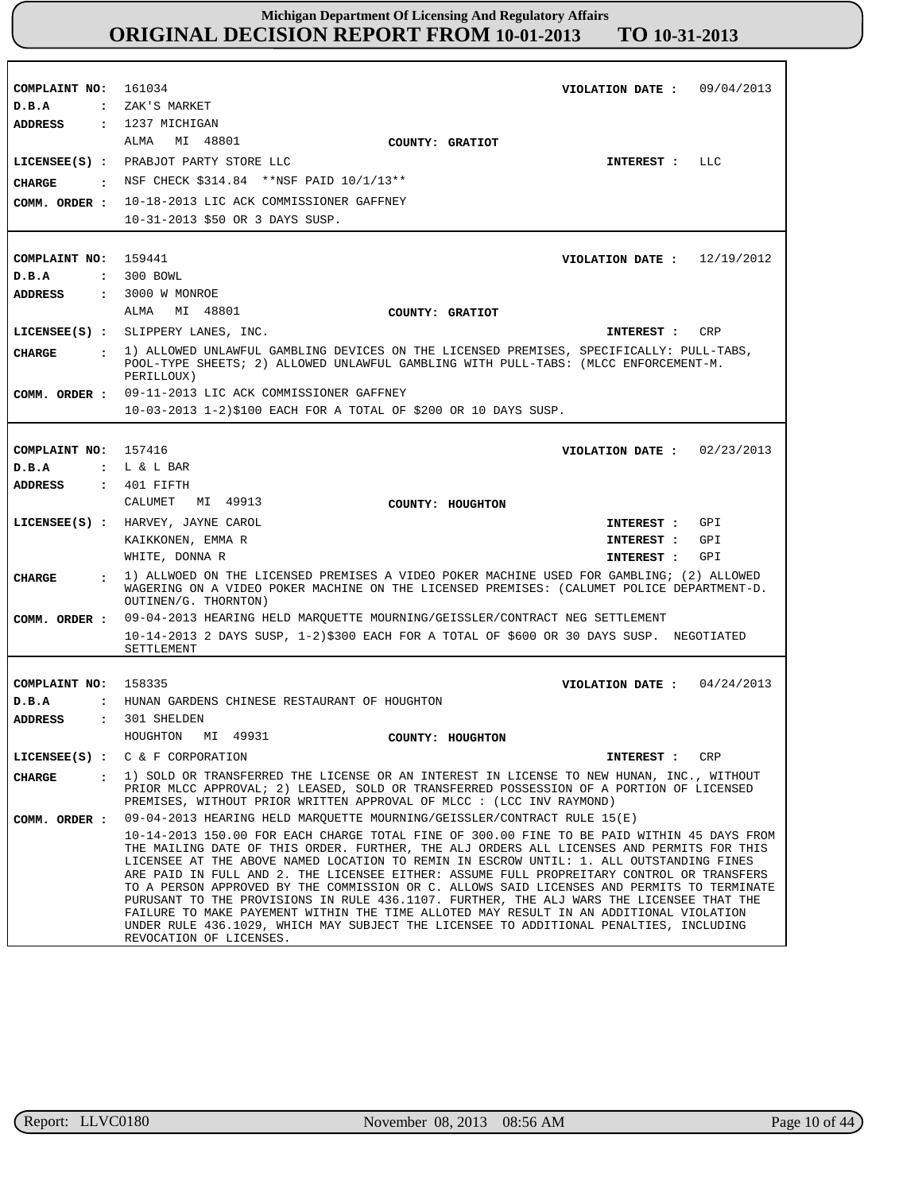| COMPLAINT NO: 161034          | VIOLATION DATE: $09/04/2013$                                                                                                                                                                                                                                                                                                                                                                                                                                                                                                                                                                                                                                                                                                                                                             |
|-------------------------------|------------------------------------------------------------------------------------------------------------------------------------------------------------------------------------------------------------------------------------------------------------------------------------------------------------------------------------------------------------------------------------------------------------------------------------------------------------------------------------------------------------------------------------------------------------------------------------------------------------------------------------------------------------------------------------------------------------------------------------------------------------------------------------------|
| D.B.A                         | : ZAK'S MARKET                                                                                                                                                                                                                                                                                                                                                                                                                                                                                                                                                                                                                                                                                                                                                                           |
| ADDRESS                       | : 1237 MICHIGAN                                                                                                                                                                                                                                                                                                                                                                                                                                                                                                                                                                                                                                                                                                                                                                          |
|                               | MI 48801<br>ALMA<br>COUNTY: GRATIOT                                                                                                                                                                                                                                                                                                                                                                                                                                                                                                                                                                                                                                                                                                                                                      |
|                               | LICENSEE(S) : PRABJOT PARTY STORE LLC<br>LLC<br>INTEREST :                                                                                                                                                                                                                                                                                                                                                                                                                                                                                                                                                                                                                                                                                                                               |
| CHARGE                        | : NSF CHECK \$314.84 ** NSF PAID 10/1/13**                                                                                                                                                                                                                                                                                                                                                                                                                                                                                                                                                                                                                                                                                                                                               |
| COMM. ORDER :                 | 10-18-2013 LIC ACK COMMISSIONER GAFFNEY                                                                                                                                                                                                                                                                                                                                                                                                                                                                                                                                                                                                                                                                                                                                                  |
|                               | 10-31-2013 \$50 OR 3 DAYS SUSP.                                                                                                                                                                                                                                                                                                                                                                                                                                                                                                                                                                                                                                                                                                                                                          |
|                               |                                                                                                                                                                                                                                                                                                                                                                                                                                                                                                                                                                                                                                                                                                                                                                                          |
| COMPLAINT NO: 159441          | VIOLATION DATE: $12/19/2012$                                                                                                                                                                                                                                                                                                                                                                                                                                                                                                                                                                                                                                                                                                                                                             |
| D.B.A                         | : 300 BOWL                                                                                                                                                                                                                                                                                                                                                                                                                                                                                                                                                                                                                                                                                                                                                                               |
| ADDRESS                       | : 3000 W MONROE                                                                                                                                                                                                                                                                                                                                                                                                                                                                                                                                                                                                                                                                                                                                                                          |
|                               | ALMA<br>MI 48801<br>COUNTY: GRATIOT                                                                                                                                                                                                                                                                                                                                                                                                                                                                                                                                                                                                                                                                                                                                                      |
|                               | LICENSEE(S) : SLIPPERY LANES, INC.<br>INTEREST :<br>CRP                                                                                                                                                                                                                                                                                                                                                                                                                                                                                                                                                                                                                                                                                                                                  |
| <b>CHARGE</b>                 | : 1) ALLOWED UNLAWFUL GAMBLING DEVICES ON THE LICENSED PREMISES, SPECIFICALLY: PULL-TABS,                                                                                                                                                                                                                                                                                                                                                                                                                                                                                                                                                                                                                                                                                                |
|                               | POOL-TYPE SHEETS; 2) ALLOWED UNLAWFUL GAMBLING WITH PULL-TABS: (MLCC ENFORCEMENT-M.<br>PERILLOUX)                                                                                                                                                                                                                                                                                                                                                                                                                                                                                                                                                                                                                                                                                        |
|                               | COMM. ORDER : 09-11-2013 LIC ACK COMMISSIONER GAFFNEY                                                                                                                                                                                                                                                                                                                                                                                                                                                                                                                                                                                                                                                                                                                                    |
|                               | 10-03-2013 1-2)\$100 EACH FOR A TOTAL OF \$200 OR 10 DAYS SUSP.                                                                                                                                                                                                                                                                                                                                                                                                                                                                                                                                                                                                                                                                                                                          |
|                               |                                                                                                                                                                                                                                                                                                                                                                                                                                                                                                                                                                                                                                                                                                                                                                                          |
| COMPLAINT NO: 157416          | VIOLATION DATE: $02/23/2013$                                                                                                                                                                                                                                                                                                                                                                                                                                                                                                                                                                                                                                                                                                                                                             |
| D.B.A                         | $: L & L$ BAR                                                                                                                                                                                                                                                                                                                                                                                                                                                                                                                                                                                                                                                                                                                                                                            |
| <b>ADDRESS</b>                | $: 401$ FIFTH                                                                                                                                                                                                                                                                                                                                                                                                                                                                                                                                                                                                                                                                                                                                                                            |
|                               | CALUMET MI 49913<br>COUNTY: HOUGHTON                                                                                                                                                                                                                                                                                                                                                                                                                                                                                                                                                                                                                                                                                                                                                     |
|                               | LICENSEE(S) : HARVEY, JAYNE CAROL<br>GPI<br>INTEREST :                                                                                                                                                                                                                                                                                                                                                                                                                                                                                                                                                                                                                                                                                                                                   |
|                               | KAIKKONEN, EMMA R<br>GPI<br>INTEREST :                                                                                                                                                                                                                                                                                                                                                                                                                                                                                                                                                                                                                                                                                                                                                   |
|                               | GPI<br>WHITE, DONNA R<br>INTEREST :                                                                                                                                                                                                                                                                                                                                                                                                                                                                                                                                                                                                                                                                                                                                                      |
| <b>CHARGE</b>                 | 1) ALLWOED ON THE LICENSED PREMISES A VIDEO POKER MACHINE USED FOR GAMBLING; (2) ALLOWED<br>WAGERING ON A VIDEO POKER MACHINE ON THE LICENSED PREMISES: (CALUMET POLICE DEPARTMENT-D.<br>OUTINEN/G. THORNTON)                                                                                                                                                                                                                                                                                                                                                                                                                                                                                                                                                                            |
|                               | COMM. ORDER: 09-04-2013 HEARING HELD MARQUETTE MOURNING/GEISSLER/CONTRACT NEG SETTLEMENT                                                                                                                                                                                                                                                                                                                                                                                                                                                                                                                                                                                                                                                                                                 |
|                               | 10-14-2013 2 DAYS SUSP, 1-2)\$300 EACH FOR A TOTAL OF \$600 OR 30 DAYS SUSP. NEGOTIATED<br>SETTLEMENT                                                                                                                                                                                                                                                                                                                                                                                                                                                                                                                                                                                                                                                                                    |
|                               |                                                                                                                                                                                                                                                                                                                                                                                                                                                                                                                                                                                                                                                                                                                                                                                          |
| COMPLAINT NO: 158335          | VIOLATION DATE: $04/24/2013$                                                                                                                                                                                                                                                                                                                                                                                                                                                                                                                                                                                                                                                                                                                                                             |
| D.B.A<br>$\ddot{\phantom{a}}$ | HUNAN GARDENS CHINESE RESTAURANT OF HOUGHTON                                                                                                                                                                                                                                                                                                                                                                                                                                                                                                                                                                                                                                                                                                                                             |
| ADDRESS                       | $: 301$ SHELDEN                                                                                                                                                                                                                                                                                                                                                                                                                                                                                                                                                                                                                                                                                                                                                                          |
|                               | MI 49931<br>HOUGHTON<br>COUNTY: HOUGHTON                                                                                                                                                                                                                                                                                                                                                                                                                                                                                                                                                                                                                                                                                                                                                 |
|                               | LICENSEE(S) : $C & F$ CORPORATION<br>CRP<br>INTEREST :                                                                                                                                                                                                                                                                                                                                                                                                                                                                                                                                                                                                                                                                                                                                   |
| CHARGE                        | 1) SOLD OR TRANSFERRED THE LICENSE OR AN INTEREST IN LICENSE TO NEW HUNAN, INC., WITHOUT<br>$\mathbf{r}$<br>PRIOR MLCC APPROVAL; 2) LEASED, SOLD OR TRANSFERRED POSSESSION OF A PORTION OF LICENSED<br>PREMISES, WITHOUT PRIOR WRITTEN APPROVAL OF MLCC : (LCC INV RAYMOND)                                                                                                                                                                                                                                                                                                                                                                                                                                                                                                              |
| COMM. ORDER :                 | 09-04-2013 HEARING HELD MARQUETTE MOURNING/GEISSLER/CONTRACT RULE 15(E)                                                                                                                                                                                                                                                                                                                                                                                                                                                                                                                                                                                                                                                                                                                  |
|                               | 10-14-2013 150.00 FOR EACH CHARGE TOTAL FINE OF 300.00 FINE TO BE PAID WITHIN 45 DAYS FROM<br>THE MAILING DATE OF THIS ORDER. FURTHER, THE ALJ ORDERS ALL LICENSES AND PERMITS FOR THIS<br>LICENSEE AT THE ABOVE NAMED LOCATION TO REMIN IN ESCROW UNTIL: 1. ALL OUTSTANDING FINES<br>ARE PAID IN FULL AND 2. THE LICENSEE EITHER: ASSUME FULL PROPREITARY CONTROL OR TRANSFERS<br>TO A PERSON APPROVED BY THE COMMISSION OR C. ALLOWS SAID LICENSES AND PERMITS TO TERMINATE<br>PURUSANT TO THE PROVISIONS IN RULE 436.1107. FURTHER, THE ALJ WARS THE LICENSEE THAT THE<br>FAILURE TO MAKE PAYEMENT WITHIN THE TIME ALLOTED MAY RESULT IN AN ADDITIONAL VIOLATION<br>UNDER RULE 436.1029, WHICH MAY SUBJECT THE LICENSEE TO ADDITIONAL PENALTIES, INCLUDING<br>REVOCATION OF LICENSES. |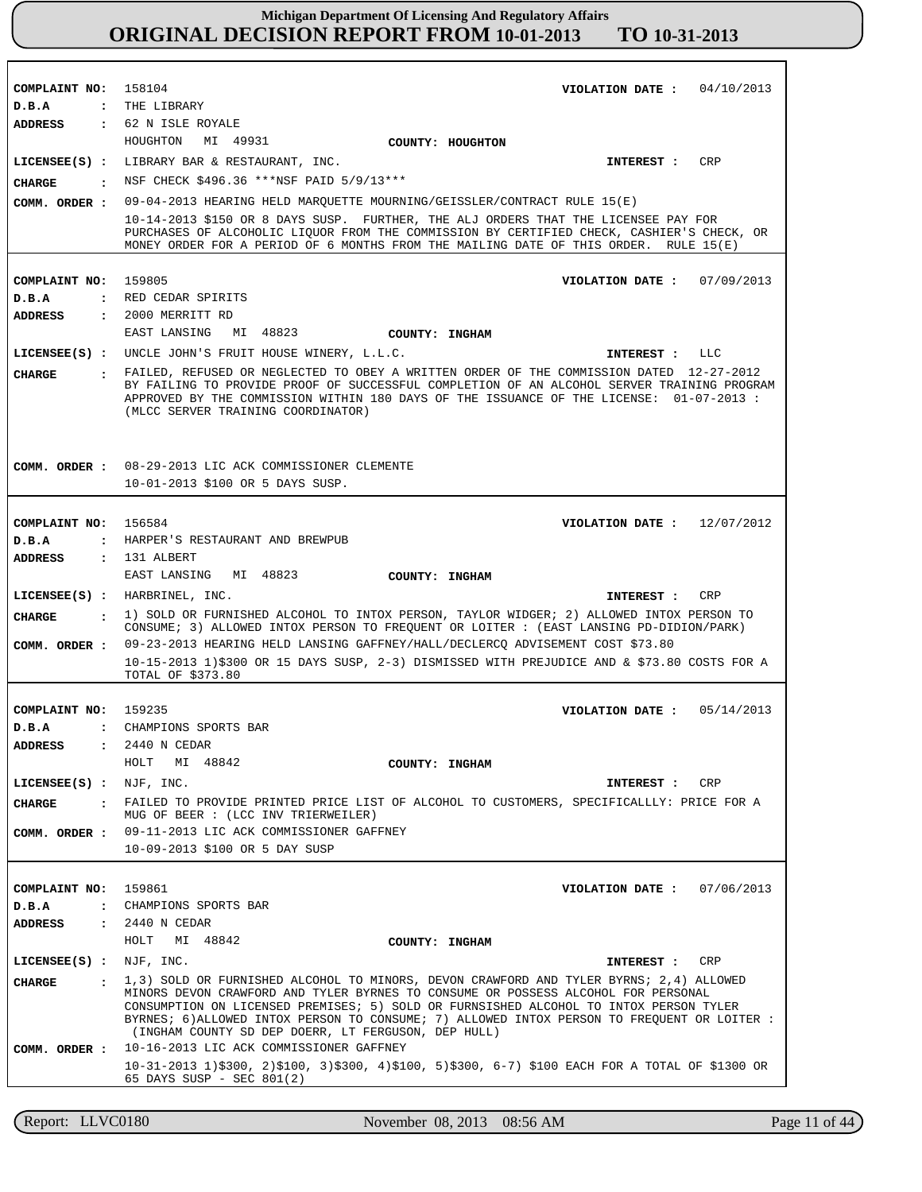| COMPLAINT NO: 158104           | VIOLATION DATE: $04/10/2013$                                                                                                                                                                                                                                                                                                     |
|--------------------------------|----------------------------------------------------------------------------------------------------------------------------------------------------------------------------------------------------------------------------------------------------------------------------------------------------------------------------------|
| D.B.A<br>ADDRESS               | : THE LIBRARY<br>: 62 N ISLE ROYALE                                                                                                                                                                                                                                                                                              |
|                                | HOUGHTON<br>MI 49931<br>COUNTY: HOUGHTON                                                                                                                                                                                                                                                                                         |
|                                | LICENSEE(S) : LIBRARY BAR & RESTAURANT, INC.<br>CRP<br>INTEREST :                                                                                                                                                                                                                                                                |
| CHARGE                         | : NSF CHECK \$496.36 ***NSF PAID 5/9/13***                                                                                                                                                                                                                                                                                       |
| COMM. ORDER :                  | 09-04-2013 HEARING HELD MARQUETTE MOURNING/GEISSLER/CONTRACT RULE 15(E)                                                                                                                                                                                                                                                          |
|                                | 10-14-2013 \$150 OR 8 DAYS SUSP. FURTHER, THE ALJ ORDERS THAT THE LICENSEE PAY FOR<br>PURCHASES OF ALCOHOLIC LIQUOR FROM THE COMMISSION BY CERTIFIED CHECK, CASHIER'S CHECK, OR<br>MONEY ORDER FOR A PERIOD OF 6 MONTHS FROM THE MAILING DATE OF THIS ORDER. RULE 15(E)                                                          |
| COMPLAINT NO:                  | 159805<br>VIOLATION DATE: 07/09/2013                                                                                                                                                                                                                                                                                             |
| D.B.A                          | : RED CEDAR SPIRITS                                                                                                                                                                                                                                                                                                              |
| <b>ADDRESS</b>                 | : 2000 MERRITT RD                                                                                                                                                                                                                                                                                                                |
|                                | EAST LANSING<br>MI 48823<br>COUNTY: INGHAM                                                                                                                                                                                                                                                                                       |
|                                | LICENSEE(S) : UNCLE JOHN'S FRUIT HOUSE WINERY, L.L.C.<br>INTEREST : LLC                                                                                                                                                                                                                                                          |
| <b>CHARGE</b>                  | . FAILED, REFUSED OR NEGLECTED TO OBEY A WRITTEN ORDER OF THE COMMISSION DATED 12-27-2012<br>BY FAILING TO PROVIDE PROOF OF SUCCESSFUL COMPLETION OF AN ALCOHOL SERVER TRAINING PROGRAM<br>APPROVED BY THE COMMISSION WITHIN 180 DAYS OF THE ISSUANCE OF THE LICENSE: 01-07-2013 :<br>(MLCC SERVER TRAINING COORDINATOR)         |
|                                | COMM. ORDER : 08-29-2013 LIC ACK COMMISSIONER CLEMENTE<br>10-01-2013 \$100 OR 5 DAYS SUSP.                                                                                                                                                                                                                                       |
| COMPLAINT NO: 156584           | VIOLATION DATE: $12/07/2012$                                                                                                                                                                                                                                                                                                     |
| D.B.A                          | : HARPER'S RESTAURANT AND BREWPUB                                                                                                                                                                                                                                                                                                |
| <b>ADDRESS</b>                 | $: 131$ ALBERT                                                                                                                                                                                                                                                                                                                   |
|                                | EAST LANSING<br>MI 48823<br>COUNTY: INGHAM                                                                                                                                                                                                                                                                                       |
|                                | LICENSEE(S) : HARBRINEL, INC.<br>CRP<br>INTEREST :                                                                                                                                                                                                                                                                               |
| CIIARGE                        | : 1) SOLD OR FURNISHED ALCOHOL TO INTOX PERSON, TAYLOR WIDGER; 2) ALLOWED INTOX PERSON TO<br>CONSUME; 3) ALLOWED INTOX PERSON TO FREQUENT OR LOITER : (EAST LANSING PD-DIDION/PARK)                                                                                                                                              |
| COMM. ORDER :                  | 09-23-2013 HEARING HELD LANSING GAFFNEY/HALL/DECLERCQ ADVISEMENT COST \$73.80<br>10-15-2013 1)\$300 OR 15 DAYS SUSP, 2-3) DISMISSED WITH PREJUDICE AND & \$73.80 COSTS FOR A<br>TOTAL OF \$373.80                                                                                                                                |
|                                |                                                                                                                                                                                                                                                                                                                                  |
| COMPLAINT NO: 159235           | 05/14/2013<br>VIOLATION DATE :                                                                                                                                                                                                                                                                                                   |
| D.B.A                          | : CHAMPIONS SPORTS BAR                                                                                                                                                                                                                                                                                                           |
| <b>ADDRESS</b><br>$\mathbf{L}$ | 2440 N CEDAR<br>HOLT<br>MI 48842<br>COUNTY: INGHAM                                                                                                                                                                                                                                                                               |
| LICENSEE(S) :                  | NJF, INC.<br>CRP<br>INTEREST :                                                                                                                                                                                                                                                                                                   |
|                                | FAILED TO PROVIDE PRINTED PRICE LIST OF ALCOHOL TO CUSTOMERS, SPECIFICALLLY: PRICE FOR A                                                                                                                                                                                                                                         |
| CHARGE<br>$\sim$ $\sim$ $\sim$ | MUG OF BEER : (LCC INV TRIERWEILER)                                                                                                                                                                                                                                                                                              |
| COMM. ORDER :                  | 09-11-2013 LIC ACK COMMISSIONER GAFFNEY                                                                                                                                                                                                                                                                                          |
|                                | 10-09-2013 \$100 OR 5 DAY SUSP                                                                                                                                                                                                                                                                                                   |
|                                |                                                                                                                                                                                                                                                                                                                                  |
| COMPLAINT NO:                  | 159861<br>VIOLATION DATE: 07/06/2013<br>: CHAMPIONS SPORTS BAR                                                                                                                                                                                                                                                                   |
| D.B.A<br>ADDRESS               | : 2440 N CEDAR                                                                                                                                                                                                                                                                                                                   |
|                                | HOLT MI 48842<br>COUNTY: INGHAM                                                                                                                                                                                                                                                                                                  |
| $LICENSEE(S)$ : NJF, INC.      | CRP<br>INTEREST :                                                                                                                                                                                                                                                                                                                |
|                                | 1,3) SOLD OR FURNISHED ALCOHOL TO MINORS, DEVON CRAWFORD AND TYLER BYRNS; 2,4) ALLOWED                                                                                                                                                                                                                                           |
| <b>CHARGE</b><br>$\mathbf{r}$  | MINORS DEVON CRAWFORD AND TYLER BYRNES TO CONSUME OR POSSESS ALCOHOL FOR PERSONAL<br>CONSUMPTION ON LICENSED PREMISES; 5) SOLD OR FURNSISHED ALCOHOL TO INTOX PERSON TYLER<br>BYRNES; 6) ALLOWED INTOX PERSON TO CONSUME; 7) ALLOWED INTOX PERSON TO FREQUENT OR LOITER :<br>(INGHAM COUNTY SD DEP DOERR, LT FERGUSON, DEP HULL) |
| COMM. ORDER :                  | 10-16-2013 LIC ACK COMMISSIONER GAFFNEY                                                                                                                                                                                                                                                                                          |
|                                | $10-31-2013$ $1)\$300$ , $2)\$100$ , $3)\$300$ , $4)\$100$ , $5)\$300$ , $6-7)$ \$100 EACH FOR A TOTAL OF \$1300 OR<br>65 DAYS SUSP - SEC 801(2)                                                                                                                                                                                 |

Report: LLVC0180 November 08, 2013 08:56 AM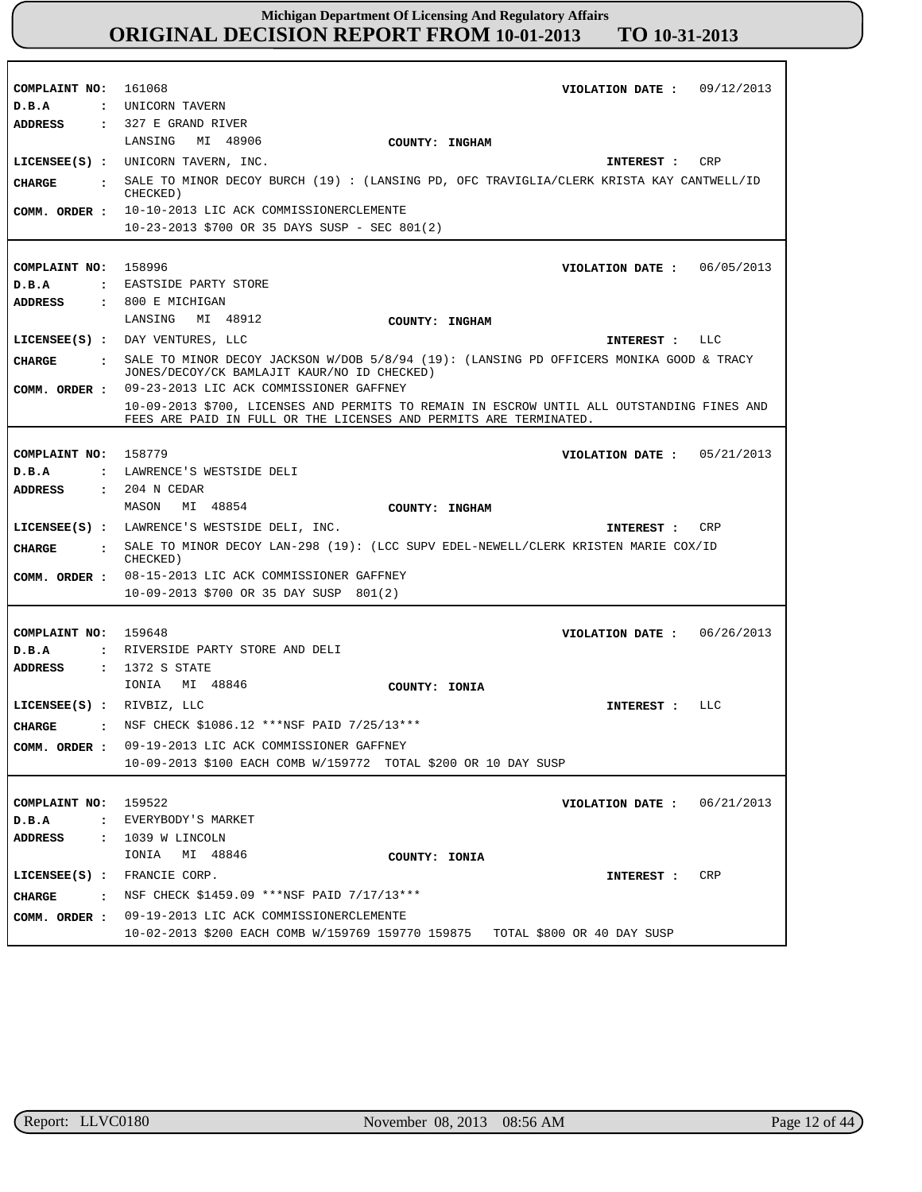| COMPLAINT NO: 161068<br>D.B.A  | VIOLATION DATE: $09/12/2013$<br>: UNICORN TAVERN                                           |
|--------------------------------|--------------------------------------------------------------------------------------------|
| <b>ADDRESS</b>                 | $: 327 E$ GRAND RIVER                                                                      |
|                                | MI 48906<br>LANSING<br>COUNTY: INGHAM                                                      |
|                                | LICENSEE(S) : UNICORN TAVERN, INC.<br>CRP<br>INTEREST :                                    |
| CHARGE<br>$\mathbf{r}$         | SALE TO MINOR DECOY BURCH (19) : (LANSING PD, OFC TRAVIGLIA/CLERK KRISTA KAY CANTWELL/ID   |
| COMM. ORDER :                  | CHECKED)<br>10-10-2013 LIC ACK COMMISSIONERCLEMENTE                                        |
|                                | $10-23-2013$ \$700 OR 35 DAYS SUSP - SEC 801(2)                                            |
|                                |                                                                                            |
| COMPLAINT NO:                  | 158996<br>VIOLATION DATE: 06/05/2013                                                       |
| D.B.A                          | : EASTSIDE PARTY STORE                                                                     |
| <b>ADDRESS</b>                 | $: 800$ E MICHIGAN                                                                         |
|                                | LANSING MI 48912                                                                           |
|                                | COUNTY: INGHAM<br>LICENSEE(S) : DAY VENTURES, LLC<br>INTEREST : LLC                        |
| CHARGE<br>$\mathbf{r}$         | SALE TO MINOR DECOY JACKSON W/DOB 5/8/94 (19): (LANSING PD OFFICERS MONIKA GOOD & TRACY    |
| COMM. ORDER :                  | JONES/DECOY/CK BAMLAJIT KAUR/NO ID CHECKED)<br>09-23-2013 LIC ACK COMMISSIONER GAFFNEY     |
|                                | 10-09-2013 \$700, LICENSES AND PERMITS TO REMAIN IN ESCROW UNTIL ALL OUTSTANDING FINES AND |
|                                | FEES ARE PAID IN FULL OR THE LICENSES AND PERMITS ARE TERMINATED.                          |
| COMPLAINT NO: 158779           |                                                                                            |
|                                | VIOLATION DATE: $05/21/2013$                                                               |
| D.B.A<br>$\ddot{\phantom{a}}$  | LAWRENCE'S WESTSIDE DELI                                                                   |
| <b>ADDRESS</b>                 | : 204 N CEDAR<br>MI 48854<br>MASON<br>COUNTY: INGHAM                                       |
|                                | LICENSEE(S) : LAWRENCE'S WESTSIDE DELI, INC.<br><b>CRP</b><br>INTEREST :                   |
| CHARGE<br>$\sim$ $\sim$        | SALE TO MINOR DECOY LAN-298 (19): (LCC SUPV EDEL-NEWELL/CLERK KRISTEN MARIE COX/ID         |
| COMM. ORDER :                  | CHECKED)<br>08-15-2013 LIC ACK COMMISSIONER GAFFNEY                                        |
|                                | 10-09-2013 \$700 OR 35 DAY SUSP 801(2)                                                     |
|                                |                                                                                            |
| COMPLAINT NO:                  | 159648<br>06/26/2013<br>VIOLATION DATE :                                                   |
| D.B.A                          | : RIVERSIDE PARTY STORE AND DELI                                                           |
| <b>ADDRESS</b>                 | : 1372 S STATE                                                                             |
|                                | MI 48846<br>IONIA<br>COUNTY: IONIA                                                         |
| LICENSEE(S) : RIVBIZ, LLC      | LLC<br>INTEREST :                                                                          |
| <b>CHARGE</b><br>$\sim$ $\sim$ | NSF CHECK \$1086.12 ***NSF PAID 7/25/13***                                                 |
| COMM. ORDER :                  | 09-19-2013 LIC ACK COMMISSIONER GAFFNEY                                                    |
|                                | 10-09-2013 \$100 EACH COMB W/159772 TOTAL \$200 OR 10 DAY SUSP                             |
|                                |                                                                                            |
| COMPLAINT NO: 159522           | 06/21/2013<br>VIOLATION DATE :                                                             |
| D.B.A                          | : EVERYBODY'S MARKET                                                                       |
| ADDRESS                        | : 1039 W LINCOLN                                                                           |
|                                | IONIA MI 48846<br>COUNTY: IONIA                                                            |
| LICENSEE(S) : FRANCIE CORP.    | CRP<br>INTEREST :                                                                          |
| CHARGE<br>$\mathbf{r}$         | NSF CHECK \$1459.09 *** NSF PAID 7/17/13***                                                |
| COMM. ORDER :                  | 09-19-2013 LIC ACK COMMISSIONERCLEMENTE                                                    |
|                                | 10-02-2013 \$200 EACH COMB W/159769 159770 159875<br>TOTAL \$800 OR 40 DAY SUSP            |

r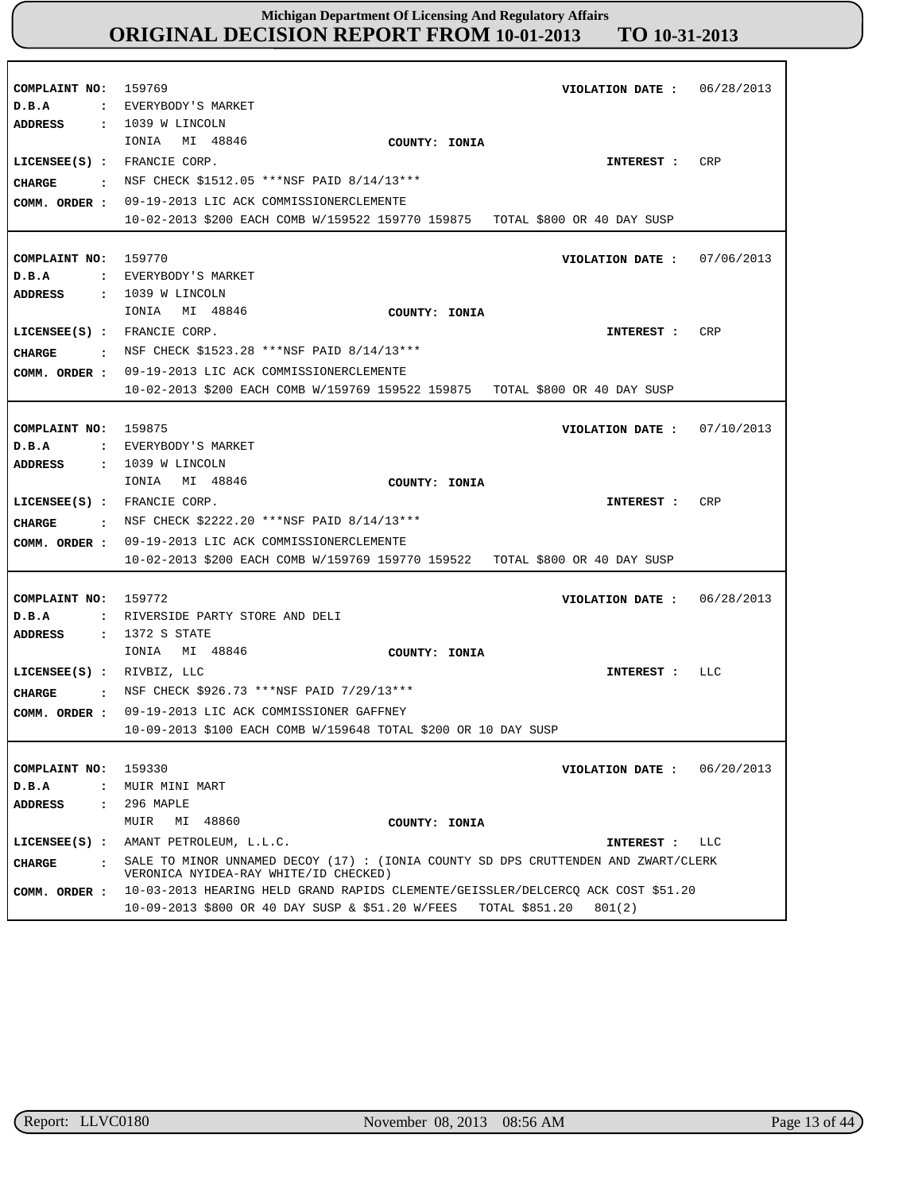| COMPLAINT NO:<br>D.B.A                                                                   | 159769<br>VIOLATION DATE :<br>: EVERYBODY'S MARKET                                                                                                                                                                                                                                           | 06/28/2013 |
|------------------------------------------------------------------------------------------|----------------------------------------------------------------------------------------------------------------------------------------------------------------------------------------------------------------------------------------------------------------------------------------------|------------|
| <b>ADDRESS</b><br>LICENSEE(S) : FRANCIE CORP.<br>CHARGE<br>$\mathbf{r}$<br>COMM. ORDER : | : 1039 W LINCOLN<br>MI 48846<br>IONIA<br>COUNTY: IONIA<br>INTEREST :<br>NSF CHECK \$1512.05 ***NSF PAID 8/14/13***<br>09-19-2013 LIC ACK COMMISSIONERCLEMENTE<br>10-02-2013 \$200 EACH COMB W/159522 159770 159875 TOTAL \$800 OR 40 DAY SUSP                                                | CRP        |
| COMPLAINT NO:<br>D.B.A<br><b>ADDRESS</b>                                                 | 159770<br>VIOLATION DATE: $07/06/2013$<br>: EVERYBODY'S MARKET<br>$: 1039$ W LINCOLN                                                                                                                                                                                                         |            |
| LICENSEE(S) : FRANCIE CORP.<br>CHARGE<br>COMM. ORDER :                                   | IONIA MI 48846<br>COUNTY: IONIA<br>INTEREST :<br>: NSF CHECK \$1523.28 ***NSF PAID 8/14/13***<br>09-19-2013 LIC ACK COMMISSIONERCLEMENTE<br>10-02-2013 \$200 EACH COMB W/159769 159522 159875 TOTAL \$800 OR 40 DAY SUSP                                                                     | CRP        |
| COMPLAINT NO:<br>D.B.A                                                                   | 159875<br>VIOLATION DATE :<br>: EVERYBODY'S MARKET                                                                                                                                                                                                                                           | 07/10/2013 |
| <b>ADDRESS</b><br>LICENSEE(S) : FRANCIE CORP.<br>CHARGE<br>COMM. ORDER :                 | : 1039 W LINCOLN<br>MI 48846<br>IONIA<br>COUNTY: IONIA<br>INTEREST :<br>: NSF CHECK \$2222.20 ***NSF PAID 8/14/13***<br>09-19-2013 LIC ACK COMMISSIONERCLEMENTE<br>10-02-2013 \$200 EACH COMB W/159769 159770 159522<br>TOTAL \$800 OR 40 DAY SUSP                                           | CRP        |
| COMPLAINT NO: 159772<br>D.B.A<br>$\mathbf{r}$                                            | VIOLATION DATE :<br>RIVERSIDE PARTY STORE AND DELI                                                                                                                                                                                                                                           | 06/28/2013 |
| <b>ADDRESS</b><br>LICENSEE $(s)$ : RIVBIZ, LLC<br>CHARGE<br>COMM. ORDER :                | : 1372 S STATE<br>IONIA MI 48846<br>COUNTY: IONIA<br>INTEREST :<br>: NSF CHECK \$926.73 ***NSF PAID 7/29/13***<br>09-19-2013 LIC ACK COMMISSIONER GAFFNEY<br>10-09-2013 \$100 EACH COMB W/159648 TOTAL \$200 OR 10 DAY SUSP                                                                  | LLC        |
| COMPLAINT NO:<br>D.B.A<br>$\ddot{\phantom{a}}$<br><b>ADDRESS</b><br>$\ddot{\phantom{a}}$ | 159330<br>VIOLATION DATE :<br>MUIR MINI MART<br>296 MAPLE<br>MUIR<br>MI 48860                                                                                                                                                                                                                | 06/20/2013 |
| $LICENSEE(S)$ :                                                                          | COUNTY: IONIA<br>AMANT PETROLEUM, L.L.C.<br>INTEREST :                                                                                                                                                                                                                                       | LLC        |
| CHARGE<br>$\cdot$<br>COMM. ORDER :                                                       | SALE TO MINOR UNNAMED DECOY (17) : (IONIA COUNTY SD DPS CRUTTENDEN AND ZWART/CLERK<br>VERONICA NYIDEA-RAY WHITE/ID CHECKED)<br>10-03-2013 HEARING HELD GRAND RAPIDS CLEMENTE/GEISSLER/DELCERCQ ACK COST \$51.20<br>10-09-2013 \$800 OR 40 DAY SUSP & \$51.20 W/FEES TOTAL \$851.20<br>801(2) |            |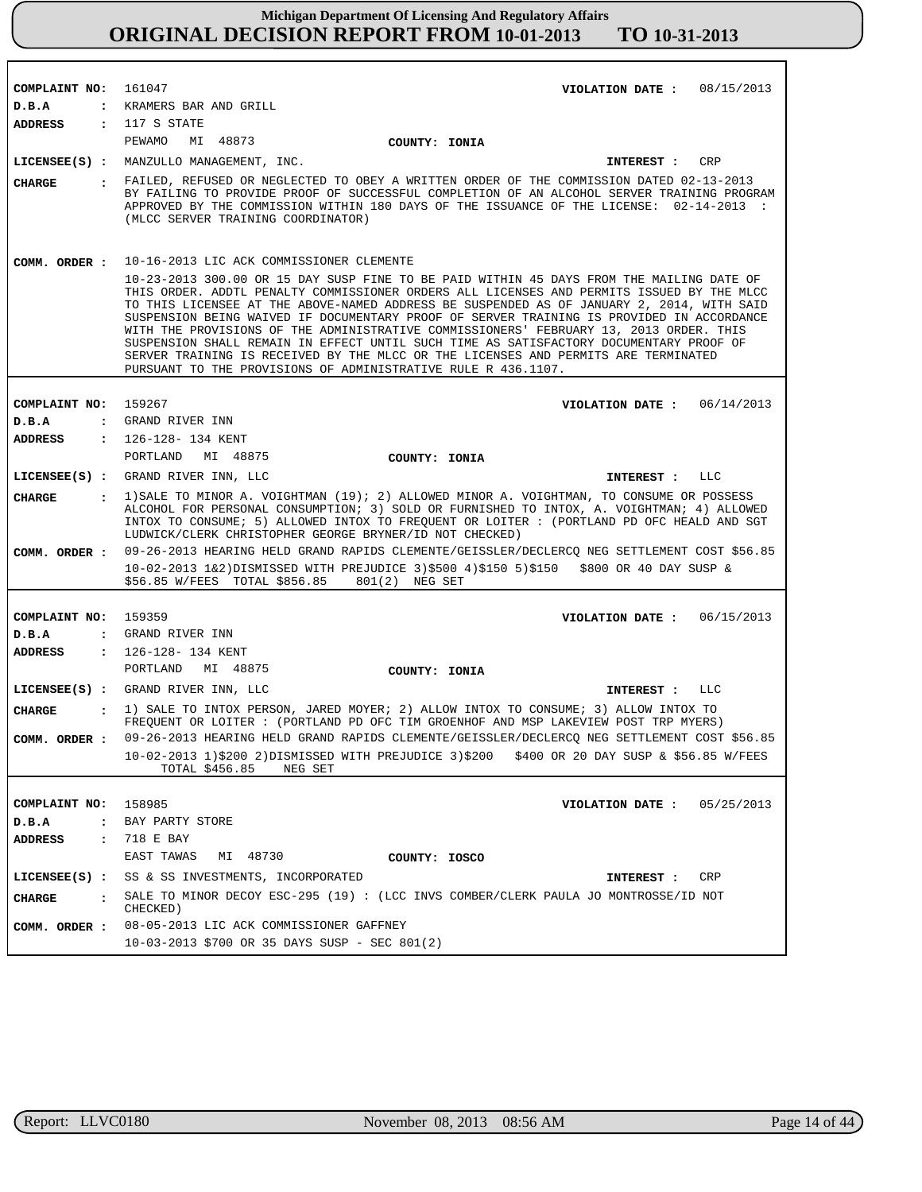| COMPLAINT NO:                         | 161047<br>VIOLATION DATE: $08/15/2013$                                                                                                                                                                                                                                                                                                                                                                                                                                                                                                                                                                                                                                                                                     |
|---------------------------------------|----------------------------------------------------------------------------------------------------------------------------------------------------------------------------------------------------------------------------------------------------------------------------------------------------------------------------------------------------------------------------------------------------------------------------------------------------------------------------------------------------------------------------------------------------------------------------------------------------------------------------------------------------------------------------------------------------------------------------|
| D.B.A<br>$\ddot{\phantom{a}}$         | KRAMERS BAR AND GRILL                                                                                                                                                                                                                                                                                                                                                                                                                                                                                                                                                                                                                                                                                                      |
| <b>ADDRESS</b>                        | : 117 S STATE                                                                                                                                                                                                                                                                                                                                                                                                                                                                                                                                                                                                                                                                                                              |
|                                       | PEWAMO<br>MI 48873<br>COUNTY: IONIA                                                                                                                                                                                                                                                                                                                                                                                                                                                                                                                                                                                                                                                                                        |
|                                       | LICENSEE(S) : MANZULLO MANAGEMENT, INC.<br>CRP<br>INTEREST :                                                                                                                                                                                                                                                                                                                                                                                                                                                                                                                                                                                                                                                               |
|                                       | FAILED, REFUSED OR NEGLECTED TO OBEY A WRITTEN ORDER OF THE COMMISSION DATED 02-13-2013                                                                                                                                                                                                                                                                                                                                                                                                                                                                                                                                                                                                                                    |
| <b>CHARGE</b>                         | BY FAILING TO PROVIDE PROOF OF SUCCESSFUL COMPLETION OF AN ALCOHOL SERVER TRAINING PROGRAM<br>APPROVED BY THE COMMISSION WITHIN 180 DAYS OF THE ISSUANCE OF THE LICENSE: 02-14-2013 :<br>(MLCC SERVER TRAINING COORDINATOR)                                                                                                                                                                                                                                                                                                                                                                                                                                                                                                |
| COMM. ORDER :                         | 10-16-2013 LIC ACK COMMISSIONER CLEMENTE                                                                                                                                                                                                                                                                                                                                                                                                                                                                                                                                                                                                                                                                                   |
|                                       | 10-23-2013 300.00 OR 15 DAY SUSP FINE TO BE PAID WITHIN 45 DAYS FROM THE MAILING DATE OF<br>THIS ORDER. ADDTL PENALTY COMMISSIONER ORDERS ALL LICENSES AND PERMITS ISSUED BY THE MLCC<br>TO THIS LICENSEE AT THE ABOVE-NAMED ADDRESS BE SUSPENDED AS OF JANUARY 2, 2014, WITH SAID<br>SUSPENSION BEING WAIVED IF DOCUMENTARY PROOF OF SERVER TRAINING IS PROVIDED IN ACCORDANCE<br>WITH THE PROVISIONS OF THE ADMINISTRATIVE COMMISSIONERS' FEBRUARY 13, 2013 ORDER. THIS<br>SUSPENSION SHALL REMAIN IN EFFECT UNTIL SUCH TIME AS SATISFACTORY DOCUMENTARY PROOF OF<br>SERVER TRAINING IS RECEIVED BY THE MLCC OR THE LICENSES AND PERMITS ARE TERMINATED<br>PURSUANT TO THE PROVISIONS OF ADMINISTRATIVE RULE R 436.1107. |
|                                       |                                                                                                                                                                                                                                                                                                                                                                                                                                                                                                                                                                                                                                                                                                                            |
| COMPLAINT NO:                         | 159267<br>VIOLATION DATE: $06/14/2013$                                                                                                                                                                                                                                                                                                                                                                                                                                                                                                                                                                                                                                                                                     |
| D.B.A<br>$\ddot{\phantom{a}}$         | GRAND RIVER INN                                                                                                                                                                                                                                                                                                                                                                                                                                                                                                                                                                                                                                                                                                            |
| <b>ADDRESS</b>                        | : 126-128- 134 KENT                                                                                                                                                                                                                                                                                                                                                                                                                                                                                                                                                                                                                                                                                                        |
|                                       | PORTLAND<br>MI 48875<br>COUNTY: IONIA                                                                                                                                                                                                                                                                                                                                                                                                                                                                                                                                                                                                                                                                                      |
|                                       | LICENSEE(S) : GRAND RIVER INN, LLC<br>INTEREST : LLC                                                                                                                                                                                                                                                                                                                                                                                                                                                                                                                                                                                                                                                                       |
| <b>CHARGE</b><br>$\ddot{\mathbf{r}}$  | 1) SALE TO MINOR A. VOIGHTMAN (19); 2) ALLOWED MINOR A. VOIGHTMAN, TO CONSUME OR POSSESS<br>ALCOHOL FOR PERSONAL CONSUMPTION; 3) SOLD OR FURNISHED TO INTOX, A. VOIGHTMAN; 4) ALLOWED<br>INTOX TO CONSUME; 5) ALLOWED INTOX TO FREQUENT OR LOITER: (PORTLAND PD OFC HEALD AND SGT<br>LUDWICK/CLERK CHRISTOPHER GEORGE BRYNER/ID NOT CHECKED)                                                                                                                                                                                                                                                                                                                                                                               |
| COMM. ORDER :                         | 09-26-2013 HEARING HELD GRAND RAPIDS CLEMENTE/GEISSLER/DECLERCQ NEG SETTLEMENT COST \$56.85                                                                                                                                                                                                                                                                                                                                                                                                                                                                                                                                                                                                                                |
|                                       | 10-02-2013 1&2)DISMISSED WITH PREJUDICE 3)\$500 4)\$150 5)\$150 \$800 OR 40 DAY SUSP &<br>\$56.85 W/FEES TOTAL \$856.85 801(2) NEG SET                                                                                                                                                                                                                                                                                                                                                                                                                                                                                                                                                                                     |
|                                       |                                                                                                                                                                                                                                                                                                                                                                                                                                                                                                                                                                                                                                                                                                                            |
| COMPLAINT NO:                         | 159359<br>06/15/2013<br>VIOLATION DATE :                                                                                                                                                                                                                                                                                                                                                                                                                                                                                                                                                                                                                                                                                   |
| D.B.A<br>$\ddot{\cdot}$               | GRAND RIVER INN                                                                                                                                                                                                                                                                                                                                                                                                                                                                                                                                                                                                                                                                                                            |
| <b>ADDRESS</b><br>$\mathbf{r}$        | 126-128- 134 KENT<br>PORTLAND<br>MI 48875                                                                                                                                                                                                                                                                                                                                                                                                                                                                                                                                                                                                                                                                                  |
|                                       | COUNTY: IONIA                                                                                                                                                                                                                                                                                                                                                                                                                                                                                                                                                                                                                                                                                                              |
|                                       | LICENSEE(S) : GRAND RIVER INN, LLC<br><b>LLC</b><br>INTEREST :                                                                                                                                                                                                                                                                                                                                                                                                                                                                                                                                                                                                                                                             |
| <b>CHARGE</b><br>$\ddot{\phantom{a}}$ | 1) SALE TO INTOX PERSON, JARED MOYER; 2) ALLOW INTOX TO CONSUME; 3) ALLOW INTOX TO<br>FREQUENT OR LOITER : (PORTLAND PD OFC TIM GROENHOF AND MSP LAKEVIEW POST TRP MYERS)                                                                                                                                                                                                                                                                                                                                                                                                                                                                                                                                                  |
| COMM. ORDER :                         | 09-26-2013 HEARING HELD GRAND RAPIDS CLEMENTE/GEISSLER/DECLERCQ NEG SETTLEMENT COST \$56.85<br>10-02-2013 1)\$200 2)DISMISSED WITH PREJUDICE 3)\$200<br>\$400 OR 20 DAY SUSP & \$56.85 W/FEES<br>TOTAL \$456.85<br>NEG SET                                                                                                                                                                                                                                                                                                                                                                                                                                                                                                 |
|                                       |                                                                                                                                                                                                                                                                                                                                                                                                                                                                                                                                                                                                                                                                                                                            |
| COMPLAINT NO:                         | 158985<br>05/25/2013<br>VIOLATION DATE :                                                                                                                                                                                                                                                                                                                                                                                                                                                                                                                                                                                                                                                                                   |
| D.B.A<br>$\ddot{\phantom{a}}$         | BAY PARTY STORE                                                                                                                                                                                                                                                                                                                                                                                                                                                                                                                                                                                                                                                                                                            |
| <b>ADDRESS</b>                        | : 718 E BAY                                                                                                                                                                                                                                                                                                                                                                                                                                                                                                                                                                                                                                                                                                                |
|                                       | EAST TAWAS<br>MI 48730<br>COUNTY: IOSCO                                                                                                                                                                                                                                                                                                                                                                                                                                                                                                                                                                                                                                                                                    |
| $LICENSEE(S)$ :                       | SS & SS INVESTMENTS, INCORPORATED<br>CRP<br>INTEREST :                                                                                                                                                                                                                                                                                                                                                                                                                                                                                                                                                                                                                                                                     |
| <b>CHARGE</b><br>$\mathbf{r}$         | SALE TO MINOR DECOY ESC-295 (19) : (LCC INVS COMBER/CLERK PAULA JO MONTROSSE/ID NOT<br>CHECKED)                                                                                                                                                                                                                                                                                                                                                                                                                                                                                                                                                                                                                            |
| COMM. ORDER :                         | 08-05-2013 LIC ACK COMMISSIONER GAFFNEY                                                                                                                                                                                                                                                                                                                                                                                                                                                                                                                                                                                                                                                                                    |
|                                       | 10-03-2013 \$700 OR 35 DAYS SUSP - SEC 801(2)                                                                                                                                                                                                                                                                                                                                                                                                                                                                                                                                                                                                                                                                              |

r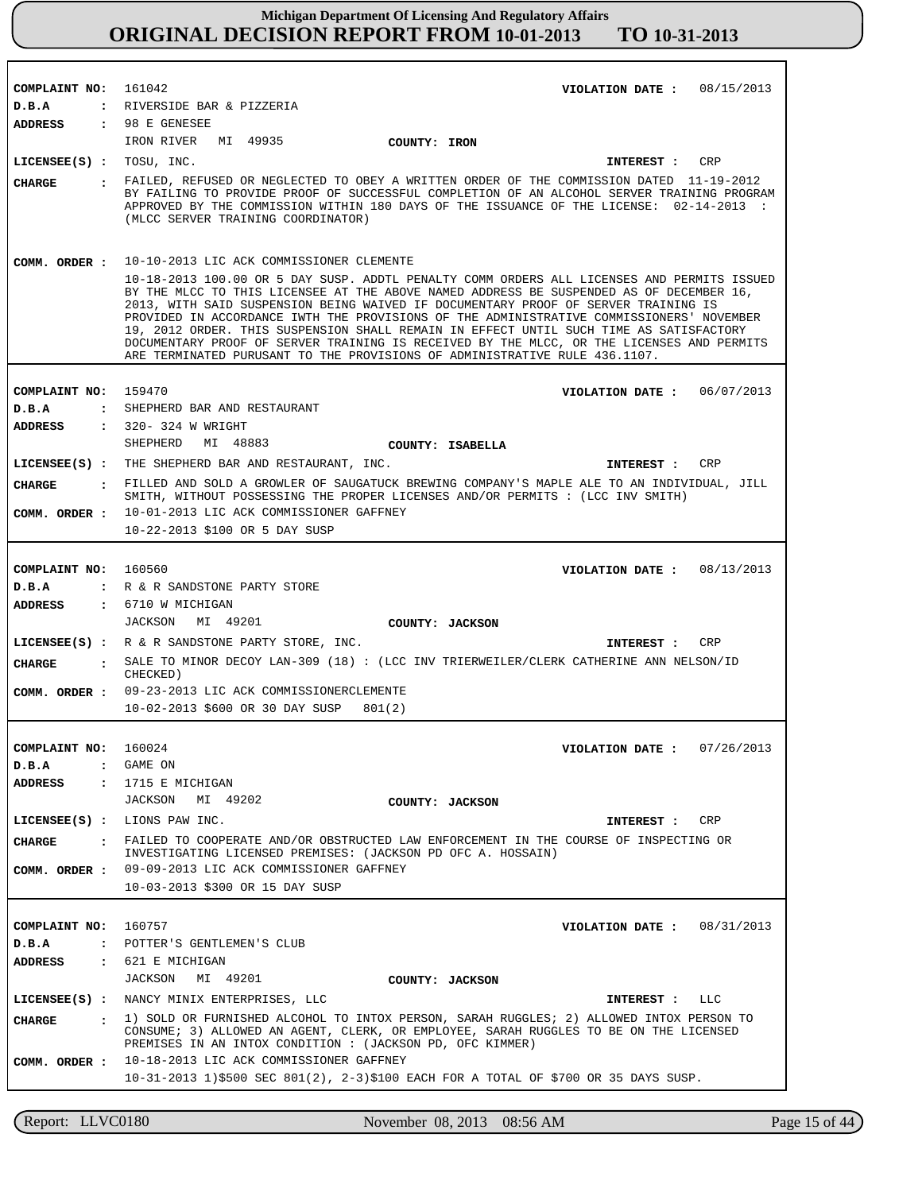| COMPLAINT NO: 161042     | VIOLATION DATE: $08/15/2013$                                                                                                                                                                                                                                                                                                                                                                                                                                                                                                                                                                                                                                                             |
|--------------------------|------------------------------------------------------------------------------------------------------------------------------------------------------------------------------------------------------------------------------------------------------------------------------------------------------------------------------------------------------------------------------------------------------------------------------------------------------------------------------------------------------------------------------------------------------------------------------------------------------------------------------------------------------------------------------------------|
| D.B.A                    | : RIVERSIDE BAR & PIZZERIA                                                                                                                                                                                                                                                                                                                                                                                                                                                                                                                                                                                                                                                               |
| ADDRESS                  | : 98 E GENESEE                                                                                                                                                                                                                                                                                                                                                                                                                                                                                                                                                                                                                                                                           |
|                          | IRON RIVER MI 49935<br>COUNTY: IRON                                                                                                                                                                                                                                                                                                                                                                                                                                                                                                                                                                                                                                                      |
| LICENSEE(S) : TOSU, INC. | CRP<br>INTEREST :                                                                                                                                                                                                                                                                                                                                                                                                                                                                                                                                                                                                                                                                        |
|                          |                                                                                                                                                                                                                                                                                                                                                                                                                                                                                                                                                                                                                                                                                          |
| CHARGE                   | : FAILED, REFUSED OR NEGLECTED TO OBEY A WRITTEN ORDER OF THE COMMISSION DATED 11-19-2012<br>BY FAILING TO PROVIDE PROOF OF SUCCESSFUL COMPLETION OF AN ALCOHOL SERVER TRAINING PROGRAM<br>APPROVED BY THE COMMISSION WITHIN 180 DAYS OF THE ISSUANCE OF THE LICENSE: 02-14-2013 :<br>(MLCC SERVER TRAINING COORDINATOR)                                                                                                                                                                                                                                                                                                                                                                 |
| COMM. ORDER :            | 10-10-2013 LIC ACK COMMISSIONER CLEMENTE<br>10-18-2013 100.00 OR 5 DAY SUSP. ADDTL PENALTY COMM ORDERS ALL LICENSES AND PERMITS ISSUED<br>BY THE MLCC TO THIS LICENSEE AT THE ABOVE NAMED ADDRESS BE SUSPENDED AS OF DECEMBER 16,<br>2013, WITH SAID SUSPENSION BEING WAIVED IF DOCUMENTARY PROOF OF SERVER TRAINING IS<br>PROVIDED IN ACCORDANCE IWTH THE PROVISIONS OF THE ADMINISTRATIVE COMMISSIONERS' NOVEMBER<br>19, 2012 ORDER. THIS SUSPENSION SHALL REMAIN IN EFFECT UNTIL SUCH TIME AS SATISFACTORY<br>DOCUMENTARY PROOF OF SERVER TRAINING IS RECEIVED BY THE MLCC, OR THE LICENSES AND PERMITS<br>ARE TERMINATED PURUSANT TO THE PROVISIONS OF ADMINISTRATIVE RULE 436.1107. |
| COMPLAINT NO:            | 159470<br>VIOLATION DATE: 06/07/2013                                                                                                                                                                                                                                                                                                                                                                                                                                                                                                                                                                                                                                                     |
| D.B.A                    | : SHEPHERD BAR AND RESTAURANT                                                                                                                                                                                                                                                                                                                                                                                                                                                                                                                                                                                                                                                            |
| <b>ADDRESS</b>           | : 320- 324 W WRIGHT                                                                                                                                                                                                                                                                                                                                                                                                                                                                                                                                                                                                                                                                      |
|                          | SHEPHERD MI 48883<br>COUNTY: ISABELLA                                                                                                                                                                                                                                                                                                                                                                                                                                                                                                                                                                                                                                                    |
|                          | LICENSEE(S) : THE SHEPHERD BAR AND RESTAURANT, INC.<br>INTEREST :<br>CRP                                                                                                                                                                                                                                                                                                                                                                                                                                                                                                                                                                                                                 |
| CIIARGE                  | : FILLED AND SOLD A GROWLER OF SAUGATUCK BREWING COMPANY'S MAPLE ALE TO AN INDIVIDUAL, JILL                                                                                                                                                                                                                                                                                                                                                                                                                                                                                                                                                                                              |
|                          | SMITH, WITHOUT POSSESSING THE PROPER LICENSES AND/OR PERMITS : (LCC INV SMITH)                                                                                                                                                                                                                                                                                                                                                                                                                                                                                                                                                                                                           |
|                          | COMM. ORDER : 10-01-2013 LIC ACK COMMISSIONER GAFFNEY                                                                                                                                                                                                                                                                                                                                                                                                                                                                                                                                                                                                                                    |
|                          | 10-22-2013 \$100 OR 5 DAY SUSP                                                                                                                                                                                                                                                                                                                                                                                                                                                                                                                                                                                                                                                           |
|                          |                                                                                                                                                                                                                                                                                                                                                                                                                                                                                                                                                                                                                                                                                          |
| COMPLAINT NO: 160560     | VIOLATION DATE: $08/13/2013$                                                                                                                                                                                                                                                                                                                                                                                                                                                                                                                                                                                                                                                             |
| D.B.A                    | : R & R SANDSTONE PARTY STORE                                                                                                                                                                                                                                                                                                                                                                                                                                                                                                                                                                                                                                                            |
| <b>ADDRESS</b>           | : 6710 W MICHIGAN                                                                                                                                                                                                                                                                                                                                                                                                                                                                                                                                                                                                                                                                        |
|                          | JACKSON MI 49201<br>COUNTY: JACKSON                                                                                                                                                                                                                                                                                                                                                                                                                                                                                                                                                                                                                                                      |
|                          | LICENSEE(S) : R & R SANDSTONE PARTY STORE, INC.<br>CRP<br>INTEREST :                                                                                                                                                                                                                                                                                                                                                                                                                                                                                                                                                                                                                     |
| CIIARGE                  | : SALE TO MINOR DECOY LAN-309 (18) : (LCC INV TRIERWEILER/CLERK CATHERINE ANN NELSON/ID<br>CHECKED)                                                                                                                                                                                                                                                                                                                                                                                                                                                                                                                                                                                      |
|                          | COMM. ORDER : 09-23-2013 LIC ACK COMMISSIONERCLEMENTE                                                                                                                                                                                                                                                                                                                                                                                                                                                                                                                                                                                                                                    |
|                          | 10-02-2013 \$600 OR 30 DAY SUSP<br>801(2)                                                                                                                                                                                                                                                                                                                                                                                                                                                                                                                                                                                                                                                |
|                          |                                                                                                                                                                                                                                                                                                                                                                                                                                                                                                                                                                                                                                                                                          |
| COMPLAINT NO:            | 160024<br>VIOLATION DATE: $07/26/2013$                                                                                                                                                                                                                                                                                                                                                                                                                                                                                                                                                                                                                                                   |
| D.B.A                    | : GAME ON                                                                                                                                                                                                                                                                                                                                                                                                                                                                                                                                                                                                                                                                                |
| ADDRESS                  | : 1715 E MICHIGAN                                                                                                                                                                                                                                                                                                                                                                                                                                                                                                                                                                                                                                                                        |
|                          | JACKSON MI 49202<br>COUNTY: JACKSON                                                                                                                                                                                                                                                                                                                                                                                                                                                                                                                                                                                                                                                      |
|                          | LICENSEE(S) : LIONS PAW INC.<br>CRP<br>INTEREST :                                                                                                                                                                                                                                                                                                                                                                                                                                                                                                                                                                                                                                        |
| <b>CHARGE</b>            | : FAILED TO COOPERATE AND/OR OBSTRUCTED LAW ENFORCEMENT IN THE COURSE OF INSPECTING OR<br>INVESTIGATING LICENSED PREMISES: (JACKSON PD OFC A. HOSSAIN)                                                                                                                                                                                                                                                                                                                                                                                                                                                                                                                                   |
|                          | COMM. ORDER : 09-09-2013 LIC ACK COMMISSIONER GAFFNEY                                                                                                                                                                                                                                                                                                                                                                                                                                                                                                                                                                                                                                    |
|                          | 10-03-2013 \$300 OR 15 DAY SUSP                                                                                                                                                                                                                                                                                                                                                                                                                                                                                                                                                                                                                                                          |
|                          |                                                                                                                                                                                                                                                                                                                                                                                                                                                                                                                                                                                                                                                                                          |
| COMPLAINT NO: 160757     | VIOLATION DATE: $08/31/2013$                                                                                                                                                                                                                                                                                                                                                                                                                                                                                                                                                                                                                                                             |
| D.B.A                    | : POTTER'S GENTLEMEN'S CLUB                                                                                                                                                                                                                                                                                                                                                                                                                                                                                                                                                                                                                                                              |
| ADDRESS                  | : 621 E MICHIGAN                                                                                                                                                                                                                                                                                                                                                                                                                                                                                                                                                                                                                                                                         |
|                          | JACKSON MI 49201<br>COUNTY: JACKSON                                                                                                                                                                                                                                                                                                                                                                                                                                                                                                                                                                                                                                                      |
|                          | LICENSEE(S) : NANCY MINIX ENTERPRISES, LLC<br>LLC<br>INTEREST :                                                                                                                                                                                                                                                                                                                                                                                                                                                                                                                                                                                                                          |
| CHARGE                   | : 1) SOLD OR FURNISHED ALCOHOL TO INTOX PERSON, SARAH RUGGLES; 2) ALLOWED INTOX PERSON TO<br>CONSUME; 3) ALLOWED AN AGENT, CLERK, OR EMPLOYEE, SARAH RUGGLES TO BE ON THE LICENSED                                                                                                                                                                                                                                                                                                                                                                                                                                                                                                       |
|                          | PREMISES IN AN INTOX CONDITION : (JACKSON PD, OFC KIMMER)<br>COMM. ORDER : 10-18-2013 LIC ACK COMMISSIONER GAFFNEY                                                                                                                                                                                                                                                                                                                                                                                                                                                                                                                                                                       |
|                          | 10-31-2013 1)\$500 SEC 801(2), 2-3)\$100 EACH FOR A TOTAL OF \$700 OR 35 DAYS SUSP.                                                                                                                                                                                                                                                                                                                                                                                                                                                                                                                                                                                                      |
|                          |                                                                                                                                                                                                                                                                                                                                                                                                                                                                                                                                                                                                                                                                                          |

Report: LLVC0180 November 08, 2013 08:56 AM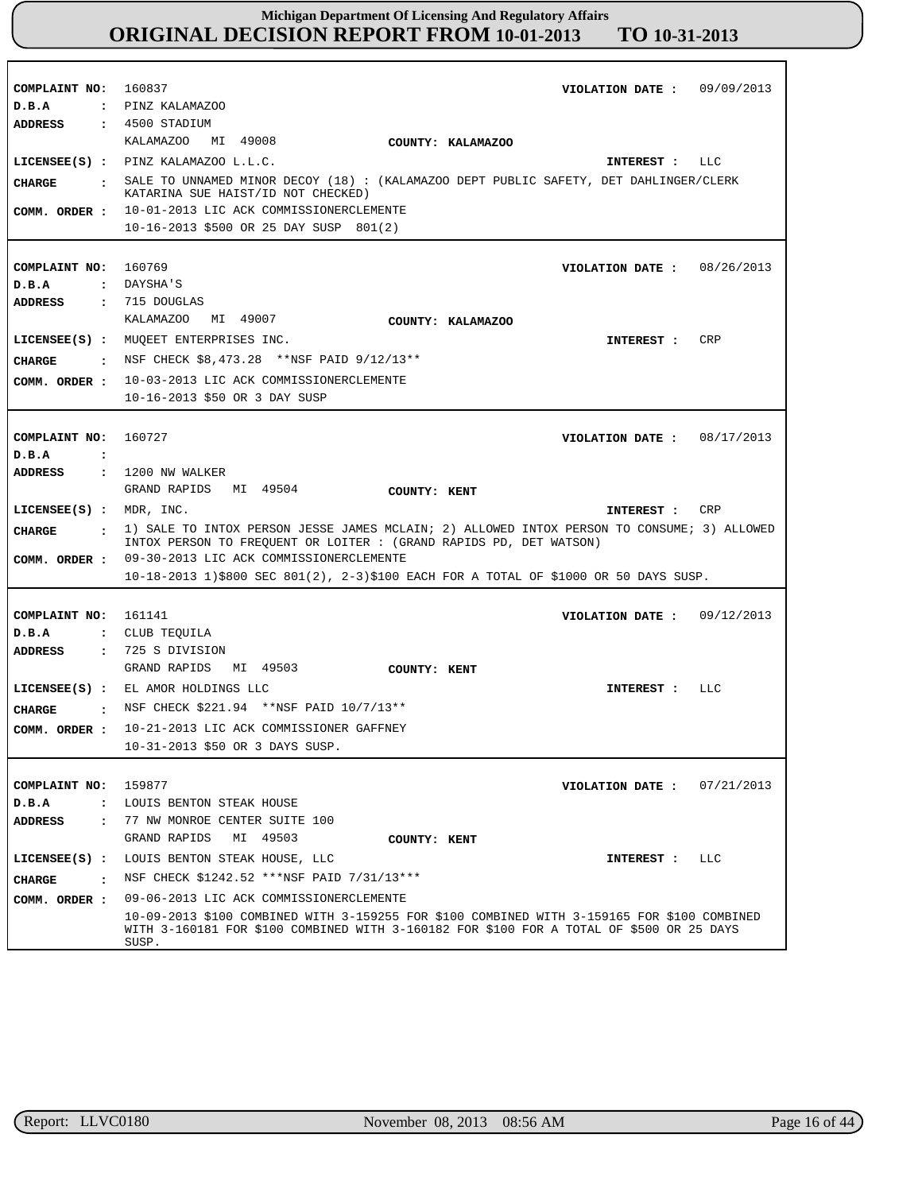| COMPLAINT NO: 160837                   | VIOLATION DATE: 09/09/2013                                                                                                                                                                       |
|----------------------------------------|--------------------------------------------------------------------------------------------------------------------------------------------------------------------------------------------------|
| D.B.A                                  | : PINZ KALAMAZOO                                                                                                                                                                                 |
| <b>ADDRESS</b>                         | $: 4500$ STADIUM                                                                                                                                                                                 |
|                                        | KALAMAZOO MI 49008<br>COUNTY: KALAMAZOO                                                                                                                                                          |
|                                        | LICENSEE(S) : PINZ KALAMAZOO L.L.C.<br>INTEREST : LLC                                                                                                                                            |
| CHARGE                                 | : SALE TO UNNAMED MINOR DECOY (18) : (KALAMAZOO DEPT PUBLIC SAFETY, DET DAHLINGER/CLERK<br>KATARINA SUE HAIST/ID NOT CHECKED)                                                                    |
| COMM. ORDER :                          | 10-01-2013 LIC ACK COMMISSIONERCLEMENTE                                                                                                                                                          |
|                                        | 10-16-2013 \$500 OR 25 DAY SUSP 801(2)                                                                                                                                                           |
|                                        |                                                                                                                                                                                                  |
| COMPLAINT NO: 160769                   | VIOLATION DATE: 08/26/2013                                                                                                                                                                       |
| D.B.A                                  | : DAYSHA'S                                                                                                                                                                                       |
| <b>ADDRESS</b>                         | : 715 DOUGLAS                                                                                                                                                                                    |
|                                        | KALAMAZOO MI 49007<br>COUNTY: KALAMAZOO                                                                                                                                                          |
|                                        | LICENSEE(S) : MUQEET ENTERPRISES INC.<br>CRP<br>INTEREST :                                                                                                                                       |
|                                        | <b>CHARGE :</b> NSF CHECK $$8,473.28$ **NSF PAID $9/12/13**$                                                                                                                                     |
| COMM. ORDER :                          | 10-03-2013 LIC ACK COMMISSIONERCLEMENTE                                                                                                                                                          |
|                                        | 10-16-2013 \$50 OR 3 DAY SUSP                                                                                                                                                                    |
|                                        |                                                                                                                                                                                                  |
| COMPLAINT NO:                          | 160727<br>VIOLATION DATE : $08/17/2013$                                                                                                                                                          |
| D.B.A<br>$\mathbf{L}$                  |                                                                                                                                                                                                  |
| ADDRESS                                | : 1200 NW WALKER                                                                                                                                                                                 |
|                                        | GRAND RAPIDS<br>MI 49504<br>COUNTY: KENT                                                                                                                                                         |
| $LICENSEE(S)$ : MDR, INC.              | INTEREST : CRP                                                                                                                                                                                   |
| CHARGE                                 | : 1) SALE TO INTOX PERSON JESSE JAMES MCLAIN; 2) ALLOWED INTOX PERSON TO CONSUME; 3) ALLOWED<br>INTOX PERSON TO FREQUENT OR LOITER : (GRAND RAPIDS PD, DET WATSON)                               |
|                                        | COMM. ORDER : 09-30-2013 LIC ACK COMMISSIONERCLEMENTE                                                                                                                                            |
|                                        | $10-18-2013$ 1)\$800 SEC 801(2), 2-3)\$100 EACH FOR A TOTAL OF \$1000 OR 50 DAYS SUSP.                                                                                                           |
|                                        |                                                                                                                                                                                                  |
| COMPLAINT NO: 161141                   | VIOLATION DATE: $09/12/2013$                                                                                                                                                                     |
| D.B.A                                  | : CLUB TEQUILA                                                                                                                                                                                   |
| ADDRESS                                | : 725 S DIVISION                                                                                                                                                                                 |
|                                        | GRAND RAPIDS MI 49503<br>COUNTY: KENT                                                                                                                                                            |
|                                        | LICENSEE(S) : EL AMOR HOLDINGS LLC<br>LLC<br>INTEREST :                                                                                                                                          |
| CHARGE                                 | : NSF CHECK \$221.94 **NSF PAID 10/7/13**                                                                                                                                                        |
|                                        | COMM. ORDER : 10-21-2013 LIC ACK COMMISSIONER GAFFNEY                                                                                                                                            |
|                                        | 10-31-2013 \$50 OR 3 DAYS SUSP.                                                                                                                                                                  |
|                                        |                                                                                                                                                                                                  |
| COMPLAINT NO:                          | 159877<br>07/21/2013<br>VIOLATION DATE :                                                                                                                                                         |
| D.B.A<br>$\ddot{\phantom{a}}$          | LOUIS BENTON STEAK HOUSE                                                                                                                                                                         |
| <b>ADDRESS</b><br>$\ddot{\phantom{a}}$ | 77 NW MONROE CENTER SUITE 100                                                                                                                                                                    |
|                                        | GRAND RAPIDS<br>MI 49503<br>COUNTY: KENT                                                                                                                                                         |
| $LICENSEE(S)$ :                        | LOUIS BENTON STEAK HOUSE, LLC<br>INTEREST :<br><b>LLC</b>                                                                                                                                        |
| CHARGE<br>$\cdot$ :                    | NSF CHECK \$1242.52 ***NSF PAID 7/31/13***                                                                                                                                                       |
| COMM. ORDER :                          | 09-06-2013 LIC ACK COMMISSIONERCLEMENTE                                                                                                                                                          |
|                                        | 10-09-2013 \$100 COMBINED WITH 3-159255 FOR \$100 COMBINED WITH 3-159165 FOR \$100 COMBINED<br>WITH 3-160181 FOR \$100 COMBINED WITH 3-160182 FOR \$100 FOR A TOTAL OF \$500 OR 25 DAYS<br>SUSP. |

r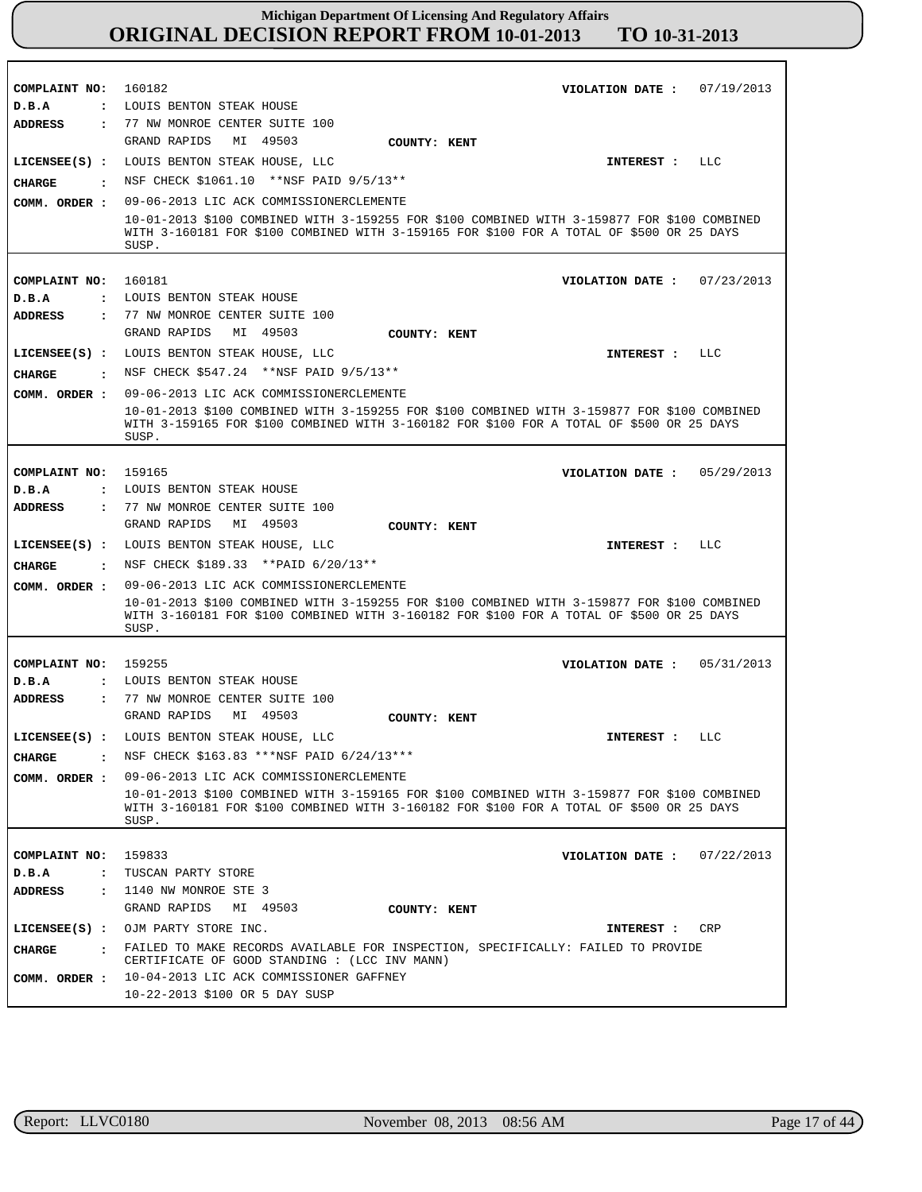| COMPLAINT NO:                          | 160182<br>07/19/2013<br>VIOLATION DATE :                                                                                                                                                |
|----------------------------------------|-----------------------------------------------------------------------------------------------------------------------------------------------------------------------------------------|
| D.B.A                                  | : LOUIS BENTON STEAK HOUSE                                                                                                                                                              |
| <b>ADDRESS</b><br>$\ddot{\phantom{a}}$ | 77 NW MONROE CENTER SUITE 100<br>GRAND RAPIDS<br>MI 49503                                                                                                                               |
|                                        | COUNTY: KENT                                                                                                                                                                            |
| $LICENSEE(S)$ :                        | LOUIS BENTON STEAK HOUSE, LLC<br>LLC<br>INTEREST :                                                                                                                                      |
| <b>CHARGE</b><br>$\ddot{\phantom{a}}$  | NSF CHECK \$1061.10 ** NSF PAID 9/5/13**                                                                                                                                                |
| COMM. ORDER :                          | 09-06-2013 LIC ACK COMMISSIONERCLEMENTE                                                                                                                                                 |
|                                        | 10-01-2013 \$100 COMBINED WITH 3-159255 FOR \$100 COMBINED WITH 3-159877 FOR \$100 COMBINED<br>WITH 3-160181 FOR \$100 COMBINED WITH 3-159165 FOR \$100 FOR A TOTAL OF \$500 OR 25 DAYS |
|                                        | SUSP.                                                                                                                                                                                   |
|                                        |                                                                                                                                                                                         |
| COMPLAINT NO:                          | 160181<br>07/23/2013<br>VIOLATION DATE :                                                                                                                                                |
| D.B.A<br>$\ddot{\phantom{a}}$          | LOUIS BENTON STEAK HOUSE                                                                                                                                                                |
| <b>ADDRESS</b><br>$\ddot{\phantom{a}}$ | 77 NW MONROE CENTER SUITE 100                                                                                                                                                           |
|                                        | GRAND RAPIDS<br>MI 49503<br>COUNTY: KENT                                                                                                                                                |
| $LICENSEE(S)$ :                        | LOUIS BENTON STEAK HOUSE, LLC<br>LLC<br>INTEREST :                                                                                                                                      |
| CIIARGE<br>$\sim$ $\sim$ $\sim$ $\sim$ | NSF CHECK \$547.24 **NSF PAID 9/5/13**                                                                                                                                                  |
| COMM. ORDER :                          | 09-06-2013 LIC ACK COMMISSIONERCLEMENTE                                                                                                                                                 |
|                                        | 10-01-2013 \$100 COMBINED WITH 3-159255 FOR \$100 COMBINED WITH 3-159877 FOR \$100 COMBINED                                                                                             |
|                                        | WITH 3-159165 FOR \$100 COMBINED WITH 3-160182 FOR \$100 FOR A TOTAL OF \$500 OR 25 DAYS<br>SUSP.                                                                                       |
|                                        |                                                                                                                                                                                         |
| COMPLAINT NO:                          | 159165<br>05/29/2013<br>VIOLATION DATE :                                                                                                                                                |
| D.B.A<br>$\ddot{\phantom{a}}$          | LOUIS BENTON STEAK HOUSE                                                                                                                                                                |
| <b>ADDRESS</b><br>$\ddot{\phantom{a}}$ | 77 NW MONROE CENTER SUITE 100                                                                                                                                                           |
|                                        | GRAND RAPIDS<br>MI 49503<br>COUNTY: KENT                                                                                                                                                |
| $LICENSEE(S)$ :                        | LOUIS BENTON STEAK HOUSE, LLC<br>LLC<br>INTEREST :                                                                                                                                      |
|                                        |                                                                                                                                                                                         |
|                                        |                                                                                                                                                                                         |
| <b>CHARGE</b><br>$\sim$ $\sim$         | NSF CHECK \$189.33 **PAID 6/20/13**                                                                                                                                                     |
| COMM. ORDER :                          | 09-06-2013 LIC ACK COMMISSIONERCLEMENTE                                                                                                                                                 |
|                                        | 10-01-2013 \$100 COMBINED WITH 3-159255 FOR \$100 COMBINED WITH 3-159877 FOR \$100 COMBINED<br>WITH 3-160181 FOR \$100 COMBINED WITH 3-160182 FOR \$100 FOR A TOTAL OF \$500 OR 25 DAYS |
|                                        | SUSP.                                                                                                                                                                                   |
|                                        |                                                                                                                                                                                         |
| COMPLAINT NO:                          | 159255<br>05/31/2013<br>VIOLATION DATE :                                                                                                                                                |
| D.B.A<br>$\ddot{\phantom{a}}$          | LOUIS BENTON STEAK HOUSE                                                                                                                                                                |
| <b>ADDRESS</b><br>$\ddot{\cdot}$       | 77 NW MONROE CENTER SUITE 100<br>GRAND RAPIDS<br>MI 49503<br>COUNTY: KENT                                                                                                               |
|                                        | LLC                                                                                                                                                                                     |
|                                        | LICENSEE(S) : LOUIS BENTON STEAK HOUSE, LLC<br>INTEREST :                                                                                                                               |
| <b>CHARGE</b>                          | NSF CHECK \$163.83 *** NSF PAID 6/24/13 ***                                                                                                                                             |
| COMM. ORDER :                          | 09-06-2013 LIC ACK COMMISSIONERCLEMENTE                                                                                                                                                 |
|                                        | 10-01-2013 \$100 COMBINED WITH 3-159165 FOR \$100 COMBINED WITH 3-159877 FOR \$100 COMBINED<br>WITH 3-160181 FOR \$100 COMBINED WITH 3-160182 FOR \$100 FOR A TOTAL OF \$500 OR 25 DAYS |
|                                        | SUSP.                                                                                                                                                                                   |
|                                        |                                                                                                                                                                                         |
| COMPLAINT NO:                          | 159833<br>07/22/2013<br>VIOLATION DATE :                                                                                                                                                |
| D.B.A<br>$\ddot{\phantom{a}}$          | TUSCAN PARTY STORE                                                                                                                                                                      |
| <b>ADDRESS</b>                         | : 1140 NW MONROE STE 3                                                                                                                                                                  |
|                                        | GRAND RAPIDS MI 49503<br>COUNTY: KENT                                                                                                                                                   |
|                                        | LICENSEE(S) : OJM PARTY STORE INC.<br>CRP<br>INTEREST :                                                                                                                                 |
| <b>CHARGE</b>                          | FAILED TO MAKE RECORDS AVAILABLE FOR INSPECTION, SPECIFICALLY: FAILED TO PROVIDE<br>CERTIFICATE OF GOOD STANDING : (LCC INV MANN)                                                       |
| COMM. ORDER :                          | 10-04-2013 LIC ACK COMMISSIONER GAFFNEY                                                                                                                                                 |

r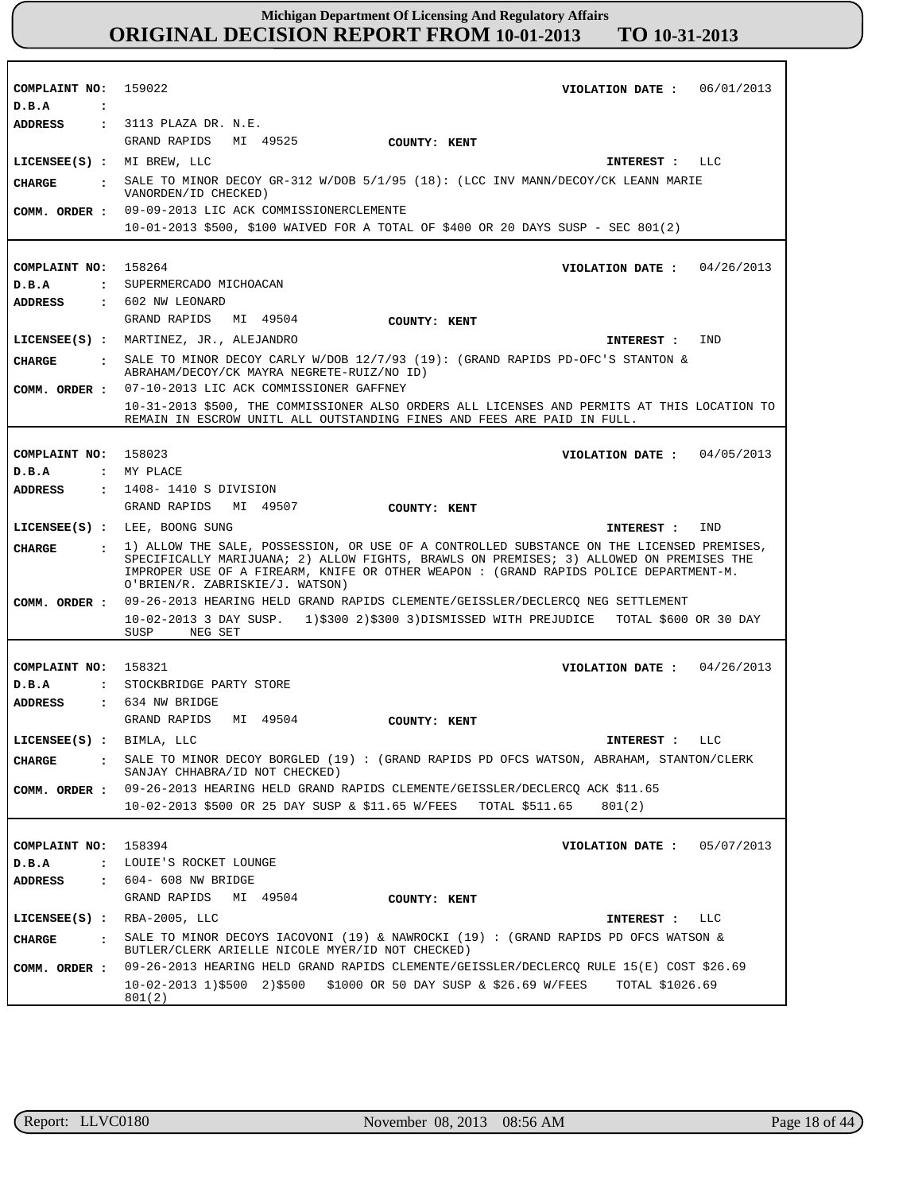| COMPLAINT NO: 159022<br>D.B.A<br>$\ddot{\cdot}$ | VIOLATION DATE: $06/01/2013$                                                                                                                                                                                                                                                                                     |
|-------------------------------------------------|------------------------------------------------------------------------------------------------------------------------------------------------------------------------------------------------------------------------------------------------------------------------------------------------------------------|
| <b>ADDRESS</b>                                  | : 3113 PLAZA DR. N.E.                                                                                                                                                                                                                                                                                            |
|                                                 | GRAND RAPIDS<br>MI 49525<br>COUNTY: KENT                                                                                                                                                                                                                                                                         |
| LICENSEE(S) : MI BREW, LLC                      | INTEREST : LLC                                                                                                                                                                                                                                                                                                   |
| CHARGE<br>$\ddot{\mathbf{r}}$                   | SALE TO MINOR DECOY GR-312 W/DOB $5/1/95$ (18): (LCC INV MANN/DECOY/CK LEANN MARIE<br>VANORDEN/ID CHECKED)                                                                                                                                                                                                       |
| COMM. ORDER :                                   | 09-09-2013 LIC ACK COMMISSIONERCLEMENTE                                                                                                                                                                                                                                                                          |
|                                                 | 10-01-2013 \$500, \$100 WAIVED FOR A TOTAL OF \$400 OR 20 DAYS SUSP - SEC 801(2)                                                                                                                                                                                                                                 |
|                                                 |                                                                                                                                                                                                                                                                                                                  |
| COMPLAINT NO:                                   | 158264<br>VIOLATION DATE: $04/26/2013$                                                                                                                                                                                                                                                                           |
| D.B.A                                           | : SUPERMERCADO MICHOACAN                                                                                                                                                                                                                                                                                         |
| ADDRESS                                         | : 602 NW LEONARD                                                                                                                                                                                                                                                                                                 |
|                                                 | GRAND RAPIDS<br>MI 49504<br>COUNTY: KENT                                                                                                                                                                                                                                                                         |
|                                                 | LICENSEE(S) : MARTINEZ, JR., ALEJANDRO<br>IND<br>INTEREST :                                                                                                                                                                                                                                                      |
| <b>CIIARGE</b><br>$\sim$ 100 $\sim$             | SALE TO MINOR DECOY CARLY W/DOB 12/7/93 (19): (GRAND RAPIDS PD-OFC'S STANTON &<br>ABRAHAM/DECOY/CK MAYRA NEGRETE-RUIZ/NO ID)                                                                                                                                                                                     |
| COMM. ORDER :                                   | 07-10-2013 LIC ACK COMMISSIONER GAFFNEY                                                                                                                                                                                                                                                                          |
|                                                 | 10-31-2013 \$500, THE COMMISSIONER ALSO ORDERS ALL LICENSES AND PERMITS AT THIS LOCATION TO<br>REMAIN IN ESCROW UNITL ALL OUTSTANDING FINES AND FEES ARE PAID IN FULL.                                                                                                                                           |
|                                                 |                                                                                                                                                                                                                                                                                                                  |
| COMPLAINT NO: 158023                            | VIOLATION DATE: $04/05/2013$                                                                                                                                                                                                                                                                                     |
| D.B.A                                           | : MY PLACE                                                                                                                                                                                                                                                                                                       |
| <b>ADDRESS</b>                                  | : 1408–1410 S DIVISION                                                                                                                                                                                                                                                                                           |
|                                                 | GRAND RAPIDS MI 49507<br>COUNTY: KENT                                                                                                                                                                                                                                                                            |
|                                                 | LICENSEE(S) : LEE, BOONG SUNG<br>IND<br>INTEREST :                                                                                                                                                                                                                                                               |
| <b>CIIARGE</b><br>$\ddot{\phantom{a}}$          | 1) ALLOW THE SALE, POSSESSION, OR USE OF A CONTROLLED SUBSTANCE ON THE LICENSED PREMISES,<br>SPECIFICALLY MARIJUANA; 2) ALLOW FIGHTS, BRAWLS ON PREMISES; 3) ALLOWED ON PREMISES THE<br>IMPROPER USE OF A FIREARM, KNIFE OR OTHER WEAPON : (GRAND RAPIDS POLICE DEPARTMENT-M.<br>O'BRIEN/R. ZABRISKIE/J. WATSON) |
| COMM. ORDER :                                   | 09-26-2013 HEARING HELD GRAND RAPIDS CLEMENTE/GEISSLER/DECLERCQ NEG SETTLEMENT                                                                                                                                                                                                                                   |
|                                                 | 10-02-2013 3 DAY SUSP. 1)\$300 2)\$300 3)DISMISSED WITH PREJUDICE TOTAL \$600 OR 30 DAY<br>SUSP<br>NEG SET                                                                                                                                                                                                       |
|                                                 |                                                                                                                                                                                                                                                                                                                  |
| COMPLAINT NO: 158321                            | VIOLATION DATE: $04/26/2013$                                                                                                                                                                                                                                                                                     |
| D.B.A                                           | : STOCKBRIDGE PARTY STORE                                                                                                                                                                                                                                                                                        |
| ADDRESS                                         | : 634 NW BRIDGE                                                                                                                                                                                                                                                                                                  |
|                                                 | GRAND RAPIDS MI 49504<br>COUNTY: KENT                                                                                                                                                                                                                                                                            |
| LICENSEE(S) : BIMLA, LLC                        | LLC<br>INTEREST :                                                                                                                                                                                                                                                                                                |
| <b>CHARGE</b>                                   | SALE TO MINOR DECOY BORGLED (19) : (GRAND RAPIDS PD OFCS WATSON, ABRAHAM, STANTON/CLERK<br>SANJAY CHHABRA/ID NOT CHECKED)                                                                                                                                                                                        |
| COMM. ORDER :                                   | 09-26-2013 HEARING HELD GRAND RAPIDS CLEMENTE/GEISSLER/DECLERCQ ACK \$11.65                                                                                                                                                                                                                                      |
|                                                 | 10-02-2013 \$500 OR 25 DAY SUSP & \$11.65 W/FEES TOTAL \$511.65<br>801(2)                                                                                                                                                                                                                                        |
|                                                 |                                                                                                                                                                                                                                                                                                                  |
| COMPLAINT NO:                                   | 158394<br>VIOLATION DATE: $05/07/2013$                                                                                                                                                                                                                                                                           |
| D.B.A<br>$\ddot{\phantom{a}}$                   | LOUIE'S ROCKET LOUNGE                                                                                                                                                                                                                                                                                            |
| <b>ADDRESS</b><br>$\ddot{\cdot}$                | 604- 608 NW BRIDGE                                                                                                                                                                                                                                                                                               |
|                                                 | GRAND RAPIDS<br>MI 49504<br>COUNTY: KENT                                                                                                                                                                                                                                                                         |
| $LICENSEE(S)$ :                                 | RBA-2005, LLC<br>LLC<br>INTEREST :                                                                                                                                                                                                                                                                               |
| <b>CHARGE</b><br>$\ddot{\phantom{a}}$           | SALE TO MINOR DECOYS IACOVONI (19) & NAWROCKI (19) : (GRAND RAPIDS PD OFCS WATSON &<br>BUTLER/CLERK ARIELLE NICOLE MYER/ID NOT CHECKED)                                                                                                                                                                          |
| COMM. ORDER :                                   | 09-26-2013 HEARING HELD GRAND RAPIDS CLEMENTE/GEISSLER/DECLERCQ RULE 15(E) COST \$26.69                                                                                                                                                                                                                          |
|                                                 | 10-02-2013 1)\$500 2)\$500 \$1000 OR 50 DAY SUSP & \$26.69 W/FEES<br>TOTAL \$1026.69<br>801(2)                                                                                                                                                                                                                   |

٦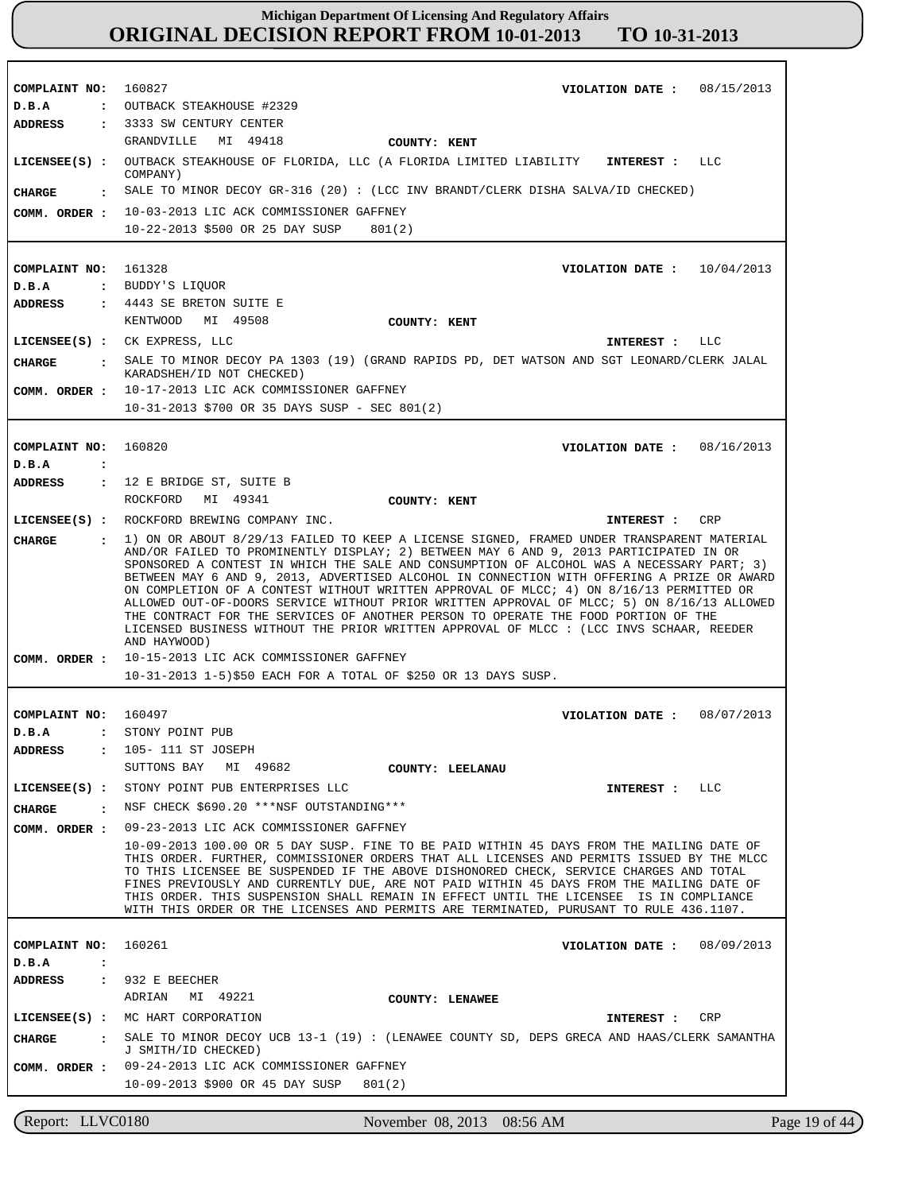**COMPLAINT NO: COMPLAINT NO:** 161328 **COMPLAINT NO: COMPLAINT NO: COMPLAINT NO:** 160827 160820 160497 160261 **VIOLATION DATE : VIOLATION DATE : VIOLATION DATE : VIOLATION DATE : VIOLATION DATE :** 08/15/2013 10/04/2013 08/16/2013 08/07/2013 08/09/2013 **D.B.A : D.B.A : D.B.A : D.B.A : D.B.A :** OUTBACK STEAKHOUSE #2329 BUDDY'S LIQUOR STONY POINT PUB **ADDRESS : ADDRESS : ADDRESS : ADDRESS : ADDRESS :** 3333 SW CENTURY CENTER 4443 SE BRETON SUITE E 12 E BRIDGE ST, SUITE B 105- 111 ST JOSEPH 932 E BEECHER GRANDVILLE MI 49418 KENTWOOD MI 49508 ROCKFORD MI 49341 SUTTONS BAY MI 49682 ADRIAN MI 49221 10-03-2013 LIC ACK COMMISSIONER GAFFNEY **COMM. ORDER :** 10-22-2013 \$500 OR 25 DAY SUSP 801(2) 10-17-2013 LIC ACK COMMISSIONER GAFFNEY 10-31-2013 \$700 OR 35 DAYS SUSP - SEC 801(2) 10-15-2013 LIC ACK COMMISSIONER GAFFNEY 10-31-2013 1-5)\$50 EACH FOR A TOTAL OF \$250 OR 13 DAYS SUSP. 09-23-2013 LIC ACK COMMISSIONER GAFFNEY 10-09-2013 100.00 OR 5 DAY SUSP. FINE TO BE PAID WITHIN 45 DAYS FROM THE MAILING DATE OF THIS ORDER. FURTHER, COMMISSIONER ORDERS THAT ALL LICENSES AND PERMITS ISSUED BY THE MLCC TO THIS LICENSEE BE SUSPENDED IF THE ABOVE DISHONORED CHECK, SERVICE CHARGES AND TOTAL FINES PREVIOUSLY AND CURRENTLY DUE, ARE NOT PAID WITHIN 45 DAYS FROM THE MAILING DATE OF THIS ORDER. THIS SUSPENSION SHALL REMAIN IN EFFECT UNTIL THE LICENSEE IS IN COMPLIANCE WITH THIS ORDER OR THE LICENSES AND PERMITS ARE TERMINATED, PURUSANT TO RULE 436.1107. 09-24-2013 LIC ACK COMMISSIONER GAFFNEY 10-09-2013 \$900 OR 45 DAY SUSP 801(2) **LICENSEE(S) : LICENSEE(S) :** CK EXPRESS, LLC **LICENSEE(S) :** ROCKFORD BREWING COMPANY INC. **LICENSEE(S) :** STONY POINT PUB ENTERPRISES LLC **LICENSEE(S) :** MC HART CORPORATION OUTBACK STEAKHOUSE OF FLORIDA, LLC (A FLORIDA LIMITED LIABILITY COMPANY) LLC LLC **CRP** LLC CRP **CHARGE : CHARGE : CHARGE : CHARGE : CHARGE :** SALE TO MINOR DECOY GR-316 (20) : (LCC INV BRANDT/CLERK DISHA SALVA/ID CHECKED) SALE TO MINOR DECOY PA 1303 (19) (GRAND RAPIDS PD, DET WATSON AND SGT LEONARD/CLERK JALAL KARADSHEH/ID NOT CHECKED) 1) ON OR ABOUT 8/29/13 FAILED TO KEEP A LICENSE SIGNED, FRAMED UNDER TRANSPARENT MATERIAL AND/OR FAILED TO PROMINENTLY DISPLAY; 2) BETWEEN MAY 6 AND 9, 2013 PARTICIPATED IN OR SPONSORED A CONTEST IN WHICH THE SALE AND CONSUMPTION OF ALCOHOL WAS A NECESSARY PART; 3) BETWEEN MAY 6 AND 9, 2013, ADVERTISED ALCOHOL IN CONNECTION WITH OFFERING A PRIZE OR AWARD ON COMPLETION OF A CONTEST WITHOUT WRITTEN APPROVAL OF MLCC; 4) ON 8/16/13 PERMITTED OR ALLOWED OUT-OF-DOORS SERVICE WITHOUT PRIOR WRITTEN APPROVAL OF MLCC; 5) ON 8/16/13 ALLOWED THE CONTRACT FOR THE SERVICES OF ANOTHER PERSON TO OPERATE THE FOOD PORTION OF THE LICENSED BUSINESS WITHOUT THE PRIOR WRITTEN APPROVAL OF MLCC : (LCC INVS SCHAAR, REEDER AND HAYWOOD) . NSF CHECK \$690.20 \*\*\*NSF OUTSTANDING\*\*\* SALE TO MINOR DECOY UCB 13-1 (19) : (LENAWEE COUNTY SD, DEPS GRECA AND HAAS/CLERK SAMANTHA J SMITH/ID CHECKED) **INTEREST : INTEREST : INTEREST : INTEREST : INTEREST : COMM. ORDER : COMM. ORDER : COMM. ORDER : COMM. ORDER : COUNTY: KENT COUNTY: KENT COUNTY: KENT COUNTY: LEELANAU COUNTY: LENAWEE**

Report: LLVC0180 November 08, 2013 08:56 AM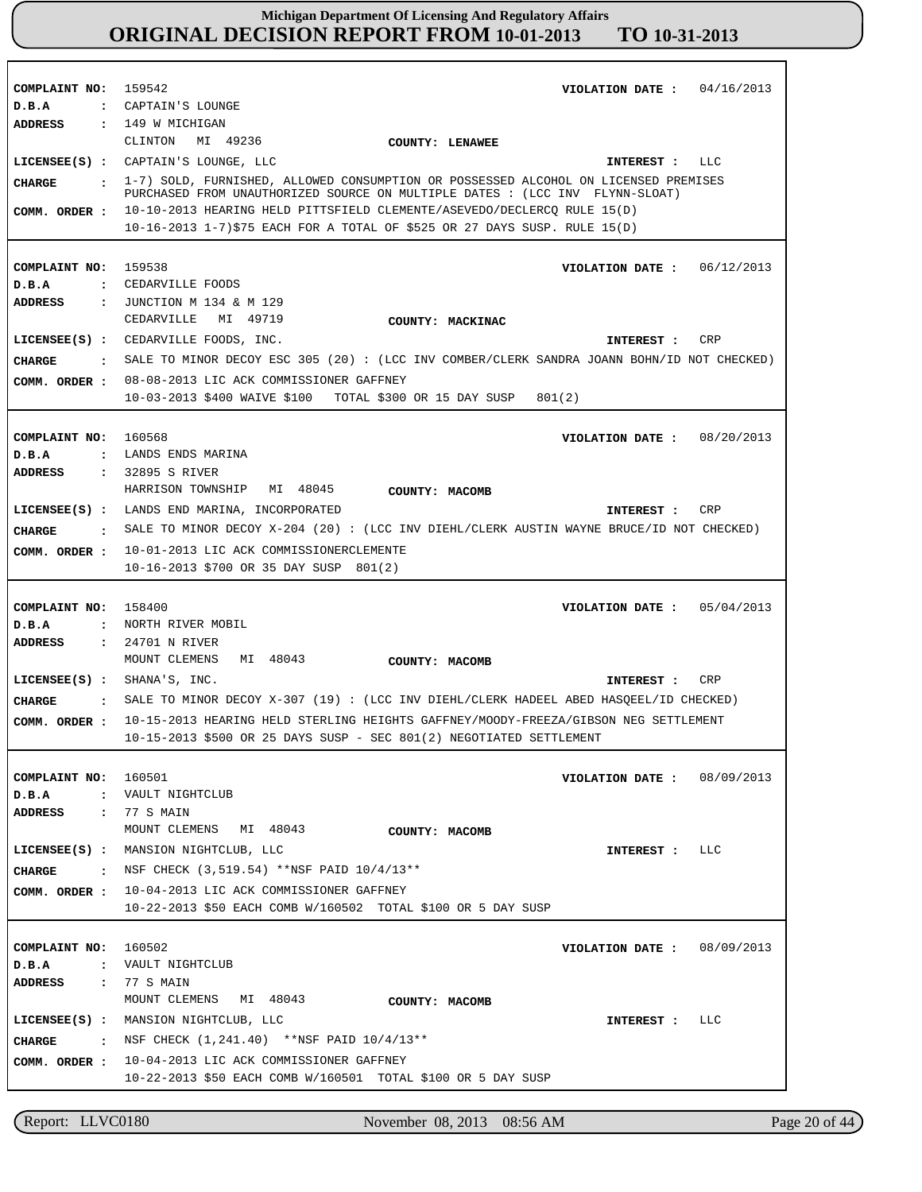**COMPLAINT NO:** 159542 **COMPLAINT NO:** 159538 **COMPLAINT NO:** 160568 **COMPLAINT NO:** 158400 **COMPLAINT NO:** 160501 **COMPLAINT NO:** 160502 **VIOLATION DATE : VIOLATION DATE :** 06/12/2013 **VIOLATION DATE : VIOLATION DATE :** 05/04/2013 **VIOLATION DATE : VIOLATION DATE :** 04/16/2013 08/20/2013 08/09/2013 08/09/2013 **D.B.A : D.B.A : D.B.A : D.B.A : D.B.A : D.B.A :** CAPTAIN'S LOUNGE CEDARVILLE FOODS LANDS ENDS MARINA NORTH RIVER MOBIL VAULT NIGHTCLUB VAULT NIGHTCLUB **ADDRESS : ADDRESS : ADDRESS : ADDRESS : ADDRESS : ADDRESS :** 149 W MICHIGAN JUNCTION M 134 & M 129 32895 S RIVER 24701 N RIVER 77 S MAIN 77 S MAIN CLINTON MI 49236 CEDARVILLE MI 49719 HARRISON TOWNSHIP MI 48045 MOUNT CLEMENS MI 48043 MOUNT CLEMENS MI 48043 MOUNT CLEMENS MI 48043 10-10-2013 HEARING HELD PITTSFIELD CLEMENTE/ASEVEDO/DECLERCQ RULE 15(D) **COMM. ORDER :** 10-16-2013 1-7)\$75 EACH FOR A TOTAL OF \$525 OR 27 DAYS SUSP. RULE 15(D) 08-08-2013 LIC ACK COMMISSIONER GAFFNEY 10-03-2013 \$400 WAIVE \$100 TOTAL \$300 OR 15 DAY SUSP 801(2) 10-01-2013 LIC ACK COMMISSIONERCLEMENTE **COMM. ORDER :** 10-16-2013 \$700 OR 35 DAY SUSP 801(2) 10-15-2013 HEARING HELD STERLING HEIGHTS GAFFNEY/MOODY-FREEZA/GIBSON NEG SETTLEMENT **COMM. ORDER :** 10-15-2013 \$500 OR 25 DAYS SUSP - SEC 801(2) NEGOTIATED SETTLEMENT 10-04-2013 LIC ACK COMMISSIONER GAFFNEY **COMM. ORDER :** 10-22-2013 \$50 EACH COMB W/160502 TOTAL \$100 OR 5 DAY SUSP 10-04-2013 LIC ACK COMMISSIONER GAFFNEY **COMM. ORDER :** 10-22-2013 \$50 EACH COMB W/160501 TOTAL \$100 OR 5 DAY SUSP **LICENSEE(S) :** CAPTAIN'S LOUNGE, LLC **LICENSEE(S) :** CEDARVILLE FOODS, INC. **LICENSEE(S) :** LANDS END MARINA, INCORPORATED **LICENSEE(S) :** SHANA'S, INC. **LICENSEE(S) :** MANSION NIGHTCLUB, LLC **LICENSEE(S) :** MANSION NIGHTCLUB, LLC LLC CRP CR<sub>P</sub> CRP LLC LLC **CHARGE : CHARGE : CHARGE : CHARGE : CHARGE : CHARGE :** 1-7) SOLD, FURNISHED, ALLOWED CONSUMPTION OR POSSESSED ALCOHOL ON LICENSED PREMISES PURCHASED FROM UNAUTHORIZED SOURCE ON MULTIPLE DATES : (LCC INV FLYNN-SLOAT) SALE TO MINOR DECOY ESC 305 (20) : (LCC INV COMBER/CLERK SANDRA JOANN BOHN/ID NOT CHECKED) SALE TO MINOR DECOY X-204 (20) : (LCC INV DIEHL/CLERK AUSTIN WAYNE BRUCE/ID NOT CHECKED) SALE TO MINOR DECOY X-307 (19) : (LCC INV DIEHL/CLERK HADEEL ABED HASQEEL/ID CHECKED) NSF CHECK (3,519.54) \*\*NSF PAID 10/4/13\*\* : NSF CHECK (1,241.40) \*\*NSF PAID  $10/4/13**$ **INTEREST : INTEREST : INTEREST : INTEREST : INTEREST : INTEREST : COMM. ORDER : COUNTY: LENAWEE COUNTY: MACKINAC COUNTY: MACOMB COUNTY: MACOMB COUNTY: MACOMB COUNTY: MACOMB**

Report: LLVC0180 November 08, 2013 08:56 AM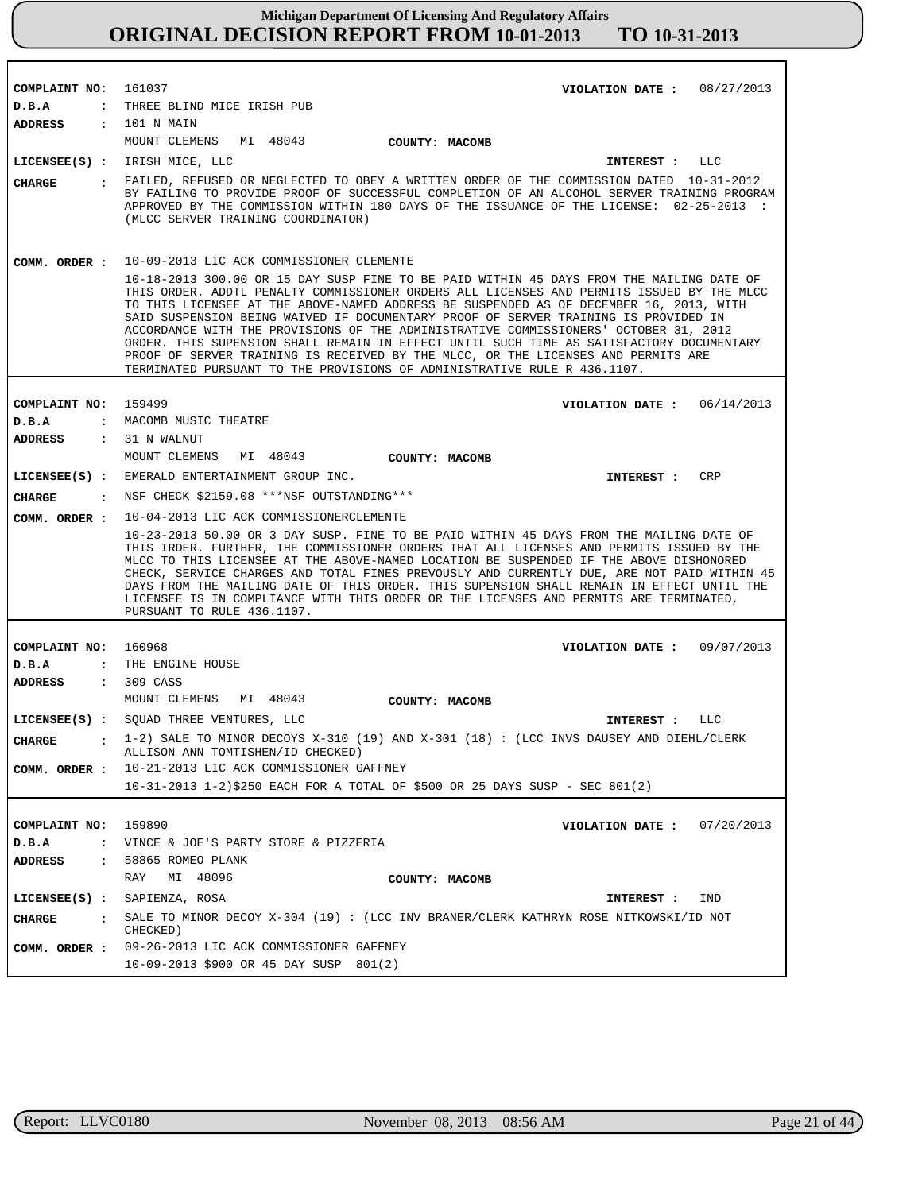| COMPLAINT NO: 161037             | VIOLATION DATE: $08/27/2013$<br>THREE BLIND MICE IRISH PUB                                                                                                                                                                                                                                                                                                                                                                                                                                                                                                                                                                                                                                                                  |
|----------------------------------|-----------------------------------------------------------------------------------------------------------------------------------------------------------------------------------------------------------------------------------------------------------------------------------------------------------------------------------------------------------------------------------------------------------------------------------------------------------------------------------------------------------------------------------------------------------------------------------------------------------------------------------------------------------------------------------------------------------------------------|
| D.B.A<br>$\mathbf{r}$<br>ADDRESS | : 101 N MAIN                                                                                                                                                                                                                                                                                                                                                                                                                                                                                                                                                                                                                                                                                                                |
|                                  | MOUNT CLEMENS MI 48043                                                                                                                                                                                                                                                                                                                                                                                                                                                                                                                                                                                                                                                                                                      |
|                                  | <b>COUNTY: MACOMB</b>                                                                                                                                                                                                                                                                                                                                                                                                                                                                                                                                                                                                                                                                                                       |
|                                  | LICENSEE(S) : IRISH MICE, LLC<br>INTEREST : LLC                                                                                                                                                                                                                                                                                                                                                                                                                                                                                                                                                                                                                                                                             |
| <b>CHARGE</b>                    | : FAILED, REFUSED OR NEGLECTED TO OBEY A WRITTEN ORDER OF THE COMMISSION DATED 10-31-2012<br>BY FAILING TO PROVIDE PROOF OF SUCCESSFUL COMPLETION OF AN ALCOHOL SERVER TRAINING PROGRAM<br>APPROVED BY THE COMMISSION WITHIN 180 DAYS OF THE ISSUANCE OF THE LICENSE: 02-25-2013 :<br>(MLCC SERVER TRAINING COORDINATOR)                                                                                                                                                                                                                                                                                                                                                                                                    |
| COMM. ORDER :                    | 10-09-2013 LIC ACK COMMISSIONER CLEMENTE                                                                                                                                                                                                                                                                                                                                                                                                                                                                                                                                                                                                                                                                                    |
|                                  | 10-18-2013 300.00 OR 15 DAY SUSP FINE TO BE PAID WITHIN 45 DAYS FROM THE MAILING DATE OF<br>THIS ORDER. ADDTL PENALTY COMMISSIONER ORDERS ALL LICENSES AND PERMITS ISSUED BY THE MLCC<br>TO THIS LICENSEE AT THE ABOVE-NAMED ADDRESS BE SUSPENDED AS OF DECEMBER 16, 2013, WITH<br>SAID SUSPENSION BEING WAIVED IF DOCUMENTARY PROOF OF SERVER TRAINING IS PROVIDED IN<br>ACCORDANCE WITH THE PROVISIONS OF THE ADMINISTRATIVE COMMISSIONERS' OCTOBER 31, 2012<br>ORDER. THIS SUPENSION SHALL REMAIN IN EFFECT UNTIL SUCH TIME AS SATISFACTORY DOCUMENTARY<br>PROOF OF SERVER TRAINING IS RECEIVED BY THE MLCC, OR THE LICENSES AND PERMITS ARE<br>TERMINATED PURSUANT TO THE PROVISIONS OF ADMINISTRATIVE RULE R 436.1107. |
|                                  |                                                                                                                                                                                                                                                                                                                                                                                                                                                                                                                                                                                                                                                                                                                             |
| COMPLAINT NO:                    | 159499<br>VIOLATION DATE: $06/14/2013$                                                                                                                                                                                                                                                                                                                                                                                                                                                                                                                                                                                                                                                                                      |
| D.B.A                            | : MACOMB MUSIC THEATRE                                                                                                                                                                                                                                                                                                                                                                                                                                                                                                                                                                                                                                                                                                      |
| ADDRESS : 31 N WALNUT            |                                                                                                                                                                                                                                                                                                                                                                                                                                                                                                                                                                                                                                                                                                                             |
|                                  | MOUNT CLEMENS MI 48043<br>COUNTY: MACOMB                                                                                                                                                                                                                                                                                                                                                                                                                                                                                                                                                                                                                                                                                    |
|                                  | LICENSEE(S) : EMERALD ENTERTAINMENT GROUP INC.<br><b>CRP</b><br>INTEREST :                                                                                                                                                                                                                                                                                                                                                                                                                                                                                                                                                                                                                                                  |
| <b>CHARGE</b><br>$\cdot$         | NSF CHECK \$2159.08 *** NSF OUTSTANDING***                                                                                                                                                                                                                                                                                                                                                                                                                                                                                                                                                                                                                                                                                  |
| COMM. ORDER :                    | 10-04-2013 LIC ACK COMMISSIONERCLEMENTE                                                                                                                                                                                                                                                                                                                                                                                                                                                                                                                                                                                                                                                                                     |
|                                  | 10-23-2013 50.00 OR 3 DAY SUSP. FINE TO BE PAID WITHIN 45 DAYS FROM THE MAILING DATE OF<br>THIS IRDER. FURTHER, THE COMMISSIONER ORDERS THAT ALL LICENSES AND PERMITS ISSUED BY THE<br>MLCC TO THIS LICENSEE AT THE ABOVE-NAMED LOCATION BE SUSPENDED IF THE ABOVE DISHONORED<br>CHECK, SERVICE CHARGES AND TOTAL FINES PREVOUSLY AND CURRENTLY DUE, ARE NOT PAID WITHIN 45<br>DAYS FROM THE MAILING DATE OF THIS ORDER. THIS SUPENSION SHALL REMAIN IN EFFECT UNTIL THE<br>LICENSEE IS IN COMPLIANCE WITH THIS ORDER OR THE LICENSES AND PERMITS ARE TERMINATED,<br>PURSUANT TO RULE 436.1107.                                                                                                                             |
|                                  |                                                                                                                                                                                                                                                                                                                                                                                                                                                                                                                                                                                                                                                                                                                             |
| COMPLAINT NO: 160968             | VIOLATION DATE: 09/07/2013                                                                                                                                                                                                                                                                                                                                                                                                                                                                                                                                                                                                                                                                                                  |
| D.B.A                            | : THE ENGINE HOUSE                                                                                                                                                                                                                                                                                                                                                                                                                                                                                                                                                                                                                                                                                                          |
| ADDRESS                          | $: 309 \text{ CAS}$                                                                                                                                                                                                                                                                                                                                                                                                                                                                                                                                                                                                                                                                                                         |
|                                  | MOUNT CLEMENS<br>MI 48043<br>COUNTY: MACOMB                                                                                                                                                                                                                                                                                                                                                                                                                                                                                                                                                                                                                                                                                 |
|                                  | LICENSEE(S) : SQUAD THREE VENTURES, LLC<br>LLC<br>INTEREST :                                                                                                                                                                                                                                                                                                                                                                                                                                                                                                                                                                                                                                                                |
| <b>CHARGE</b>                    | 1-2) SALE TO MINOR DECOYS X-310 (19) AND X-301 (18) : (LCC INVS DAUSEY AND DIEHL/CLERK<br>ALLISON ANN TOMTISHEN/ID CHECKED)                                                                                                                                                                                                                                                                                                                                                                                                                                                                                                                                                                                                 |
| COMM. ORDER :                    | 10-21-2013 LIC ACK COMMISSIONER GAFFNEY                                                                                                                                                                                                                                                                                                                                                                                                                                                                                                                                                                                                                                                                                     |
|                                  | 10-31-2013 1-2)\$250 EACH FOR A TOTAL OF \$500 OR 25 DAYS SUSP - SEC 801(2)                                                                                                                                                                                                                                                                                                                                                                                                                                                                                                                                                                                                                                                 |
|                                  |                                                                                                                                                                                                                                                                                                                                                                                                                                                                                                                                                                                                                                                                                                                             |
| COMPLAINT NO: 159890             | VIOLATION DATE: $07/20/2013$                                                                                                                                                                                                                                                                                                                                                                                                                                                                                                                                                                                                                                                                                                |
| D.B.A                            | : VINCE & JOE'S PARTY STORE & PIZZERIA                                                                                                                                                                                                                                                                                                                                                                                                                                                                                                                                                                                                                                                                                      |
| <b>ADDRESS</b><br>$\mathbf{r}$   | 58865 ROMEO PLANK                                                                                                                                                                                                                                                                                                                                                                                                                                                                                                                                                                                                                                                                                                           |
|                                  | RAY<br>MI 48096<br>COUNTY: MACOMB                                                                                                                                                                                                                                                                                                                                                                                                                                                                                                                                                                                                                                                                                           |
| $LICENSEE(S)$ :                  | SAPIENZA, ROSA<br>IND<br>INTEREST :                                                                                                                                                                                                                                                                                                                                                                                                                                                                                                                                                                                                                                                                                         |
| <b>CHARGE</b><br>$\mathbf{r}$    | SALE TO MINOR DECOY $X-304$ (19): (LCC INV BRANER/CLERK KATHRYN ROSE NITKOWSKI/ID NOT<br>CHECKED)                                                                                                                                                                                                                                                                                                                                                                                                                                                                                                                                                                                                                           |
| COMM. ORDER :                    | 09-26-2013 LIC ACK COMMISSIONER GAFFNEY                                                                                                                                                                                                                                                                                                                                                                                                                                                                                                                                                                                                                                                                                     |
|                                  | 10-09-2013 \$900 OR 45 DAY SUSP 801(2)                                                                                                                                                                                                                                                                                                                                                                                                                                                                                                                                                                                                                                                                                      |

٦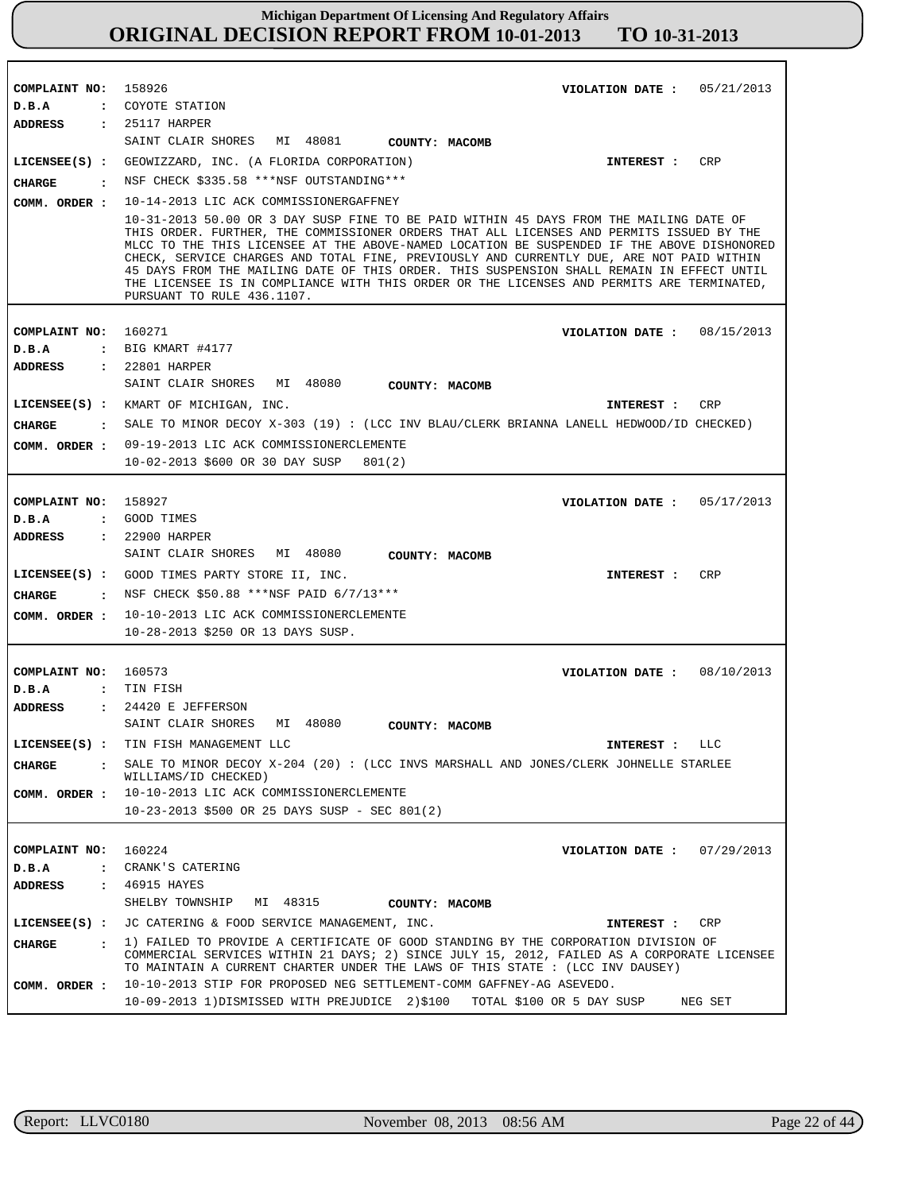| COMPLAINT NO:                        | 158926<br>05/21/2013                                                                                                                                                                                                                                                                                                                                                                                                                                                                                       |
|--------------------------------------|------------------------------------------------------------------------------------------------------------------------------------------------------------------------------------------------------------------------------------------------------------------------------------------------------------------------------------------------------------------------------------------------------------------------------------------------------------------------------------------------------------|
|                                      | VIOLATION DATE :                                                                                                                                                                                                                                                                                                                                                                                                                                                                                           |
| D.B.A                                | : COYOTE STATION                                                                                                                                                                                                                                                                                                                                                                                                                                                                                           |
| ADDRESS                              | $: 25117$ HARPER<br>SAINT CLAIR SHORES MI 48081<br>COUNTY: MACOMB                                                                                                                                                                                                                                                                                                                                                                                                                                          |
| $LICENSEE(S)$ :                      | GEOWIZZARD, INC. (A FLORIDA CORPORATION)<br>CRP<br>INTEREST :                                                                                                                                                                                                                                                                                                                                                                                                                                              |
| CIIARGE                              | NSF CHECK \$335.58 ***NSF OUTSTANDING***                                                                                                                                                                                                                                                                                                                                                                                                                                                                   |
| COMM. ORDER :                        | 10-14-2013 LIC ACK COMMISSIONERGAFFNEY                                                                                                                                                                                                                                                                                                                                                                                                                                                                     |
|                                      | 10-31-2013 50.00 OR 3 DAY SUSP FINE TO BE PAID WITHIN 45 DAYS FROM THE MAILING DATE OF                                                                                                                                                                                                                                                                                                                                                                                                                     |
|                                      | THIS ORDER. FURTHER, THE COMMISSIONER ORDERS THAT ALL LICENSES AND PERMITS ISSUED BY THE<br>MLCC TO THE THIS LICENSEE AT THE ABOVE-NAMED LOCATION BE SUSPENDED IF THE ABOVE DISHONORED<br>CHECK, SERVICE CHARGES AND TOTAL FINE, PREVIOUSLY AND CURRENTLY DUE, ARE NOT PAID WITHIN<br>45 DAYS FROM THE MAILING DATE OF THIS ORDER. THIS SUSPENSION SHALL REMAIN IN EFFECT UNTIL<br>THE LICENSEE IS IN COMPLIANCE WITH THIS ORDER OR THE LICENSES AND PERMITS ARE TERMINATED,<br>PURSUANT TO RULE 436.1107. |
| COMPLAINT NO:                        | 160271<br>VIOLATION DATE :<br>08/15/2013                                                                                                                                                                                                                                                                                                                                                                                                                                                                   |
| D.B.A                                | $:$ BIG KMART #4177                                                                                                                                                                                                                                                                                                                                                                                                                                                                                        |
| ADDRESS                              | : 22801 HARPER                                                                                                                                                                                                                                                                                                                                                                                                                                                                                             |
|                                      | SAINT CLAIR SHORES<br>MI 48080<br>COUNTY: MACOMB                                                                                                                                                                                                                                                                                                                                                                                                                                                           |
|                                      | LICENSEE(S) : KMART OF MICHIGAN, INC.<br>CRP<br>INTEREST :                                                                                                                                                                                                                                                                                                                                                                                                                                                 |
| CHARGE                               | : SALE TO MINOR DECOY X-303 (19): (LCC INV BLAU/CLERK BRIANNA LANELL HEDWOOD/ID CHECKED)                                                                                                                                                                                                                                                                                                                                                                                                                   |
|                                      | COMM. ORDER : 09-19-2013 LIC ACK COMMISSIONERCLEMENTE                                                                                                                                                                                                                                                                                                                                                                                                                                                      |
|                                      | 10-02-2013 \$600 OR 30 DAY SUSP<br>801(2)                                                                                                                                                                                                                                                                                                                                                                                                                                                                  |
|                                      |                                                                                                                                                                                                                                                                                                                                                                                                                                                                                                            |
| COMPLAINT NO:                        | 158927<br>VIOLATION DATE: $05/17/2013$                                                                                                                                                                                                                                                                                                                                                                                                                                                                     |
| D.B.A                                | : GOOD TIMES                                                                                                                                                                                                                                                                                                                                                                                                                                                                                               |
| ADDRESS                              | : 22900 HARPER                                                                                                                                                                                                                                                                                                                                                                                                                                                                                             |
|                                      |                                                                                                                                                                                                                                                                                                                                                                                                                                                                                                            |
|                                      | SAINT CLAIR SHORES MI 48080<br>COUNTY: MACOMB                                                                                                                                                                                                                                                                                                                                                                                                                                                              |
|                                      | CRP<br>LICENSEE(S) : GOOD TIMES PARTY STORE II, INC.<br>INTEREST :                                                                                                                                                                                                                                                                                                                                                                                                                                         |
| CIIARGE<br>$\ddot{\mathbf{r}}$       | NSF CHECK \$50.88 ***NSF PAID 6/7/13***                                                                                                                                                                                                                                                                                                                                                                                                                                                                    |
|                                      | 10-10-2013 LIC ACK COMMISSIONERCLEMENTE                                                                                                                                                                                                                                                                                                                                                                                                                                                                    |
| COMM. ORDER :                        | 10-28-2013 \$250 OR 13 DAYS SUSP.                                                                                                                                                                                                                                                                                                                                                                                                                                                                          |
|                                      |                                                                                                                                                                                                                                                                                                                                                                                                                                                                                                            |
| COMPLAINT NO:                        | 160573<br>VIOLATION DATE : $08/10/2013$                                                                                                                                                                                                                                                                                                                                                                                                                                                                    |
| D.B.A<br>$\ddot{\cdot}$              | TIN FISH                                                                                                                                                                                                                                                                                                                                                                                                                                                                                                   |
| <b>ADDRESS</b>                       | $: 24420$ E JEFFERSON                                                                                                                                                                                                                                                                                                                                                                                                                                                                                      |
|                                      | MI 48080<br>SAINT CLAIR SHORES<br>COUNTY: MACOMB                                                                                                                                                                                                                                                                                                                                                                                                                                                           |
|                                      | LICENSEE(S) : TIN FISH MANAGEMENT LLC<br>INTEREST : LLC                                                                                                                                                                                                                                                                                                                                                                                                                                                    |
| CHARGE<br>$\sim$ $\sim$ $\sim$       | SALE TO MINOR DECOY $X-204$ (20): (LCC INVS MARSHALL AND JONES/CLERK JOHNELLE STARLEE                                                                                                                                                                                                                                                                                                                                                                                                                      |
| COMM. ORDER :                        | WILLIAMS/ID CHECKED)<br>10-10-2013 LIC ACK COMMISSIONERCLEMENTE                                                                                                                                                                                                                                                                                                                                                                                                                                            |
|                                      | $10-23-2013$ \$500 OR 25 DAYS SUSP - SEC 801(2)                                                                                                                                                                                                                                                                                                                                                                                                                                                            |
|                                      |                                                                                                                                                                                                                                                                                                                                                                                                                                                                                                            |
| COMPLAINT NO:                        | 160224<br>VIOLATION DATE: $07/29/2013$                                                                                                                                                                                                                                                                                                                                                                                                                                                                     |
| D.B.A                                | : CRANK'S CATERING                                                                                                                                                                                                                                                                                                                                                                                                                                                                                         |
| ADDRESS                              | : 46915 HAYES                                                                                                                                                                                                                                                                                                                                                                                                                                                                                              |
|                                      | SHELBY TOWNSHIP<br>MI 48315<br>COUNTY: MACOMB                                                                                                                                                                                                                                                                                                                                                                                                                                                              |
|                                      | LICENSEE(S) : JC CATERING & FOOD SERVICE MANAGEMENT, INC.<br>CRP<br>INTEREST :                                                                                                                                                                                                                                                                                                                                                                                                                             |
| <b>CHARGE</b><br>$\sim$ 1.000 $\sim$ | 1) FAILED TO PROVIDE A CERTIFICATE OF GOOD STANDING BY THE CORPORATION DIVISION OF                                                                                                                                                                                                                                                                                                                                                                                                                         |
|                                      | COMMERCIAL SERVICES WITHIN 21 DAYS; 2) SINCE JULY 15, 2012, FAILED AS A CORPORATE LICENSEE<br>TO MAINTAIN A CURRENT CHARTER UNDER THE LAWS OF THIS STATE : (LCC INV DAUSEY)                                                                                                                                                                                                                                                                                                                                |
| COMM. ORDER :                        | 10-10-2013 STIP FOR PROPOSED NEG SETTLEMENT-COMM GAFFNEY-AG ASEVEDO.                                                                                                                                                                                                                                                                                                                                                                                                                                       |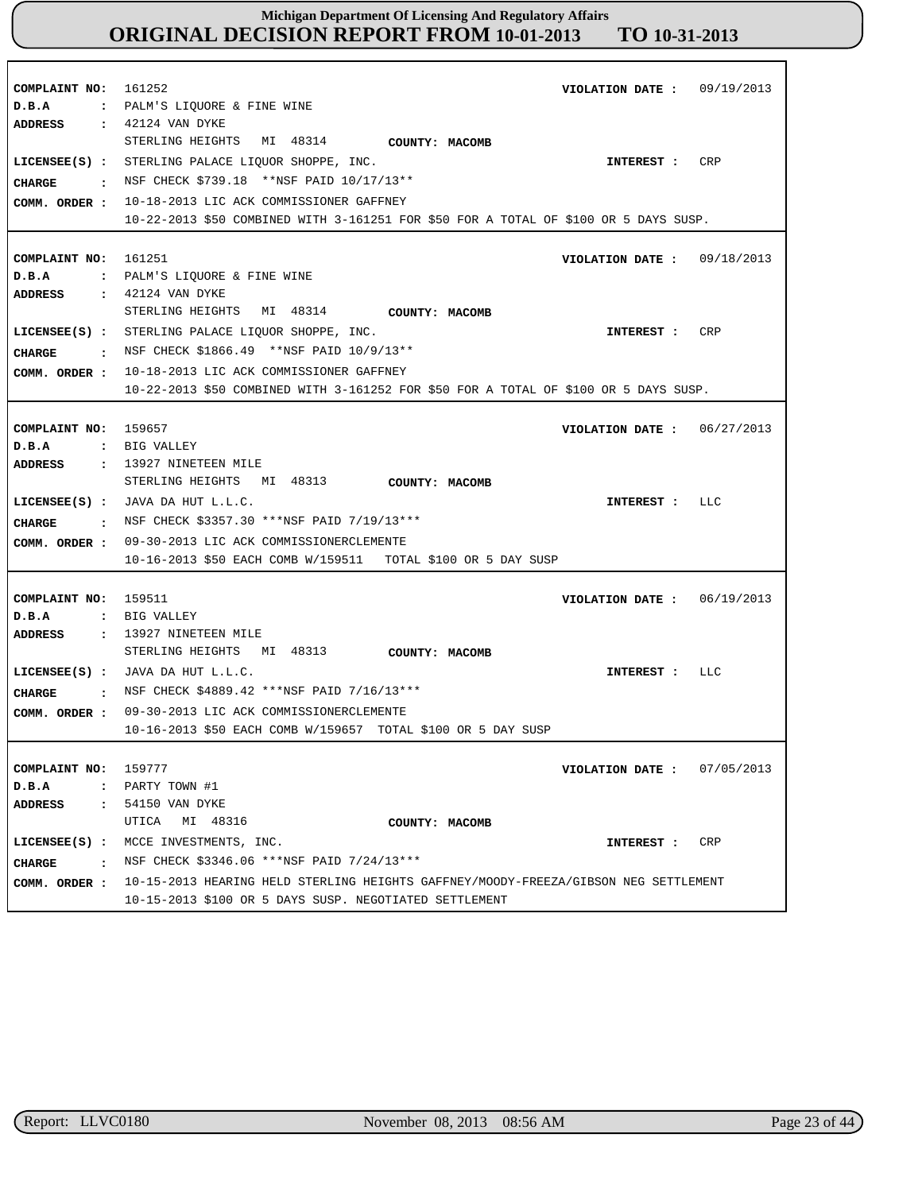| COMPLAINT NO: 161252<br>D.B.A            | VIOLATION DATE : $09/19/2013$<br>: PALM'S LIQUORE & FINE WINE<br>ADDRESS : 42124 VAN DYKE                                                                                                                                                                                                                              |
|------------------------------------------|------------------------------------------------------------------------------------------------------------------------------------------------------------------------------------------------------------------------------------------------------------------------------------------------------------------------|
|                                          | STERLING HEIGHTS MI 48314 COUNTY: MACOMB<br>LICENSEE(S) : STERLING PALACE LIOUOR SHOPPE, INC.<br>INTEREST : CRP<br>CHARGE : NSF CHECK \$739.18 ** NSF PAID 10/17/13**<br>COMM. ORDER : 10-18-2013 LIC ACK COMMISSIONER GAFFNEY<br>10-22-2013 \$50 COMBINED WITH 3-161251 FOR \$50 FOR A TOTAL OF \$100 OR 5 DAYS SUSP. |
| COMPLAINT NO: 161251<br>D.B.A            | VIOLATION DATE: $09/18/2013$<br>: PALM'S LIOUORE & FINE WINE<br>ADDRESS : 42124 VAN DYKE                                                                                                                                                                                                                               |
| <b>CHARGE</b>                            | STERLING HEIGHTS MI 48314 COUNTY: MACOMB<br>LICENSEE(S) : STERLING PALACE LIQUOR SHOPPE, INC.<br>CRP<br>INTEREST :<br>$:$ NSF CHECK \$1866.49 **NSF PAID 10/9/13**<br>COMM. ORDER : 10-18-2013 LIC ACK COMMISSIONER GAFFNEY                                                                                            |
|                                          | 10-22-2013 \$50 COMBINED WITH 3-161252 FOR \$50 FOR A TOTAL OF \$100 OR 5 DAYS SUSP.                                                                                                                                                                                                                                   |
| COMPLAINT NO: 159657<br>D.B.A<br>ADDRESS | VIOLATION DATE: $06/27/2013$<br>: BIG VALLEY<br>$: 13927$ NINETEEN MILE                                                                                                                                                                                                                                                |
| CHARGE                                   | STERLING HEIGHTS MI 48313<br>COUNTY: MACOMB<br>LICENSEE $(s)$ : JAVA DA HUT L.L.C.<br>INTEREST : LLC<br>: NSF CHECK \$3357.30 ***NSF PAID 7/19/13***<br>COMM. ORDER : 09-30-2013 LIC ACK COMMISSIONERCLEMENTE                                                                                                          |
|                                          | 10-16-2013 \$50 EACH COMB W/159511 TOTAL \$100 OR 5 DAY SUSP                                                                                                                                                                                                                                                           |
| COMPLAINT NO: 159511<br>D.B.A<br>ADDRESS | VIOLATION DATE: $06/19/2013$<br>: BIG VALLEY<br>$: 13927$ NINETEEN MILE                                                                                                                                                                                                                                                |
| <b>CHARGE</b>                            | STERLING HEIGHTS MI 48313 COUNTY: MACOMB<br>LICENSEE $(s)$ : JAVA DA HUT L.L.C.<br>INTEREST : LLC<br>: NSF CHECK \$4889.42 *** NSF PAID 7/16/13***<br>COMM. ORDER : 09-30-2013 LIC ACK COMMISSIONERCLEMENTE<br>10-16-2013 \$50 EACH COMB W/159657 TOTAL \$100 OR 5 DAY SUSP                                            |
| COMPLAINT NO: 159777<br>D.B.A<br>ADDRESS | VIOLATION DATE: $07/05/2013$<br>: PARTY TOWN #1<br>: 54150 VAN DYKE<br>UTICA MI 48316<br>COUNTY: MACOMB                                                                                                                                                                                                                |
| CHARGE                                   | LICENSEE(S) : MCCE INVESTMENTS, INC.<br>CRP<br>INTEREST :<br>$\cdot$ NSF CHECK \$3346.06 ***NSF PAID 7/24/13***<br>COMM. ORDER : 10-15-2013 HEARING HELD STERLING HEIGHTS GAFFNEY/MOODY-FREEZA/GIBSON NEG SETTLEMENT<br>10-15-2013 \$100 OR 5 DAYS SUSP. NEGOTIATED SETTLEMENT                                         |

٦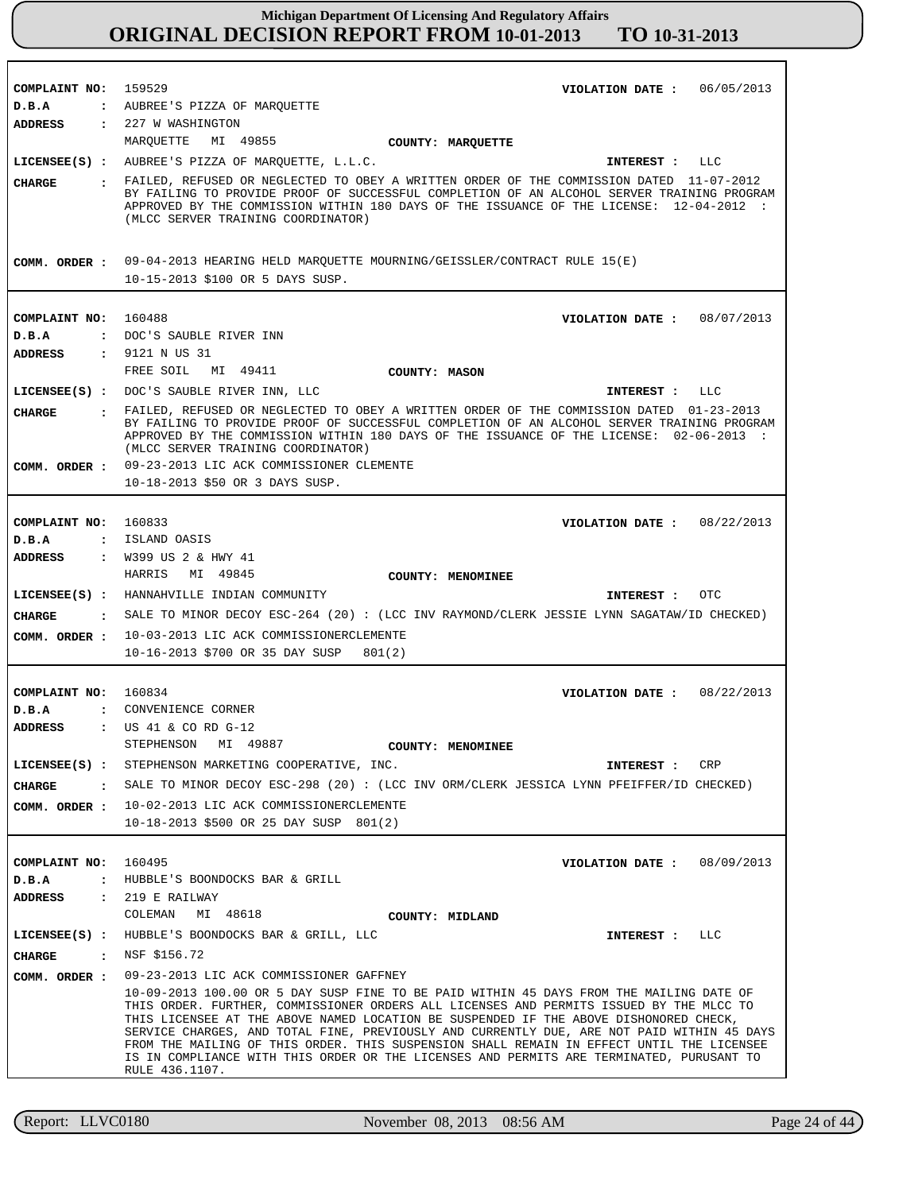| COMPLAINT NO: 159529 | VIOLATION DATE: 06/05/2013                                                                                                                                                                                                                                                                                                                                                                                                                                                                                                                                                           |
|----------------------|--------------------------------------------------------------------------------------------------------------------------------------------------------------------------------------------------------------------------------------------------------------------------------------------------------------------------------------------------------------------------------------------------------------------------------------------------------------------------------------------------------------------------------------------------------------------------------------|
| D.B.A                | : AUBREE'S PIZZA OF MARQUETTE                                                                                                                                                                                                                                                                                                                                                                                                                                                                                                                                                        |
| <b>ADDRESS</b>       | : 227 W WASHINGTON                                                                                                                                                                                                                                                                                                                                                                                                                                                                                                                                                                   |
|                      | MARQUETTE MI 49855<br>COUNTY: MARQUETTE                                                                                                                                                                                                                                                                                                                                                                                                                                                                                                                                              |
|                      | LICENSEE(S) : AUBREE'S PIZZA OF MARQUETTE, L.L.C.<br>INTEREST : LLC                                                                                                                                                                                                                                                                                                                                                                                                                                                                                                                  |
| CHARGE               | . FAILED, REFUSED OR NEGLECTED TO OBEY A WRITTEN ORDER OF THE COMMISSION DATED 11-07-2012<br>BY FAILING TO PROVIDE PROOF OF SUCCESSFUL COMPLETION OF AN ALCOHOL SERVER TRAINING PROGRAM<br>APPROVED BY THE COMMISSION WITHIN 180 DAYS OF THE ISSUANCE OF THE LICENSE: 12-04-2012 :<br>(MLCC SERVER TRAINING COORDINATOR)                                                                                                                                                                                                                                                             |
|                      | COMM. ORDER : 09-04-2013 HEARING HELD MARQUETTE MOURNING/GEISSLER/CONTRACT RULE 15(E)<br>10-15-2013 \$100 OR 5 DAYS SUSP.                                                                                                                                                                                                                                                                                                                                                                                                                                                            |
|                      |                                                                                                                                                                                                                                                                                                                                                                                                                                                                                                                                                                                      |
| COMPLAINT NO: 160488 | VIOLATION DATE: $08/07/2013$                                                                                                                                                                                                                                                                                                                                                                                                                                                                                                                                                         |
| D.B.A                | : DOC'S SAUBLE RIVER INN                                                                                                                                                                                                                                                                                                                                                                                                                                                                                                                                                             |
| ADDRESS              | : 9121 N US 31                                                                                                                                                                                                                                                                                                                                                                                                                                                                                                                                                                       |
|                      | FREE SOIL MI 49411<br>COUNTY: MASON                                                                                                                                                                                                                                                                                                                                                                                                                                                                                                                                                  |
|                      | LICENSEE(S) : DOC'S SAUBLE RIVER INN, LLC<br>INTEREST : LLC                                                                                                                                                                                                                                                                                                                                                                                                                                                                                                                          |
| <b>CHARGE</b>        | : FAILED, REFUSED OR NEGLECTED TO OBEY A WRITTEN ORDER OF THE COMMISSION DATED 01-23-2013                                                                                                                                                                                                                                                                                                                                                                                                                                                                                            |
|                      | BY FAILING TO PROVIDE PROOF OF SUCCESSFUL COMPLETION OF AN ALCOHOL SERVER TRAINING PROGRAM<br>APPROVED BY THE COMMISSION WITHIN 180 DAYS OF THE ISSUANCE OF THE LICENSE: 02-06-2013 :<br>(MLCC SERVER TRAINING COORDINATOR)                                                                                                                                                                                                                                                                                                                                                          |
|                      | COMM. ORDER : 09-23-2013 LIC ACK COMMISSIONER CLEMENTE                                                                                                                                                                                                                                                                                                                                                                                                                                                                                                                               |
|                      | 10-18-2013 \$50 OR 3 DAYS SUSP.                                                                                                                                                                                                                                                                                                                                                                                                                                                                                                                                                      |
|                      |                                                                                                                                                                                                                                                                                                                                                                                                                                                                                                                                                                                      |
| COMPLAINT NO: 160833 | VIOLATION DATE: 08/22/2013                                                                                                                                                                                                                                                                                                                                                                                                                                                                                                                                                           |
| D.B.A                | : ISLAND OASIS                                                                                                                                                                                                                                                                                                                                                                                                                                                                                                                                                                       |
| <b>ADDRESS</b>       | : W399 US 2 & HWY 41                                                                                                                                                                                                                                                                                                                                                                                                                                                                                                                                                                 |
|                      | HARRIS MI 49845<br><b>COUNTY: MENOMINEE</b>                                                                                                                                                                                                                                                                                                                                                                                                                                                                                                                                          |
|                      | LICENSEE(S) : HANNAHVILLE INDIAN COMMUNITY<br><b>OTC</b><br>INTEREST :                                                                                                                                                                                                                                                                                                                                                                                                                                                                                                               |
| CHARGE               | : SALE TO MINOR DECOY ESC-264 (20): (LCC INV RAYMOND/CLERK JESSIE LYNN SAGATAW/ID CHECKED)                                                                                                                                                                                                                                                                                                                                                                                                                                                                                           |
|                      | COMM. ORDER : 10-03-2013 LIC ACK COMMISSIONERCLEMENTE                                                                                                                                                                                                                                                                                                                                                                                                                                                                                                                                |
|                      | 10-16-2013 \$700 OR 35 DAY SUSP<br>801(2)                                                                                                                                                                                                                                                                                                                                                                                                                                                                                                                                            |
|                      |                                                                                                                                                                                                                                                                                                                                                                                                                                                                                                                                                                                      |
| COMPLAINT NO: 160834 | VIOLATION DATE: 08/22/2013                                                                                                                                                                                                                                                                                                                                                                                                                                                                                                                                                           |
| D.B.A                | : CONVENIENCE CORNER                                                                                                                                                                                                                                                                                                                                                                                                                                                                                                                                                                 |
| <b>ADDRESS</b>       | $\cdot$ US 41 & CO RD G-12                                                                                                                                                                                                                                                                                                                                                                                                                                                                                                                                                           |
|                      | STEPHENSON MI 49887<br>COUNTY: MENOMINEE                                                                                                                                                                                                                                                                                                                                                                                                                                                                                                                                             |
|                      | LICENSEE(S) : STEPHENSON MARKETING COOPERATIVE, INC.<br>CRP<br>INTEREST :                                                                                                                                                                                                                                                                                                                                                                                                                                                                                                            |
|                      | CHARGE : SALE TO MINOR DECOY ESC-298 (20) : (LCC INV ORM/CLERK JESSICA LYNN PFEIFFER/ID CHECKED)                                                                                                                                                                                                                                                                                                                                                                                                                                                                                     |
|                      | COMM. ORDER : 10-02-2013 LIC ACK COMMISSIONERCLEMENTE                                                                                                                                                                                                                                                                                                                                                                                                                                                                                                                                |
|                      | 10-18-2013 \$500 OR 25 DAY SUSP 801(2)                                                                                                                                                                                                                                                                                                                                                                                                                                                                                                                                               |
|                      |                                                                                                                                                                                                                                                                                                                                                                                                                                                                                                                                                                                      |
| COMPLAINT NO: 160495 | VIOLATION DATE: 08/09/2013                                                                                                                                                                                                                                                                                                                                                                                                                                                                                                                                                           |
| D.B.A                | : HUBBLE'S BOONDOCKS BAR & GRILL                                                                                                                                                                                                                                                                                                                                                                                                                                                                                                                                                     |
| ADDRESS              | $: 219$ E RAILWAY                                                                                                                                                                                                                                                                                                                                                                                                                                                                                                                                                                    |
|                      | COLEMAN<br>MI 48618<br>COUNTY: MIDLAND                                                                                                                                                                                                                                                                                                                                                                                                                                                                                                                                               |
|                      | LICENSEE(S) : HUBBLE'S BOONDOCKS BAR & GRILL, LLC<br>LLC<br>INTEREST :                                                                                                                                                                                                                                                                                                                                                                                                                                                                                                               |
|                      | : NSF \$156.72                                                                                                                                                                                                                                                                                                                                                                                                                                                                                                                                                                       |
| CHARGE               |                                                                                                                                                                                                                                                                                                                                                                                                                                                                                                                                                                                      |
| COMM. ORDER :        | 09-23-2013 LIC ACK COMMISSIONER GAFFNEY                                                                                                                                                                                                                                                                                                                                                                                                                                                                                                                                              |
|                      | 10-09-2013 100.00 OR 5 DAY SUSP FINE TO BE PAID WITHIN 45 DAYS FROM THE MAILING DATE OF<br>THIS ORDER. FURTHER, COMMISSIONER ORDERS ALL LICENSES AND PERMITS ISSUED BY THE MLCC TO<br>THIS LICENSEE AT THE ABOVE NAMED LOCATION BE SUSPENDED IF THE ABOVE DISHONORED CHECK,<br>SERVICE CHARGES, AND TOTAL FINE, PREVIOUSLY AND CURRENTLY DUE, ARE NOT PAID WITHIN 45 DAYS<br>FROM THE MAILING OF THIS ORDER. THIS SUSPENSION SHALL REMAIN IN EFFECT UNTIL THE LICENSEE<br>IS IN COMPLIANCE WITH THIS ORDER OR THE LICENSES AND PERMITS ARE TERMINATED, PURUSANT TO<br>RULE 436.1107. |

Report: LLVC0180 November 08, 2013 08:56 AM

Page 24 of 44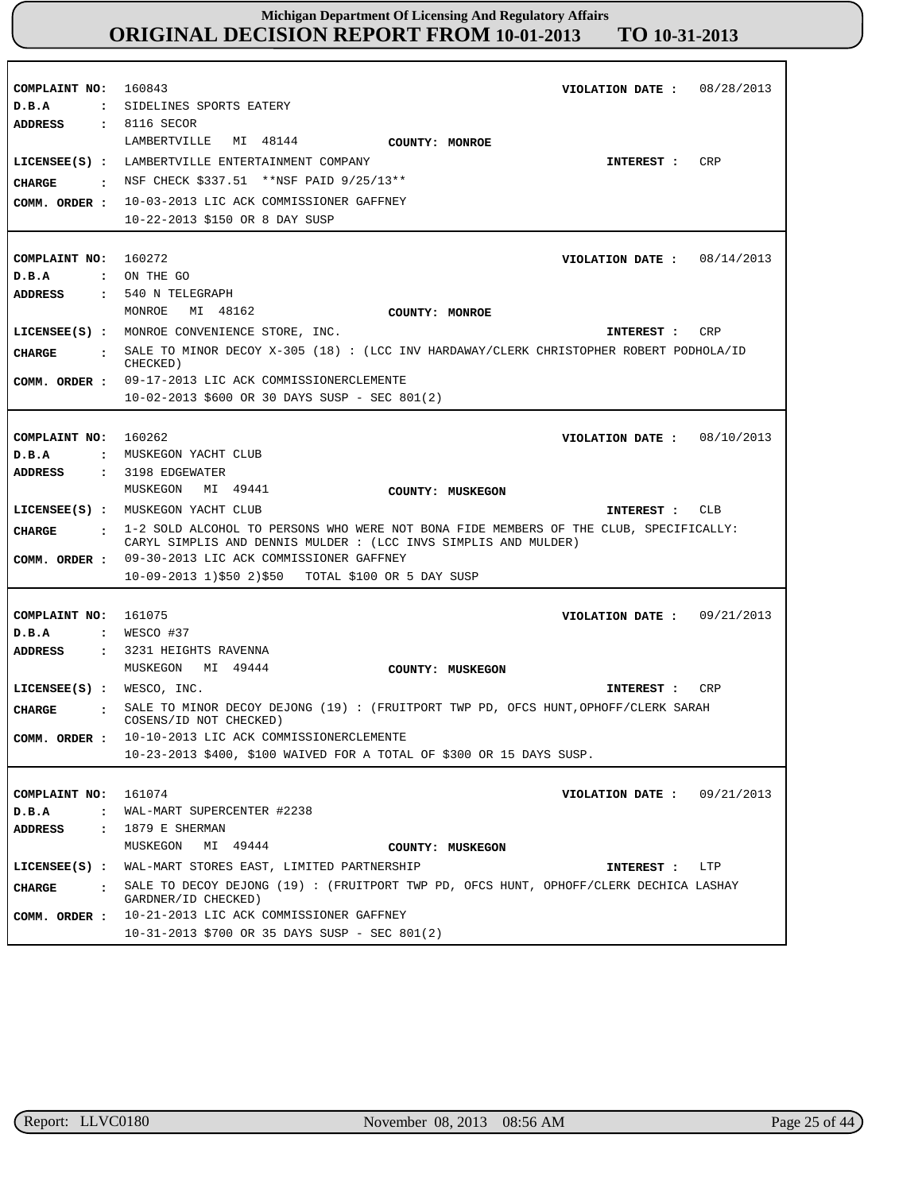| COMPLAINT NO:<br>D.B.A<br>ADDRESS     | 160843<br>08/28/2013<br>VIOLATION DATE :<br>: SIDELINES SPORTS EATERY<br>: 8116 SECOR<br>MI 48144<br>LAMBERTVILLE<br>COUNTY: MONROE                        |
|---------------------------------------|------------------------------------------------------------------------------------------------------------------------------------------------------------|
| <b>CHARGE</b>                         | LICENSEE(S) : LAMBERTVILLE ENTERTAINMENT COMPANY<br><b>CRP</b><br>INTEREST :<br>: NSF CHECK $$337.51$ **NSF PAID $9/25/13**$                               |
| COMM. ORDER :                         | 10-03-2013 LIC ACK COMMISSIONER GAFFNEY<br>10-22-2013 \$150 OR 8 DAY SUSP                                                                                  |
| COMPLAINT NO: 160272                  | VIOLATION DATE : $08/14/2013$                                                                                                                              |
| D.B.A                                 | $\cdot$ ON THE GO                                                                                                                                          |
| <b>ADDRESS</b>                        | $: 540$ N TELEGRAPH                                                                                                                                        |
|                                       | MONROE<br>MI 48162<br><b>COUNTY: MONROE</b>                                                                                                                |
|                                       | LICENSEE(S) : MONROE CONVENIENCE STORE, INC.<br>CRP<br>INTEREST :                                                                                          |
|                                       | : SALE TO MINOR DECOY X-305 (18) : (LCC INV HARDAWAY/CLERK CHRISTOPHER ROBERT PODHOLA/ID                                                                   |
| <b>CHARGE</b>                         | CHECKED)                                                                                                                                                   |
|                                       | COMM. ORDER : 09-17-2013 LIC ACK COMMISSIONERCLEMENTE                                                                                                      |
|                                       | $10-02-2013$ \$600 OR 30 DAYS SUSP - SEC 801(2)                                                                                                            |
|                                       |                                                                                                                                                            |
| COMPLAINT NO:                         | 160262<br>VIOLATION DATE: $08/10/2013$                                                                                                                     |
| D.B.A                                 | : MUSKEGON YACHT CLUB                                                                                                                                      |
| <b>ADDRESS</b>                        | $: 3198$ EDGEWATER                                                                                                                                         |
|                                       | MUSKEGON MI 49441<br>COUNTY: MUSKEGON                                                                                                                      |
|                                       | LICENSEE(S) : MUSKEGON YACHT CLUB<br>INTEREST : CLB                                                                                                        |
| CHARGE                                | : 1-2 SOLD ALCOHOL TO PERSONS WHO WERE NOT BONA FIDE MEMBERS OF THE CLUB, SPECIFICALLY:<br>CARYL SIMPLIS AND DENNIS MULDER : (LCC INVS SIMPLIS AND MULDER) |
|                                       | COMM. ORDER : 09-30-2013 LIC ACK COMMISSIONER GAFFNEY                                                                                                      |
|                                       | $10-09-2013$ 1)\$50 2)\$50 TOTAL \$100 OR 5 DAY SUSP                                                                                                       |
|                                       |                                                                                                                                                            |
| COMPLAINT NO:                         | 161075<br>VIOLATION DATE: $09/21/2013$                                                                                                                     |
| D.B.A                                 | $:$ WESCO #37                                                                                                                                              |
| <b>ADDRESS</b>                        | : 3231 HEIGHTS RAVENNA                                                                                                                                     |
|                                       | MUSKEGON MI 49444<br>COUNTY: MUSKEGON                                                                                                                      |
| LICENSEE(S) : WESCO, INC.             | CRP<br>INTEREST :                                                                                                                                          |
| CHARGE                                | : SALE TO MINOR DECOY DEJONG (19): (FRUITPORT TWP PD, OFCS HUNT, OPHOFF/CLERK SARAH<br>COSENS/ID NOT CHECKED)                                              |
| COMM. ORDER :                         | 10-10-2013 LIC ACK COMMISSIONERCLEMENTE                                                                                                                    |
|                                       | 10-23-2013 \$400, \$100 WAIVED FOR A TOTAL OF \$300 OR 15 DAYS SUSP.                                                                                       |
|                                       |                                                                                                                                                            |
| COMPLAINT NO:                         | 161074<br>VIOLATION DATE :<br>09/21/2013                                                                                                                   |
| $D$ . B. A<br>$\ddot{\cdot}$          | WAL-MART SUPERCENTER #2238                                                                                                                                 |
| ADDRESS<br>$\ddot{\cdot}$             | 1879 E SHERMAN<br>MI 49444                                                                                                                                 |
|                                       | MUSKEGON<br>COUNTY: MUSKEGON                                                                                                                               |
| $LICENSEE(S)$ :                       | WAL-MART STORES EAST, LIMITED PARTNERSHIP<br>INTEREST : LTP                                                                                                |
| <b>CHARGE</b><br>$\sim$ $\sim$ $\sim$ | SALE TO DECOY DEJONG (19) : (FRUITPORT TWP PD, OFCS HUNT, OPHOFF/CLERK DECHICA LASHAY<br>GARDNER/ID CHECKED)                                               |
| COMM. ORDER :                         | 10-21-2013 LIC ACK COMMISSIONER GAFFNEY<br>10-31-2013 \$700 OR 35 DAYS SUSP - SEC 801(2)                                                                   |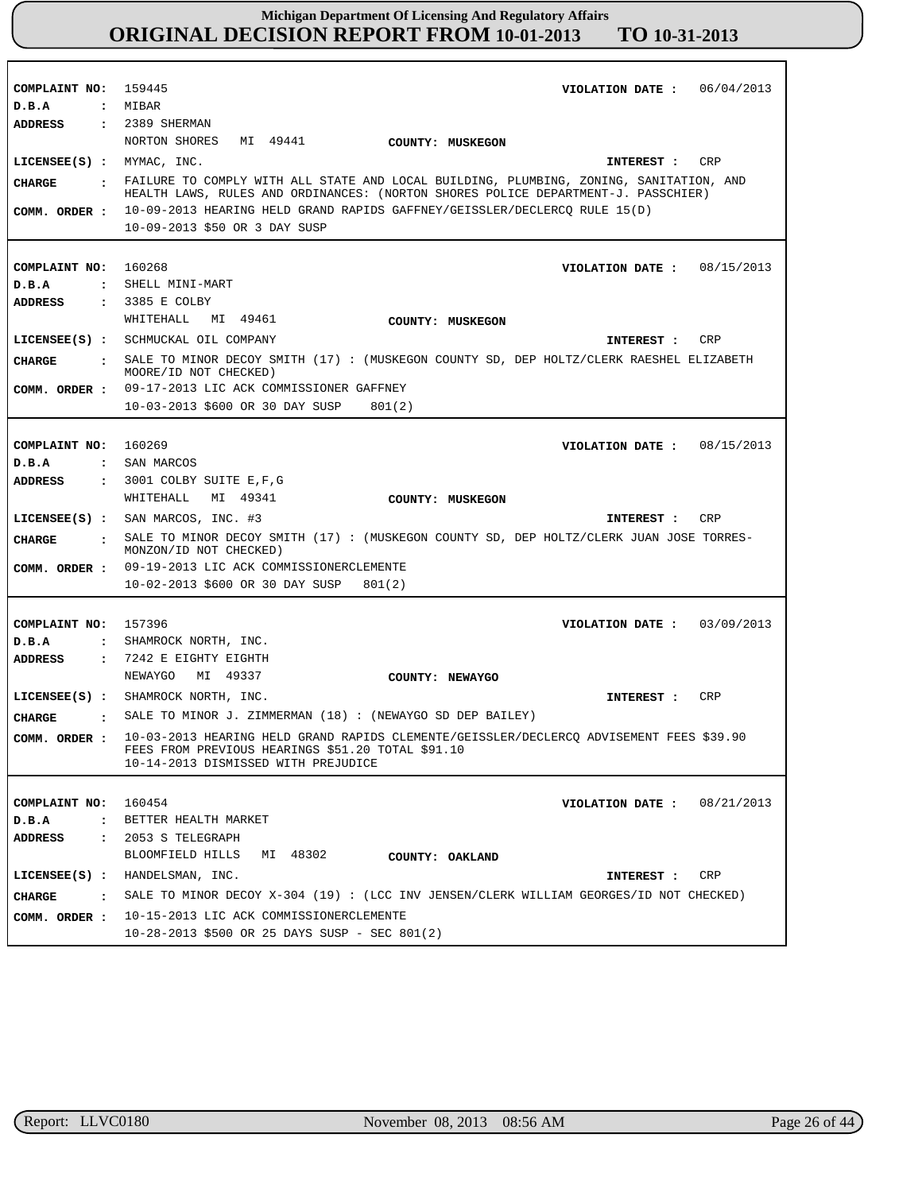|                                        | COMPLAINT NO: 159445<br>06/04/2013<br>VIOLATION DATE :                                                                                                                              |
|----------------------------------------|-------------------------------------------------------------------------------------------------------------------------------------------------------------------------------------|
| D.B.A                                  | : MIBAR                                                                                                                                                                             |
| <b>ADDRESS</b>                         | $: 2389$ SHERMAN                                                                                                                                                                    |
|                                        | NORTON SHORES<br>MI 49441<br>COUNTY: MUSKEGON                                                                                                                                       |
| $LICENSEE(S)$ :                        | CRP<br>MYMAC, INC.<br>INTEREST :                                                                                                                                                    |
|                                        | FAILURE TO COMPLY WITH ALL STATE AND LOCAL BUILDING, PLUMBING, ZONING, SANITATION, AND                                                                                              |
| <b>CIIARGE</b><br>$\ddot{\phantom{a}}$ | HEALTH LAWS, RULES AND ORDINANCES: (NORTON SHORES POLICE DEPARTMENT-J. PASSCHIER)                                                                                                   |
| COMM. ORDER :                          | 10-09-2013 HEARING HELD GRAND RAPIDS GAFFNEY/GEISSLER/DECLERCQ RULE 15(D)                                                                                                           |
|                                        | 10-09-2013 \$50 OR 3 DAY SUSP                                                                                                                                                       |
|                                        |                                                                                                                                                                                     |
| COMPLAINT NO:                          | 160268<br>VIOLATION DATE: $08/15/2013$                                                                                                                                              |
| D.B.A<br>$\mathbf{r}$                  | SHELL MINI-MART                                                                                                                                                                     |
| <b>ADDRESS</b>                         | : 3385 E COLBY                                                                                                                                                                      |
|                                        | WHITEHALL<br>MI 49461<br>COUNTY: MUSKEGON                                                                                                                                           |
|                                        | LICENSEE(S) : SCHMUCKAL OIL COMPANY<br>CRP<br><b>INTEREST :</b>                                                                                                                     |
| <b>CIIARGE</b><br>$\ddot{\phantom{a}}$ | SALE TO MINOR DECOY SMITH (17) : (MUSKEGON COUNTY SD, DEP HOLTZ/CLERK RAESHEL ELIZABETH<br>MOORE/ID NOT CHECKED)                                                                    |
| COMM. ORDER :                          | 09-17-2013 LIC ACK COMMISSIONER GAFFNEY                                                                                                                                             |
|                                        | 10-03-2013 \$600 OR 30 DAY SUSP<br>801(2)                                                                                                                                           |
|                                        |                                                                                                                                                                                     |
| COMPLAINT NO: 160269                   | 08/15/2013<br>VIOLATION DATE :                                                                                                                                                      |
| D.B.A<br>$\mathbf{r}$                  | SAN MARCOS                                                                                                                                                                          |
| <b>ADDRESS</b><br>$\mathbf{r}$         | 3001 COLBY SUITE E,F,G                                                                                                                                                              |
|                                        | WHITEHALL<br>MI 49341<br>COUNTY: MUSKEGON                                                                                                                                           |
| $LICENSEE(S)$ :                        | SAN MARCOS, INC. #3<br><b>CRP</b><br>INTEREST :                                                                                                                                     |
| <b>CIIARGE</b><br>$\ddot{\phantom{a}}$ |                                                                                                                                                                                     |
|                                        | SALE TO MINOR DECOY SMITH (17): (MUSKEGON COUNTY SD, DEP HOLTZ/CLERK JUAN JOSE TORRES-<br>MONZON/ID NOT CHECKED)                                                                    |
| COMM. ORDER :                          | 09-19-2013 LIC ACK COMMISSIONERCLEMENTE                                                                                                                                             |
|                                        | 10-02-2013 \$600 OR 30 DAY SUSP<br>801(2)                                                                                                                                           |
|                                        |                                                                                                                                                                                     |
| COMPLAINT NO: 157396                   | 03/09/2013<br>VIOLATION DATE :                                                                                                                                                      |
| D.B.A                                  | : SHAMROCK NORTH, INC.                                                                                                                                                              |
| <b>ADDRESS</b><br>$\ddot{\phantom{a}}$ | 7242 E EIGHTY EIGHTH                                                                                                                                                                |
|                                        | MI 49337<br>NEWAYGO<br>COUNTY: NEWAYGO                                                                                                                                              |
|                                        | LICENSEE(S) : SHAMROCK NORTH, INC.<br>CRP<br><b>INTEREST :</b>                                                                                                                      |
| CHARGE                                 | : SALE TO MINOR J. ZIMMERMAN (18) : (NEWAYGO SD DEP BAILEY)                                                                                                                         |
| COMM. ORDER :                          | 10-03-2013 HEARING HELD GRAND RAPIDS CLEMENTE/GEISSLER/DECLERCQ ADVISEMENT FEES \$39.90<br>FEES FROM PREVIOUS HEARINGS \$51.20 TOTAL \$91.10<br>10-14-2013 DISMISSED WITH PREJUDICE |
|                                        |                                                                                                                                                                                     |
| COMPLAINT NO:                          | 160454<br>08/21/2013<br>VIOLATION DATE :                                                                                                                                            |
| D.B.A                                  | : BETTER HEALTH MARKET                                                                                                                                                              |
| <b>ADDRESS</b>                         | : 2053 S TELEGRAPH                                                                                                                                                                  |
|                                        | BLOOMFIELD HILLS MI 48302<br>COUNTY: OAKLAND                                                                                                                                        |
| $LICENSEE(S)$ :                        | HANDELSMAN, INC.<br>INTEREST :<br>CRP                                                                                                                                               |
| $\cdot$                                | SALE TO MINOR DECOY X-304 (19) : (LCC INV JENSEN/CLERK WILLIAM GEORGES/ID NOT CHECKED)                                                                                              |
| CHARGE                                 | 10-15-2013 LIC ACK COMMISSIONERCLEMENTE                                                                                                                                             |
| COMM. ORDER :                          | 10-28-2013 \$500 OR 25 DAYS SUSP - SEC 801(2)                                                                                                                                       |

٦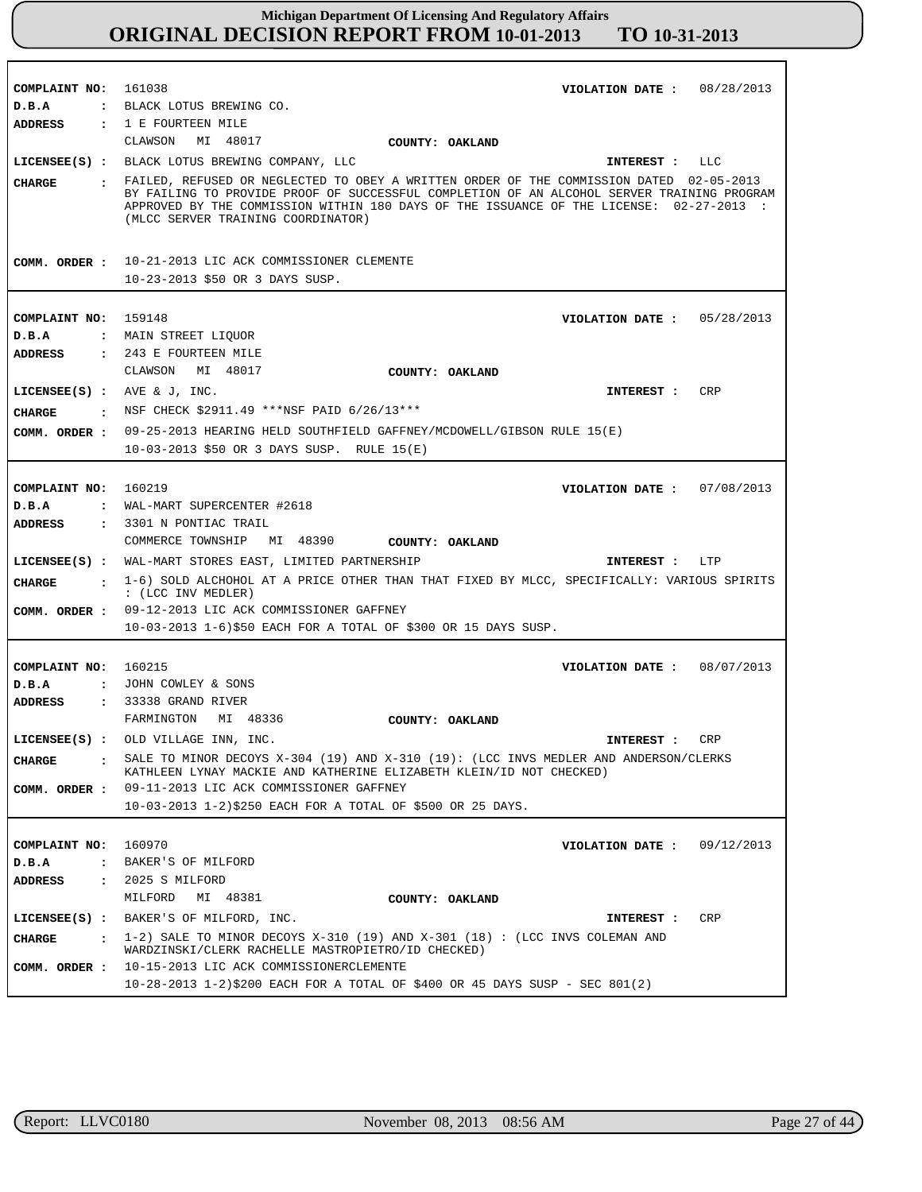| COMPLAINT NO: 161038           | VIOLATION DATE: $08/28/2013$                                                                                                                                                                                                                                                                                             |
|--------------------------------|--------------------------------------------------------------------------------------------------------------------------------------------------------------------------------------------------------------------------------------------------------------------------------------------------------------------------|
| D.B.A                          | : BLACK LOTUS BREWING CO.                                                                                                                                                                                                                                                                                                |
| <b>ADDRESS</b>                 | : 1 E FOURTEEN MILE                                                                                                                                                                                                                                                                                                      |
|                                | CLAWSON<br>MI 48017<br><b>COUNTY: OAKLAND</b>                                                                                                                                                                                                                                                                            |
|                                | LICENSEE(S) : BLACK LOTUS BREWING COMPANY, LLC<br>LLC<br>INTEREST :                                                                                                                                                                                                                                                      |
| CHARGE                         | : FAILED, REFUSED OR NEGLECTED TO OBEY A WRITTEN ORDER OF THE COMMISSION DATED 02-05-2013<br>BY FAILING TO PROVIDE PROOF OF SUCCESSFUL COMPLETION OF AN ALCOHOL SERVER TRAINING PROGRAM<br>APPROVED BY THE COMMISSION WITHIN 180 DAYS OF THE ISSUANCE OF THE LICENSE: 02-27-2013 :<br>(MLCC SERVER TRAINING COORDINATOR) |
|                                | COMM. ORDER : 10-21-2013 LIC ACK COMMISSIONER CLEMENTE                                                                                                                                                                                                                                                                   |
|                                | 10-23-2013 \$50 OR 3 DAYS SUSP.                                                                                                                                                                                                                                                                                          |
|                                |                                                                                                                                                                                                                                                                                                                          |
| COMPLAINT NO: 159148           | VIOLATION DATE: $05/28/2013$                                                                                                                                                                                                                                                                                             |
| D.B.A                          | : MAIN STREET LIQUOR                                                                                                                                                                                                                                                                                                     |
| <b>ADDRESS</b>                 | : 243 E FOURTEEN MILE                                                                                                                                                                                                                                                                                                    |
|                                | CLAWSON MI 48017<br>COUNTY: OAKLAND                                                                                                                                                                                                                                                                                      |
| LICENSEE $(S)$ : AVE & J, INC. | CRP<br><b>INTEREST :</b>                                                                                                                                                                                                                                                                                                 |
| CHARGE                         | $\cdot$ NSF CHECK \$2911.49 ***NSF PAID 6/26/13***                                                                                                                                                                                                                                                                       |
|                                | 09-25-2013 HEARING HELD SOUTHFIELD GAFFNEY/MCDOWELL/GIBSON RULE 15(E)                                                                                                                                                                                                                                                    |
| COMM. ORDER :                  | $10-03-2013$ \$50 OR 3 DAYS SUSP. RULE $15(E)$                                                                                                                                                                                                                                                                           |
|                                |                                                                                                                                                                                                                                                                                                                          |
|                                |                                                                                                                                                                                                                                                                                                                          |
| COMPLAINT NO:                  | 160219<br>VIOLATION DATE: 07/08/2013                                                                                                                                                                                                                                                                                     |
| D.B.A<br><b>ADDRESS</b>        | : WAL-MART SUPERCENTER #2618<br>: 3301 N PONTIAC TRAIL                                                                                                                                                                                                                                                                   |
|                                | COMMERCE TOWNSHIP MI 48390<br>COUNTY: OAKLAND                                                                                                                                                                                                                                                                            |
|                                | LICENSEE(S) : WAL-MART STORES EAST, LIMITED PARTNERSHIP<br>LTP                                                                                                                                                                                                                                                           |
|                                | INTEREST :                                                                                                                                                                                                                                                                                                               |
| CHARGE                         | : 1-6) SOLD ALCHOHOL AT A PRICE OTHER THAN THAT FIXED BY MLCC, SPECIFICALLY: VARIOUS SPIRITS<br>: (LCC INV MEDLER)                                                                                                                                                                                                       |
|                                |                                                                                                                                                                                                                                                                                                                          |
| COMM. ORDER :                  | 09-12-2013 LIC ACK COMMISSIONER GAFFNEY                                                                                                                                                                                                                                                                                  |
|                                | 10-03-2013 1-6)\$50 EACH FOR A TOTAL OF \$300 OR 15 DAYS SUSP.                                                                                                                                                                                                                                                           |
|                                |                                                                                                                                                                                                                                                                                                                          |
| COMPLAINT NO: 160215           | 08/07/2013<br>VIOLATION DATE :                                                                                                                                                                                                                                                                                           |
| D.B.A                          | : JOHN COWLEY & SONS                                                                                                                                                                                                                                                                                                     |
| ADDRESS                        | : 33338 GRAND RIVER                                                                                                                                                                                                                                                                                                      |
|                                | FARMINGTON MI 48336<br>COUNTY: OAKLAND                                                                                                                                                                                                                                                                                   |
|                                | LICENSEE(S) : OLD VILLAGE INN, INC.<br>CRP<br>INTEREST :                                                                                                                                                                                                                                                                 |
| CHARGE                         | . SALE TO MINOR DECOYS X-304 (19) AND X-310 (19): (LCC INVS MEDLER AND ANDERSON/CLERKS<br>KATHLEEN LYNAY MACKIE AND KATHERINE ELIZABETH KLEIN/ID NOT CHECKED)                                                                                                                                                            |
|                                | COMM. ORDER : 09-11-2013 LIC ACK COMMISSIONER GAFFNEY                                                                                                                                                                                                                                                                    |
|                                | 10-03-2013 1-2)\$250 EACH FOR A TOTAL OF \$500 OR 25 DAYS.                                                                                                                                                                                                                                                               |
|                                |                                                                                                                                                                                                                                                                                                                          |
| COMPLAINT NO:                  | 160970<br>VIOLATION DATE: $09/12/2013$                                                                                                                                                                                                                                                                                   |
| D.B.A                          | : BAKER'S OF MILFORD                                                                                                                                                                                                                                                                                                     |
| <b>ADDRESS</b>                 | $: 2025 S$ MILFORD                                                                                                                                                                                                                                                                                                       |
|                                | MILFORD<br>MI 48381<br>COUNTY: OAKLAND                                                                                                                                                                                                                                                                                   |
|                                | LICENSEE(S) : BAKER'S OF MILFORD, INC.<br>CRP<br>INTEREST :                                                                                                                                                                                                                                                              |
| CHARGE                         | $\pm$ 1-2) SALE TO MINOR DECOYS X-310 (19) AND X-301 (18) : (LCC INVS COLEMAN AND<br>WARDZINSKI/CLERK RACHELLE MASTROPIETRO/ID CHECKED)                                                                                                                                                                                  |
|                                | COMM. ORDER : 10-15-2013 LIC ACK COMMISSIONERCLEMENTE                                                                                                                                                                                                                                                                    |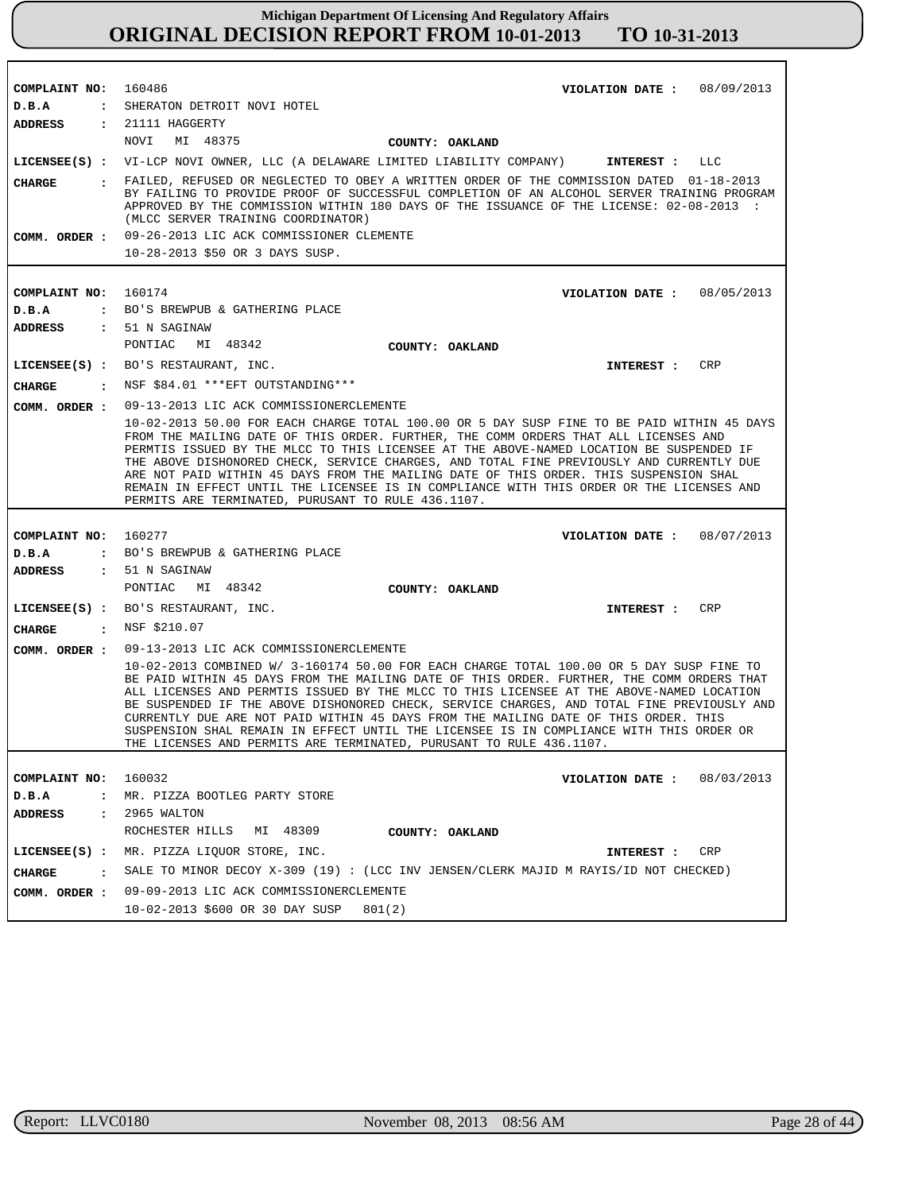| COMPLAINT NO:          | 160486<br>VIOLATION DATE: $08/09/2013$                                                                                                                                                                                                                                                                                                                                                                                                                                                                                                                                                                                                   |            |
|------------------------|------------------------------------------------------------------------------------------------------------------------------------------------------------------------------------------------------------------------------------------------------------------------------------------------------------------------------------------------------------------------------------------------------------------------------------------------------------------------------------------------------------------------------------------------------------------------------------------------------------------------------------------|------------|
| D.B.A<br>ADDRESS       | : SHERATON DETROIT NOVI HOTEL<br>: 21111 HAGGERTY                                                                                                                                                                                                                                                                                                                                                                                                                                                                                                                                                                                        |            |
|                        | NOVI<br>MI 48375<br>COUNTY: OAKLAND                                                                                                                                                                                                                                                                                                                                                                                                                                                                                                                                                                                                      |            |
|                        | LICENSEE(S) : VI-LCP NOVI OWNER, LLC (A DELAWARE LIMITED LIABILITY COMPANY)<br>INTEREST :                                                                                                                                                                                                                                                                                                                                                                                                                                                                                                                                                | LLC        |
|                        | . FAILED, REFUSED OR NEGLECTED TO OBEY A WRITTEN ORDER OF THE COMMISSION DATED 01-18-2013                                                                                                                                                                                                                                                                                                                                                                                                                                                                                                                                                |            |
| CHARGE                 | BY FAILING TO PROVIDE PROOF OF SUCCESSFUL COMPLETION OF AN ALCOHOL SERVER TRAINING PROGRAM<br>APPROVED BY THE COMMISSION WITHIN 180 DAYS OF THE ISSUANCE OF THE LICENSE: 02-08-2013 :<br>(MLCC SERVER TRAINING COORDINATOR)                                                                                                                                                                                                                                                                                                                                                                                                              |            |
|                        | COMM. ORDER : 09-26-2013 LIC ACK COMMISSIONER CLEMENTE                                                                                                                                                                                                                                                                                                                                                                                                                                                                                                                                                                                   |            |
|                        | 10-28-2013 \$50 OR 3 DAYS SUSP.                                                                                                                                                                                                                                                                                                                                                                                                                                                                                                                                                                                                          |            |
|                        |                                                                                                                                                                                                                                                                                                                                                                                                                                                                                                                                                                                                                                          |            |
| COMPLAINT NO:          | 160174<br>VIOLATION DATE: $08/05/2013$                                                                                                                                                                                                                                                                                                                                                                                                                                                                                                                                                                                                   |            |
| D.B.A                  | : BO'S BREWPUB & GATHERING PLACE                                                                                                                                                                                                                                                                                                                                                                                                                                                                                                                                                                                                         |            |
| <b>ADDRESS</b>         | : 51 N SAGINAW                                                                                                                                                                                                                                                                                                                                                                                                                                                                                                                                                                                                                           |            |
|                        | PONTIAC<br>MI 48342<br>COUNTY: OAKLAND                                                                                                                                                                                                                                                                                                                                                                                                                                                                                                                                                                                                   |            |
|                        | LICENSEE(S) : BO'S RESTAURANT, INC.<br>INTEREST : CRP                                                                                                                                                                                                                                                                                                                                                                                                                                                                                                                                                                                    |            |
| <b>CHARGE</b>          | : NSF \$84.01 *** EFT OUTSTANDING***                                                                                                                                                                                                                                                                                                                                                                                                                                                                                                                                                                                                     |            |
| COMM. ORDER :          | 09-13-2013 LIC ACK COMMISSIONERCLEMENTE                                                                                                                                                                                                                                                                                                                                                                                                                                                                                                                                                                                                  |            |
|                        | 10-02-2013 50.00 FOR EACH CHARGE TOTAL 100.00 OR 5 DAY SUSP FINE TO BE PAID WITHIN 45 DAYS<br>FROM THE MAILING DATE OF THIS ORDER. FURTHER, THE COMM ORDERS THAT ALL LICENSES AND<br>PERMTIS ISSUED BY THE MLCC TO THIS LICENSEE AT THE ABOVE-NAMED LOCATION BE SUSPENDED IF<br>THE ABOVE DISHONORED CHECK, SERVICE CHARGES, AND TOTAL FINE PREVIOUSLY AND CURRENTLY DUE<br>ARE NOT PAID WITHIN 45 DAYS FROM THE MAILING DATE OF THIS ORDER. THIS SUSPENSION SHAL<br>REMAIN IN EFFECT UNTIL THE LICENSEE IS IN COMPLIANCE WITH THIS ORDER OR THE LICENSES AND                                                                            |            |
|                        | PERMITS ARE TERMINATED, PURUSANT TO RULE 436.1107.                                                                                                                                                                                                                                                                                                                                                                                                                                                                                                                                                                                       |            |
|                        |                                                                                                                                                                                                                                                                                                                                                                                                                                                                                                                                                                                                                                          |            |
| COMPLAINT NO:          | 160277<br>VIOLATION DATE: 08/07/2013                                                                                                                                                                                                                                                                                                                                                                                                                                                                                                                                                                                                     |            |
| D.B.A                  | : BO'S BREWPUB & GATHERING PLACE                                                                                                                                                                                                                                                                                                                                                                                                                                                                                                                                                                                                         |            |
| <b>ADDRESS</b>         | : 51 N SAGINAW                                                                                                                                                                                                                                                                                                                                                                                                                                                                                                                                                                                                                           |            |
|                        | PONTIAC MI 48342<br>COUNTY: OAKLAND                                                                                                                                                                                                                                                                                                                                                                                                                                                                                                                                                                                                      |            |
|                        | LICENSEE(S) : BO'S RESTAURANT, INC.<br>INTEREST :                                                                                                                                                                                                                                                                                                                                                                                                                                                                                                                                                                                        | CRP        |
| CHARGE<br>$\mathbf{r}$ | NSF \$210.07                                                                                                                                                                                                                                                                                                                                                                                                                                                                                                                                                                                                                             |            |
| COMM. ORDER :          | 09-13-2013 LIC ACK COMMISSIONERCLEMENTE                                                                                                                                                                                                                                                                                                                                                                                                                                                                                                                                                                                                  |            |
|                        | 10-02-2013 COMBINED W/ 3-160174 50.00 FOR EACH CHARGE TOTAL 100.00 OR 5 DAY SUSP FINE TO<br>BE PAID WITHIN 45 DAYS FROM THE MAILING DATE OF THIS ORDER. FURTHER, THE COMM ORDERS THAT<br>ALL LICENSES AND PERMTIS ISSUED BY THE MLCC TO THIS LICENSEE AT THE ABOVE-NAMED LOCATION<br>BE SUSPENDED IF THE ABOVE DISHONORED CHECK, SERVICE CHARGES, AND TOTAL FINE PREVIOUSLY AND<br>CURRENTLY DUE ARE NOT PAID WITHIN 45 DAYS FROM THE MAILING DATE OF THIS ORDER. THIS<br>SUSPENSION SHAL REMAIN IN EFFECT UNTIL THE LICENSEE IS IN COMPLIANCE WITH THIS ORDER OR<br>THE LICENSES AND PERMITS ARE TERMINATED, PURUSANT TO RULE 436.1107. |            |
|                        |                                                                                                                                                                                                                                                                                                                                                                                                                                                                                                                                                                                                                                          |            |
| COMPLAINT NO:          | 160032<br>VIOLATION DATE :                                                                                                                                                                                                                                                                                                                                                                                                                                                                                                                                                                                                               | 08/03/2013 |
| D.B.A                  | : MR. PIZZA BOOTLEG PARTY STORE                                                                                                                                                                                                                                                                                                                                                                                                                                                                                                                                                                                                          |            |
| <b>ADDRESS</b>         | : 2965 WALTON                                                                                                                                                                                                                                                                                                                                                                                                                                                                                                                                                                                                                            |            |
|                        | MI 48309<br>ROCHESTER HILLS<br>COUNTY: OAKLAND                                                                                                                                                                                                                                                                                                                                                                                                                                                                                                                                                                                           |            |
|                        | LICENSEE(S) : MR. PIZZA LIQUOR STORE, INC.<br>INTEREST :                                                                                                                                                                                                                                                                                                                                                                                                                                                                                                                                                                                 | CRP        |
| CHARGE                 | $\pm$ SALE TO MINOR DECOY X-309 (19) : (LCC INV JENSEN/CLERK MAJID M RAYIS/ID NOT CHECKED)                                                                                                                                                                                                                                                                                                                                                                                                                                                                                                                                               |            |
|                        | COMM. ORDER : 09-09-2013 LIC ACK COMMISSIONERCLEMENTE<br>10-02-2013 \$600 OR 30 DAY SUSP<br>801(2)                                                                                                                                                                                                                                                                                                                                                                                                                                                                                                                                       |            |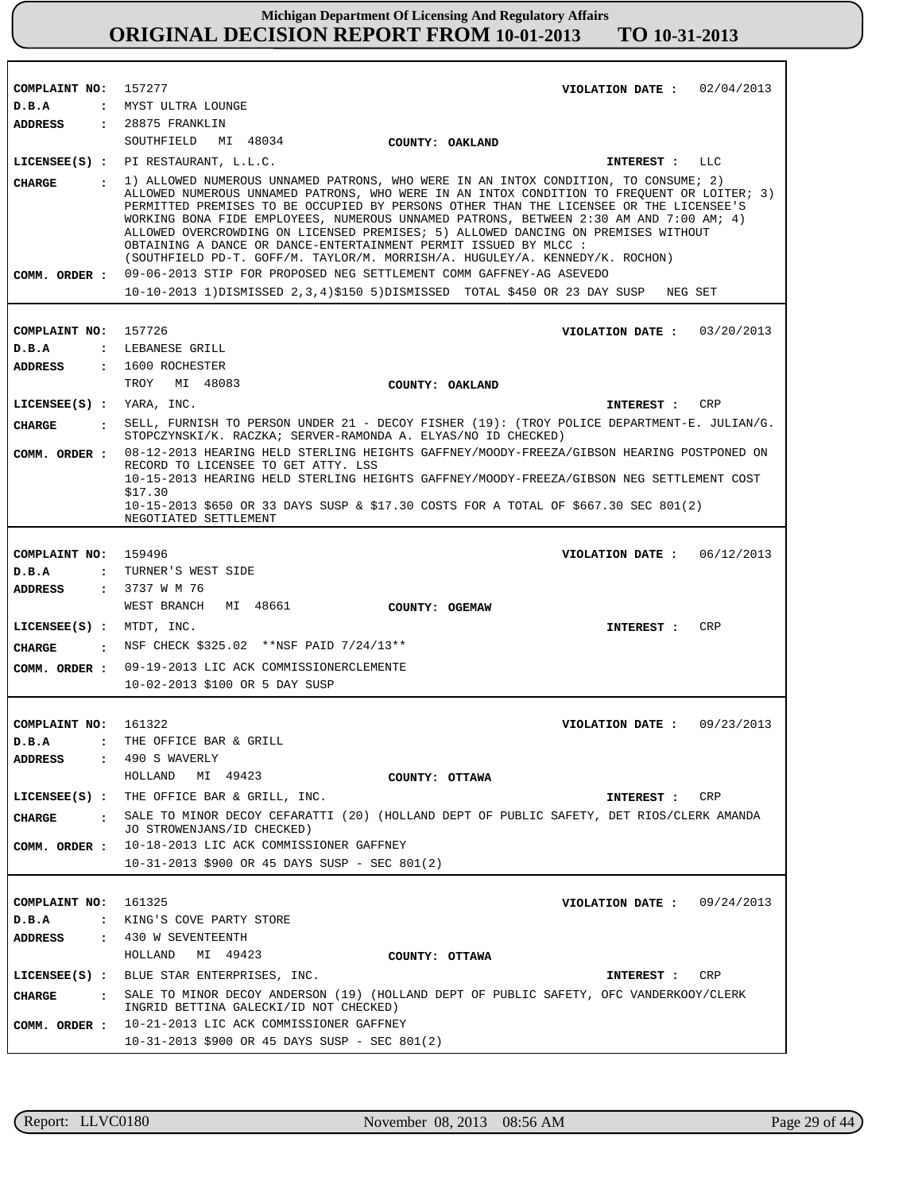| COMPLAINT NO: 157277     | VIOLATION DATE: $02/04/2013$                                                                                                                                                                                                                                                                                                                                                                                                                                                                                                                                                                                     |
|--------------------------|------------------------------------------------------------------------------------------------------------------------------------------------------------------------------------------------------------------------------------------------------------------------------------------------------------------------------------------------------------------------------------------------------------------------------------------------------------------------------------------------------------------------------------------------------------------------------------------------------------------|
| D.B.A                    | : MYST ULTRA LOUNGE                                                                                                                                                                                                                                                                                                                                                                                                                                                                                                                                                                                              |
| <b>ADDRESS</b>           | $: 28875$ FRANKLIN                                                                                                                                                                                                                                                                                                                                                                                                                                                                                                                                                                                               |
|                          | SOUTHFIELD MI 48034<br>COUNTY: OAKLAND                                                                                                                                                                                                                                                                                                                                                                                                                                                                                                                                                                           |
|                          | LICENSEE(S) : PI RESTAURANT, L.L.C.<br>INTEREST : LLC                                                                                                                                                                                                                                                                                                                                                                                                                                                                                                                                                            |
| CIIARGE                  | : 1) ALLOWED NUMEROUS UNNAMED PATRONS, WHO WERE IN AN INTOX CONDITION, TO CONSUME; 2)<br>ALLOWED NUMEROUS UNNAMED PATRONS, WHO WERE IN AN INTOX CONDITION TO FREQUENT OR LOITER; 3)<br>PERMITTED PREMISES TO BE OCCUPIED BY PERSONS OTHER THAN THE LICENSEE OR THE LICENSEE'S<br>WORKING BONA FIDE EMPLOYEES, NUMEROUS UNNAMED PATRONS, BETWEEN 2:30 AM AND 7:00 AM; 4)<br>ALLOWED OVERCROWDING ON LICENSED PREMISES; 5) ALLOWED DANCING ON PREMISES WITHOUT<br>OBTAINING A DANCE OR DANCE-ENTERTAINMENT PERMIT ISSUED BY MLCC :<br>(SOUTHFIELD PD-T. GOFF/M. TAYLOR/M. MORRISH/A. HUGULEY/A. KENNEDY/K. ROCHON) |
|                          | COMM. ORDER: 09-06-2013 STIP FOR PROPOSED NEG SETTLEMENT COMM GAFFNEY-AG ASEVEDO                                                                                                                                                                                                                                                                                                                                                                                                                                                                                                                                 |
|                          | 10-10-2013 1) DISMISSED 2, 3, 4) \$150 5) DISMISSED TOTAL \$450 OR 23 DAY SUSP NEG SET                                                                                                                                                                                                                                                                                                                                                                                                                                                                                                                           |
|                          |                                                                                                                                                                                                                                                                                                                                                                                                                                                                                                                                                                                                                  |
| COMPLAINT NO: 157726     | VIOLATION DATE: $03/20/2013$                                                                                                                                                                                                                                                                                                                                                                                                                                                                                                                                                                                     |
| D.B.A                    | : LEBANESE GRILL                                                                                                                                                                                                                                                                                                                                                                                                                                                                                                                                                                                                 |
| ADDRESS                  | $: 1600$ ROCHESTER                                                                                                                                                                                                                                                                                                                                                                                                                                                                                                                                                                                               |
|                          | TROY MI 48083<br>COUNTY: OAKLAND                                                                                                                                                                                                                                                                                                                                                                                                                                                                                                                                                                                 |
| LICENSEE(S) : YARA, INC. | INTEREST : CRP                                                                                                                                                                                                                                                                                                                                                                                                                                                                                                                                                                                                   |
| CHARGE                   | : SELL, FURNISH TO PERSON UNDER 21 - DECOY FISHER (19): (TROY POLICE DEPARTMENT-E. JULIAN/G.<br>STOPCZYNSKI/K. RACZKA; SERVER-RAMONDA A. ELYAS/NO ID CHECKED)                                                                                                                                                                                                                                                                                                                                                                                                                                                    |
|                          | COMM. ORDER : 08-12-2013 HEARING HELD STERLING HEIGHTS GAFFNEY/MOODY-FREEZA/GIBSON HEARING POSTPONED ON<br>RECORD TO LICENSEE TO GET ATTY. LSS                                                                                                                                                                                                                                                                                                                                                                                                                                                                   |
|                          | 10-15-2013 HEARING HELD STERLING HEIGHTS GAFFNEY/MOODY-FREEZA/GIBSON NEG SETTLEMENT COST                                                                                                                                                                                                                                                                                                                                                                                                                                                                                                                         |
|                          | \$17.30<br>10-15-2013 \$650 OR 33 DAYS SUSP & \$17.30 COSTS FOR A TOTAL OF \$667.30 SEC 801(2)                                                                                                                                                                                                                                                                                                                                                                                                                                                                                                                   |
|                          | NEGOTIATED SETTLEMENT                                                                                                                                                                                                                                                                                                                                                                                                                                                                                                                                                                                            |
|                          |                                                                                                                                                                                                                                                                                                                                                                                                                                                                                                                                                                                                                  |
| COMPLAINT NO: 159496     | VIOLATION DATE: $06/12/2013$                                                                                                                                                                                                                                                                                                                                                                                                                                                                                                                                                                                     |
| D.B.A                    | : TURNER'S WEST SIDE                                                                                                                                                                                                                                                                                                                                                                                                                                                                                                                                                                                             |
| ADDRESS                  | : 3737 W M 76                                                                                                                                                                                                                                                                                                                                                                                                                                                                                                                                                                                                    |
|                          | WEST BRANCH MI 48661<br>COUNTY: OGEMAW                                                                                                                                                                                                                                                                                                                                                                                                                                                                                                                                                                           |
| LICENSEE(S) : MTDT, INC. | CRP<br><b>INTEREST :</b>                                                                                                                                                                                                                                                                                                                                                                                                                                                                                                                                                                                         |
| CHARGE                   | : NSF CHECK \$325.02 **NSF PAID 7/24/13**                                                                                                                                                                                                                                                                                                                                                                                                                                                                                                                                                                        |
|                          | COMM. ORDER : 09-19-2013 LIC ACK COMMISSIONERCLEMENTE                                                                                                                                                                                                                                                                                                                                                                                                                                                                                                                                                            |
|                          | 10-02-2013 \$100 OR 5 DAY SUSP                                                                                                                                                                                                                                                                                                                                                                                                                                                                                                                                                                                   |
|                          |                                                                                                                                                                                                                                                                                                                                                                                                                                                                                                                                                                                                                  |
| COMPLAINT NO: 161322     | VIOLATION DATE: $09/23/2013$                                                                                                                                                                                                                                                                                                                                                                                                                                                                                                                                                                                     |
|                          | <b>D.B.A :</b> THE OFFICE BAR & GRILL                                                                                                                                                                                                                                                                                                                                                                                                                                                                                                                                                                            |
| <b>ADDRESS</b>           | $: 490 S$ WAVERLY                                                                                                                                                                                                                                                                                                                                                                                                                                                                                                                                                                                                |
|                          | HOLLAND MI 49423<br>COUNTY: OTTAWA                                                                                                                                                                                                                                                                                                                                                                                                                                                                                                                                                                               |
|                          | LICENSEE(S) : THE OFFICE BAR & GRILL, INC.<br>INTEREST : CRP                                                                                                                                                                                                                                                                                                                                                                                                                                                                                                                                                     |
| <b>CHARGE</b>            | : SALE TO MINOR DECOY CEFARATTI (20) (HOLLAND DEPT OF PUBLIC SAFETY, DET RIOS/CLERK AMANDA<br>JO STROWENJANS/ID CHECKED)                                                                                                                                                                                                                                                                                                                                                                                                                                                                                         |
|                          | COMM. ORDER : 10-18-2013 LIC ACK COMMISSIONER GAFFNEY                                                                                                                                                                                                                                                                                                                                                                                                                                                                                                                                                            |
|                          | 10-31-2013 \$900 OR 45 DAYS SUSP - SEC 801(2)                                                                                                                                                                                                                                                                                                                                                                                                                                                                                                                                                                    |
|                          |                                                                                                                                                                                                                                                                                                                                                                                                                                                                                                                                                                                                                  |
| COMPLAINT NO: 161325     | VIOLATION DATE: $09/24/2013$                                                                                                                                                                                                                                                                                                                                                                                                                                                                                                                                                                                     |
| D.B.A                    | : KING'S COVE PARTY STORE                                                                                                                                                                                                                                                                                                                                                                                                                                                                                                                                                                                        |
| ADDRESS                  | : 430 W SEVENTEENTH                                                                                                                                                                                                                                                                                                                                                                                                                                                                                                                                                                                              |
|                          | HOLLAND MI 49423<br>COUNTY: OTTAWA                                                                                                                                                                                                                                                                                                                                                                                                                                                                                                                                                                               |
|                          | LICENSEE(S) : BLUE STAR ENTERPRISES, INC.<br>INTEREST : CRP                                                                                                                                                                                                                                                                                                                                                                                                                                                                                                                                                      |
| <b>CHARGE</b>            | : SALE TO MINOR DECOY ANDERSON (19) (HOLLAND DEPT OF PUBLIC SAFETY, OFC VANDERKOOY/CLERK<br>INGRID BETTINA GALECKI/ID NOT CHECKED)                                                                                                                                                                                                                                                                                                                                                                                                                                                                               |
|                          | COMM. ORDER : 10-21-2013 LIC ACK COMMISSIONER GAFFNEY                                                                                                                                                                                                                                                                                                                                                                                                                                                                                                                                                            |
|                          | $10-31-2013$ \$900 OR 45 DAYS SUSP - SEC 801(2)                                                                                                                                                                                                                                                                                                                                                                                                                                                                                                                                                                  |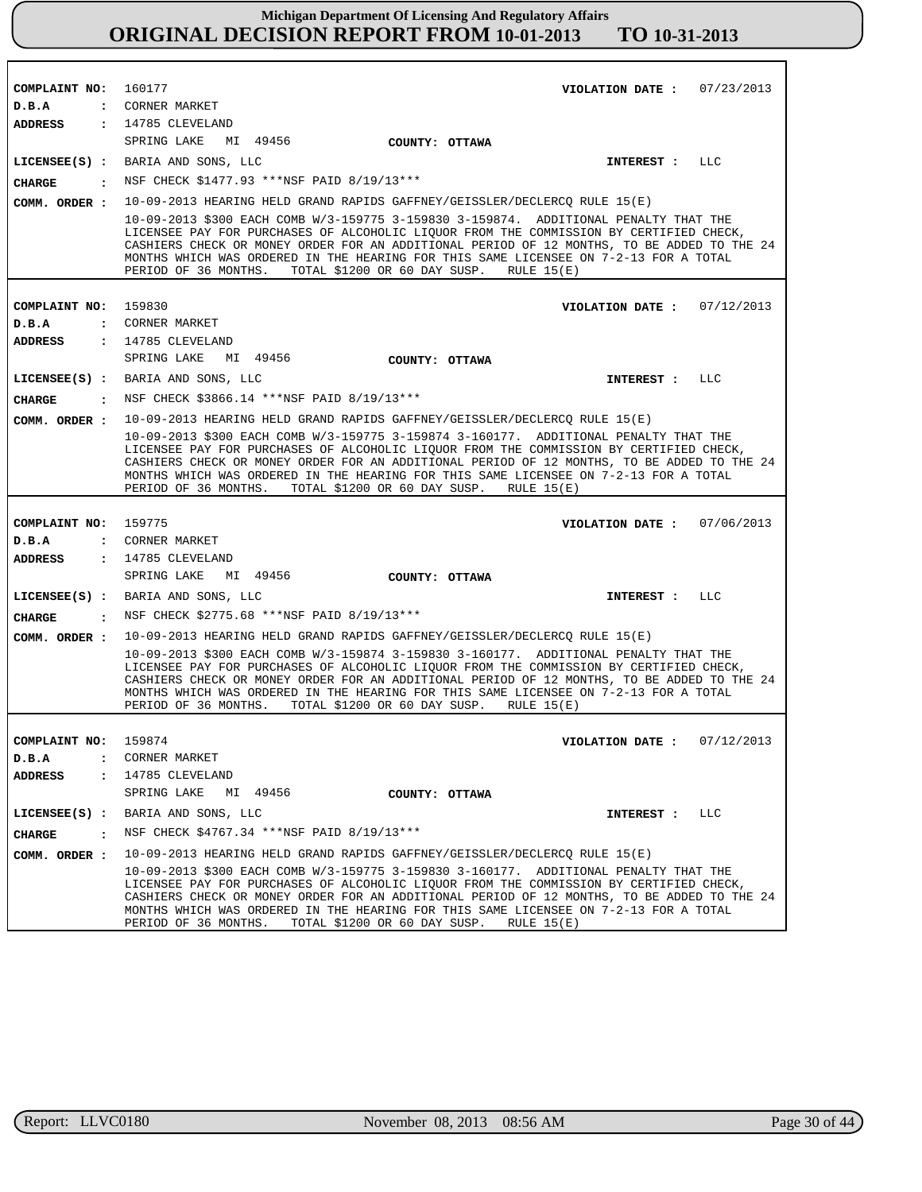| COMPLAINT NO:                 | 160177<br>VIOLATION DATE: $07/23/2013$                                                                                                                                                                                                                                                                                                                                                                                                       |
|-------------------------------|----------------------------------------------------------------------------------------------------------------------------------------------------------------------------------------------------------------------------------------------------------------------------------------------------------------------------------------------------------------------------------------------------------------------------------------------|
| D.B.A                         | : CORNER MARKET                                                                                                                                                                                                                                                                                                                                                                                                                              |
| ADDRESS                       | : 14785 CLEVELAND                                                                                                                                                                                                                                                                                                                                                                                                                            |
|                               | SPRING LAKE<br>MI 49456<br>COUNTY: OTTAWA                                                                                                                                                                                                                                                                                                                                                                                                    |
|                               | LICENSEE(S) : BARIA AND SONS, LLC<br>LLC<br><b>INTEREST :</b>                                                                                                                                                                                                                                                                                                                                                                                |
| <b>CHARGE</b><br>$\mathbf{r}$ | NSF CHECK \$1477.93 ***NSF PAID 8/19/13***                                                                                                                                                                                                                                                                                                                                                                                                   |
| COMM. ORDER :                 | 10-09-2013 HEARING HELD GRAND RAPIDS GAFFNEY/GEISSLER/DECLERCQ RULE 15(E)                                                                                                                                                                                                                                                                                                                                                                    |
|                               | 10-09-2013 \$300 EACH COMB W/3-159775 3-159830 3-159874. ADDITIONAL PENALTY THAT THE<br>LICENSEE PAY FOR PURCHASES OF ALCOHOLIC LIQUOR FROM THE COMMISSION BY CERTIFIED CHECK,<br>CASHIERS CHECK OR MONEY ORDER FOR AN ADDITIONAL PERIOD OF 12 MONTHS, TO BE ADDED TO THE 24<br>MONTHS WHICH WAS ORDERED IN THE HEARING FOR THIS SAME LICENSEE ON 7-2-13 FOR A TOTAL<br>TOTAL \$1200 OR 60 DAY SUSP.<br>PERIOD OF 36 MONTHS.<br>RULE $15(E)$ |
|                               |                                                                                                                                                                                                                                                                                                                                                                                                                                              |
| COMPLAINT NO:                 | 159830<br>VIOLATION DATE: $07/12/2013$                                                                                                                                                                                                                                                                                                                                                                                                       |
| D.B.A                         | : CORNER MARKET<br>: 14785 CLEVELAND                                                                                                                                                                                                                                                                                                                                                                                                         |
| <b>ADDRESS</b>                | SPRING LAKE<br>MI 49456<br>COUNTY: OTTAWA                                                                                                                                                                                                                                                                                                                                                                                                    |
|                               | LICENSEE(S) : BARIA AND SONS, LLC<br>LLC<br>INTEREST :                                                                                                                                                                                                                                                                                                                                                                                       |
| <b>CIIARGE</b>                | : NSF CHECK \$3866.14 ***NSF PAID 8/19/13***                                                                                                                                                                                                                                                                                                                                                                                                 |
|                               | COMM. ORDER: 10-09-2013 HEARING HELD GRAND RAPIDS GAFFNEY/GEISSLER/DECLERCQ RULE 15(E)                                                                                                                                                                                                                                                                                                                                                       |
|                               | 10-09-2013 \$300 EACH COMB W/3-159775 3-159874 3-160177. ADDITIONAL PENALTY THAT THE<br>LICENSEE PAY FOR PURCHASES OF ALCOHOLIC LIQUOR FROM THE COMMISSION BY CERTIFIED CHECK,<br>CASHIERS CHECK OR MONEY ORDER FOR AN ADDITIONAL PERIOD OF 12 MONTHS, TO BE ADDED TO THE 24<br>MONTHS WHICH WAS ORDERED IN THE HEARING FOR THIS SAME LICENSEE ON 7-2-13 FOR A TOTAL<br>PERIOD OF 36 MONTHS.<br>TOTAL \$1200 OR 60 DAY SUSP.<br>RULE $15(E)$ |
| COMPLAINT NO: 159775          | 07/06/2013                                                                                                                                                                                                                                                                                                                                                                                                                                   |
| D.B.A                         | VIOLATION DATE :<br>: CORNER MARKET                                                                                                                                                                                                                                                                                                                                                                                                          |
| <b>ADDRESS</b>                | : 14785 CLEVELAND                                                                                                                                                                                                                                                                                                                                                                                                                            |
|                               | SPRING LAKE MI 49456<br>COUNTY: OTTAWA                                                                                                                                                                                                                                                                                                                                                                                                       |
|                               | LICENSEE(S) : BARIA AND SONS, LLC<br><b>INTEREST :</b><br>LLC                                                                                                                                                                                                                                                                                                                                                                                |
| <b>CHARGE</b>                 | : NSF CHECK \$2775.68 ***NSF PAID 8/19/13***                                                                                                                                                                                                                                                                                                                                                                                                 |
| COMM. ORDER :                 | 10-09-2013 HEARING HELD GRAND RAPIDS GAFFNEY/GEISSLER/DECLERCQ RULE 15(E)                                                                                                                                                                                                                                                                                                                                                                    |
|                               | 10-09-2013 \$300 EACH COMB W/3-159874 3-159830 3-160177. ADDITIONAL PENALTY THAT THE<br>LICENSEE PAY FOR PURCHASES OF ALCOHOLIC LIQUOR FROM THE COMMISSION BY CERTIFIED CHECK,<br>CASHIERS CHECK OR MONEY ORDER FOR AN ADDITIONAL PERIOD OF 12 MONTHS, TO BE ADDED TO THE 24<br>MONTHS WHICH WAS ORDERED IN THE HEARING FOR THIS SAME LICENSEE ON 7-2-13 FOR A TOTAL                                                                         |
|                               | PERIOD OF 36 MONTHS.<br>TOTAL \$1200 OR 60 DAY SUSP.<br>RULE $15(E)$                                                                                                                                                                                                                                                                                                                                                                         |
|                               |                                                                                                                                                                                                                                                                                                                                                                                                                                              |
| COMPLAINT NO: 159874          | VIOLATION DATE: $07/12/2013$                                                                                                                                                                                                                                                                                                                                                                                                                 |
| D.B.A                         | : CORNER MARKET                                                                                                                                                                                                                                                                                                                                                                                                                              |
| ADDRESS<br>$\mathbf{r}$       | 14785 CLEVELAND                                                                                                                                                                                                                                                                                                                                                                                                                              |
|                               | SPRING LAKE<br>MI 49456<br>COUNTY: OTTAWA                                                                                                                                                                                                                                                                                                                                                                                                    |
|                               | LICENSEE(S) : BARIA AND SONS, LLC<br>INTEREST : LLC                                                                                                                                                                                                                                                                                                                                                                                          |
| <b>CHARGE</b><br>$\mathbf{r}$ | NSF CHECK \$4767.34 ***NSF PAID 8/19/13***                                                                                                                                                                                                                                                                                                                                                                                                   |
| COMM. ORDER :                 | 10-09-2013 HEARING HELD GRAND RAPIDS GAFFNEY/GEISSLER/DECLERCQ RULE 15(E)                                                                                                                                                                                                                                                                                                                                                                    |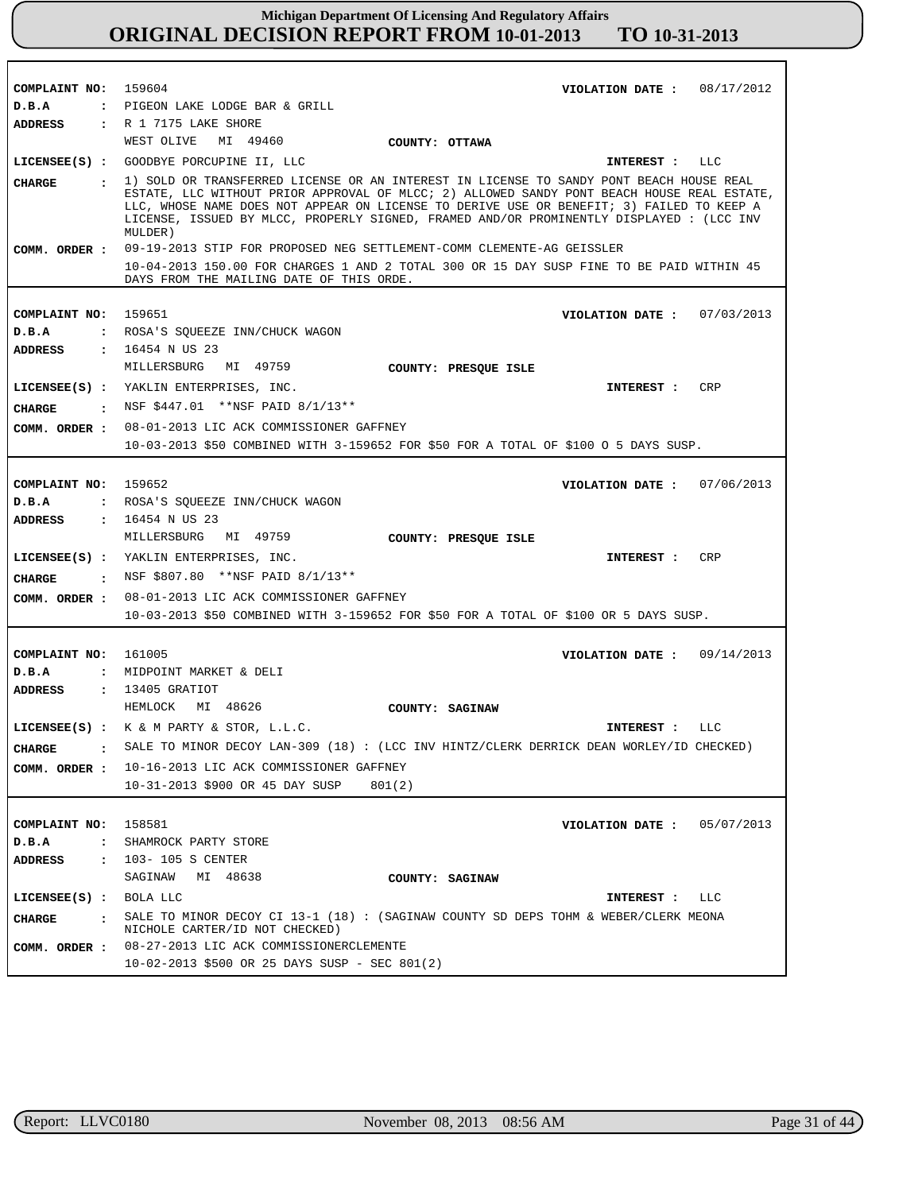| COMPLAINT NO: 159604          | VIOLATION DATE: $08/17/2012$                                                                                                                                                                                                                                                                                                                                                            |
|-------------------------------|-----------------------------------------------------------------------------------------------------------------------------------------------------------------------------------------------------------------------------------------------------------------------------------------------------------------------------------------------------------------------------------------|
| D.B.A                         | : PIGEON LAKE LODGE BAR & GRILL                                                                                                                                                                                                                                                                                                                                                         |
| ADDRESS                       | : R 1 7175 LAKE SHORE                                                                                                                                                                                                                                                                                                                                                                   |
|                               | WEST OLIVE MI 49460<br>COUNTY: OTTAWA                                                                                                                                                                                                                                                                                                                                                   |
| $LICENSEE(S)$ :               | GOODBYE PORCUPINE II, LLC<br>LLC<br><b>INTEREST :</b>                                                                                                                                                                                                                                                                                                                                   |
| <b>CHARGE</b><br>$\mathbf{r}$ | 1) SOLD OR TRANSFERRED LICENSE OR AN INTEREST IN LICENSE TO SANDY PONT BEACH HOUSE REAL<br>ESTATE, LLC WITHOUT PRIOR APPROVAL OF MLCC; 2) ALLOWED SANDY PONT BEACH HOUSE REAL ESTATE,<br>LLC, WHOSE NAME DOES NOT APPEAR ON LICENSE TO DERIVE USE OR BENEFIT; 3) FAILED TO KEEP A<br>LICENSE, ISSUED BY MLCC, PROPERLY SIGNED, FRAMED AND/OR PROMINENTLY DISPLAYED: (LCC INV<br>MULDER) |
| COMM. ORDER :                 | 09-19-2013 STIP FOR PROPOSED NEG SETTLEMENT-COMM CLEMENTE-AG GEISSLER                                                                                                                                                                                                                                                                                                                   |
|                               | 10-04-2013 150.00 FOR CHARGES 1 AND 2 TOTAL 300 OR 15 DAY SUSP FINE TO BE PAID WITHIN 45                                                                                                                                                                                                                                                                                                |
|                               | DAYS FROM THE MAILING DATE OF THIS ORDE.                                                                                                                                                                                                                                                                                                                                                |
| COMPLAINT NO: 159651          | 07/03/2013                                                                                                                                                                                                                                                                                                                                                                              |
| D.B.A                         | VIOLATION DATE :<br>: ROSA'S SQUEEZE INN/CHUCK WAGON                                                                                                                                                                                                                                                                                                                                    |
|                               | <b>ADDRESS : 16454 N US 23</b>                                                                                                                                                                                                                                                                                                                                                          |
|                               | MILLERSBURG MI 49759                                                                                                                                                                                                                                                                                                                                                                    |
|                               | COUNTY: PRESQUE ISLE                                                                                                                                                                                                                                                                                                                                                                    |
|                               | LICENSEE(S) : YAKLIN ENTERPRISES, INC.<br>CRP<br>INTEREST :                                                                                                                                                                                                                                                                                                                             |
| CHARGE                        | : NSF \$447.01 **NSF PAID 8/1/13**                                                                                                                                                                                                                                                                                                                                                      |
| COMM. ORDER :                 | 08-01-2013 LIC ACK COMMISSIONER GAFFNEY                                                                                                                                                                                                                                                                                                                                                 |
|                               | 10-03-2013 \$50 COMBINED WITH 3-159652 FOR \$50 FOR A TOTAL OF \$100 0 5 DAYS SUSP.                                                                                                                                                                                                                                                                                                     |
|                               |                                                                                                                                                                                                                                                                                                                                                                                         |
| COMPLAINT NO: 159652          | 07/06/2013<br>VIOLATION DATE :                                                                                                                                                                                                                                                                                                                                                          |
| D.B.A                         | : ROSA'S SQUEEZE INN/CHUCK WAGON                                                                                                                                                                                                                                                                                                                                                        |
| ADDRESS                       | $: 16454 \;N \;US \;23$                                                                                                                                                                                                                                                                                                                                                                 |
|                               | MILLERSBURG MI 49759<br>COUNTY: PRESQUE ISLE                                                                                                                                                                                                                                                                                                                                            |
|                               | LICENSEE(S) : YAKLIN ENTERPRISES, INC.<br>CRP<br><b>INTEREST :</b>                                                                                                                                                                                                                                                                                                                      |
| <b>CHARGE</b>                 | : NSF \$807.80 **NSF PAID 8/1/13**                                                                                                                                                                                                                                                                                                                                                      |
| COMM. ORDER :                 | 08-01-2013 LIC ACK COMMISSIONER GAFFNEY                                                                                                                                                                                                                                                                                                                                                 |
|                               | 10-03-2013 \$50 COMBINED WITH 3-159652 FOR \$50 FOR A TOTAL OF \$100 OR 5 DAYS SUSP.                                                                                                                                                                                                                                                                                                    |
|                               |                                                                                                                                                                                                                                                                                                                                                                                         |
|                               |                                                                                                                                                                                                                                                                                                                                                                                         |
| COMPLAINT NO: 161005<br>D.B.A | VIOLATION DATE: $09/14/2013$<br>: MIDPOINT MARKET & DELI                                                                                                                                                                                                                                                                                                                                |
| ADDRESS                       | : 13405 GRATIOT                                                                                                                                                                                                                                                                                                                                                                         |
|                               | MI 48626<br>HEMLOCK<br>COUNTY: SAGINAW                                                                                                                                                                                                                                                                                                                                                  |
|                               |                                                                                                                                                                                                                                                                                                                                                                                         |
|                               | LICENSEE(S) : K & M PARTY & STOR, L.L.C.<br>LLC<br>INTEREST :                                                                                                                                                                                                                                                                                                                           |
| <b>CHARGE</b>                 | SALE TO MINOR DECOY LAN-309 (18): (LCC INV HINTZ/CLERK DERRICK DEAN WORLEY/ID CHECKED)                                                                                                                                                                                                                                                                                                  |
|                               | COMM. ORDER : 10-16-2013 LIC ACK COMMISSIONER GAFFNEY                                                                                                                                                                                                                                                                                                                                   |
|                               | 10-31-2013 \$900 OR 45 DAY SUSP<br>801(2)                                                                                                                                                                                                                                                                                                                                               |
|                               |                                                                                                                                                                                                                                                                                                                                                                                         |
| COMPLAINT NO:                 | 158581<br>05/07/2013<br>VIOLATION DATE :                                                                                                                                                                                                                                                                                                                                                |
| D.B.A<br>$\ddot{\cdot}$       | SHAMROCK PARTY STORE                                                                                                                                                                                                                                                                                                                                                                    |
| <b>ADDRESS</b>                | : 103-105 S CENTER                                                                                                                                                                                                                                                                                                                                                                      |
|                               | SAGINAW<br>MI 48638<br>COUNTY: SAGINAW                                                                                                                                                                                                                                                                                                                                                  |
| LICENSEE(S) : BOLA LLC        | LLC<br>INTEREST :                                                                                                                                                                                                                                                                                                                                                                       |
| <b>CHARGE</b><br>$\mathbf{r}$ | SALE TO MINOR DECOY CI 13-1 (18) : (SAGINAW COUNTY SD DEPS TOHM & WEBER/CLERK MEONA                                                                                                                                                                                                                                                                                                     |
|                               | NICHOLE CARTER/ID NOT CHECKED)                                                                                                                                                                                                                                                                                                                                                          |
| COMM. ORDER :                 | 08-27-2013 LIC ACK COMMISSIONERCLEMENTE                                                                                                                                                                                                                                                                                                                                                 |
|                               | $10-02-2013$ \$500 OR 25 DAYS SUSP - SEC 801(2)                                                                                                                                                                                                                                                                                                                                         |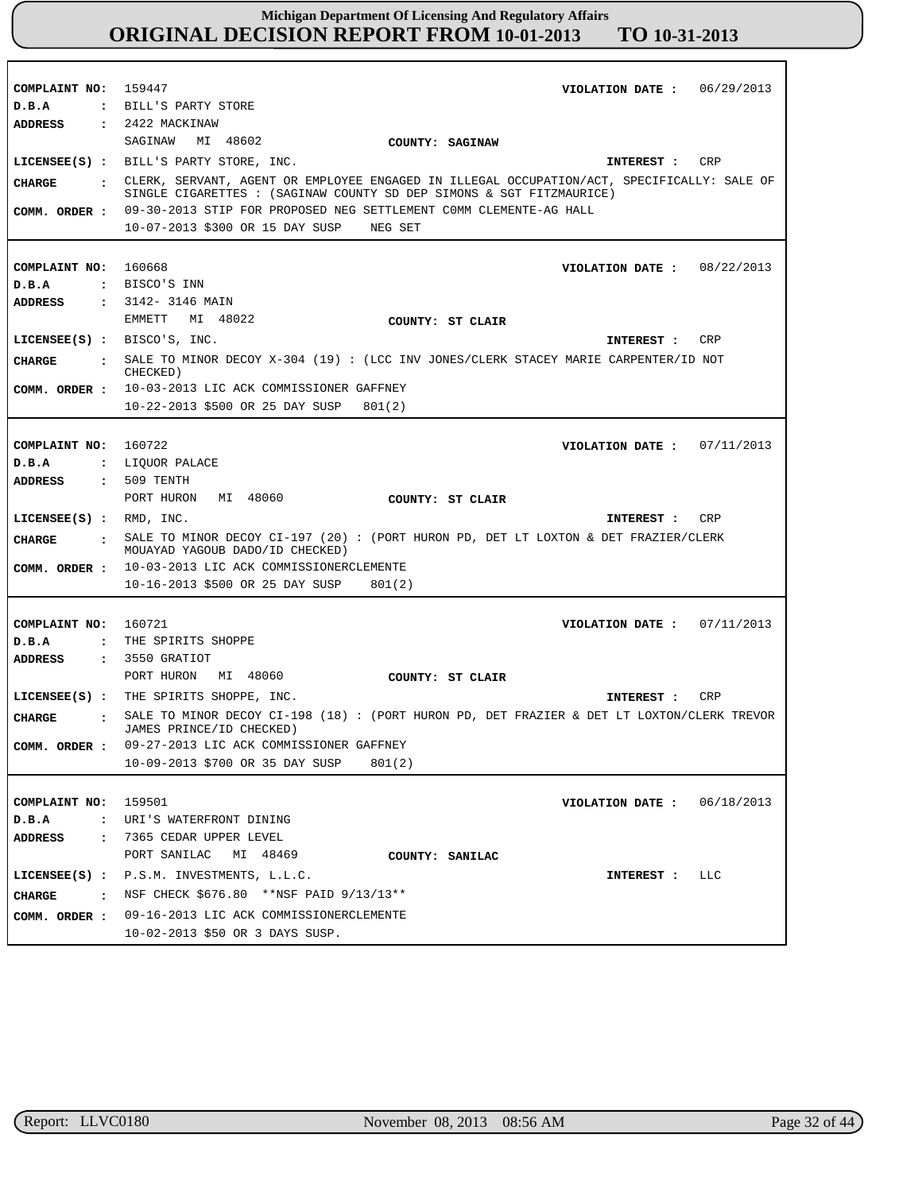**COMPLAINT NO:** 159447 **COMPLAINT NO:** 160668 **COMPLAINT NO:** 160722 **COMPLAINT NO:** 160721 **COMPLAINT NO:** 159501 **VIOLATION DATE : VIOLATION DATE :** 08/22/2013 **VIOLATION DATE : VIOLATION DATE : VIOLATION DATE :** 06/29/2013 07/11/2013 07/11/2013 06/18/2013 **D.B.A : D.B.A : D.B.A : D.B.A : D.B.A :** BILL'S PARTY STORE BISCO'S INN : LIQUOR PALACE THE SPIRITS SHOPPE URI'S WATERFRONT DINING **ADDRESS : ADDRESS : ADDRESS : ADDRESS : ADDRESS :** 2422 MACKINAW 3142- 3146 MAIN 509 TENTH 3550 GRATIOT 7365 CEDAR UPPER LEVEL SAGINAW MI 48602 EMMETT MI 48022 PORT HURON MI 48060 PORT HURON MI 48060 PORT SANILAC MI 48469 COMM. ORDER : 09-30-2013 STIP FOR PROPOSED NEG SETTLEMENT COMM CLEMENTE-AG HALL 10-07-2013 \$300 OR 15 DAY SUSP NEG SET 10-03-2013 LIC ACK COMMISSIONER GAFFNEY 10-22-2013 \$500 OR 25 DAY SUSP 801(2) 10-03-2013 LIC ACK COMMISSIONERCLEMENTE **COMM. ORDER :** 10-16-2013 \$500 OR 25 DAY SUSP 801(2) 09-27-2013 LIC ACK COMMISSIONER GAFFNEY 10-09-2013 \$700 OR 35 DAY SUSP 801(2) 09-16-2013 LIC ACK COMMISSIONERCLEMENTE 10-02-2013 \$50 OR 3 DAYS SUSP. **LICENSEE(S) :** BILL'S PARTY STORE, INC. **LICENSEE(S) :** BISCO'S, INC. **LICENSEE(S) :** RMD, INC. **LICENSEE(S) :** THE SPIRITS SHOPPE, INC. **LICENSEE(S) :** P.S.M. INVESTMENTS, L.L.C. CRP CRP CRP CRP LLC **CHARGE : CHARGE : CHARGE : CHARGE : CHARGE :** CLERK, SERVANT, AGENT OR EMPLOYEE ENGAGED IN ILLEGAL OCCUPATION/ACT, SPECIFICALLY: SALE OF SINGLE CIGARETTES : (SAGINAW COUNTY SD DEP SIMONS & SGT FITZMAURICE) SALE TO MINOR DECOY X-304 (19) : (LCC INV JONES/CLERK STACEY MARIE CARPENTER/ID NOT CHECKED) SALE TO MINOR DECOY CI-197 (20) : (PORT HURON PD, DET LT LOXTON & DET FRAZIER/CLERK MOUAYAD YAGOUB DADO/ID CHECKED) SALE TO MINOR DECOY CI-198 (18) : (PORT HURON PD, DET FRAZIER & DET LT LOXTON/CLERK TREVOR JAMES PRINCE/ID CHECKED) : NSF CHECK \$676.80 \*\*NSF PAID  $9/13/13**$ **INTEREST : INTEREST : INTEREST : INTEREST : INTEREST : COMM. ORDER : COMM. ORDER : COMM. ORDER : COUNTY: SAGINAW COUNTY: ST CLAIR COUNTY: ST CLAIR COUNTY: ST CLAIR COUNTY: SANILAC**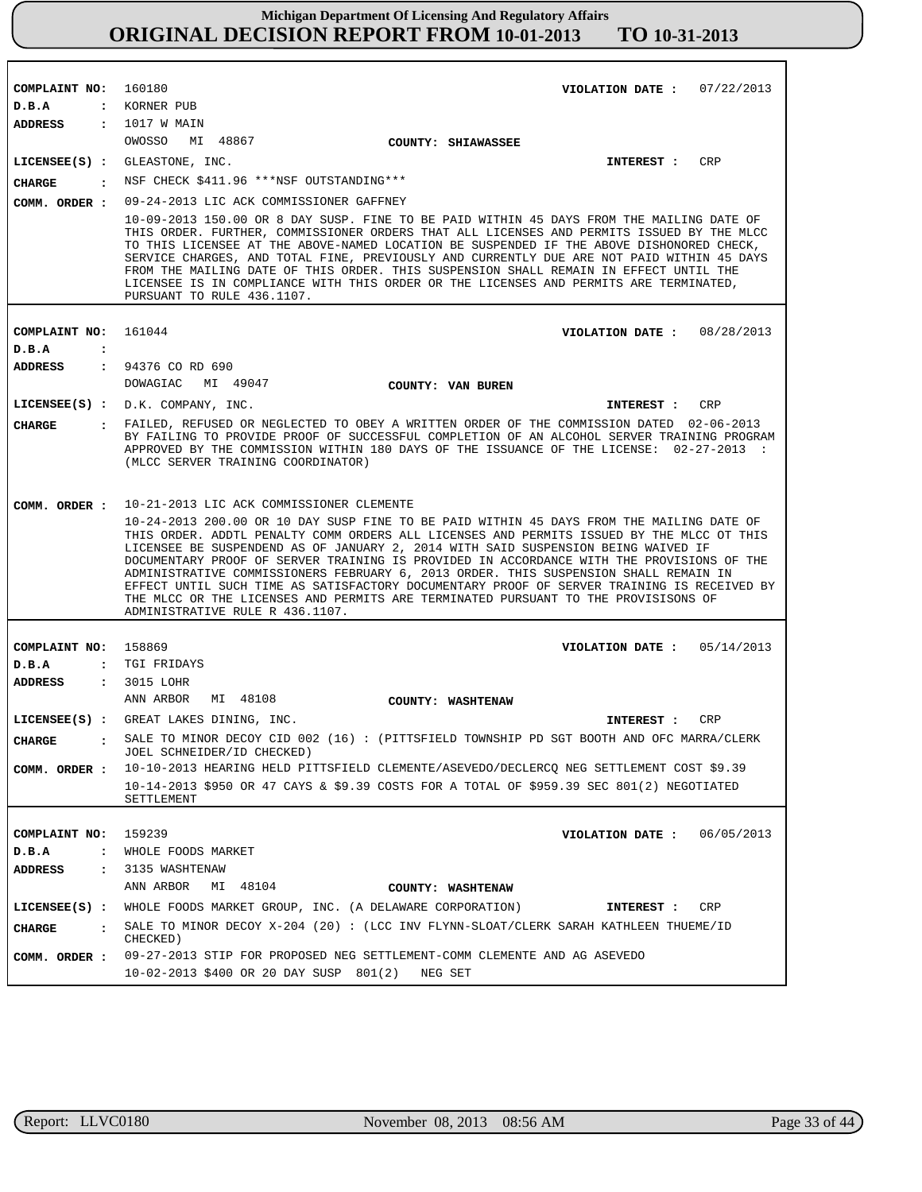| COMPLAINT NO:   |                      | 160180<br>VIOLATION DATE: $07/22/2013$                                                                                                                                                                                                                                                                                                                                                                                                                                                                                                                                                                                                                                                 |  |
|-----------------|----------------------|----------------------------------------------------------------------------------------------------------------------------------------------------------------------------------------------------------------------------------------------------------------------------------------------------------------------------------------------------------------------------------------------------------------------------------------------------------------------------------------------------------------------------------------------------------------------------------------------------------------------------------------------------------------------------------------|--|
| D.B.A           | $\ddot{\phantom{a}}$ | KORNER PUB                                                                                                                                                                                                                                                                                                                                                                                                                                                                                                                                                                                                                                                                             |  |
| ADDRESS         | $\mathbf{r}$         | 1017 W MAIN                                                                                                                                                                                                                                                                                                                                                                                                                                                                                                                                                                                                                                                                            |  |
|                 |                      | OWOSSO MI 48867<br>COUNTY: SHIAWASSEE                                                                                                                                                                                                                                                                                                                                                                                                                                                                                                                                                                                                                                                  |  |
|                 |                      | <b>CRP</b><br>LICENSEE(S) : GLEASTONE, INC.<br>INTEREST :                                                                                                                                                                                                                                                                                                                                                                                                                                                                                                                                                                                                                              |  |
| <b>CHARGE</b>   | $\cdot$              | NSF CHECK \$411.96 ***NSF OUTSTANDING***                                                                                                                                                                                                                                                                                                                                                                                                                                                                                                                                                                                                                                               |  |
| COMM. ORDER :   |                      | 09-24-2013 LIC ACK COMMISSIONER GAFFNEY                                                                                                                                                                                                                                                                                                                                                                                                                                                                                                                                                                                                                                                |  |
|                 |                      | 10-09-2013 150.00 OR 8 DAY SUSP. FINE TO BE PAID WITHIN 45 DAYS FROM THE MAILING DATE OF<br>THIS ORDER. FURTHER, COMMISSIONER ORDERS THAT ALL LICENSES AND PERMITS ISSUED BY THE MLCC<br>TO THIS LICENSEE AT THE ABOVE-NAMED LOCATION BE SUSPENDED IF THE ABOVE DISHONORED CHECK,<br>SERVICE CHARGES, AND TOTAL FINE, PREVIOUSLY AND CURRENTLY DUE ARE NOT PAID WITHIN 45 DAYS<br>FROM THE MAILING DATE OF THIS ORDER. THIS SUSPENSION SHALL REMAIN IN EFFECT UNTIL THE<br>LICENSEE IS IN COMPLIANCE WITH THIS ORDER OR THE LICENSES AND PERMITS ARE TERMINATED,<br>PURSUANT TO RULE 436.1107.                                                                                         |  |
|                 |                      |                                                                                                                                                                                                                                                                                                                                                                                                                                                                                                                                                                                                                                                                                        |  |
| COMPLAINT NO:   |                      | 161044<br>VIOLATION DATE: $08/28/2013$                                                                                                                                                                                                                                                                                                                                                                                                                                                                                                                                                                                                                                                 |  |
| D.B.A           | $\ddot{\cdot}$       |                                                                                                                                                                                                                                                                                                                                                                                                                                                                                                                                                                                                                                                                                        |  |
| ADDRESS         | $\ddot{\cdot}$       | 94376 CO RD 690                                                                                                                                                                                                                                                                                                                                                                                                                                                                                                                                                                                                                                                                        |  |
|                 |                      | DOWAGIAC<br>MI 49047<br>COUNTY: VAN BUREN                                                                                                                                                                                                                                                                                                                                                                                                                                                                                                                                                                                                                                              |  |
|                 |                      | $LICENSEE(S)$ : $D.K. COMPANY, INC.$<br>CRP<br>INTEREST :                                                                                                                                                                                                                                                                                                                                                                                                                                                                                                                                                                                                                              |  |
| <b>CHARGE</b>   |                      | : FAILED, REFUSED OR NEGLECTED TO OBEY A WRITTEN ORDER OF THE COMMISSION DATED 02-06-2013<br>BY FAILING TO PROVIDE PROOF OF SUCCESSFUL COMPLETION OF AN ALCOHOL SERVER TRAINING PROGRAM<br>APPROVED BY THE COMMISSION WITHIN 180 DAYS OF THE ISSUANCE OF THE LICENSE: 02-27-2013 :<br>(MLCC SERVER TRAINING COORDINATOR)                                                                                                                                                                                                                                                                                                                                                               |  |
| COMM. ORDER :   |                      | 10-21-2013 LIC ACK COMMISSIONER CLEMENTE                                                                                                                                                                                                                                                                                                                                                                                                                                                                                                                                                                                                                                               |  |
|                 |                      | 10-24-2013 200.00 OR 10 DAY SUSP FINE TO BE PAID WITHIN 45 DAYS FROM THE MAILING DATE OF<br>THIS ORDER. ADDTL PENALTY COMM ORDERS ALL LICENSES AND PERMITS ISSUED BY THE MLCC OT THIS<br>LICENSEE BE SUSPENDEND AS OF JANUARY 2, 2014 WITH SAID SUSPENSION BEING WAIVED IF<br>DOCUMENTARY PROOF OF SERVER TRAINING IS PROVIDED IN ACCORDANCE WITH THE PROVISIONS OF THE<br>ADMINISTRATIVE COMMISSIONERS FEBRUARY 6, 2013 ORDER. THIS SUSPENSION SHALL REMAIN IN<br>EFFECT UNTIL SUCH TIME AS SATISFACTORY DOCUMENTARY PROOF OF SERVER TRAINING IS RECEIVED BY<br>THE MLCC OR THE LICENSES AND PERMITS ARE TERMINATED PURSUANT TO THE PROVISISONS OF<br>ADMINISTRATIVE RULE R 436.1107. |  |
|                 |                      |                                                                                                                                                                                                                                                                                                                                                                                                                                                                                                                                                                                                                                                                                        |  |
| COMPLAINT NO:   |                      | 158869<br>05/14/2013<br>VIOLATION DATE :                                                                                                                                                                                                                                                                                                                                                                                                                                                                                                                                                                                                                                               |  |
| D.B.A           |                      | : TGI FRIDAYS                                                                                                                                                                                                                                                                                                                                                                                                                                                                                                                                                                                                                                                                          |  |
| ADDRESS         |                      | : 3015 LOHR                                                                                                                                                                                                                                                                                                                                                                                                                                                                                                                                                                                                                                                                            |  |
|                 |                      | ANN ARBOR<br>MI 48108<br>COUNTY: WASHTENAW                                                                                                                                                                                                                                                                                                                                                                                                                                                                                                                                                                                                                                             |  |
|                 |                      | LICENSEE(S) : GREAT LAKES DINING, INC.<br>INTEREST :<br>CRP                                                                                                                                                                                                                                                                                                                                                                                                                                                                                                                                                                                                                            |  |
| <b>CHARGE</b>   |                      | . SALE TO MINOR DECOY CID 002 (16): (PITTSFIELD TOWNSHIP PD SGT BOOTH AND OFC MARRA/CLERK<br>JOEL SCHNEIDER/ID CHECKED)                                                                                                                                                                                                                                                                                                                                                                                                                                                                                                                                                                |  |
| COMM. ORDER :   |                      | 10-10-2013 HEARING HELD PITTSFIELD CLEMENTE/ASEVEDO/DECLERCQ NEG SETTLEMENT COST \$9.39                                                                                                                                                                                                                                                                                                                                                                                                                                                                                                                                                                                                |  |
|                 |                      | 10-14-2013 \$950 OR 47 CAYS & \$9.39 COSTS FOR A TOTAL OF \$959.39 SEC 801(2) NEGOTIATED                                                                                                                                                                                                                                                                                                                                                                                                                                                                                                                                                                                               |  |
|                 |                      | SETTLEMENT                                                                                                                                                                                                                                                                                                                                                                                                                                                                                                                                                                                                                                                                             |  |
|                 |                      |                                                                                                                                                                                                                                                                                                                                                                                                                                                                                                                                                                                                                                                                                        |  |
| COMPLAINT NO:   |                      | 159239<br>06/05/2013<br>VIOLATION DATE :                                                                                                                                                                                                                                                                                                                                                                                                                                                                                                                                                                                                                                               |  |
| D.B.A           | $\cdot$              | WHOLE FOODS MARKET<br>3135 WASHTENAW                                                                                                                                                                                                                                                                                                                                                                                                                                                                                                                                                                                                                                                   |  |
| <b>ADDRESS</b>  | $\ddot{\phantom{a}}$ | ANN ARBOR<br>MI 48104                                                                                                                                                                                                                                                                                                                                                                                                                                                                                                                                                                                                                                                                  |  |
|                 |                      | COUNTY: WASHTENAW<br>WHOLE FOODS MARKET GROUP, INC. (A DELAWARE CORPORATION)<br><b>CRP</b>                                                                                                                                                                                                                                                                                                                                                                                                                                                                                                                                                                                             |  |
| $LICENSEE(S)$ : |                      | INTEREST :                                                                                                                                                                                                                                                                                                                                                                                                                                                                                                                                                                                                                                                                             |  |
| <b>CHARGE</b>   | $\cdot$              | SALE TO MINOR DECOY X-204 (20): (LCC INV FLYNN-SLOAT/CLERK SARAH KATHLEEN THUEME/ID<br>CHECKED)                                                                                                                                                                                                                                                                                                                                                                                                                                                                                                                                                                                        |  |
| COMM. ORDER :   |                      | 09-27-2013 STIP FOR PROPOSED NEG SETTLEMENT-COMM CLEMENTE AND AG ASEVEDO                                                                                                                                                                                                                                                                                                                                                                                                                                                                                                                                                                                                               |  |
|                 |                      | 10-02-2013 \$400 OR 20 DAY SUSP 801(2)<br>NEG SET                                                                                                                                                                                                                                                                                                                                                                                                                                                                                                                                                                                                                                      |  |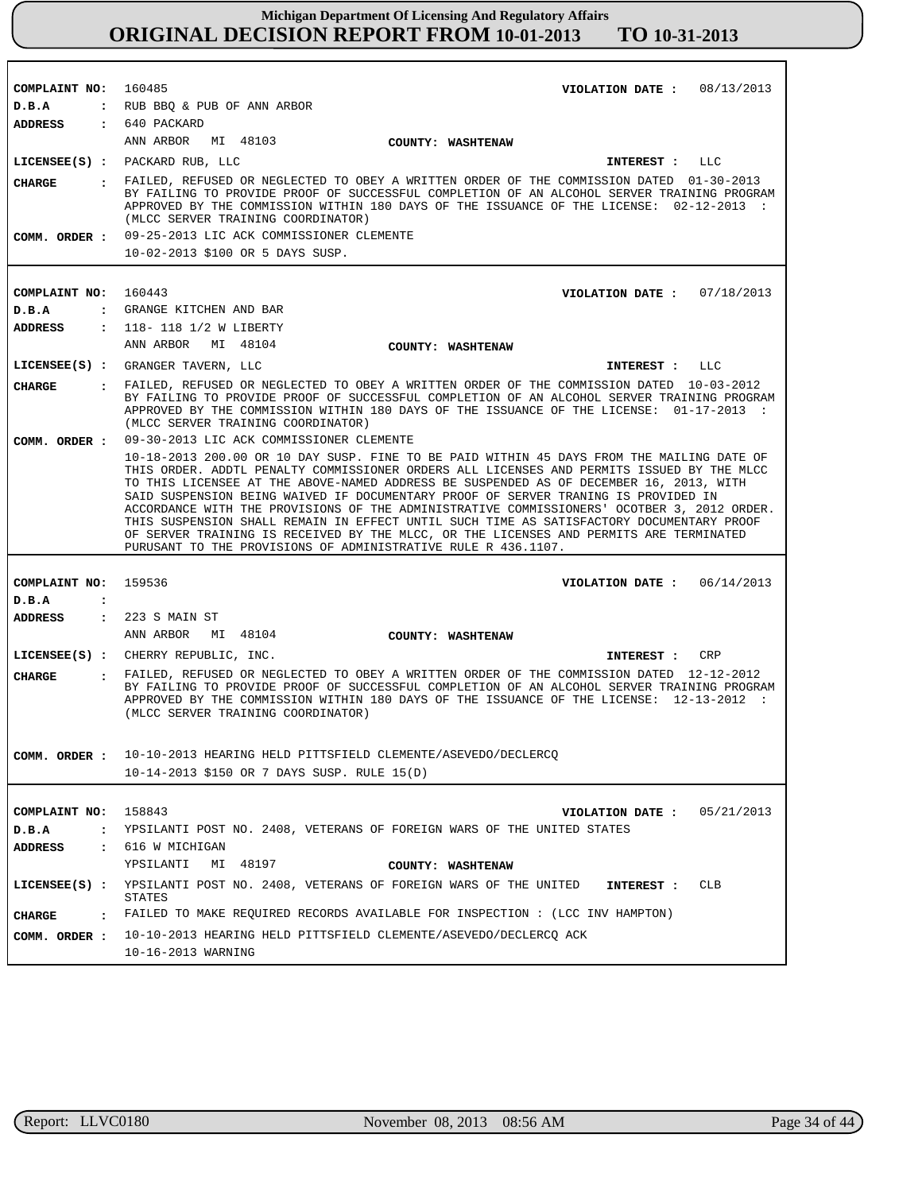| COMPLAINT NO: 160485           | VIOLATION DATE: $08/13/2013$                                                                                                                                                                                                                                                                                                                                                                                                                                         |
|--------------------------------|----------------------------------------------------------------------------------------------------------------------------------------------------------------------------------------------------------------------------------------------------------------------------------------------------------------------------------------------------------------------------------------------------------------------------------------------------------------------|
| D.B.A                          | : RUB BBQ & PUB OF ANN ARBOR                                                                                                                                                                                                                                                                                                                                                                                                                                         |
| ADDRESS : 640 PACKARD          |                                                                                                                                                                                                                                                                                                                                                                                                                                                                      |
|                                | ANN ARBOR MI 48103<br>COUNTY: WASHTENAW                                                                                                                                                                                                                                                                                                                                                                                                                              |
|                                | LICENSEE(S) : PACKARD RUB, LLC<br>INTEREST : LLC                                                                                                                                                                                                                                                                                                                                                                                                                     |
| CHARGE                         | . FAILED, REFUSED OR NEGLECTED TO OBEY A WRITTEN ORDER OF THE COMMISSION DATED 01-30-2013<br>BY FAILING TO PROVIDE PROOF OF SUCCESSFUL COMPLETION OF AN ALCOHOL SERVER TRAINING PROGRAM<br>APPROVED BY THE COMMISSION WITHIN 180 DAYS OF THE ISSUANCE OF THE LICENSE: 02-12-2013 :<br>(MLCC SERVER TRAINING COORDINATOR)                                                                                                                                             |
|                                | COMM. ORDER : 09-25-2013 LIC ACK COMMISSIONER CLEMENTE                                                                                                                                                                                                                                                                                                                                                                                                               |
|                                | 10-02-2013 \$100 OR 5 DAYS SUSP.                                                                                                                                                                                                                                                                                                                                                                                                                                     |
|                                |                                                                                                                                                                                                                                                                                                                                                                                                                                                                      |
| COMPLAINT NO:                  | 160443<br>VIOLATION DATE: $07/18/2013$                                                                                                                                                                                                                                                                                                                                                                                                                               |
| D.B.A<br>$\sim$ 100 $\sim$     | GRANGE KITCHEN AND BAR                                                                                                                                                                                                                                                                                                                                                                                                                                               |
| <b>ADDRESS</b>                 | : 118-118 1/2 W LIBERTY                                                                                                                                                                                                                                                                                                                                                                                                                                              |
|                                | ANN ARBOR MI 48104<br>COUNTY: WASHTENAW                                                                                                                                                                                                                                                                                                                                                                                                                              |
|                                | LICENSEE(S) : GRANGER TAVERN, LLC<br>INTEREST : LLC                                                                                                                                                                                                                                                                                                                                                                                                                  |
| CIIARGE                        | : FAILED, REFUSED OR NEGLECTED TO OBEY A WRITTEN ORDER OF THE COMMISSION DATED 10-03-2012<br>BY FAILING TO PROVIDE PROOF OF SUCCESSFUL COMPLETION OF AN ALCOHOL SERVER TRAINING PROGRAM<br>APPROVED BY THE COMMISSION WITHIN 180 DAYS OF THE ISSUANCE OF THE LICENSE: 01-17-2013 :<br>(MLCC SERVER TRAINING COORDINATOR)                                                                                                                                             |
|                                | COMM. ORDER : 09-30-2013 LIC ACK COMMISSIONER CLEMENTE                                                                                                                                                                                                                                                                                                                                                                                                               |
|                                | 10-18-2013 200.00 OR 10 DAY SUSP. FINE TO BE PAID WITHIN 45 DAYS FROM THE MAILING DATE OF<br>THIS ORDER. ADDTL PENALTY COMMISSIONER ORDERS ALL LICENSES AND PERMITS ISSUED BY THE MLCC<br>TO THIS LICENSEE AT THE ABOVE-NAMED ADDRESS BE SUSPENDED AS OF DECEMBER 16, 2013, WITH<br>SAID SUSPENSION BEING WAIVED IF DOCUMENTARY PROOF OF SERVER TRANING IS PROVIDED IN<br>ACCORDANCE WITH THE PROVISIONS OF THE ADMINISTRATIVE COMMISSIONERS' OCOTBER 3, 2012 ORDER. |
|                                | THIS SUSPENSION SHALL REMAIN IN EFFECT UNTIL SUCH TIME AS SATISFACTORY DOCUMENTARY PROOF<br>OF SERVER TRAINING IS RECEIVED BY THE MLCC, OR THE LICENSES AND PERMITS ARE TERMINATED<br>PURUSANT TO THE PROVISIONS OF ADMINISTRATIVE RULE R 436.1107.                                                                                                                                                                                                                  |
|                                |                                                                                                                                                                                                                                                                                                                                                                                                                                                                      |
| COMPLAINT NO: 159536           | VIOLATION DATE: $06/14/2013$                                                                                                                                                                                                                                                                                                                                                                                                                                         |
| D.B.A<br>$\ddot{\cdot}$        |                                                                                                                                                                                                                                                                                                                                                                                                                                                                      |
| ADDRESS                        | : 223 S MAIN ST                                                                                                                                                                                                                                                                                                                                                                                                                                                      |
|                                | ANN ARBOR MI 48104<br><b>COUNTY: WASHTENAW</b>                                                                                                                                                                                                                                                                                                                                                                                                                       |
|                                | LICENSEE(S) : CHERRY REPUBLIC, INC.<br>INTEREST :<br>CRP                                                                                                                                                                                                                                                                                                                                                                                                             |
| <b>CIIARGE</b><br>$\mathbf{r}$ | FAILED, REFUSED OR NEGLECTED TO OBEY A WRITTEN ORDER OF THE COMMISSION DATED 12-12-2012<br>BY FAILING TO PROVIDE PROOF OF SUCCESSFUL COMPLETION OF AN ALCOHOL SERVER TRAINING PROGRAM<br>APPROVED BY THE COMMISSION WITHIN 180 DAYS OF THE ISSUANCE OF THE LICENSE: 12-13-2012 :<br>(MLCC SERVER TRAINING COORDINATOR)                                                                                                                                               |
|                                |                                                                                                                                                                                                                                                                                                                                                                                                                                                                      |
| COMM. ORDER :                  | 10-10-2013 HEARING HELD PITTSFIELD CLEMENTE/ASEVEDO/DECLERCQ                                                                                                                                                                                                                                                                                                                                                                                                         |
|                                | 10-14-2013 \$150 OR 7 DAYS SUSP. RULE 15(D)                                                                                                                                                                                                                                                                                                                                                                                                                          |
|                                |                                                                                                                                                                                                                                                                                                                                                                                                                                                                      |
| COMPLAINT NO: 158843           | 05/21/2013<br>VIOLATION DATE :                                                                                                                                                                                                                                                                                                                                                                                                                                       |
| D.B.A<br>$\mathbf{z}$          | YPSILANTI POST NO. 2408, VETERANS OF FOREIGN WARS OF THE UNITED STATES                                                                                                                                                                                                                                                                                                                                                                                               |
| ADDRESS<br>$\mathbf{r}$        | 616 W MICHIGAN                                                                                                                                                                                                                                                                                                                                                                                                                                                       |
|                                | YPSILANTI MI 48197<br>COUNTY: WASHTENAW                                                                                                                                                                                                                                                                                                                                                                                                                              |
| $LICENSEE(S)$ :                | YPSILANTI POST NO. 2408, VETERANS OF FOREIGN WARS OF THE UNITED<br><b>CLB</b><br>INTEREST :<br>STATES                                                                                                                                                                                                                                                                                                                                                                |
| <b>CHARGE</b><br>$\cdot$       | FAILED TO MAKE REQUIRED RECORDS AVAILABLE FOR INSPECTION : (LCC INV HAMPTON)                                                                                                                                                                                                                                                                                                                                                                                         |
|                                | COMM. ORDER: 10-10-2013 HEARING HELD PITTSFIELD CLEMENTE/ASEVEDO/DECLERCQ ACK                                                                                                                                                                                                                                                                                                                                                                                        |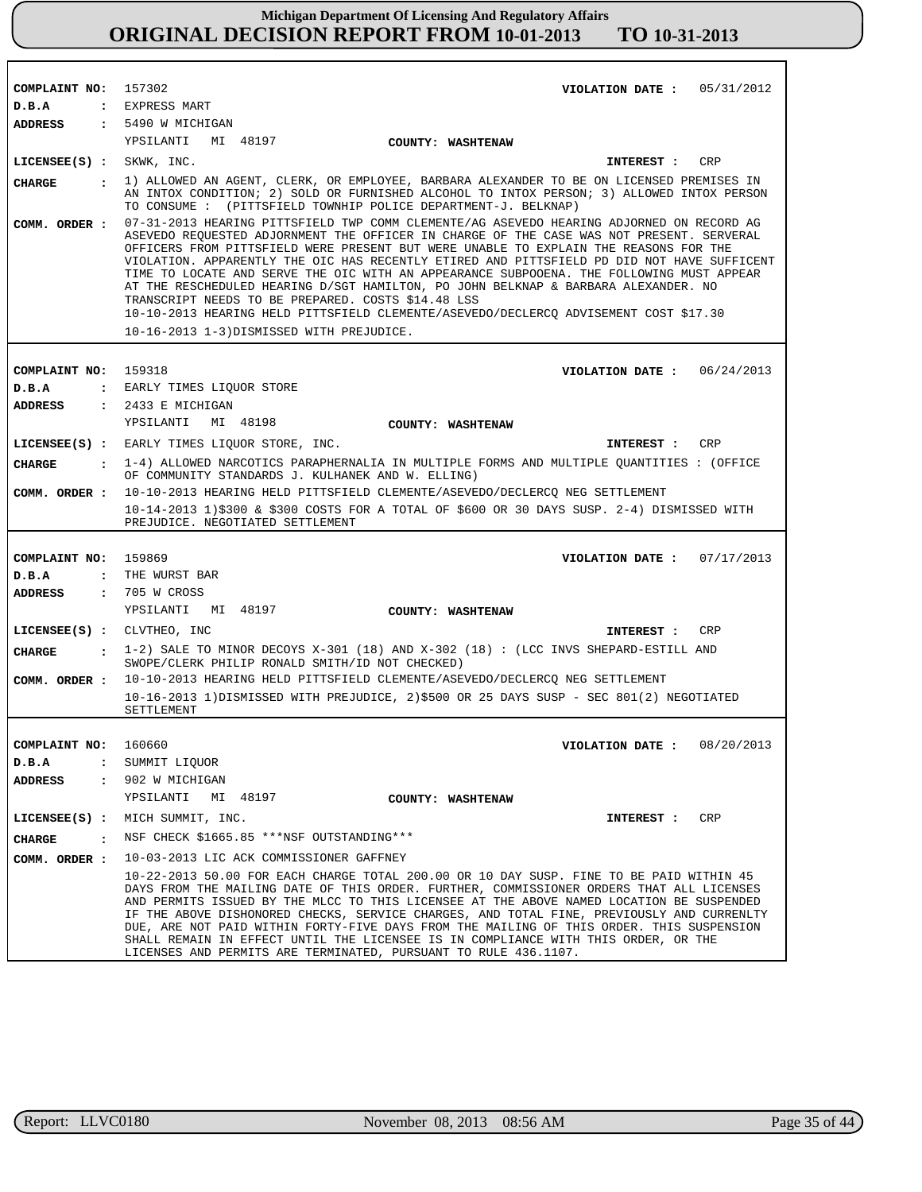| COMPLAINT NO: 157302          | VIOLATION DATE: $05/31/2012$                                                                                                                                                                                                                                                                                                                                                                                                                                                                                                                                                                                                                                                                               |
|-------------------------------|------------------------------------------------------------------------------------------------------------------------------------------------------------------------------------------------------------------------------------------------------------------------------------------------------------------------------------------------------------------------------------------------------------------------------------------------------------------------------------------------------------------------------------------------------------------------------------------------------------------------------------------------------------------------------------------------------------|
| D.B.A                         | : EXPRESS MART                                                                                                                                                                                                                                                                                                                                                                                                                                                                                                                                                                                                                                                                                             |
| <b>ADDRESS</b>                | $: 5490$ W MICHIGAN                                                                                                                                                                                                                                                                                                                                                                                                                                                                                                                                                                                                                                                                                        |
|                               | YPSILANTI MI 48197<br><b>COUNTY: WASHTENAW</b>                                                                                                                                                                                                                                                                                                                                                                                                                                                                                                                                                                                                                                                             |
| LICENSEE(S) : SKWK, INC.      | <b>CRP</b><br>INTEREST :                                                                                                                                                                                                                                                                                                                                                                                                                                                                                                                                                                                                                                                                                   |
| <b>CHARGE</b>                 | : 1) ALLOWED AN AGENT, CLERK, OR EMPLOYEE, BARBARA ALEXANDER TO BE ON LICENSED PREMISES IN                                                                                                                                                                                                                                                                                                                                                                                                                                                                                                                                                                                                                 |
|                               | AN INTOX CONDITION; 2) SOLD OR FURNISHED ALCOHOL TO INTOX PERSON; 3) ALLOWED INTOX PERSON<br>TO CONSUME : (PITTSFIELD TOWNHIP POLICE DEPARTMENT-J. BELKNAP)                                                                                                                                                                                                                                                                                                                                                                                                                                                                                                                                                |
| COMM. ORDER :                 | 07-31-2013 HEARING PITTSFIELD TWP COMM CLEMENTE/AG ASEVEDO HEARING ADJORNED ON RECORD AG<br>ASEVEDO REOUESTED ADJORNMENT THE OFFICER IN CHARGE OF THE CASE WAS NOT PRESENT. SERVERAL<br>OFFICERS FROM PITTSFIELD WERE PRESENT BUT WERE UNABLE TO EXPLAIN THE REASONS FOR THE<br>VIOLATION. APPARENTLY THE OIC HAS RECENTLY ETIRED AND PITTSFIELD PD DID NOT HAVE SUFFICENT<br>TIME TO LOCATE AND SERVE THE OIC WITH AN APPEARANCE SUBPOOENA. THE FOLLOWING MUST APPEAR<br>AT THE RESCHEDULED HEARING D/SGT HAMILTON, PO JOHN BELKNAP & BARBARA ALEXANDER. NO<br>TRANSCRIPT NEEDS TO BE PREPARED. COSTS \$14.48 LSS<br>10-10-2013 HEARING HELD PITTSFIELD CLEMENTE/ASEVEDO/DECLERCQ ADVISEMENT COST \$17.30 |
|                               | 10-16-2013 1-3) DISMISSED WITH PREJUDICE.                                                                                                                                                                                                                                                                                                                                                                                                                                                                                                                                                                                                                                                                  |
|                               |                                                                                                                                                                                                                                                                                                                                                                                                                                                                                                                                                                                                                                                                                                            |
| COMPLAINT NO: 159318          | VIOLATION DATE: $06/24/2013$                                                                                                                                                                                                                                                                                                                                                                                                                                                                                                                                                                                                                                                                               |
| D.B.A                         | : EARLY TIMES LIQUOR STORE                                                                                                                                                                                                                                                                                                                                                                                                                                                                                                                                                                                                                                                                                 |
| <b>ADDRESS</b>                | $: 2433 E$ MICHIGAN<br>YPSILANTI MI 48198                                                                                                                                                                                                                                                                                                                                                                                                                                                                                                                                                                                                                                                                  |
|                               | COUNTY: WASHTENAW                                                                                                                                                                                                                                                                                                                                                                                                                                                                                                                                                                                                                                                                                          |
|                               | LICENSEE(S) : EARLY TIMES LIQUOR STORE, INC.<br>INTEREST : CRP                                                                                                                                                                                                                                                                                                                                                                                                                                                                                                                                                                                                                                             |
| <b>CHARGE</b>                 | $\cdot$ 1-4) ALLOWED NARCOTICS PARAPHERNALIA IN MULTIPLE FORMS AND MULTIPLE QUANTITIES : (OFFICE<br>OF COMMUNITY STANDARDS J. KULHANEK AND W. ELLING)                                                                                                                                                                                                                                                                                                                                                                                                                                                                                                                                                      |
|                               | COMM. ORDER: 10-10-2013 HEARING HELD PITTSFIELD CLEMENTE/ASEVEDO/DECLERCQ NEG SETTLEMENT                                                                                                                                                                                                                                                                                                                                                                                                                                                                                                                                                                                                                   |
|                               | 10-14-2013 1)\$300 & \$300 COSTS FOR A TOTAL OF \$600 OR 30 DAYS SUSP. 2-4) DISMISSED WITH<br>PREJUDICE. NEGOTIATED SETTLEMENT                                                                                                                                                                                                                                                                                                                                                                                                                                                                                                                                                                             |
|                               |                                                                                                                                                                                                                                                                                                                                                                                                                                                                                                                                                                                                                                                                                                            |
| COMPLAINT NO: 159869          | VIOLATION DATE: $07/17/2013$                                                                                                                                                                                                                                                                                                                                                                                                                                                                                                                                                                                                                                                                               |
| D.B.A                         | : THE WURST BAR                                                                                                                                                                                                                                                                                                                                                                                                                                                                                                                                                                                                                                                                                            |
| <b>ADDRESS</b>                | : 705 W CROSS                                                                                                                                                                                                                                                                                                                                                                                                                                                                                                                                                                                                                                                                                              |
|                               | YPSILANTI MI 48197<br>COUNTY: WASHTENAW                                                                                                                                                                                                                                                                                                                                                                                                                                                                                                                                                                                                                                                                    |
| LICENSEE(S) : CLVTHEO, INC    | <b>CRP</b><br>INTEREST :                                                                                                                                                                                                                                                                                                                                                                                                                                                                                                                                                                                                                                                                                   |
| CHARGE                        | $\pm$ 1-2) SALE TO MINOR DECOYS X-301 (18) AND X-302 (18): (LCC INVS SHEPARD-ESTILL AND                                                                                                                                                                                                                                                                                                                                                                                                                                                                                                                                                                                                                    |
|                               | SWOPE/CLERK PHILIP RONALD SMITH/ID NOT CHECKED)                                                                                                                                                                                                                                                                                                                                                                                                                                                                                                                                                                                                                                                            |
| COMM. ORDER :                 | 10-10-2013 HEARING HELD PITTSFIELD CLEMENTE/ASEVEDO/DECLERCQ NEG SETTLEMENT                                                                                                                                                                                                                                                                                                                                                                                                                                                                                                                                                                                                                                |
|                               | 10-16-2013 1)DISMISSED WITH PREJUDICE, 2)\$500 OR 25 DAYS SUSP - SEC 801(2) NEGOTIATED<br><b>SETTLEMENT</b>                                                                                                                                                                                                                                                                                                                                                                                                                                                                                                                                                                                                |
|                               |                                                                                                                                                                                                                                                                                                                                                                                                                                                                                                                                                                                                                                                                                                            |
| COMPLAINT NO:                 | 160660<br>VIOLATION DATE: $08/20/2013$                                                                                                                                                                                                                                                                                                                                                                                                                                                                                                                                                                                                                                                                     |
| D.B.A<br>$\ddot{\phantom{a}}$ | SUMMIT LIQUOR                                                                                                                                                                                                                                                                                                                                                                                                                                                                                                                                                                                                                                                                                              |
| <b>ADDRESS</b>                | : 902 W MICHIGAN                                                                                                                                                                                                                                                                                                                                                                                                                                                                                                                                                                                                                                                                                           |
|                               | YPSILANTI MI 48197<br>COUNTY: WASHTENAW                                                                                                                                                                                                                                                                                                                                                                                                                                                                                                                                                                                                                                                                    |
| $LICENSE (S)$ :               | MICH SUMMIT, INC.<br>CRP<br><b>INTEREST :</b>                                                                                                                                                                                                                                                                                                                                                                                                                                                                                                                                                                                                                                                              |
| <b>CHARGE</b>                 | NSF CHECK \$1665.85 ***NSF OUTSTANDING***                                                                                                                                                                                                                                                                                                                                                                                                                                                                                                                                                                                                                                                                  |
| COMM. ORDER :                 | 10-03-2013 LIC ACK COMMISSIONER GAFFNEY                                                                                                                                                                                                                                                                                                                                                                                                                                                                                                                                                                                                                                                                    |
|                               | 10-22-2013 50.00 FOR EACH CHARGE TOTAL 200.00 OR 10 DAY SUSP. FINE TO BE PAID WITHIN 45<br>DAYS FROM THE MAILING DATE OF THIS ORDER. FURTHER, COMMISSIONER ORDERS THAT ALL LICENSES<br>AND PERMITS ISSUED BY THE MLCC TO THIS LICENSEE AT THE ABOVE NAMED LOCATION BE SUSPENDED<br>IF THE ABOVE DISHONORED CHECKS, SERVICE CHARGES, AND TOTAL FINE, PREVIOUSLY AND CURRENLTY<br>DUE, ARE NOT PAID WITHIN FORTY-FIVE DAYS FROM THE MAILING OF THIS ORDER. THIS SUSPENSION<br>SHALL REMAIN IN EFFECT UNTIL THE LICENSEE IS IN COMPLIANCE WITH THIS ORDER, OR THE<br>LICENSES AND PERMITS ARE TERMINATED, PURSUANT TO RULE 436.1107.                                                                          |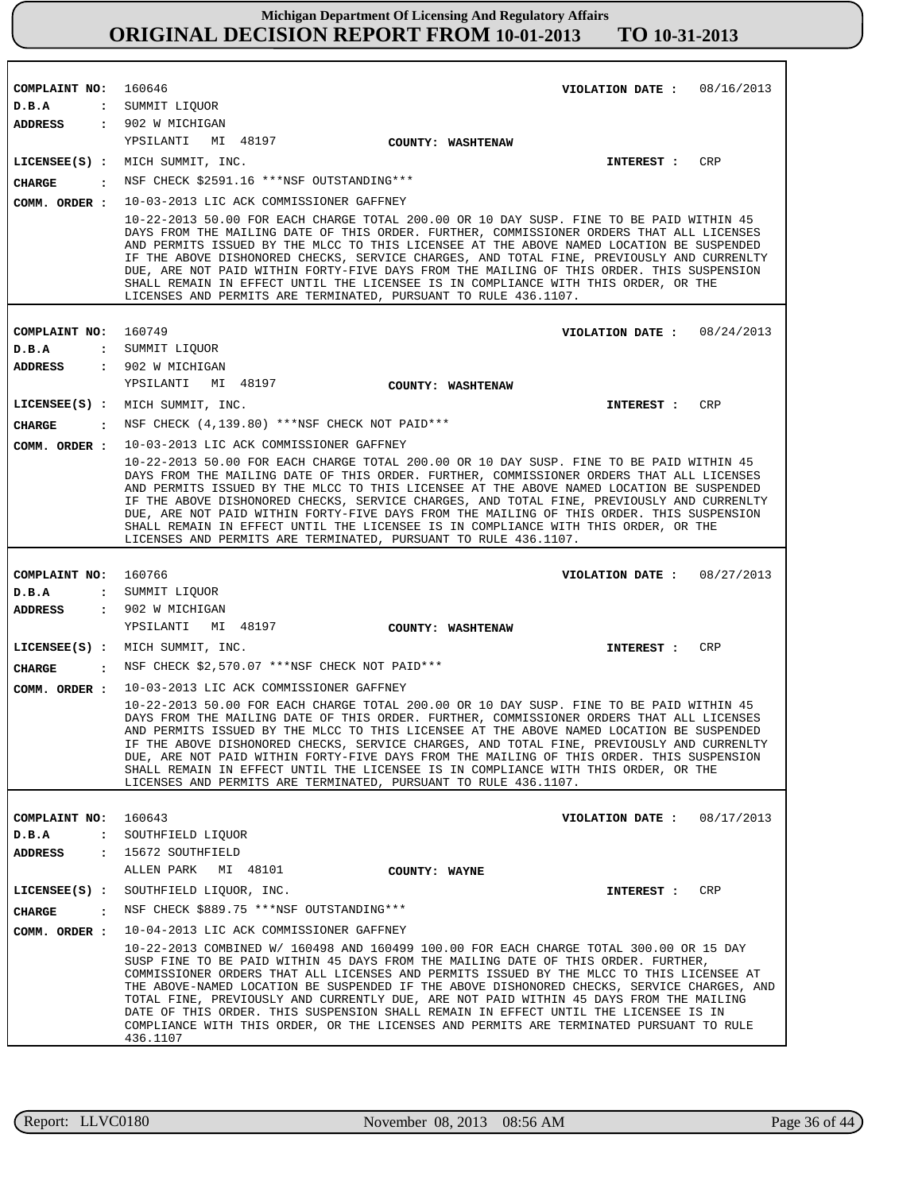| COMPLAINT NO:                         | 160646<br>VIOLATION DATE: $08/16/2013$                                                                                                                                                                                                                                                                                                                                                                                                                                                                                                                                                                                                                                                                   |
|---------------------------------------|----------------------------------------------------------------------------------------------------------------------------------------------------------------------------------------------------------------------------------------------------------------------------------------------------------------------------------------------------------------------------------------------------------------------------------------------------------------------------------------------------------------------------------------------------------------------------------------------------------------------------------------------------------------------------------------------------------|
| D.B.A                                 | : SUMMIT LIQUOR                                                                                                                                                                                                                                                                                                                                                                                                                                                                                                                                                                                                                                                                                          |
| ADDRESS                               | : 902 W MICHIGAN                                                                                                                                                                                                                                                                                                                                                                                                                                                                                                                                                                                                                                                                                         |
|                                       | YPSILANTI MI 48197<br>COUNTY: WASHTENAW                                                                                                                                                                                                                                                                                                                                                                                                                                                                                                                                                                                                                                                                  |
|                                       | CRP<br>LICENSEE(S) : MICH SUMMIT, INC.<br>INTEREST :                                                                                                                                                                                                                                                                                                                                                                                                                                                                                                                                                                                                                                                     |
| <b>CHARGE</b><br>$\ddot{\phantom{a}}$ | NSF CHECK \$2591.16 ***NSF OUTSTANDING***                                                                                                                                                                                                                                                                                                                                                                                                                                                                                                                                                                                                                                                                |
| COMM. ORDER :                         | 10-03-2013 LIC ACK COMMISSIONER GAFFNEY                                                                                                                                                                                                                                                                                                                                                                                                                                                                                                                                                                                                                                                                  |
|                                       | 10-22-2013 50.00 FOR EACH CHARGE TOTAL 200.00 OR 10 DAY SUSP. FINE TO BE PAID WITHIN 45<br>DAYS FROM THE MAILING DATE OF THIS ORDER. FURTHER, COMMISSIONER ORDERS THAT ALL LICENSES<br>AND PERMITS ISSUED BY THE MLCC TO THIS LICENSEE AT THE ABOVE NAMED LOCATION BE SUSPENDED<br>IF THE ABOVE DISHONORED CHECKS, SERVICE CHARGES, AND TOTAL FINE, PREVIOUSLY AND CURRENLTY<br>DUE, ARE NOT PAID WITHIN FORTY-FIVE DAYS FROM THE MAILING OF THIS ORDER. THIS SUSPENSION<br>SHALL REMAIN IN EFFECT UNTIL THE LICENSEE IS IN COMPLIANCE WITH THIS ORDER, OR THE<br>LICENSES AND PERMITS ARE TERMINATED, PURSUANT TO RULE 436.1107.                                                                        |
|                                       |                                                                                                                                                                                                                                                                                                                                                                                                                                                                                                                                                                                                                                                                                                          |
| COMPLAINT NO:                         | 160749<br>VIOLATION DATE: $08/24/2013$                                                                                                                                                                                                                                                                                                                                                                                                                                                                                                                                                                                                                                                                   |
| D.B.A                                 | : SUMMIT LIQUOR                                                                                                                                                                                                                                                                                                                                                                                                                                                                                                                                                                                                                                                                                          |
| <b>ADDRESS</b>                        | : 902 W MICHIGAN                                                                                                                                                                                                                                                                                                                                                                                                                                                                                                                                                                                                                                                                                         |
|                                       | YPSILANTI<br>MI 48197<br><b>COUNTY: WASHTENAW</b>                                                                                                                                                                                                                                                                                                                                                                                                                                                                                                                                                                                                                                                        |
|                                       | LICENSEE(S) : MICH SUMMIT, INC.<br>CRP<br>INTEREST :                                                                                                                                                                                                                                                                                                                                                                                                                                                                                                                                                                                                                                                     |
| <b>CHARGE</b>                         | $\cdot$ NSF CHECK (4,139.80) ***NSF CHECK NOT PAID***                                                                                                                                                                                                                                                                                                                                                                                                                                                                                                                                                                                                                                                    |
| COMM. ORDER :                         | 10-03-2013 LIC ACK COMMISSIONER GAFFNEY<br>10-22-2013 50.00 FOR EACH CHARGE TOTAL 200.00 OR 10 DAY SUSP. FINE TO BE PAID WITHIN 45<br>DAYS FROM THE MAILING DATE OF THIS ORDER. FURTHER, COMMISSIONER ORDERS THAT ALL LICENSES<br>AND PERMITS ISSUED BY THE MLCC TO THIS LICENSEE AT THE ABOVE NAMED LOCATION BE SUSPENDED<br>IF THE ABOVE DISHONORED CHECKS, SERVICE CHARGES, AND TOTAL FINE, PREVIOUSLY AND CURRENLTY<br>DUE, ARE NOT PAID WITHIN FORTY-FIVE DAYS FROM THE MAILING OF THIS ORDER. THIS SUSPENSION<br>SHALL REMAIN IN EFFECT UNTIL THE LICENSEE IS IN COMPLIANCE WITH THIS ORDER, OR THE<br>LICENSES AND PERMITS ARE TERMINATED, PURSUANT TO RULE 436.1107.                             |
|                                       |                                                                                                                                                                                                                                                                                                                                                                                                                                                                                                                                                                                                                                                                                                          |
| COMPLAINT NO:                         | 160766<br>VIOLATION DATE: 08/27/2013                                                                                                                                                                                                                                                                                                                                                                                                                                                                                                                                                                                                                                                                     |
| D.B.A                                 | : SUMMIT LIQUOR                                                                                                                                                                                                                                                                                                                                                                                                                                                                                                                                                                                                                                                                                          |
| <b>ADDRESS</b>                        | : 902 W MICHIGAN                                                                                                                                                                                                                                                                                                                                                                                                                                                                                                                                                                                                                                                                                         |
|                                       | YPSILANTI MI 48197<br>COUNTY: WASHTENAW                                                                                                                                                                                                                                                                                                                                                                                                                                                                                                                                                                                                                                                                  |
|                                       | LICENSEE(S) : MICH SUMMIT, INC.<br><b>CRP</b><br>INTEREST :                                                                                                                                                                                                                                                                                                                                                                                                                                                                                                                                                                                                                                              |
| <b>CHARGE</b>                         | : NSF CHECK \$2,570.07 *** NSF CHECK NOT PAID ***                                                                                                                                                                                                                                                                                                                                                                                                                                                                                                                                                                                                                                                        |
| COMM. ORDER :                         | 10-03-2013 LIC ACK COMMISSIONER GAFFNEY<br>10-22-2013 50.00 FOR EACH CHARGE TOTAL 200.00 OR 10 DAY SUSP. FINE TO BE PAID WITHIN 45<br>DAYS FROM THE MAILING DATE OF THIS ORDER. FURTHER, COMMISSIONER ORDERS THAT ALL LICENSES<br>AND PERMITS ISSUED BY THE MLCC TO THIS LICENSEE AT THE ABOVE NAMED LOCATION BE SUSPENDED<br>IF THE ABOVE DISHONORED CHECKS, SERVICE CHARGES, AND TOTAL FINE, PREVIOUSLY AND CURRENLTY<br>DUE, ARE NOT PAID WITHIN FORTY-FIVE DAYS FROM THE MAILING OF THIS ORDER. THIS SUSPENSION<br>SHALL REMAIN IN EFFECT UNTIL THE LICENSEE IS IN COMPLIANCE WITH THIS ORDER, OR THE<br>LICENSES AND PERMITS ARE TERMINATED, PURSUANT TO RULE 436.1107.                             |
|                                       |                                                                                                                                                                                                                                                                                                                                                                                                                                                                                                                                                                                                                                                                                                          |
| COMPLAINT NO:                         | 160643<br>08/17/2013<br>VIOLATION DATE :                                                                                                                                                                                                                                                                                                                                                                                                                                                                                                                                                                                                                                                                 |
| D.B.A<br>$\ddot{\phantom{a}}$         | SOUTHFIELD LIOUOR                                                                                                                                                                                                                                                                                                                                                                                                                                                                                                                                                                                                                                                                                        |
| ADDRESS<br>$\ddot{\phantom{a}}$       | 15672 SOUTHFIELD<br>ALLEN PARK<br>MI 48101<br>COUNTY: WAYNE                                                                                                                                                                                                                                                                                                                                                                                                                                                                                                                                                                                                                                              |
| $LICENSEE(S)$ :                       | CRP<br>SOUTHFIELD LIQUOR, INC.<br>INTEREST :                                                                                                                                                                                                                                                                                                                                                                                                                                                                                                                                                                                                                                                             |
| <b>CHARGE</b><br>$\ddot{\cdot}$       | NSF CHECK \$889.75 ***NSF OUTSTANDING***                                                                                                                                                                                                                                                                                                                                                                                                                                                                                                                                                                                                                                                                 |
|                                       |                                                                                                                                                                                                                                                                                                                                                                                                                                                                                                                                                                                                                                                                                                          |
| COMM. ORDER :                         | 10-04-2013 LIC ACK COMMISSIONER GAFFNEY<br>10-22-2013 COMBINED W/ 160498 AND 160499 100.00 FOR EACH CHARGE TOTAL 300.00 OR 15 DAY<br>SUSP FINE TO BE PAID WITHIN 45 DAYS FROM THE MAILING DATE OF THIS ORDER. FURTHER,<br>COMMISSIONER ORDERS THAT ALL LICENSES AND PERMITS ISSUED BY THE MLCC TO THIS LICENSEE AT<br>THE ABOVE-NAMED LOCATION BE SUSPENDED IF THE ABOVE DISHONORED CHECKS, SERVICE CHARGES, AND<br>TOTAL FINE, PREVIOUSLY AND CURRENTLY DUE, ARE NOT PAID WITHIN 45 DAYS FROM THE MAILING<br>DATE OF THIS ORDER. THIS SUSPENSION SHALL REMAIN IN EFFECT UNTIL THE LICENSEE IS IN<br>COMPLIANCE WITH THIS ORDER, OR THE LICENSES AND PERMITS ARE TERMINATED PURSUANT TO RULE<br>436.1107 |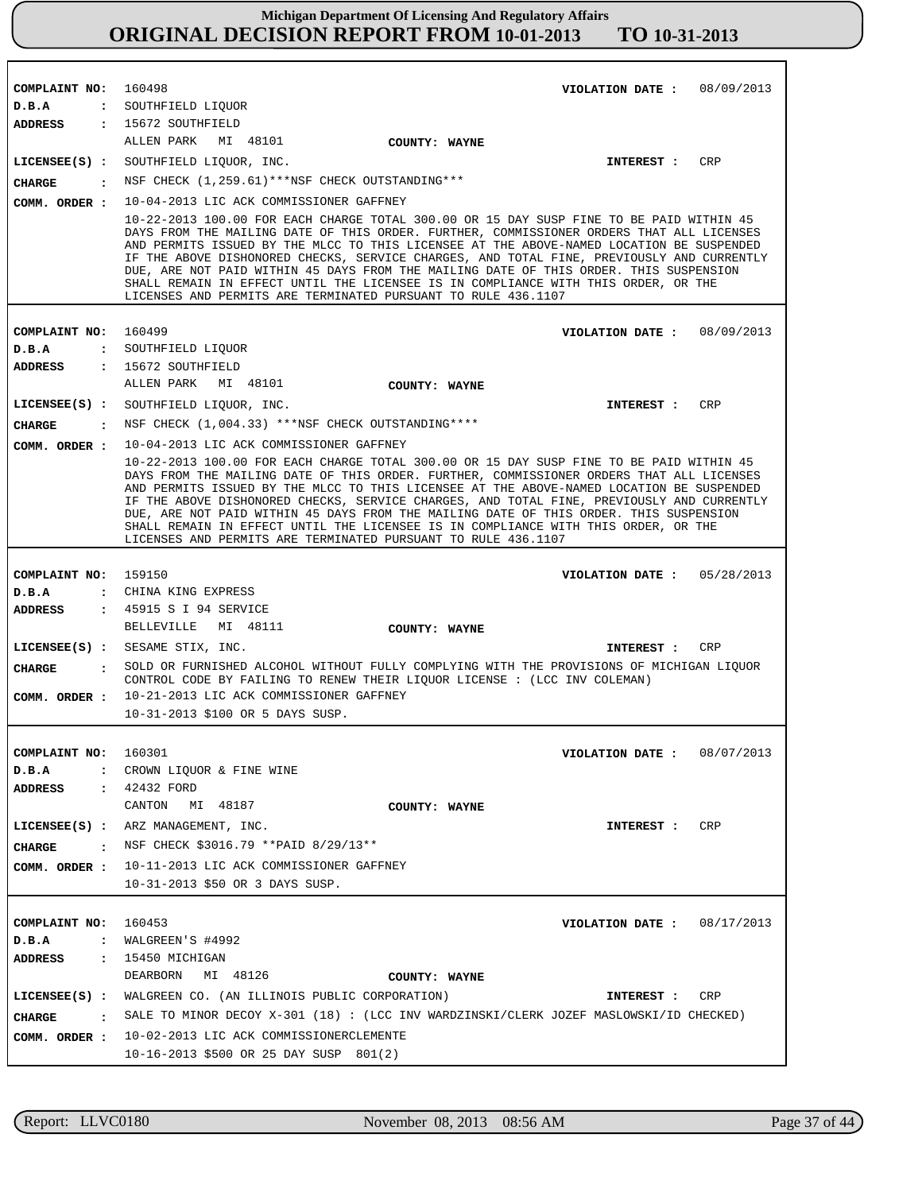| COMPLAINT NO: 160498          | VIOLATION DATE: $08/09/2013$                                                                                                                                                                                                                                                                                                                                                                                                                                                                                                                                                                                                 |
|-------------------------------|------------------------------------------------------------------------------------------------------------------------------------------------------------------------------------------------------------------------------------------------------------------------------------------------------------------------------------------------------------------------------------------------------------------------------------------------------------------------------------------------------------------------------------------------------------------------------------------------------------------------------|
| D.B.A                         | : SOUTHFIELD LIQUOR                                                                                                                                                                                                                                                                                                                                                                                                                                                                                                                                                                                                          |
|                               | ADDRESS : 15672 SOUTHFIELD                                                                                                                                                                                                                                                                                                                                                                                                                                                                                                                                                                                                   |
|                               | ALLEN PARK MI 48101<br>COUNTY: WAYNE                                                                                                                                                                                                                                                                                                                                                                                                                                                                                                                                                                                         |
|                               | LICENSEE(S) : SOUTHFIELD LIQUOR, INC.<br>CRP<br>INTEREST :                                                                                                                                                                                                                                                                                                                                                                                                                                                                                                                                                                   |
| <b>CHARGE</b>                 | NSF CHECK (1,259.61)***NSF CHECK OUTSTANDING***                                                                                                                                                                                                                                                                                                                                                                                                                                                                                                                                                                              |
|                               | COMM. ORDER : 10-04-2013 LIC ACK COMMISSIONER GAFFNEY                                                                                                                                                                                                                                                                                                                                                                                                                                                                                                                                                                        |
|                               | 10-22-2013 100.00 FOR EACH CHARGE TOTAL 300.00 OR 15 DAY SUSP FINE TO BE PAID WITHIN 45<br>DAYS FROM THE MAILING DATE OF THIS ORDER. FURTHER, COMMISSIONER ORDERS THAT ALL LICENSES<br>AND PERMITS ISSUED BY THE MLCC TO THIS LICENSEE AT THE ABOVE-NAMED LOCATION BE SUSPENDED<br>IF THE ABOVE DISHONORED CHECKS, SERVICE CHARGES, AND TOTAL FINE, PREVIOUSLY AND CURRENTLY<br>DUE, ARE NOT PAID WITHIN 45 DAYS FROM THE MAILING DATE OF THIS ORDER. THIS SUSPENSION<br>SHALL REMAIN IN EFFECT UNTIL THE LICENSEE IS IN COMPLIANCE WITH THIS ORDER, OR THE<br>LICENSES AND PERMITS ARE TERMINATED PURSUANT TO RULE 436.1107 |
|                               |                                                                                                                                                                                                                                                                                                                                                                                                                                                                                                                                                                                                                              |
| COMPLAINT NO: 160499          | VIOLATION DATE: $08/09/2013$                                                                                                                                                                                                                                                                                                                                                                                                                                                                                                                                                                                                 |
| D.B.A                         | : SOUTHFIELD LIQUOR                                                                                                                                                                                                                                                                                                                                                                                                                                                                                                                                                                                                          |
| <b>ADDRESS</b>                | : 15672 SOUTHFIELD<br>ALLEN PARK MI 48101                                                                                                                                                                                                                                                                                                                                                                                                                                                                                                                                                                                    |
|                               | COUNTY: WAYNE                                                                                                                                                                                                                                                                                                                                                                                                                                                                                                                                                                                                                |
|                               | LICENSEE(S) : SOUTHFIELD LIQUOR, INC.<br>INTEREST : CRP                                                                                                                                                                                                                                                                                                                                                                                                                                                                                                                                                                      |
| <b>CHARGE</b>                 | : NSF CHECK (1,004.33) ***NSF CHECK OUTSTANDING****                                                                                                                                                                                                                                                                                                                                                                                                                                                                                                                                                                          |
|                               | COMM. ORDER : 10-04-2013 LIC ACK COMMISSIONER GAFFNEY                                                                                                                                                                                                                                                                                                                                                                                                                                                                                                                                                                        |
|                               | 10-22-2013 100.00 FOR EACH CHARGE TOTAL 300.00 OR 15 DAY SUSP FINE TO BE PAID WITHIN 45<br>DAYS FROM THE MAILING DATE OF THIS ORDER. FURTHER, COMMISSIONER ORDERS THAT ALL LICENSES<br>AND PERMITS ISSUED BY THE MLCC TO THIS LICENSEE AT THE ABOVE-NAMED LOCATION BE SUSPENDED<br>IF THE ABOVE DISHONORED CHECKS, SERVICE CHARGES, AND TOTAL FINE, PREVIOUSLY AND CURRENTLY<br>DUE, ARE NOT PAID WITHIN 45 DAYS FROM THE MAILING DATE OF THIS ORDER. THIS SUSPENSION<br>SHALL REMAIN IN EFFECT UNTIL THE LICENSEE IS IN COMPLIANCE WITH THIS ORDER, OR THE<br>LICENSES AND PERMITS ARE TERMINATED PURSUANT TO RULE 436.1107 |
|                               |                                                                                                                                                                                                                                                                                                                                                                                                                                                                                                                                                                                                                              |
| COMPLAINT NO: 159150<br>D.B.A | VIOLATION DATE: $05/28/2013$<br>: CHINA KING EXPRESS                                                                                                                                                                                                                                                                                                                                                                                                                                                                                                                                                                         |
| ADDRESS                       | : 45915 S I 94 SERVICE                                                                                                                                                                                                                                                                                                                                                                                                                                                                                                                                                                                                       |
|                               | BELLEVILLE MI 48111<br>COUNTY: WAYNE                                                                                                                                                                                                                                                                                                                                                                                                                                                                                                                                                                                         |
|                               | LICENSEE(S) : SESAME STIX, INC.<br>CRP<br><b>INTEREST :</b>                                                                                                                                                                                                                                                                                                                                                                                                                                                                                                                                                                  |
| <b>CHARGE</b><br>$\mathbf{r}$ | SOLD OR FURNISHED ALCOHOL WITHOUT FULLY COMPLYING WITH THE PROVISIONS OF MICHIGAN LIQUOR                                                                                                                                                                                                                                                                                                                                                                                                                                                                                                                                     |
|                               | CONTROL CODE BY FAILING TO RENEW THEIR LIQUOR LICENSE : (LCC INV COLEMAN)                                                                                                                                                                                                                                                                                                                                                                                                                                                                                                                                                    |
| COMM. ORDER :                 | 10-21-2013 LIC ACK COMMISSIONER GAFFNEY                                                                                                                                                                                                                                                                                                                                                                                                                                                                                                                                                                                      |
|                               | 10-31-2013 \$100 OR 5 DAYS SUSP.                                                                                                                                                                                                                                                                                                                                                                                                                                                                                                                                                                                             |
|                               |                                                                                                                                                                                                                                                                                                                                                                                                                                                                                                                                                                                                                              |
| COMPLAINT NO:                 | 160301<br>VIOLATION DATE: $08/07/2013$                                                                                                                                                                                                                                                                                                                                                                                                                                                                                                                                                                                       |
| D.B.A<br>$\mathbf{L}$         | CROWN LIQUOR & FINE WINE                                                                                                                                                                                                                                                                                                                                                                                                                                                                                                                                                                                                     |
| ADDRESS                       | : 42432 FORD                                                                                                                                                                                                                                                                                                                                                                                                                                                                                                                                                                                                                 |
|                               | MI 48187<br>CANTON<br>COUNTY: WAYNE                                                                                                                                                                                                                                                                                                                                                                                                                                                                                                                                                                                          |
|                               | LICENSEE(S) : ARZ MANAGEMENT, INC.<br>CRP<br>INTEREST :                                                                                                                                                                                                                                                                                                                                                                                                                                                                                                                                                                      |
| CHARGE                        | : NSF CHECK \$3016.79 ** PAID 8/29/13**                                                                                                                                                                                                                                                                                                                                                                                                                                                                                                                                                                                      |
|                               | COMM. ORDER : 10-11-2013 LIC ACK COMMISSIONER GAFFNEY                                                                                                                                                                                                                                                                                                                                                                                                                                                                                                                                                                        |
|                               | 10-31-2013 \$50 OR 3 DAYS SUSP.                                                                                                                                                                                                                                                                                                                                                                                                                                                                                                                                                                                              |
|                               |                                                                                                                                                                                                                                                                                                                                                                                                                                                                                                                                                                                                                              |
| COMPLAINT NO:                 | 160453<br>VIOLATION DATE: $08/17/2013$                                                                                                                                                                                                                                                                                                                                                                                                                                                                                                                                                                                       |
| D.B.A                         | : $WALGREEN'S #4992$                                                                                                                                                                                                                                                                                                                                                                                                                                                                                                                                                                                                         |
| ADDRESS                       | $: 15450$ MICHIGAN<br>MI 48126<br>DEARBORN                                                                                                                                                                                                                                                                                                                                                                                                                                                                                                                                                                                   |
|                               | COUNTY: WAYNE                                                                                                                                                                                                                                                                                                                                                                                                                                                                                                                                                                                                                |
|                               | LICENSEE(S) : WALGREEN CO. (AN ILLINOIS PUBLIC CORPORATION)<br>CRP<br>INTEREST :                                                                                                                                                                                                                                                                                                                                                                                                                                                                                                                                             |
| CHARGE                        | : SALE TO MINOR DECOY X-301 (18) : (LCC INV WARDZINSKI/CLERK JOZEF MASLOWSKI/ID CHECKED)                                                                                                                                                                                                                                                                                                                                                                                                                                                                                                                                     |
|                               | COMM. ORDER : 10-02-2013 LIC ACK COMMISSIONERCLEMENTE                                                                                                                                                                                                                                                                                                                                                                                                                                                                                                                                                                        |
|                               | 10-16-2013 \$500 OR 25 DAY SUSP 801(2)                                                                                                                                                                                                                                                                                                                                                                                                                                                                                                                                                                                       |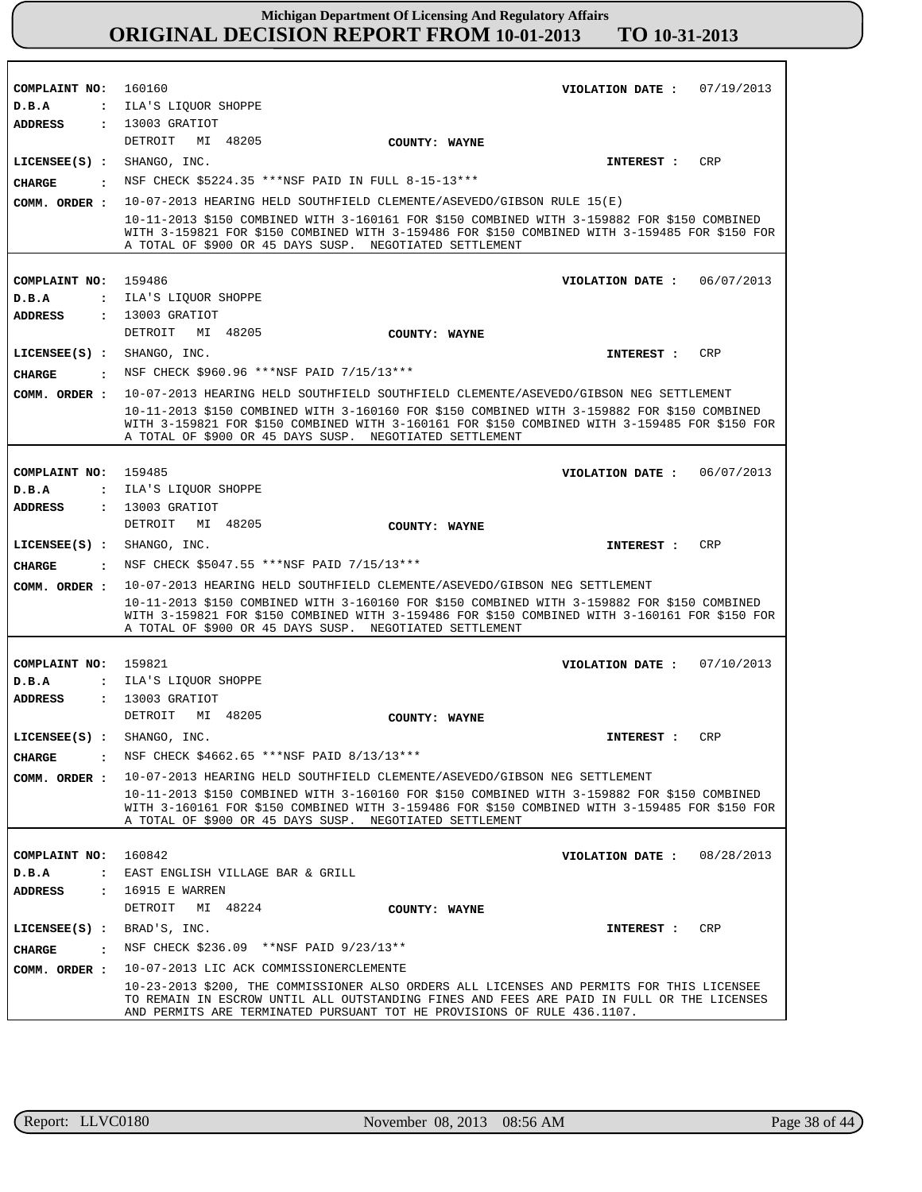| COMPLAINT NO: 160160          | 07/19/2013<br>VIOLATION DATE :                                                                                                                                                                                                                                                                                                       |
|-------------------------------|--------------------------------------------------------------------------------------------------------------------------------------------------------------------------------------------------------------------------------------------------------------------------------------------------------------------------------------|
| D.B.A                         | : ILA'S LIQUOR SHOPPE                                                                                                                                                                                                                                                                                                                |
| ADDRESS                       | : 13003 GRATIOT                                                                                                                                                                                                                                                                                                                      |
|                               | DETROIT MI 48205<br>COUNTY: WAYNE                                                                                                                                                                                                                                                                                                    |
| $LICENSEE(S)$ : SHANGO, INC.  | <b>CRP</b><br>INTEREST :                                                                                                                                                                                                                                                                                                             |
| <b>CHARGE</b><br>$\cdot$      | NSF CHECK \$5224.35 ***NSF PAID IN FULL 8-15-13***                                                                                                                                                                                                                                                                                   |
| COMM. ORDER :                 | 10-07-2013 HEARING HELD SOUTHFIELD CLEMENTE/ASEVEDO/GIBSON RULE 15(E)                                                                                                                                                                                                                                                                |
|                               | 10-11-2013 \$150 COMBINED WITH 3-160161 FOR \$150 COMBINED WITH 3-159882 FOR \$150 COMBINED<br>WITH 3-159821 FOR \$150 COMBINED WITH 3-159486 FOR \$150 COMBINED WITH 3-159485 FOR \$150 FOR<br>A TOTAL OF \$900 OR 45 DAYS SUSP. NEGOTIATED SETTLEMENT                                                                              |
|                               |                                                                                                                                                                                                                                                                                                                                      |
| COMPLAINT NO:                 | 159486<br>VIOLATION DATE: $06/07/2013$                                                                                                                                                                                                                                                                                               |
| D.B.A<br>$\ddot{\phantom{a}}$ | ILA'S LIQUOR SHOPPE                                                                                                                                                                                                                                                                                                                  |
| ADDRESS                       | : 13003 GRATIOT                                                                                                                                                                                                                                                                                                                      |
|                               | DETROIT MI 48205<br>COUNTY: WAYNE                                                                                                                                                                                                                                                                                                    |
| LICENSEE(S) : SHANGO, INC.    | CRP<br>INTEREST :                                                                                                                                                                                                                                                                                                                    |
| CIIARGE                       | . NSF CHECK \$960.96 ***NSF PAID 7/15/13***                                                                                                                                                                                                                                                                                          |
| COMM. ORDER :                 | 10-07-2013 HEARING HELD SOUTHFIELD SOUTHFIELD CLEMENTE/ASEVEDO/GIBSON NEG SETTLEMENT                                                                                                                                                                                                                                                 |
|                               | 10-11-2013 \$150 COMBINED WITH 3-160160 FOR \$150 COMBINED WITH 3-159882 FOR \$150 COMBINED<br>WITH 3-159821 FOR \$150 COMBINED WITH 3-160161 FOR \$150 COMBINED WITH 3-159485 FOR \$150 FOR<br>A TOTAL OF \$900 OR 45 DAYS SUSP. NEGOTIATED SETTLEMENT                                                                              |
|                               |                                                                                                                                                                                                                                                                                                                                      |
| COMPLAINT NO: 159485          | VIOLATION DATE: $06/07/2013$                                                                                                                                                                                                                                                                                                         |
| D.B.A                         | : ILA'S LIQUOR SHOPPE                                                                                                                                                                                                                                                                                                                |
| ADDRESS                       | : 13003 GRATIOT<br>DETROIT MI 48205                                                                                                                                                                                                                                                                                                  |
|                               | COUNTY: WAYNE                                                                                                                                                                                                                                                                                                                        |
|                               |                                                                                                                                                                                                                                                                                                                                      |
| $LICENSEE(S)$ : SHANGO, INC.  | <b>CRP</b><br><b>INTEREST :</b>                                                                                                                                                                                                                                                                                                      |
| <b>CHARGE</b>                 | . NSF CHECK \$5047.55 ***NSF PAID $7/15/13$ ***                                                                                                                                                                                                                                                                                      |
| COMM. ORDER :                 | 10-07-2013 HEARING HELD SOUTHFIELD CLEMENTE/ASEVEDO/GIBSON NEG SETTLEMENT<br>10-11-2013 \$150 COMBINED WITH 3-160160 FOR \$150 COMBINED WITH 3-159882 FOR \$150 COMBINED<br>WITH 3-159821 FOR \$150 COMBINED WITH 3-159486 FOR \$150 COMBINED WITH 3-160161 FOR \$150 FOR<br>A TOTAL OF \$900 OR 45 DAYS SUSP. NEGOTIATED SETTLEMENT |
|                               |                                                                                                                                                                                                                                                                                                                                      |
| COMPLAINT NO:                 | 159821<br>VIOLATION DATE: $07/10/2013$                                                                                                                                                                                                                                                                                               |
| D.B.A                         | : ILA'S LIQUOR SHOPPE                                                                                                                                                                                                                                                                                                                |
| ADDRESS                       | : 13003 GRATIOT                                                                                                                                                                                                                                                                                                                      |
|                               | DETROIT MI 48205<br>COUNTY: WAYNE                                                                                                                                                                                                                                                                                                    |
| LICENSEE(S) : SHANGO, INC.    | <b>CRP</b><br>INTEREST :                                                                                                                                                                                                                                                                                                             |
| <b>CHARGE</b>                 | NSF CHECK \$4662.65 *** NSF PAID 8/13/13 ***                                                                                                                                                                                                                                                                                         |
| COMM. ORDER :                 | 10-07-2013 HEARING HELD SOUTHFIELD CLEMENTE/ASEVEDO/GIBSON NEG SETTLEMENT                                                                                                                                                                                                                                                            |
|                               | 10-11-2013 \$150 COMBINED WITH 3-160160 FOR \$150 COMBINED WITH 3-159882 FOR \$150 COMBINED<br>WITH 3-160161 FOR \$150 COMBINED WITH 3-159486 FOR \$150 COMBINED WITH 3-159485 FOR \$150 FOR<br>A TOTAL OF \$900 OR 45 DAYS SUSP. NEGOTIATED SETTLEMENT                                                                              |
|                               |                                                                                                                                                                                                                                                                                                                                      |
| COMPLAINT NO:                 | 160842<br>VIOLATION DATE: $08/28/2013$                                                                                                                                                                                                                                                                                               |
| D.B.A                         | : EAST ENGLISH VILLAGE BAR & GRILL                                                                                                                                                                                                                                                                                                   |
| ADDRESS                       | : 16915 E WARREN                                                                                                                                                                                                                                                                                                                     |
|                               | DETROIT MI 48224<br>COUNTY: WAYNE                                                                                                                                                                                                                                                                                                    |
| LICENSEE $(S)$ : BRAD'S, INC. | CRP<br>INTEREST :                                                                                                                                                                                                                                                                                                                    |
| <b>CHARGE</b>                 | NSF CHECK \$236.09 **NSF PAID 9/23/13**                                                                                                                                                                                                                                                                                              |
| COMM. ORDER :                 | 10-07-2013 LIC ACK COMMISSIONERCLEMENTE                                                                                                                                                                                                                                                                                              |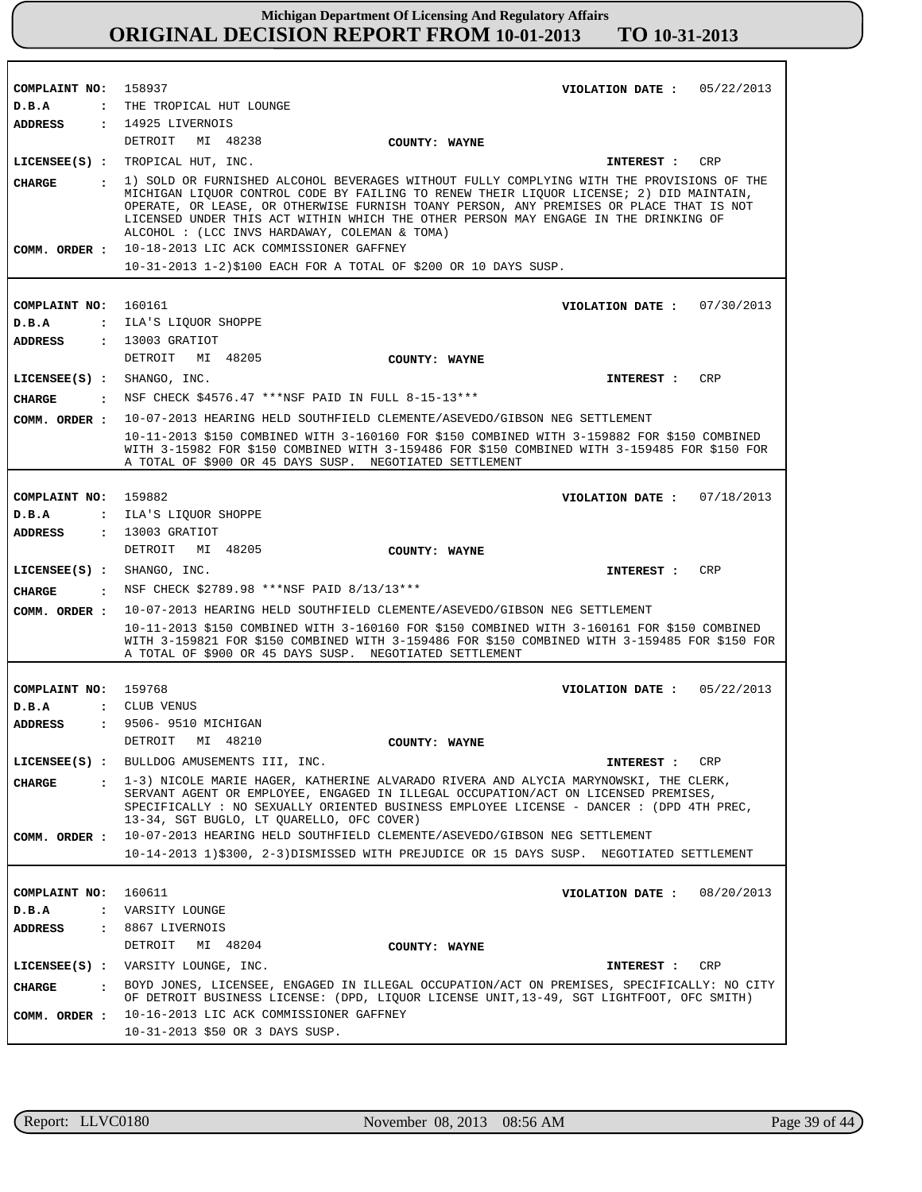**COMPLAINT NO: COMPLAINT NO: COMPLAINT NO:** 159882 **COMPLAINT NO:** 159768 **COMPLAINT NO:** 158937 160161 160611 **VIOLATION DATE : VIOLATION DATE : VIOLATION DATE : VIOLATION DATE : VIOLATION DATE :** 05/22/2013 07/30/2013 07/18/2013 05/22/2013 08/20/2013 **D.B.A : D.B.A : D.B.A : D.B.A : D.B.A :** THE TROPICAL HUT LOUNGE : ILA'S LIQUOR SHOPPE ILA'S LIQUOR SHOPPE CLUB VENUS VARSITY LOUNGE **ADDRESS : ADDRESS : ADDRESS : ADDRESS : ADDRESS :** 14925 LIVERNOIS 13003 GRATIOT 13003 GRATIOT 9506- 9510 MICHIGAN 8867 LIVERNOIS DETROIT MI 48238 DETROIT MI 48205 DETROIT MI 48205 DETROIT MI 48210 DETROIT MI 48204 10-18-2013 LIC ACK COMMISSIONER GAFFNEY 10-31-2013 1-2)\$100 EACH FOR A TOTAL OF \$200 OR 10 DAYS SUSP. 10-07-2013 HEARING HELD SOUTHFIELD CLEMENTE/ASEVEDO/GIBSON NEG SETTLEMENT 10-11-2013 \$150 COMBINED WITH 3-160160 FOR \$150 COMBINED WITH 3-159882 FOR \$150 COMBINED WITH 3-15982 FOR \$150 COMBINED WITH 3-159486 FOR \$150 COMBINED WITH 3-159485 FOR \$150 FOR A TOTAL OF \$900 OR 45 DAYS SUSP. NEGOTIATED SETTLEMENT 10-07-2013 HEARING HELD SOUTHFIELD CLEMENTE/ASEVEDO/GIBSON NEG SETTLEMENT 10-11-2013 \$150 COMBINED WITH 3-160160 FOR \$150 COMBINED WITH 3-160161 FOR \$150 COMBINED WITH 3-159821 FOR \$150 COMBINED WITH 3-159486 FOR \$150 COMBINED WITH 3-159485 FOR \$150 FOR A TOTAL OF \$900 OR 45 DAYS SUSP. NEGOTIATED SETTLEMENT 10-07-2013 HEARING HELD SOUTHFIELD CLEMENTE/ASEVEDO/GIBSON NEG SETTLEMENT 10-14-2013 1)\$300, 2-3)DISMISSED WITH PREJUDICE OR 15 DAYS SUSP. NEGOTIATED SETTLEMENT 10-16-2013 LIC ACK COMMISSIONER GAFFNEY 10-31-2013 \$50 OR 3 DAYS SUSP. **LICENSEE(S) :** TROPICAL HUT, INC. **LICENSEE(S) :** SHANGO, INC. **LICENSEE(S) :** SHANGO, INC. **LICENSEE(S) :** BULLDOG AMUSEMENTS III, INC. **LICENSEE(S) :** VARSITY LOUNGE, INC. CRP CRP CRP CRP CRP **CHARGE : CHARGE : CHARGE : CHARGE : CHARGE :** 1) SOLD OR FURNISHED ALCOHOL BEVERAGES WITHOUT FULLY COMPLYING WITH THE PROVISIONS OF THE MICHIGAN LIQUOR CONTROL CODE BY FAILING TO RENEW THEIR LIQUOR LICENSE; 2) DID MAINTAIN, OPERATE, OR LEASE, OR OTHERWISE FURNISH TOANY PERSON, ANY PREMISES OR PLACE THAT IS NOT LICENSED UNDER THIS ACT WITHIN WHICH THE OTHER PERSON MAY ENGAGE IN THE DRINKING OF ALCOHOL : (LCC INVS HARDAWAY, COLEMAN & TOMA) NSF CHECK \$4576.47 \*\*\*NSF PAID IN FULL 8-15-13\*\*\* : NSF CHECK \$2789.98 \*\*\*NSF PAID 8/13/13\*\*\* 1-3) NICOLE MARIE HAGER, KATHERINE ALVARADO RIVERA AND ALYCIA MARYNOWSKI, THE CLERK, SERVANT AGENT OR EMPLOYEE, ENGAGED IN ILLEGAL OCCUPATION/ACT ON LICENSED PREMISES, SPECIFICALLY : NO SEXUALLY ORIENTED BUSINESS EMPLOYEE LICENSE - DANCER : (DPD 4TH PREC, 13-34, SGT BUGLO, LT QUARELLO, OFC COVER) BOYD JONES, LICENSEE, ENGAGED IN ILLEGAL OCCUPATION/ACT ON PREMISES, SPECIFICALLY: NO CITY OF DETROIT BUSINESS LICENSE: (DPD, LIQUOR LICENSE UNIT,13-49, SGT LIGHTFOOT, OFC SMITH) **INTEREST : INTEREST : INTEREST : INTEREST : INTEREST : COMM. ORDER : COMM. ORDER : COMM. ORDER : COMM. ORDER : COMM. ORDER : COUNTY: WAYNE COUNTY: WAYNE COUNTY: WAYNE COUNTY: WAYNE COUNTY: WAYNE**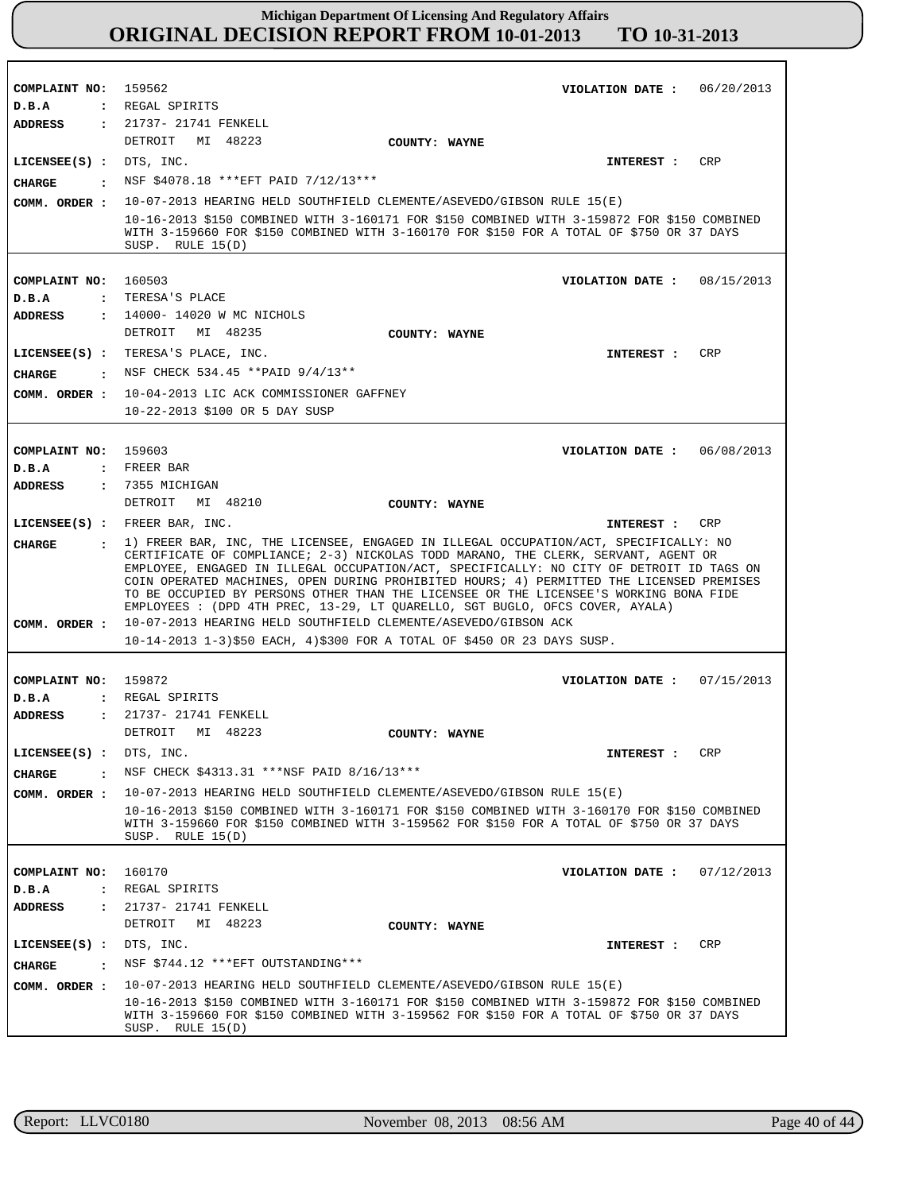**COMPLAINT NO: COMPLAINT NO: COMPLAINT NO:** 159603 **COMPLAINT NO:** 159872 **COMPLAINT NO:** 160170 159562 160503 **VIOLATION DATE : VIOLATION DATE : VIOLATION DATE :** 06/08/2013 **VIOLATION DATE : VIOLATION DATE :** 06/20/2013 08/15/2013 07/15/2013 07/12/2013 **D.B.A : D.B.A : D.B.A : D.B.A : D.B.A :** REGAL SPIRITS TERESA'S PLACE FREER BAR REGAL SPIRITS REGAL SPIRITS **ADDRESS : ADDRESS : ADDRESS : ADDRESS : ADDRESS :** 21737- 21741 FENKELL 14000- 14020 W MC NICHOLS 7355 MICHIGAN 21737- 21741 FENKELL 21737- 21741 FENKELL DETROIT MI 48223 DETROIT MI 48235 DETROIT MI 48210 DETROIT MI 48223 DETROIT MI 48223 10-07-2013 HEARING HELD SOUTHFIELD CLEMENTE/ASEVEDO/GIBSON RULE 15(E) 10-16-2013 \$150 COMBINED WITH 3-160171 FOR \$150 COMBINED WITH 3-159872 FOR \$150 COMBINED WITH 3-159660 FOR \$150 COMBINED WITH 3-160170 FOR \$150 FOR A TOTAL OF \$750 OR 37 DAYS SUSP. RULE 15(D) 10-04-2013 LIC ACK COMMISSIONER GAFFNEY 10-22-2013 \$100 OR 5 DAY SUSP 10-07-2013 HEARING HELD SOUTHFIELD CLEMENTE/ASEVEDO/GIBSON ACK 10-14-2013 1-3)\$50 EACH, 4)\$300 FOR A TOTAL OF \$450 OR 23 DAYS SUSP. 10-07-2013 HEARING HELD SOUTHFIELD CLEMENTE/ASEVEDO/GIBSON RULE 15(E) 10-16-2013 \$150 COMBINED WITH 3-160171 FOR \$150 COMBINED WITH 3-160170 FOR \$150 COMBINED WITH 3-159660 FOR \$150 COMBINED WITH 3-159562 FOR \$150 FOR A TOTAL OF \$750 OR 37 DAYS SUSP. RULE 15(D) 10-07-2013 HEARING HELD SOUTHFIELD CLEMENTE/ASEVEDO/GIBSON RULE 15(E) 10-16-2013 \$150 COMBINED WITH 3-160171 FOR \$150 COMBINED WITH 3-159872 FOR \$150 COMBINED WITH 3-159660 FOR \$150 COMBINED WITH 3-159562 FOR \$150 FOR A TOTAL OF \$750 OR 37 DAYS SUSP. RULE 15(D) **LICENSEE(S) :** DTS, INC. **LICENSEE(S) :** TERESA'S PLACE, INC. **LICENSEE(S) :** FREER BAR, INC. **LICENSEE(S) :** DTS, INC. **LICENSEE(S) :** DTS, INC. CRP CRP CRP CRP CRP **CHARGE : CHARGE : CHARGE : CHARGE : CHARGE :** NSF \$4078.18 \*\*\*EFT PAID 7/12/13\*\*\* NSF CHECK 534.45 \*\*PAID 9/4/13\*\* 1) FREER BAR, INC, THE LICENSEE, ENGAGED IN ILLEGAL OCCUPATION/ACT, SPECIFICALLY: NO CERTIFICATE OF COMPLIANCE; 2-3) NICKOLAS TODD MARANO, THE CLERK, SERVANT, AGENT OR EMPLOYEE, ENGAGED IN ILLEGAL OCCUPATION/ACT, SPECIFICALLY: NO CITY OF DETROIT ID TAGS ON COIN OPERATED MACHINES, OPEN DURING PROHIBITED HOURS; 4) PERMITTED THE LICENSED PREMISES TO BE OCCUPIED BY PERSONS OTHER THAN THE LICENSEE OR THE LICENSEE'S WORKING BONA FIDE EMPLOYEES : (DPD 4TH PREC, 13-29, LT QUARELLO, SGT BUGLO, OFCS COVER, AYALA) NSF CHECK \$4313.31 \*\*\*NSF PAID 8/16/13\*\*\* NSF \$744.12 \*\*\*EFT OUTSTANDING\*\*\* **INTEREST : INTEREST : INTEREST : INTEREST : INTEREST : COMM. ORDER : COMM. ORDER : COMM. ORDER : COMM. ORDER : COMM. ORDER : COUNTY: WAYNE COUNTY: WAYNE COUNTY: WAYNE COUNTY: WAYNE COUNTY: WAYNE**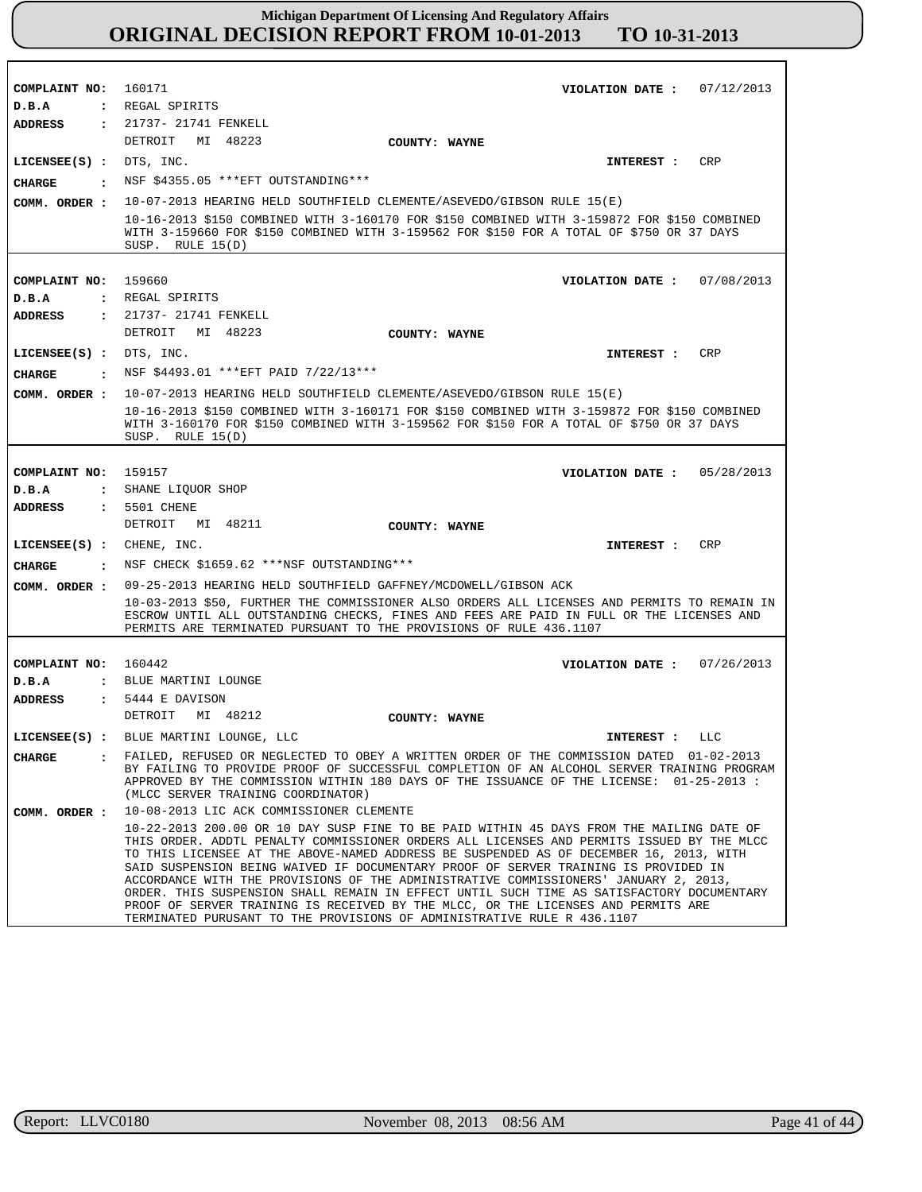| COMPLAINT NO: 160171      | VIOLATION DATE: $07/12/2013$                                                                                                                                                                                                                                                                                                                                                                                                                                                                                                                                                                                                                                                                                                |
|---------------------------|-----------------------------------------------------------------------------------------------------------------------------------------------------------------------------------------------------------------------------------------------------------------------------------------------------------------------------------------------------------------------------------------------------------------------------------------------------------------------------------------------------------------------------------------------------------------------------------------------------------------------------------------------------------------------------------------------------------------------------|
| D.B.A                     | : REGAL SPIRITS                                                                                                                                                                                                                                                                                                                                                                                                                                                                                                                                                                                                                                                                                                             |
| ADDRESS                   | : 21737- 21741 FENKELL                                                                                                                                                                                                                                                                                                                                                                                                                                                                                                                                                                                                                                                                                                      |
|                           | DETROIT MI 48223<br>COUNTY: WAYNE                                                                                                                                                                                                                                                                                                                                                                                                                                                                                                                                                                                                                                                                                           |
| LICENSEE(S) : DTS, INC.   | CRP<br>INTEREST:                                                                                                                                                                                                                                                                                                                                                                                                                                                                                                                                                                                                                                                                                                            |
| CHARGE                    | : NSF \$4355.05 *** EFT OUTSTANDING***                                                                                                                                                                                                                                                                                                                                                                                                                                                                                                                                                                                                                                                                                      |
|                           | COMM. ORDER : 10-07-2013 HEARING HELD SOUTHFIELD CLEMENTE/ASEVEDO/GIBSON RULE 15(E)                                                                                                                                                                                                                                                                                                                                                                                                                                                                                                                                                                                                                                         |
|                           | 10-16-2013 \$150 COMBINED WITH 3-160170 FOR \$150 COMBINED WITH 3-159872 FOR \$150 COMBINED                                                                                                                                                                                                                                                                                                                                                                                                                                                                                                                                                                                                                                 |
|                           | WITH 3-159660 FOR \$150 COMBINED WITH 3-159562 FOR \$150 FOR A TOTAL OF \$750 OR 37 DAYS<br>SUSP. RULE $15(D)$                                                                                                                                                                                                                                                                                                                                                                                                                                                                                                                                                                                                              |
|                           |                                                                                                                                                                                                                                                                                                                                                                                                                                                                                                                                                                                                                                                                                                                             |
| COMPLAINT NO: 159660      | VIOLATION DATE: 07/08/2013                                                                                                                                                                                                                                                                                                                                                                                                                                                                                                                                                                                                                                                                                                  |
| D.B.A                     | : REGAL SPIRITS                                                                                                                                                                                                                                                                                                                                                                                                                                                                                                                                                                                                                                                                                                             |
| <b>ADDRESS</b>            | : 21737- 21741 FENKELL                                                                                                                                                                                                                                                                                                                                                                                                                                                                                                                                                                                                                                                                                                      |
|                           | DETROIT MI 48223<br>COUNTY: WAYNE                                                                                                                                                                                                                                                                                                                                                                                                                                                                                                                                                                                                                                                                                           |
| LICENSEE(S) : DTS, INC.   | CRP<br>INTEREST :                                                                                                                                                                                                                                                                                                                                                                                                                                                                                                                                                                                                                                                                                                           |
| CHARGE                    | : NSF \$4493.01 *** EFT PAID 7/22/13***                                                                                                                                                                                                                                                                                                                                                                                                                                                                                                                                                                                                                                                                                     |
|                           | 10-07-2013 HEARING HELD SOUTHFIELD CLEMENTE/ASEVEDO/GIBSON RULE 15(E)                                                                                                                                                                                                                                                                                                                                                                                                                                                                                                                                                                                                                                                       |
| COMM. ORDER :             |                                                                                                                                                                                                                                                                                                                                                                                                                                                                                                                                                                                                                                                                                                                             |
|                           | 10-16-2013 \$150 COMBINED WITH 3-160171 FOR \$150 COMBINED WITH 3-159872 FOR \$150 COMBINED<br>WITH 3-160170 FOR \$150 COMBINED WITH 3-159562 FOR \$150 FOR A TOTAL OF \$750 OR 37 DAYS<br>SUSP. RULE $15(D)$                                                                                                                                                                                                                                                                                                                                                                                                                                                                                                               |
|                           |                                                                                                                                                                                                                                                                                                                                                                                                                                                                                                                                                                                                                                                                                                                             |
| COMPLAINT NO:             | 159157<br>VIOLATION DATE: 05/28/2013                                                                                                                                                                                                                                                                                                                                                                                                                                                                                                                                                                                                                                                                                        |
| D.B.A                     | : SHANE LIOUOR SHOP                                                                                                                                                                                                                                                                                                                                                                                                                                                                                                                                                                                                                                                                                                         |
| ADDRESS                   | : 5501 CHENE                                                                                                                                                                                                                                                                                                                                                                                                                                                                                                                                                                                                                                                                                                                |
|                           | DETROIT MI 48211<br>COUNTY: WAYNE                                                                                                                                                                                                                                                                                                                                                                                                                                                                                                                                                                                                                                                                                           |
| LICENSEE(S) : CHENE, INC. | INTEREST : CRP                                                                                                                                                                                                                                                                                                                                                                                                                                                                                                                                                                                                                                                                                                              |
| CHARGE                    | : NSF CHECK \$1659.62 ***NSF OUTSTANDING***                                                                                                                                                                                                                                                                                                                                                                                                                                                                                                                                                                                                                                                                                 |
| COMM. ORDER :             | 09-25-2013 HEARING HELD SOUTHFIELD GAFFNEY/MCDOWELL/GIBSON ACK                                                                                                                                                                                                                                                                                                                                                                                                                                                                                                                                                                                                                                                              |
|                           | 10-03-2013 \$50, FURTHER THE COMMISSIONER ALSO ORDERS ALL LICENSES AND PERMITS TO REMAIN IN                                                                                                                                                                                                                                                                                                                                                                                                                                                                                                                                                                                                                                 |
|                           | ESCROW UNTIL ALL OUTSTANDING CHECKS, FINES AND FEES ARE PAID IN FULL OR THE LICENSES AND<br>PERMITS ARE TERMINATED PURSUANT TO THE PROVISIONS OF RULE 436.1107                                                                                                                                                                                                                                                                                                                                                                                                                                                                                                                                                              |
|                           |                                                                                                                                                                                                                                                                                                                                                                                                                                                                                                                                                                                                                                                                                                                             |
| COMPLAINT NO: 160442      | VIOLATION DATE: $07/26/2013$                                                                                                                                                                                                                                                                                                                                                                                                                                                                                                                                                                                                                                                                                                |
| D.B.A                     | : BLUE MARTINI LOUNGE                                                                                                                                                                                                                                                                                                                                                                                                                                                                                                                                                                                                                                                                                                       |
| ADDRESS                   | $: 5444 E$ DAVISON                                                                                                                                                                                                                                                                                                                                                                                                                                                                                                                                                                                                                                                                                                          |
|                           | DETROIT MI 48212<br>COUNTY: WAYNE                                                                                                                                                                                                                                                                                                                                                                                                                                                                                                                                                                                                                                                                                           |
| LICENSEE(S) :             | BLUE MARTINI LOUNGE, LLC<br>LLC<br>INTEREST :                                                                                                                                                                                                                                                                                                                                                                                                                                                                                                                                                                                                                                                                               |
| CHARGE<br>$\mathbf{r}$    | FAILED, REFUSED OR NEGLECTED TO OBEY A WRITTEN ORDER OF THE COMMISSION DATED 01-02-2013                                                                                                                                                                                                                                                                                                                                                                                                                                                                                                                                                                                                                                     |
|                           | BY FAILING TO PROVIDE PROOF OF SUCCESSFUL COMPLETION OF AN ALCOHOL SERVER TRAINING PROGRAM<br>APPROVED BY THE COMMISSION WITHIN 180 DAYS OF THE ISSUANCE OF THE LICENSE: 01-25-2013 :<br>(MLCC SERVER TRAINING COORDINATOR)                                                                                                                                                                                                                                                                                                                                                                                                                                                                                                 |
| COMM. ORDER :             | 10-08-2013 LIC ACK COMMISSIONER CLEMENTE                                                                                                                                                                                                                                                                                                                                                                                                                                                                                                                                                                                                                                                                                    |
|                           | 10-22-2013 200.00 OR 10 DAY SUSP FINE TO BE PAID WITHIN 45 DAYS FROM THE MAILING DATE OF<br>THIS ORDER. ADDTL PENALTY COMMISSIONER ORDERS ALL LICENSES AND PERMITS ISSUED BY THE MLCC<br>TO THIS LICENSEE AT THE ABOVE-NAMED ADDRESS BE SUSPENDED AS OF DECEMBER 16, 2013, WITH<br>SAID SUSPENSION BEING WAIVED IF DOCUMENTARY PROOF OF SERVER TRAINING IS PROVIDED IN<br>ACCORDANCE WITH THE PROVISIONS OF THE ADMINISTRATIVE COMMISSIONERS' JANUARY 2, 2013,<br>ORDER. THIS SUSPENSION SHALL REMAIN IN EFFECT UNTIL SUCH TIME AS SATISFACTORY DOCUMENTARY<br>PROOF OF SERVER TRAINING IS RECEIVED BY THE MLCC, OR THE LICENSES AND PERMITS ARE<br>TERMINATED PURUSANT TO THE PROVISIONS OF ADMINISTRATIVE RULE R 436.1107 |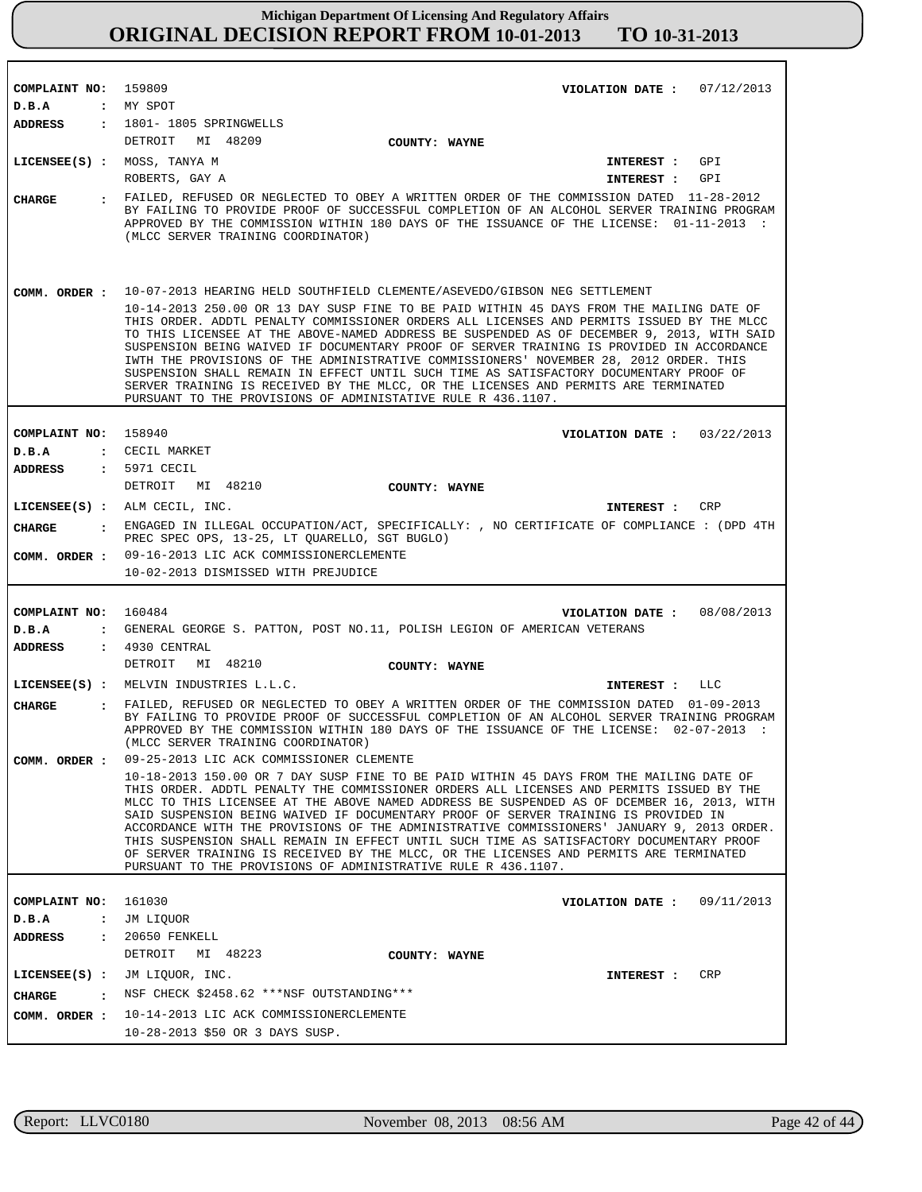| COMPLAINT NO: 159809          | VIOLATION DATE: $07/12/2013$                                                                                                                                                                                                                                                                                                                                                                                                                                                                                                                                                                                                                                                                                                  |
|-------------------------------|-------------------------------------------------------------------------------------------------------------------------------------------------------------------------------------------------------------------------------------------------------------------------------------------------------------------------------------------------------------------------------------------------------------------------------------------------------------------------------------------------------------------------------------------------------------------------------------------------------------------------------------------------------------------------------------------------------------------------------|
| D.B.A                         | : MY SPOT<br>ADDRESS : 1801-1805 SPRINGWELLS                                                                                                                                                                                                                                                                                                                                                                                                                                                                                                                                                                                                                                                                                  |
|                               | DETROIT MI 48209<br>COUNTY: WAYNE                                                                                                                                                                                                                                                                                                                                                                                                                                                                                                                                                                                                                                                                                             |
|                               | LICENSEE(S) : MOSS, TANYA M<br>INTEREST : GPI<br>ROBERTS, GAY A<br>INTEREST : GPI                                                                                                                                                                                                                                                                                                                                                                                                                                                                                                                                                                                                                                             |
| <b>CHARGE</b>                 | : FAILED, REFUSED OR NEGLECTED TO OBEY A WRITTEN ORDER OF THE COMMISSION DATED 11-28-2012<br>BY FAILING TO PROVIDE PROOF OF SUCCESSFUL COMPLETION OF AN ALCOHOL SERVER TRAINING PROGRAM<br>APPROVED BY THE COMMISSION WITHIN 180 DAYS OF THE ISSUANCE OF THE LICENSE: 01-11-2013 :<br>(MLCC SERVER TRAINING COORDINATOR)                                                                                                                                                                                                                                                                                                                                                                                                      |
|                               | COMM. ORDER : 10-07-2013 HEARING HELD SOUTHFIELD CLEMENTE/ASEVEDO/GIBSON NEG SETTLEMENT                                                                                                                                                                                                                                                                                                                                                                                                                                                                                                                                                                                                                                       |
|                               | 10-14-2013 250.00 OR 13 DAY SUSP FINE TO BE PAID WITHIN 45 DAYS FROM THE MAILING DATE OF<br>THIS ORDER. ADDTL PENALTY COMMISSIONER ORDERS ALL LICENSES AND PERMITS ISSUED BY THE MLCC<br>TO THIS LICENSEE AT THE ABOVE-NAMED ADDRESS BE SUSPENDED AS OF DECEMBER 9, 2013, WITH SAID<br>SUSPENSION BEING WAIVED IF DOCUMENTARY PROOF OF SERVER TRAINING IS PROVIDED IN ACCORDANCE<br>IWTH THE PROVISIONS OF THE ADMINISTRATIVE COMMISSIONERS' NOVEMBER 28, 2012 ORDER. THIS<br>SUSPENSION SHALL REMAIN IN EFFECT UNTIL SUCH TIME AS SATISFACTORY DOCUMENTARY PROOF OF<br>SERVER TRAINING IS RECEIVED BY THE MLCC, OR THE LICENSES AND PERMITS ARE TERMINATED<br>PURSUANT TO THE PROVISIONS OF ADMINISTATIVE RULE R 436.1107.   |
|                               |                                                                                                                                                                                                                                                                                                                                                                                                                                                                                                                                                                                                                                                                                                                               |
| COMPLAINT NO: 158940          | VIOLATION DATE: $03/22/2013$                                                                                                                                                                                                                                                                                                                                                                                                                                                                                                                                                                                                                                                                                                  |
| D.B.A                         | : CECIL MARKET                                                                                                                                                                                                                                                                                                                                                                                                                                                                                                                                                                                                                                                                                                                |
| <b>ADDRESS</b>                | : 5971 CECIL<br>DETROIT MI 48210                                                                                                                                                                                                                                                                                                                                                                                                                                                                                                                                                                                                                                                                                              |
|                               | <b>COUNTY: WAYNE</b>                                                                                                                                                                                                                                                                                                                                                                                                                                                                                                                                                                                                                                                                                                          |
|                               | LICENSEE(S) : ALM CECIL, INC.<br>INTEREST : CRP                                                                                                                                                                                                                                                                                                                                                                                                                                                                                                                                                                                                                                                                               |
| CHARGE                        | : ENGAGED IN ILLEGAL OCCUPATION/ACT, SPECIFICALLY: , NO CERTIFICATE OF COMPLIANCE : (DPD 4TH<br>PREC SPEC OPS, 13-25, LT QUARELLO, SGT BUGLO)                                                                                                                                                                                                                                                                                                                                                                                                                                                                                                                                                                                 |
|                               |                                                                                                                                                                                                                                                                                                                                                                                                                                                                                                                                                                                                                                                                                                                               |
|                               | COMM. ORDER : 09-16-2013 LIC ACK COMMISSIONERCLEMENTE                                                                                                                                                                                                                                                                                                                                                                                                                                                                                                                                                                                                                                                                         |
|                               | 10-02-2013 DISMISSED WITH PREJUDICE                                                                                                                                                                                                                                                                                                                                                                                                                                                                                                                                                                                                                                                                                           |
|                               |                                                                                                                                                                                                                                                                                                                                                                                                                                                                                                                                                                                                                                                                                                                               |
| COMPLAINT NO:                 | 160484<br>08/08/2013<br>VIOLATION DATE :                                                                                                                                                                                                                                                                                                                                                                                                                                                                                                                                                                                                                                                                                      |
| D.B.A                         | : GENERAL GEORGE S. PATTON, POST NO.11, POLISH LEGION OF AMERICAN VETERANS                                                                                                                                                                                                                                                                                                                                                                                                                                                                                                                                                                                                                                                    |
| ADDRESS : 4930 CENTRAL        |                                                                                                                                                                                                                                                                                                                                                                                                                                                                                                                                                                                                                                                                                                                               |
|                               | DETROIT MI 48210<br>COUNTY: WAYNE                                                                                                                                                                                                                                                                                                                                                                                                                                                                                                                                                                                                                                                                                             |
|                               | LICENSEE(S) : MELVIN INDUSTRIES L.L.C.<br>INTEREST : LLC                                                                                                                                                                                                                                                                                                                                                                                                                                                                                                                                                                                                                                                                      |
| <b>CHARGE</b>                 | : FAILED, REFUSED OR NEGLECTED TO OBEY A WRITTEN ORDER OF THE COMMISSION DATED 01-09-2013<br>BY FAILING TO PROVIDE PROOF OF SUCCESSFUL COMPLETION OF AN ALCOHOL SERVER TRAINING PROGRAM<br>APPROVED BY THE COMMISSION WITHIN 180 DAYS OF THE ISSUANCE OF THE LICENSE: 02-07-2013 :<br>(MLCC SERVER TRAINING COORDINATOR)                                                                                                                                                                                                                                                                                                                                                                                                      |
| COMM. ORDER :                 | 09-25-2013 LIC ACK COMMISSIONER CLEMENTE                                                                                                                                                                                                                                                                                                                                                                                                                                                                                                                                                                                                                                                                                      |
|                               | 10-18-2013 150.00 OR 7 DAY SUSP FINE TO BE PAID WITHIN 45 DAYS FROM THE MAILING DATE OF<br>THIS ORDER. ADDTL PENALTY THE COMMISSIONER ORDERS ALL LICENSES AND PERMITS ISSUED BY THE<br>MLCC TO THIS LICENSEE AT THE ABOVE NAMED ADDRESS BE SUSPENDED AS OF DCEMBER 16, 2013, WITH<br>SAID SUSPENSION BEING WAIVED IF DOCUMENTARY PROOF OF SERVER TRAINING IS PROVIDED IN<br>ACCORDANCE WITH THE PROVISIONS OF THE ADMINISTRATIVE COMMISSIONERS' JANUARY 9, 2013 ORDER.<br>THIS SUSPENSION SHALL REMAIN IN EFFECT UNTIL SUCH TIME AS SATISFACTORY DOCUMENTARY PROOF<br>OF SERVER TRAINING IS RECEIVED BY THE MLCC, OR THE LICENSES AND PERMITS ARE TERMINATED<br>PURSUANT TO THE PROVISIONS OF ADMINISTRATIVE RULE R 436.1107. |
|                               |                                                                                                                                                                                                                                                                                                                                                                                                                                                                                                                                                                                                                                                                                                                               |
| COMPLAINT NO:                 | 161030<br>VIOLATION DATE :<br>09/11/2013                                                                                                                                                                                                                                                                                                                                                                                                                                                                                                                                                                                                                                                                                      |
| D.B.A<br>$\ddot{\phantom{a}}$ | JM LIQUOR                                                                                                                                                                                                                                                                                                                                                                                                                                                                                                                                                                                                                                                                                                                     |
| ADDRESS<br>$\ddot{\cdot}$     | 20650 FENKELL<br>DETROIT MI 48223<br>COUNTY: WAYNE                                                                                                                                                                                                                                                                                                                                                                                                                                                                                                                                                                                                                                                                            |
| $LICENSEE(S)$ :               | JM LIQUOR, INC.<br>CRP<br>INTEREST :                                                                                                                                                                                                                                                                                                                                                                                                                                                                                                                                                                                                                                                                                          |
| CHARGE<br>$\mathbf{r}$        | NSF CHECK \$2458.62 ***NSF OUTSTANDING***                                                                                                                                                                                                                                                                                                                                                                                                                                                                                                                                                                                                                                                                                     |
|                               | COMM. ORDER : 10-14-2013 LIC ACK COMMISSIONERCLEMENTE                                                                                                                                                                                                                                                                                                                                                                                                                                                                                                                                                                                                                                                                         |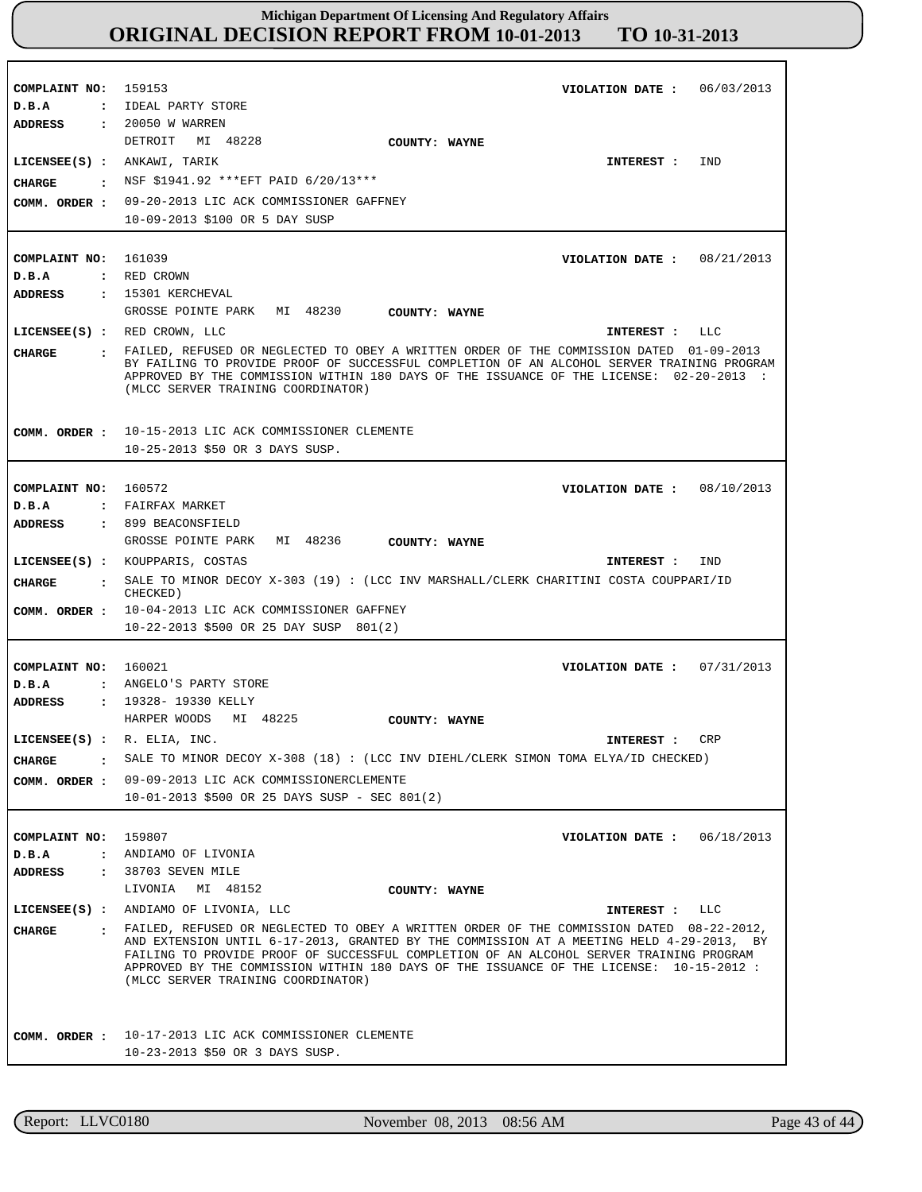**COMPLAINT NO: COMPLAINT NO:** 161039 **COMPLAINT NO:** 160572 **COMPLAINT NO:** 160021 **COMPLAINT NO:** 159807 159153 **VIOLATION DATE : VIOLATION DATE :** 08/21/2013 **VIOLATION DATE : VIOLATION DATE : VIOLATION DATE :** 06/03/2013 08/10/2013 07/31/2013 06/18/2013 **D.B.A : D.B.A : D.B.A : D.B.A : D.B.A :** IDEAL PARTY STORE RED CROWN FAIRFAX MARKET ANGELO'S PARTY STORE ANDIAMO OF LIVONIA **ADDRESS : ADDRESS : ADDRESS : ADDRESS : ADDRESS :** 20050 W WARREN 15301 KERCHEVAL 899 BEACONSFIELD 19328- 19330 KELLY 38703 SEVEN MILE DETROIT MI 48228 GROSSE POINTE PARK MI 48230 GROSSE POINTE PARK MI 48236 HARPER WOODS MI 48225 LIVONIA MI 48152 09-20-2013 LIC ACK COMMISSIONER GAFFNEY 10-09-2013 \$100 OR 5 DAY SUSP 10-15-2013 LIC ACK COMMISSIONER CLEMENTE 10-25-2013 \$50 OR 3 DAYS SUSP. 10-04-2013 LIC ACK COMMISSIONER GAFFNEY 10-22-2013 \$500 OR 25 DAY SUSP 801(2) 09-09-2013 LIC ACK COMMISSIONERCLEMENTE 10-01-2013 \$500 OR 25 DAYS SUSP - SEC 801(2) 10-17-2013 LIC ACK COMMISSIONER CLEMENTE 10-23-2013 \$50 OR 3 DAYS SUSP. **LICENSEE(S) :** ANKAWI, TARIK **LICENSEE(S) :** RED CROWN, LLC **LICENSEE(S) :** KOUPPARIS, COSTAS **LICENSEE(S) :** R. ELIA, INC. **LICENSEE(S) :** ANDIAMO OF LIVONIA, LLC IND  $T.T.C$ IND CRP LLC **CHARGE : CHARGE : CHARGE : CHARGE : CHARGE :** NSF \$1941.92 \*\*\*EFT PAID 6/20/13\*\*\* FAILED, REFUSED OR NEGLECTED TO OBEY A WRITTEN ORDER OF THE COMMISSION DATED 01-09-2013 BY FAILING TO PROVIDE PROOF OF SUCCESSFUL COMPLETION OF AN ALCOHOL SERVER TRAINING PROGRAM APPROVED BY THE COMMISSION WITHIN 180 DAYS OF THE ISSUANCE OF THE LICENSE: 02-20-2013 : (MLCC SERVER TRAINING COORDINATOR) SALE TO MINOR DECOY X-303 (19) : (LCC INV MARSHALL/CLERK CHARITINI COSTA COUPPARI/ID CHECKED) SALE TO MINOR DECOY X-308 (18) : (LCC INV DIEHL/CLERK SIMON TOMA ELYA/ID CHECKED) FAILED, REFUSED OR NEGLECTED TO OBEY A WRITTEN ORDER OF THE COMMISSION DATED 08-22-2012, AND EXTENSION UNTIL 6-17-2013, GRANTED BY THE COMMISSION AT A MEETING HELD 4-29-2013, BY FAILING TO PROVIDE PROOF OF SUCCESSFUL COMPLETION OF AN ALCOHOL SERVER TRAINING PROGRAM APPROVED BY THE COMMISSION WITHIN 180 DAYS OF THE ISSUANCE OF THE LICENSE: 10-15-2012 : (MLCC SERVER TRAINING COORDINATOR) **INTEREST : INTEREST : INTEREST : INTEREST : INTEREST : COMM. ORDER : COMM. ORDER : COMM. ORDER : COMM. ORDER : COMM. ORDER : COUNTY: WAYNE COUNTY: WAYNE COUNTY: WAYNE COUNTY: WAYNE COUNTY: WAYNE**